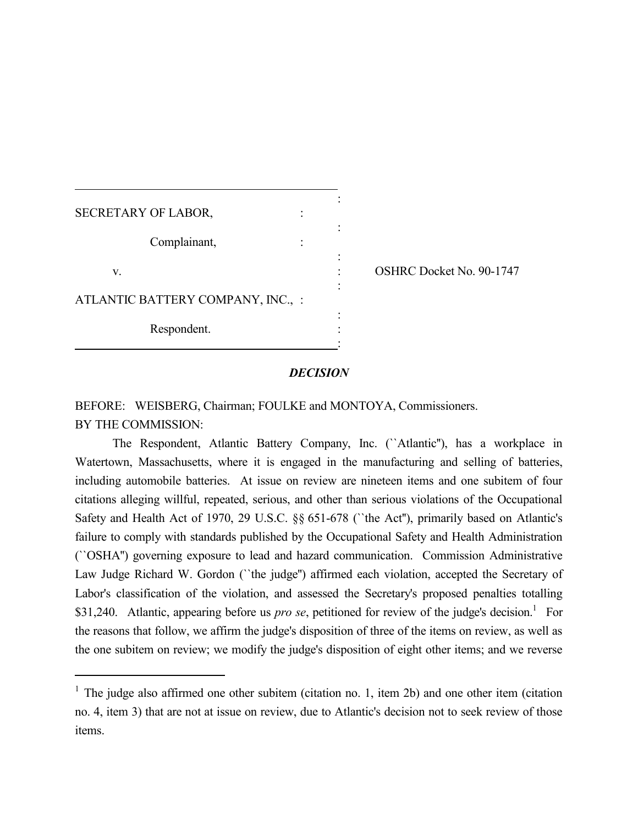| <b>SECRETARY OF LABOR,</b>        |  |
|-----------------------------------|--|
| Complainant,                      |  |
| V.                                |  |
| ATLANTIC BATTERY COMPANY, INC., : |  |
| Respondent.                       |  |

 $\overline{a}$ 

OSHRC Docket No. 90-1747

#### *DECISION*

:

BEFORE: WEISBERG, Chairman; FOULKE and MONTOYA, Commissioners. BY THE COMMISSION:

The Respondent, Atlantic Battery Company, Inc. (``Atlantic''), has a workplace in Watertown, Massachusetts, where it is engaged in the manufacturing and selling of batteries, including automobile batteries. At issue on review are nineteen items and one subitem of four citations alleging willful, repeated, serious, and other than serious violations of the Occupational Safety and Health Act of 1970, 29 U.S.C. §§ 651-678 (``the Act''), primarily based on Atlantic's failure to comply with standards published by the Occupational Safety and Health Administration (``OSHA'') governing exposure to lead and hazard communication. Commission Administrative Law Judge Richard W. Gordon (``the judge'') affirmed each violation, accepted the Secretary of Labor's classification of the violation, and assessed the Secretary's proposed penalties totalling \$31,240. Atlantic, appearing before us *pro se*, petitioned for review of the judge's decision.<sup>1</sup> For the reasons that follow, we affirm the judge's disposition of three of the items on review, as well as the one subitem on review; we modify the judge's disposition of eight other items; and we reverse

<sup>&</sup>lt;sup>1</sup> The judge also affirmed one other subitem (citation no. 1, item 2b) and one other item (citation no. 4, item 3) that are not at issue on review, due to Atlantic's decision not to seek review of those items.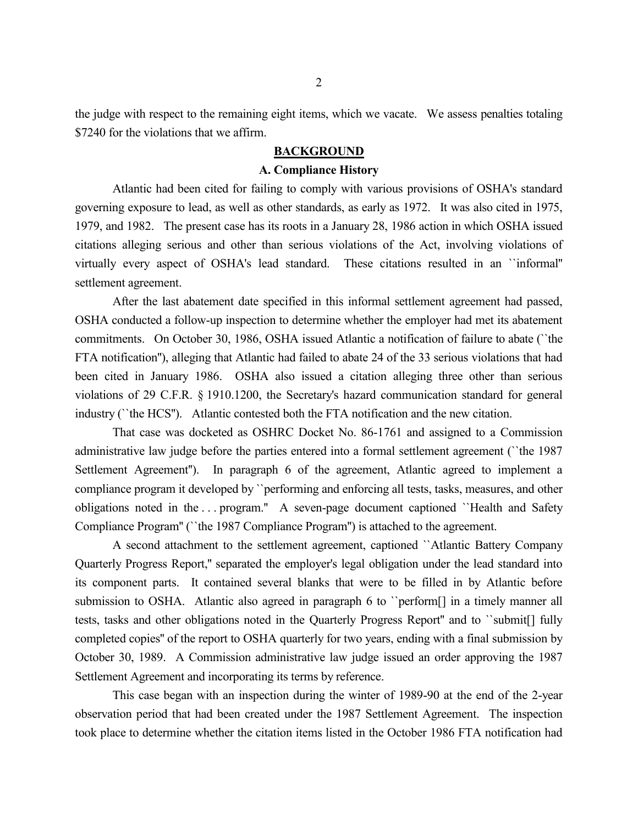the judge with respect to the remaining eight items, which we vacate. We assess penalties totaling \$7240 for the violations that we affirm.

# **BACKGROUND**

#### **A. Compliance History**

Atlantic had been cited for failing to comply with various provisions of OSHA's standard governing exposure to lead, as well as other standards, as early as 1972. It was also cited in 1975, 1979, and 1982. The present case has its roots in a January 28, 1986 action in which OSHA issued citations alleging serious and other than serious violations of the Act, involving violations of virtually every aspect of OSHA's lead standard. These citations resulted in an ``informal'' settlement agreement.

After the last abatement date specified in this informal settlement agreement had passed, OSHA conducted a follow-up inspection to determine whether the employer had met its abatement commitments. On October 30, 1986, OSHA issued Atlantic a notification of failure to abate (``the FTA notification''), alleging that Atlantic had failed to abate 24 of the 33 serious violations that had been cited in January 1986. OSHA also issued a citation alleging three other than serious violations of 29 C.F.R. § 1910.1200, the Secretary's hazard communication standard for general industry (``the HCS''). Atlantic contested both the FTA notification and the new citation.

That case was docketed as OSHRC Docket No. 86-1761 and assigned to a Commission administrative law judge before the parties entered into a formal settlement agreement (``the 1987 Settlement Agreement''). In paragraph 6 of the agreement, Atlantic agreed to implement a compliance program it developed by ``performing and enforcing all tests, tasks, measures, and other obligations noted in the . . . program.'' A seven-page document captioned ``Health and Safety Compliance Program'' (``the 1987 Compliance Program'') is attached to the agreement.

A second attachment to the settlement agreement, captioned ``Atlantic Battery Company Quarterly Progress Report,'' separated the employer's legal obligation under the lead standard into its component parts. It contained several blanks that were to be filled in by Atlantic before submission to OSHA. Atlantic also agreed in paragraph 6 to "perform<sup>[]</sup> in a timely manner all tests, tasks and other obligations noted in the Quarterly Progress Report'' and to ``submit[] fully completed copies'' of the report to OSHA quarterly for two years, ending with a final submission by October 30, 1989. A Commission administrative law judge issued an order approving the 1987 Settlement Agreement and incorporating its terms by reference.

This case began with an inspection during the winter of 1989-90 at the end of the 2-year observation period that had been created under the 1987 Settlement Agreement. The inspection took place to determine whether the citation items listed in the October 1986 FTA notification had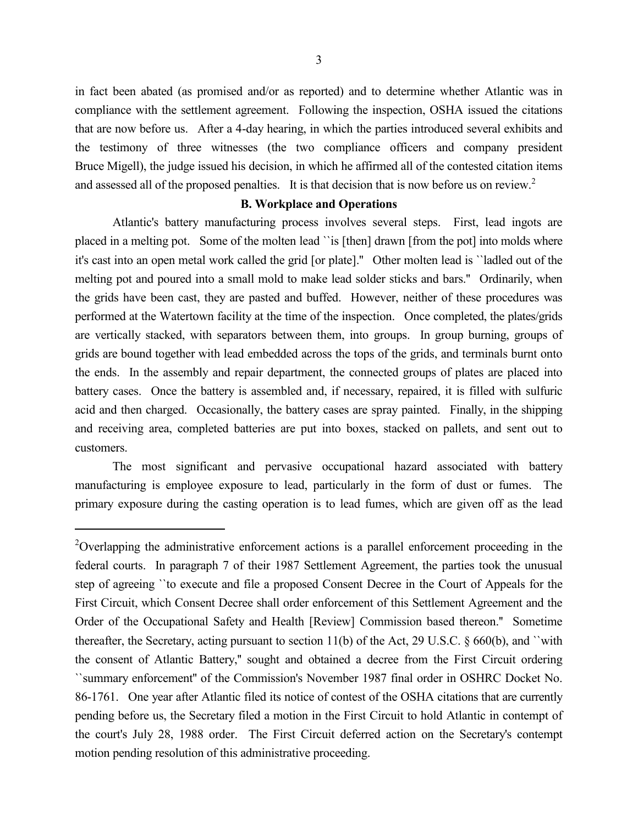in fact been abated (as promised and/or as reported) and to determine whether Atlantic was in compliance with the settlement agreement. Following the inspection, OSHA issued the citations that are now before us. After a 4-day hearing, in which the parties introduced several exhibits and the testimony of three witnesses (the two compliance officers and company president Bruce Migell), the judge issued his decision, in which he affirmed all of the contested citation items and assessed all of the proposed penalties. It is that decision that is now before us on review.<sup>2</sup>

#### **B. Workplace and Operations**

Atlantic's battery manufacturing process involves several steps. First, lead ingots are placed in a melting pot. Some of the molten lead ``is [then] drawn [from the pot] into molds where it's cast into an open metal work called the grid [or plate].'' Other molten lead is ``ladled out of the melting pot and poured into a small mold to make lead solder sticks and bars.'' Ordinarily, when the grids have been cast, they are pasted and buffed. However, neither of these procedures was performed at the Watertown facility at the time of the inspection. Once completed, the plates/grids are vertically stacked, with separators between them, into groups. In group burning, groups of grids are bound together with lead embedded across the tops of the grids, and terminals burnt onto the ends. In the assembly and repair department, the connected groups of plates are placed into battery cases. Once the battery is assembled and, if necessary, repaired, it is filled with sulfuric acid and then charged. Occasionally, the battery cases are spray painted. Finally, in the shipping and receiving area, completed batteries are put into boxes, stacked on pallets, and sent out to customers.

The most significant and pervasive occupational hazard associated with battery manufacturing is employee exposure to lead, particularly in the form of dust or fumes. The primary exposure during the casting operation is to lead fumes, which are given off as the lead

<sup>&</sup>lt;sup>2</sup>Overlapping the administrative enforcement actions is a parallel enforcement proceeding in the federal courts. In paragraph 7 of their 1987 Settlement Agreement, the parties took the unusual step of agreeing ``to execute and file a proposed Consent Decree in the Court of Appeals for the First Circuit, which Consent Decree shall order enforcement of this Settlement Agreement and the Order of the Occupational Safety and Health [Review] Commission based thereon.'' Sometime thereafter, the Secretary, acting pursuant to section 11(b) of the Act, 29 U.S.C. § 660(b), and ``with the consent of Atlantic Battery,'' sought and obtained a decree from the First Circuit ordering ``summary enforcement'' of the Commission's November 1987 final order in OSHRC Docket No. 86-1761. One year after Atlantic filed its notice of contest of the OSHA citations that are currently pending before us, the Secretary filed a motion in the First Circuit to hold Atlantic in contempt of the court's July 28, 1988 order. The First Circuit deferred action on the Secretary's contempt motion pending resolution of this administrative proceeding.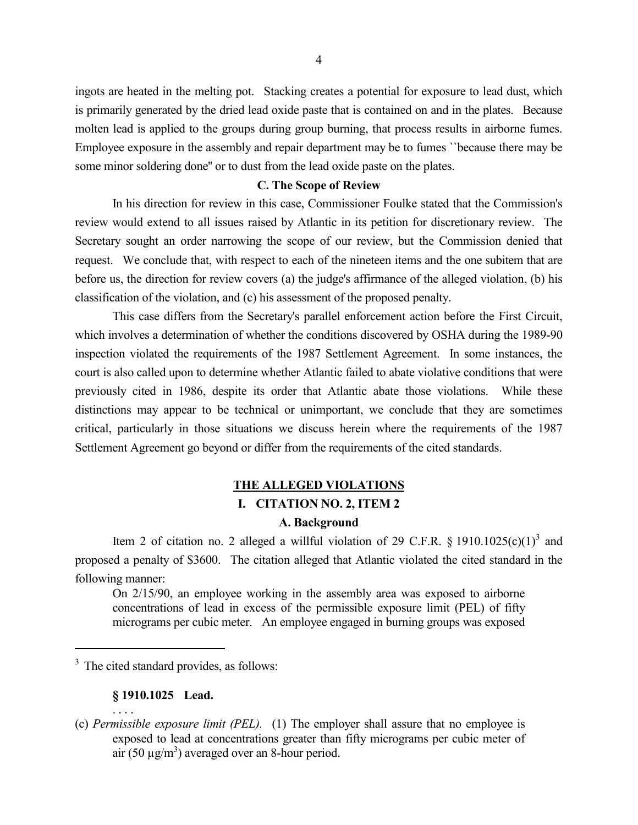ingots are heated in the melting pot. Stacking creates a potential for exposure to lead dust, which is primarily generated by the dried lead oxide paste that is contained on and in the plates. Because molten lead is applied to the groups during group burning, that process results in airborne fumes. Employee exposure in the assembly and repair department may be to fumes ``because there may be some minor soldering done'' or to dust from the lead oxide paste on the plates.

#### **C. The Scope of Review**

In his direction for review in this case, Commissioner Foulke stated that the Commission's review would extend to all issues raised by Atlantic in its petition for discretionary review. The Secretary sought an order narrowing the scope of our review, but the Commission denied that request. We conclude that, with respect to each of the nineteen items and the one subitem that are before us, the direction for review covers (a) the judge's affirmance of the alleged violation, (b) his classification of the violation, and (c) his assessment of the proposed penalty.

This case differs from the Secretary's parallel enforcement action before the First Circuit, which involves a determination of whether the conditions discovered by OSHA during the 1989-90 inspection violated the requirements of the 1987 Settlement Agreement. In some instances, the court is also called upon to determine whether Atlantic failed to abate violative conditions that were previously cited in 1986, despite its order that Atlantic abate those violations. While these distinctions may appear to be technical or unimportant, we conclude that they are sometimes critical, particularly in those situations we discuss herein where the requirements of the 1987 Settlement Agreement go beyond or differ from the requirements of the cited standards.

# **THE ALLEGED VIOLATIONS I. CITATION NO. 2, ITEM 2**

# **A. Background**

Item 2 of citation no. 2 alleged a willful violation of 29 C.F.R. § 1910.1025 $(c)(1)^3$  and proposed a penalty of \$3600. The citation alleged that Atlantic violated the cited standard in the following manner:

On 2/15/90, an employee working in the assembly area was exposed to airborne concentrations of lead in excess of the permissible exposure limit (PEL) of fifty micrograms per cubic meter. An employee engaged in burning groups was exposed

 $3$  The cited standard provides, as follows:

# **§ 1910.1025 Lead.**

. . . .

<sup>(</sup>c) *Permissible exposure limit (PEL).* (1) The employer shall assure that no employee is exposed to lead at concentrations greater than fifty micrograms per cubic meter of air (50  $\mu$ g/m<sup>3</sup>) averaged over an 8-hour period.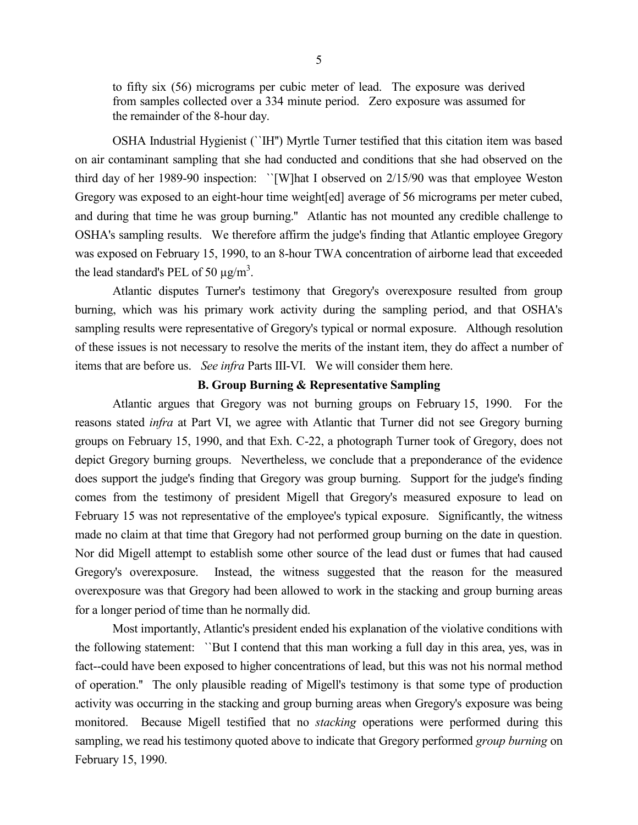to fifty six (56) micrograms per cubic meter of lead. The exposure was derived from samples collected over a 334 minute period. Zero exposure was assumed for the remainder of the 8-hour day.

OSHA Industrial Hygienist (``IH'') Myrtle Turner testified that this citation item was based on air contaminant sampling that she had conducted and conditions that she had observed on the third day of her 1989-90 inspection: ``[W]hat I observed on 2/15/90 was that employee Weston Gregory was exposed to an eight-hour time weight[ed] average of 56 micrograms per meter cubed, and during that time he was group burning.'' Atlantic has not mounted any credible challenge to OSHA's sampling results. We therefore affirm the judge's finding that Atlantic employee Gregory was exposed on February 15, 1990, to an 8-hour TWA concentration of airborne lead that exceeded the lead standard's PEL of 50  $\mu$ g/m<sup>3</sup>.

Atlantic disputes Turner's testimony that Gregory's overexposure resulted from group burning, which was his primary work activity during the sampling period, and that OSHA's sampling results were representative of Gregory's typical or normal exposure. Although resolution of these issues is not necessary to resolve the merits of the instant item, they do affect a number of items that are before us. *See infra* Parts III-VI. We will consider them here.

# **B. Group Burning & Representative Sampling**

Atlantic argues that Gregory was not burning groups on February 15, 1990. For the reasons stated *infra* at Part VI, we agree with Atlantic that Turner did not see Gregory burning groups on February 15, 1990, and that Exh. C-22, a photograph Turner took of Gregory, does not depict Gregory burning groups. Nevertheless, we conclude that a preponderance of the evidence does support the judge's finding that Gregory was group burning. Support for the judge's finding comes from the testimony of president Migell that Gregory's measured exposure to lead on February 15 was not representative of the employee's typical exposure. Significantly, the witness made no claim at that time that Gregory had not performed group burning on the date in question. Nor did Migell attempt to establish some other source of the lead dust or fumes that had caused Gregory's overexposure. Instead, the witness suggested that the reason for the measured overexposure was that Gregory had been allowed to work in the stacking and group burning areas for a longer period of time than he normally did.

Most importantly, Atlantic's president ended his explanation of the violative conditions with the following statement: ``But I contend that this man working a full day in this area, yes, was in fact--could have been exposed to higher concentrations of lead, but this was not his normal method of operation.'' The only plausible reading of Migell's testimony is that some type of production activity was occurring in the stacking and group burning areas when Gregory's exposure was being monitored. Because Migell testified that no *stacking* operations were performed during this sampling, we read his testimony quoted above to indicate that Gregory performed *group burning* on February 15, 1990.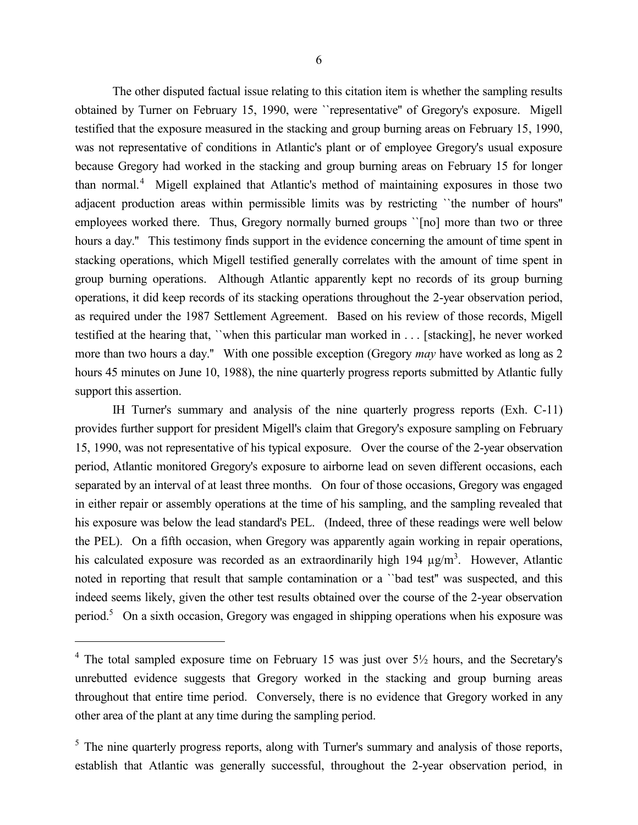The other disputed factual issue relating to this citation item is whether the sampling results obtained by Turner on February 15, 1990, were ``representative'' of Gregory's exposure. Migell testified that the exposure measured in the stacking and group burning areas on February 15, 1990, was not representative of conditions in Atlantic's plant or of employee Gregory's usual exposure because Gregory had worked in the stacking and group burning areas on February 15 for longer than normal.<sup>4</sup> Migell explained that Atlantic's method of maintaining exposures in those two adjacent production areas within permissible limits was by restricting ``the number of hours'' employees worked there. Thus, Gregory normally burned groups "[no] more than two or three hours a day.'' This testimony finds support in the evidence concerning the amount of time spent in stacking operations, which Migell testified generally correlates with the amount of time spent in group burning operations. Although Atlantic apparently kept no records of its group burning operations, it did keep records of its stacking operations throughout the 2-year observation period, as required under the 1987 Settlement Agreement. Based on his review of those records, Migell testified at the hearing that, ``when this particular man worked in . . . [stacking], he never worked more than two hours a day.'' With one possible exception (Gregory *may* have worked as long as 2 hours 45 minutes on June 10, 1988), the nine quarterly progress reports submitted by Atlantic fully support this assertion.

IH Turner's summary and analysis of the nine quarterly progress reports (Exh. C-11) provides further support for president Migell's claim that Gregory's exposure sampling on February 15, 1990, was not representative of his typical exposure. Over the course of the 2-year observation period, Atlantic monitored Gregory's exposure to airborne lead on seven different occasions, each separated by an interval of at least three months. On four of those occasions, Gregory was engaged in either repair or assembly operations at the time of his sampling, and the sampling revealed that his exposure was below the lead standard's PEL. (Indeed, three of these readings were well below the PEL). On a fifth occasion, when Gregory was apparently again working in repair operations, his calculated exposure was recorded as an extraordinarily high  $194 \mu g/m<sup>3</sup>$ . However, Atlantic noted in reporting that result that sample contamination or a ``bad test'' was suspected, and this indeed seems likely, given the other test results obtained over the course of the 2-year observation period.<sup>5</sup> On a sixth occasion, Gregory was engaged in shipping operations when his exposure was

 $4$  The total sampled exposure time on February 15 was just over  $5\frac{1}{2}$  hours, and the Secretary's unrebutted evidence suggests that Gregory worked in the stacking and group burning areas throughout that entire time period. Conversely, there is no evidence that Gregory worked in any other area of the plant at any time during the sampling period.

 $<sup>5</sup>$  The nine quarterly progress reports, along with Turner's summary and analysis of those reports,</sup> establish that Atlantic was generally successful, throughout the 2-year observation period, in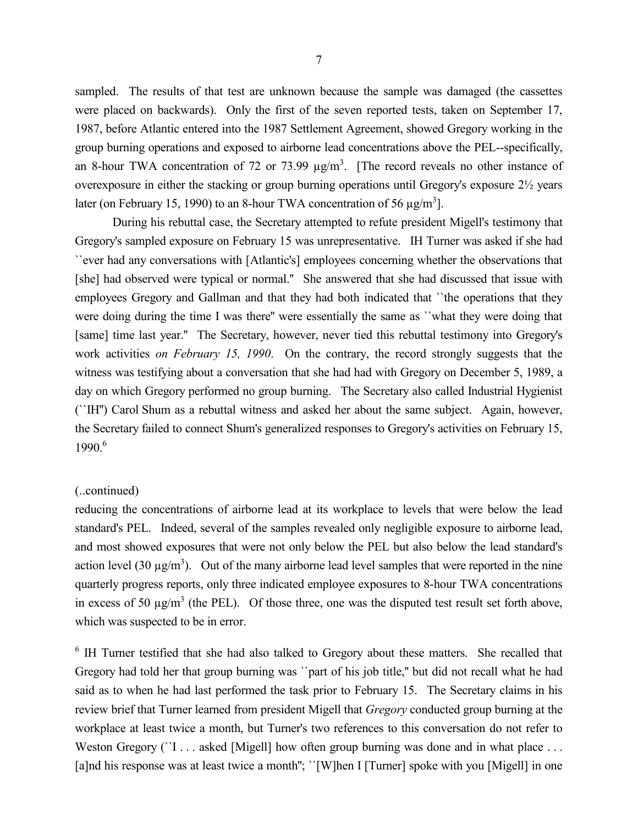sampled. The results of that test are unknown because the sample was damaged (the cassettes were placed on backwards). Only the first of the seven reported tests, taken on September 17, 1987, before Atlantic entered into the 1987 Settlement Agreement, showed Gregory working in the group burning operations and exposed to airborne lead concentrations above the PEL--specifically, an 8-hour TWA concentration of 72 or 73.99  $\mu$ g/m<sup>3</sup>. [The record reveals no other instance of overexposure in either the stacking or group burning operations until Gregory's exposure 2½ years later (on February 15, 1990) to an 8-hour TWA concentration of 56  $\mu$ g/m<sup>3</sup>].

During his rebuttal case, the Secretary attempted to refute president Migell's testimony that Gregory's sampled exposure on February 15 was unrepresentative. IH Turner was asked if she had ``ever had any conversations with [Atlantic's] employees concerning whether the observations that [she] had observed were typical or normal.'' She answered that she had discussed that issue with employees Gregory and Gallman and that they had both indicated that ``the operations that they were doing during the time I was there'' were essentially the same as ``what they were doing that [same] time last year.'' The Secretary, however, never tied this rebuttal testimony into Gregory's work activities *on February 15, 1990*. On the contrary, the record strongly suggests that the witness was testifying about a conversation that she had had with Gregory on December 5, 1989, a day on which Gregory performed no group burning. The Secretary also called Industrial Hygienist (``IH'') Carol Shum as a rebuttal witness and asked her about the same subject. Again, however, the Secretary failed to connect Shum's generalized responses to Gregory's activities on February 15, 1990.<sup>6</sup>

### (..continued)

reducing the concentrations of airborne lead at its workplace to levels that were below the lead standard's PEL. Indeed, several of the samples revealed only negligible exposure to airborne lead, and most showed exposures that were not only below the PEL but also below the lead standard's action level (30  $\mu$ g/m<sup>3</sup>). Out of the many airborne lead level samples that were reported in the nine quarterly progress reports, only three indicated employee exposures to 8-hour TWA concentrations in excess of 50  $\mu$ g/m<sup>3</sup> (the PEL). Of those three, one was the disputed test result set forth above, which was suspected to be in error.

<sup>6</sup> IH Turner testified that she had also talked to Gregory about these matters. She recalled that Gregory had told her that group burning was ``part of his job title,'' but did not recall what he had said as to when he had last performed the task prior to February 15. The Secretary claims in his review brief that Turner learned from president Migell that *Gregory* conducted group burning at the workplace at least twice a month, but Turner's two references to this conversation do not refer to Weston Gregory (``I . . . asked [Migell] how often group burning was done and in what place . . . [a]nd his response was at least twice a month"; "[W]hen I [Turner] spoke with you [Migell] in one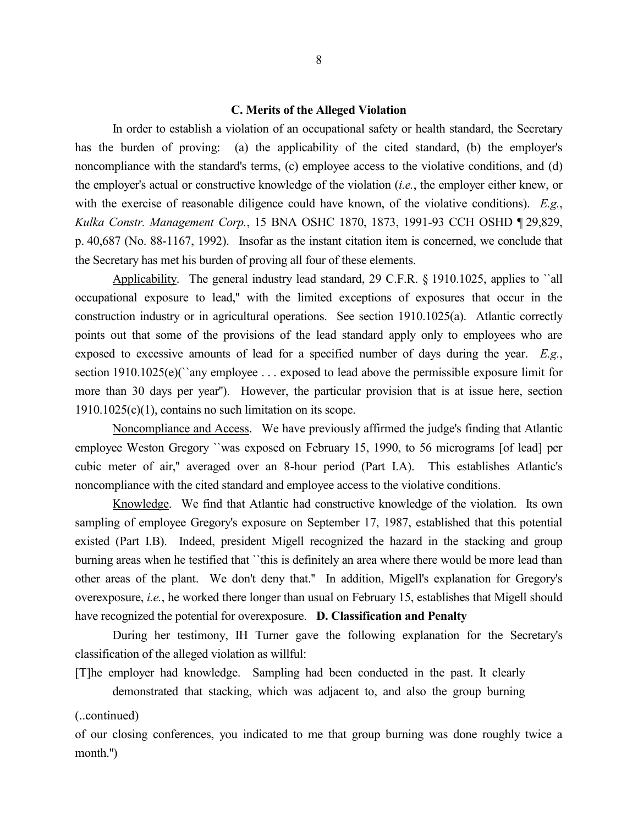#### **C. Merits of the Alleged Violation**

In order to establish a violation of an occupational safety or health standard, the Secretary has the burden of proving: (a) the applicability of the cited standard, (b) the employer's noncompliance with the standard's terms, (c) employee access to the violative conditions, and (d) the employer's actual or constructive knowledge of the violation (*i.e.*, the employer either knew, or with the exercise of reasonable diligence could have known, of the violative conditions). *E.g.*, *Kulka Constr. Management Corp.*, 15 BNA OSHC 1870, 1873, 1991-93 CCH OSHD ¶ 29,829, p. 40,687 (No. 88-1167, 1992). Insofar as the instant citation item is concerned, we conclude that the Secretary has met his burden of proving all four of these elements.

Applicability. The general industry lead standard, 29 C.F.R. § 1910.1025, applies to 'all occupational exposure to lead,'' with the limited exceptions of exposures that occur in the construction industry or in agricultural operations. See section 1910.1025(a). Atlantic correctly points out that some of the provisions of the lead standard apply only to employees who are exposed to excessive amounts of lead for a specified number of days during the year. *E.g.*, section 1910.1025(e)(``any employee . . . exposed to lead above the permissible exposure limit for more than 30 days per year''). However, the particular provision that is at issue here, section  $1910.1025(c)(1)$ , contains no such limitation on its scope.

Noncompliance and Access. We have previously affirmed the judge's finding that Atlantic employee Weston Gregory ``was exposed on February 15, 1990, to 56 micrograms [of lead] per cubic meter of air,'' averaged over an 8-hour period (Part I.A). This establishes Atlantic's noncompliance with the cited standard and employee access to the violative conditions.

Knowledge. We find that Atlantic had constructive knowledge of the violation. Its own sampling of employee Gregory's exposure on September 17, 1987, established that this potential existed (Part I.B). Indeed, president Migell recognized the hazard in the stacking and group burning areas when he testified that ``this is definitely an area where there would be more lead than other areas of the plant. We don't deny that.'' In addition, Migell's explanation for Gregory's overexposure, *i.e.*, he worked there longer than usual on February 15, establishes that Migell should have recognized the potential for overexposure. **D. Classification and Penalty**

During her testimony, IH Turner gave the following explanation for the Secretary's classification of the alleged violation as willful:

[T]he employer had knowledge. Sampling had been conducted in the past. It clearly

demonstrated that stacking, which was adjacent to, and also the group burning

(..continued)

of our closing conferences, you indicated to me that group burning was done roughly twice a month.'')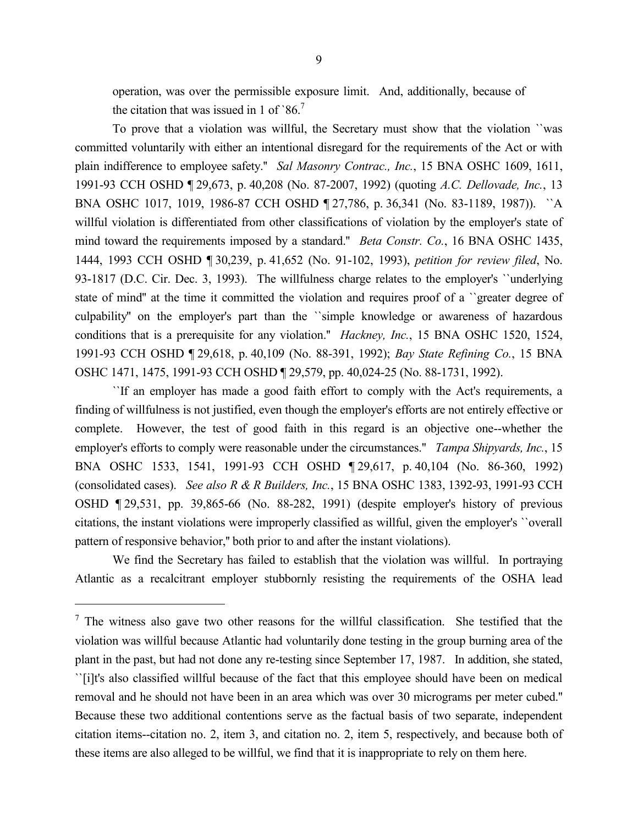operation, was over the permissible exposure limit. And, additionally, because of the citation that was issued in 1 of  $86<sup>7</sup>$ 

To prove that a violation was willful, the Secretary must show that the violation ``was committed voluntarily with either an intentional disregard for the requirements of the Act or with plain indifference to employee safety.'' *Sal Masonry Contrac., Inc.*, 15 BNA OSHC 1609, 1611, 1991-93 CCH OSHD ¶ 29,673, p. 40,208 (No. 87-2007, 1992) (quoting *A.C. Dellovade, Inc.*, 13 BNA OSHC 1017, 1019, 1986-87 CCH OSHD ¶ 27,786, p. 36,341 (No. 83-1189, 1987)). ``A willful violation is differentiated from other classifications of violation by the employer's state of mind toward the requirements imposed by a standard.'' *Beta Constr. Co.*, 16 BNA OSHC 1435, 1444, 1993 CCH OSHD ¶ 30,239, p. 41,652 (No. 91-102, 1993), *petition for review filed*, No. 93-1817 (D.C. Cir. Dec. 3, 1993). The willfulness charge relates to the employer's ``underlying state of mind'' at the time it committed the violation and requires proof of a ``greater degree of culpability'' on the employer's part than the ``simple knowledge or awareness of hazardous conditions that is a prerequisite for any violation.'' *Hackney, Inc.*, 15 BNA OSHC 1520, 1524, 1991-93 CCH OSHD ¶ 29,618, p. 40,109 (No. 88-391, 1992); *Bay State Refining Co.*, 15 BNA OSHC 1471, 1475, 1991-93 CCH OSHD ¶ 29,579, pp. 40,024-25 (No. 88-1731, 1992).

``If an employer has made a good faith effort to comply with the Act's requirements, a finding of willfulness is not justified, even though the employer's efforts are not entirely effective or complete. However, the test of good faith in this regard is an objective one--whether the employer's efforts to comply were reasonable under the circumstances.'' *Tampa Shipyards, Inc.*, 15 BNA OSHC 1533, 1541, 1991-93 CCH OSHD ¶ 29,617, p. 40,104 (No. 86-360, 1992) (consolidated cases). *See also R & R Builders, Inc.*, 15 BNA OSHC 1383, 1392-93, 1991-93 CCH OSHD ¶ 29,531, pp. 39,865-66 (No. 88-282, 1991) (despite employer's history of previous citations, the instant violations were improperly classified as willful, given the employer's ``overall pattern of responsive behavior,'' both prior to and after the instant violations).

We find the Secretary has failed to establish that the violation was willful. In portraying Atlantic as a recalcitrant employer stubbornly resisting the requirements of the OSHA lead

 $<sup>7</sup>$  The witness also gave two other reasons for the willful classification. She testified that the</sup> violation was willful because Atlantic had voluntarily done testing in the group burning area of the plant in the past, but had not done any re-testing since September 17, 1987. In addition, she stated, ``[i]t's also classified willful because of the fact that this employee should have been on medical removal and he should not have been in an area which was over 30 micrograms per meter cubed.'' Because these two additional contentions serve as the factual basis of two separate, independent citation items--citation no. 2, item 3, and citation no. 2, item 5, respectively, and because both of these items are also alleged to be willful, we find that it is inappropriate to rely on them here.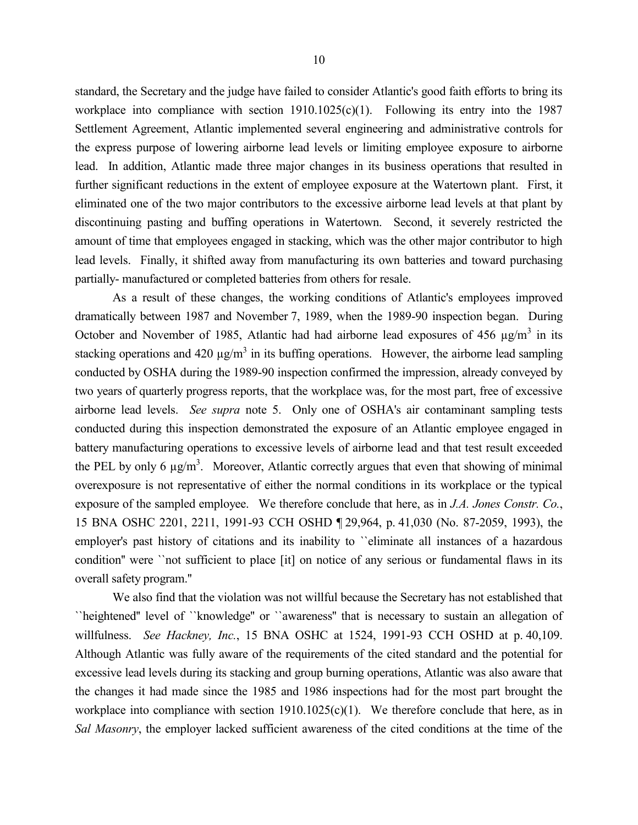standard, the Secretary and the judge have failed to consider Atlantic's good faith efforts to bring its workplace into compliance with section 1910.1025(c)(1). Following its entry into the 1987 Settlement Agreement, Atlantic implemented several engineering and administrative controls for the express purpose of lowering airborne lead levels or limiting employee exposure to airborne lead. In addition, Atlantic made three major changes in its business operations that resulted in further significant reductions in the extent of employee exposure at the Watertown plant. First, it eliminated one of the two major contributors to the excessive airborne lead levels at that plant by discontinuing pasting and buffing operations in Watertown. Second, it severely restricted the amount of time that employees engaged in stacking, which was the other major contributor to high lead levels. Finally, it shifted away from manufacturing its own batteries and toward purchasing partially- manufactured or completed batteries from others for resale.

As a result of these changes, the working conditions of Atlantic's employees improved dramatically between 1987 and November 7, 1989, when the 1989-90 inspection began. During October and November of 1985, Atlantic had had airborne lead exposures of 456  $\mu$ g/m<sup>3</sup> in its stacking operations and 420  $\mu$ g/m<sup>3</sup> in its buffing operations. However, the airborne lead sampling conducted by OSHA during the 1989-90 inspection confirmed the impression, already conveyed by two years of quarterly progress reports, that the workplace was, for the most part, free of excessive airborne lead levels. *See supra* note 5. Only one of OSHA's air contaminant sampling tests conducted during this inspection demonstrated the exposure of an Atlantic employee engaged in battery manufacturing operations to excessive levels of airborne lead and that test result exceeded the PEL by only 6  $\mu$ g/m<sup>3</sup>. Moreover, Atlantic correctly argues that even that showing of minimal overexposure is not representative of either the normal conditions in its workplace or the typical exposure of the sampled employee. We therefore conclude that here, as in *J.A. Jones Constr. Co.*, 15 BNA OSHC 2201, 2211, 1991-93 CCH OSHD ¶ 29,964, p. 41,030 (No. 87-2059, 1993), the employer's past history of citations and its inability to ``eliminate all instances of a hazardous condition'' were ``not sufficient to place [it] on notice of any serious or fundamental flaws in its overall safety program.''

We also find that the violation was not willful because the Secretary has not established that ``heightened'' level of ``knowledge'' or ``awareness'' that is necessary to sustain an allegation of willfulness. *See Hackney, Inc.*, 15 BNA OSHC at 1524, 1991-93 CCH OSHD at p. 40,109. Although Atlantic was fully aware of the requirements of the cited standard and the potential for excessive lead levels during its stacking and group burning operations, Atlantic was also aware that the changes it had made since the 1985 and 1986 inspections had for the most part brought the workplace into compliance with section 1910.1025(c)(1). We therefore conclude that here, as in *Sal Masonry*, the employer lacked sufficient awareness of the cited conditions at the time of the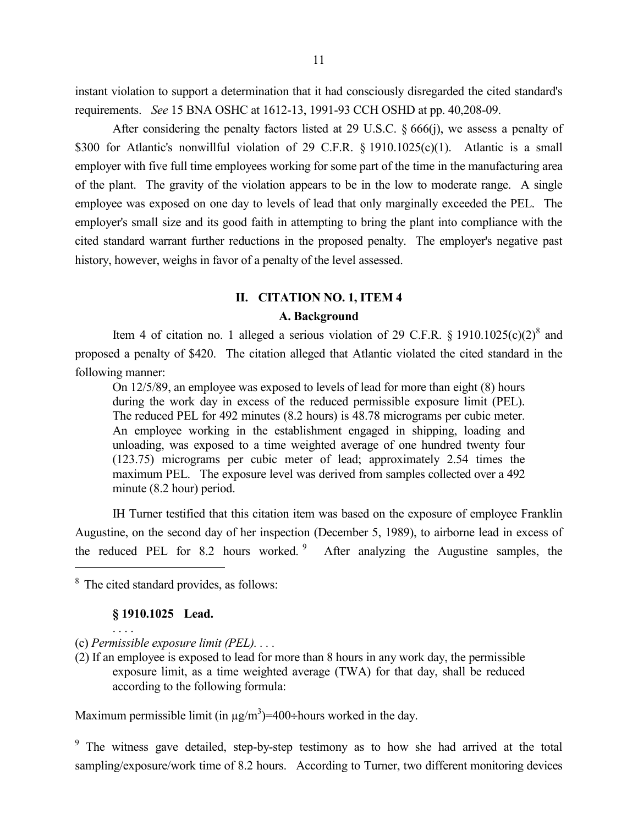instant violation to support a determination that it had consciously disregarded the cited standard's requirements. *See* 15 BNA OSHC at 1612-13, 1991-93 CCH OSHD at pp. 40,208-09.

After considering the penalty factors listed at 29 U.S.C.  $\frac{666}{i}$ , we assess a penalty of \$300 for Atlantic's nonwillful violation of 29 C.F.R. § 1910.1025(c)(1). Atlantic is a small employer with five full time employees working for some part of the time in the manufacturing area of the plant. The gravity of the violation appears to be in the low to moderate range. A single employee was exposed on one day to levels of lead that only marginally exceeded the PEL. The employer's small size and its good faith in attempting to bring the plant into compliance with the cited standard warrant further reductions in the proposed penalty. The employer's negative past history, however, weighs in favor of a penalty of the level assessed.

# **II. CITATION NO. 1, ITEM 4 A. Background**

Item 4 of citation no. 1 alleged a serious violation of 29 C.F.R. § 1910.1025 $(c)(2)^8$  and proposed a penalty of \$420. The citation alleged that Atlantic violated the cited standard in the following manner:

On 12/5/89, an employee was exposed to levels of lead for more than eight (8) hours during the work day in excess of the reduced permissible exposure limit (PEL). The reduced PEL for 492 minutes (8.2 hours) is 48.78 micrograms per cubic meter. An employee working in the establishment engaged in shipping, loading and unloading, was exposed to a time weighted average of one hundred twenty four (123.75) micrograms per cubic meter of lead; approximately 2.54 times the maximum PEL. The exposure level was derived from samples collected over a 492 minute (8.2 hour) period.

IH Turner testified that this citation item was based on the exposure of employee Franklin Augustine, on the second day of her inspection (December 5, 1989), to airborne lead in excess of the reduced PEL for 8.2 hours worked. 9 After analyzing the Augustine samples, the

<sup>8</sup> The cited standard provides, as follows:

# **§ 1910.1025 Lead.**

. . . .

 $\overline{a}$ 

(c) *Permissible exposure limit (PEL). . . .*

(2) If an employee is exposed to lead for more than 8 hours in any work day, the permissible exposure limit, as a time weighted average (TWA) for that day, shall be reduced according to the following formula:

Maximum permissible limit (in  $\mu g/m^3$ )=400÷hours worked in the day.

<sup>9</sup> The witness gave detailed, step-by-step testimony as to how she had arrived at the total sampling/exposure/work time of 8.2 hours. According to Turner, two different monitoring devices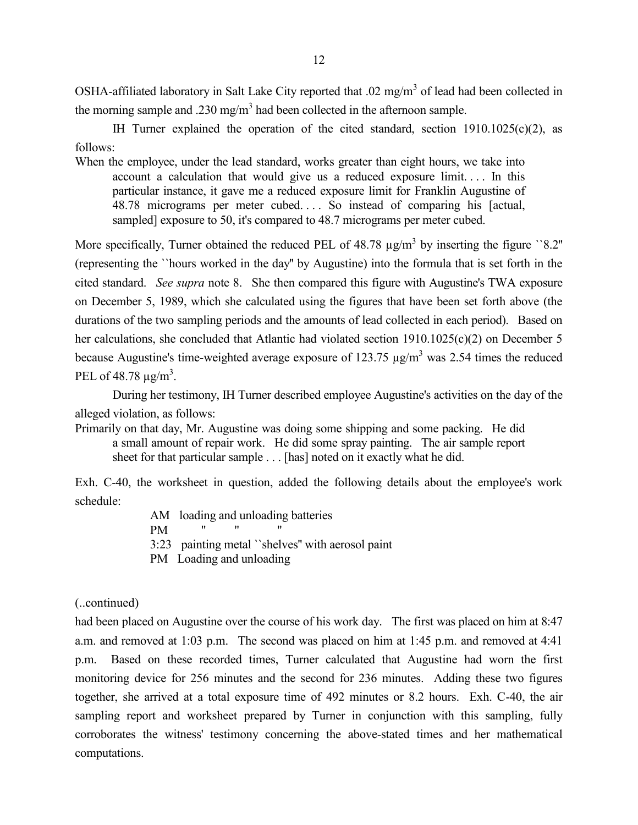OSHA-affiliated laboratory in Salt Lake City reported that .02 mg/m<sup>3</sup> of lead had been collected in the morning sample and .230 mg/m<sup>3</sup> had been collected in the afternoon sample.

IH Turner explained the operation of the cited standard, section 1910.1025(c)(2), as follows:

When the employee, under the lead standard, works greater than eight hours, we take into account a calculation that would give us a reduced exposure limit. . . . In this particular instance, it gave me a reduced exposure limit for Franklin Augustine of 48.78 micrograms per meter cubed. . . . So instead of comparing his [actual, sampled] exposure to 50, it's compared to 48.7 micrograms per meter cubed.

More specifically, Turner obtained the reduced PEL of  $48.78 \mu g/m^3$  by inserting the figure ``8.2" (representing the ``hours worked in the day'' by Augustine) into the formula that is set forth in the cited standard. *See supra* note 8. She then compared this figure with Augustine's TWA exposure on December 5, 1989, which she calculated using the figures that have been set forth above (the durations of the two sampling periods and the amounts of lead collected in each period). Based on her calculations, she concluded that Atlantic had violated section 1910.1025(c)(2) on December 5 because Augustine's time-weighted average exposure of 123.75  $\mu$ g/m<sup>3</sup> was 2.54 times the reduced PEL of 48.78  $\mu$ g/m<sup>3</sup>.

During her testimony, IH Turner described employee Augustine's activities on the day of the alleged violation, as follows:

Primarily on that day, Mr. Augustine was doing some shipping and some packing. He did a small amount of repair work. He did some spray painting. The air sample report sheet for that particular sample . . . [has] noted on it exactly what he did.

Exh. C-40, the worksheet in question, added the following details about the employee's work schedule:

> AM loading and unloading batteries  $PM$ 3:23 painting metal ``shelves'' with aerosol paint

PM Loading and unloading

(..continued)

had been placed on Augustine over the course of his work day. The first was placed on him at 8:47 a.m. and removed at 1:03 p.m. The second was placed on him at 1:45 p.m. and removed at 4:41 p.m. Based on these recorded times, Turner calculated that Augustine had worn the first monitoring device for 256 minutes and the second for 236 minutes. Adding these two figures together, she arrived at a total exposure time of 492 minutes or 8.2 hours. Exh. C-40, the air sampling report and worksheet prepared by Turner in conjunction with this sampling, fully corroborates the witness' testimony concerning the above-stated times and her mathematical computations.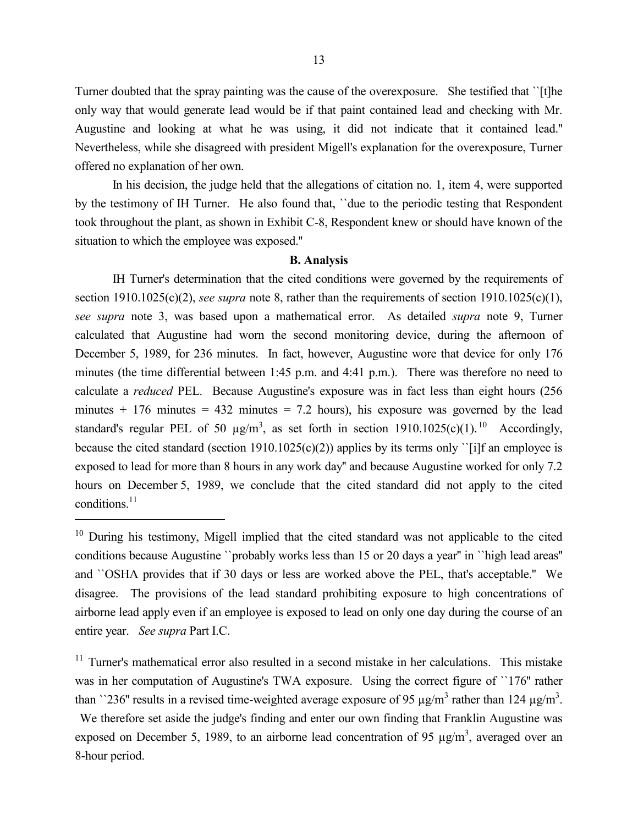Turner doubted that the spray painting was the cause of the overexposure. She testified that ``[t]he only way that would generate lead would be if that paint contained lead and checking with Mr. Augustine and looking at what he was using, it did not indicate that it contained lead.'' Nevertheless, while she disagreed with president Migell's explanation for the overexposure, Turner offered no explanation of her own.

In his decision, the judge held that the allegations of citation no. 1, item 4, were supported by the testimony of IH Turner. He also found that, ``due to the periodic testing that Respondent took throughout the plant, as shown in Exhibit C-8, Respondent knew or should have known of the situation to which the employee was exposed.''

#### **B. Analysis**

IH Turner's determination that the cited conditions were governed by the requirements of section 1910.1025(c)(2), *see supra* note 8, rather than the requirements of section 1910.1025(c)(1), *see supra* note 3, was based upon a mathematical error. As detailed *supra* note 9, Turner calculated that Augustine had worn the second monitoring device, during the afternoon of December 5, 1989, for 236 minutes. In fact, however, Augustine wore that device for only 176 minutes (the time differential between 1:45 p.m. and 4:41 p.m.). There was therefore no need to calculate a *reduced* PEL. Because Augustine's exposure was in fact less than eight hours (256 minutes  $+$  176 minutes  $=$  432 minutes  $=$  7.2 hours), his exposure was governed by the lead standard's regular PEL of 50  $\mu$ g/m<sup>3</sup>, as set forth in section 1910.1025(c)(1).<sup>10</sup> Accordingly, because the cited standard (section 1910.1025(c)(2)) applies by its terms only ''[i]f an employee is exposed to lead for more than 8 hours in any work day'' and because Augustine worked for only 7.2 hours on December 5, 1989, we conclude that the cited standard did not apply to the cited conditions.<sup>11</sup>

 $\overline{a}$ 

<sup>11</sup> Turner's mathematical error also resulted in a second mistake in her calculations. This mistake was in her computation of Augustine's TWA exposure. Using the correct figure of ``176'' rather than ``236" results in a revised time-weighted average exposure of 95  $\mu$ g/m<sup>3</sup> rather than 124  $\mu$ g/m<sup>3</sup>.

We therefore set aside the judge's finding and enter our own finding that Franklin Augustine was exposed on December 5, 1989, to an airborne lead concentration of 95  $\mu$ g/m<sup>3</sup>, averaged over an 8-hour period.

<sup>&</sup>lt;sup>10</sup> During his testimony, Migell implied that the cited standard was not applicable to the cited conditions because Augustine ``probably works less than 15 or 20 days a year'' in ``high lead areas'' and ``OSHA provides that if 30 days or less are worked above the PEL, that's acceptable.'' We disagree. The provisions of the lead standard prohibiting exposure to high concentrations of airborne lead apply even if an employee is exposed to lead on only one day during the course of an entire year. *See supra* Part I.C.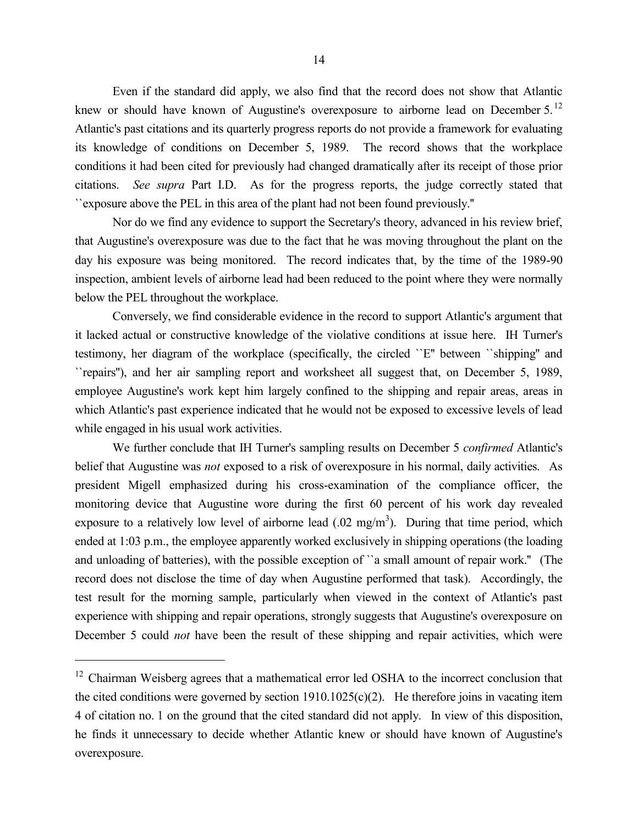Even if the standard did apply, we also find that the record does not show that Atlantic knew or should have known of Augustine's overexposure to airborne lead on December 5.<sup>12</sup> Atlantic's past citations and its quarterly progress reports do not provide a framework for evaluating its knowledge of conditions on December 5, 1989. The record shows that the workplace conditions it had been cited for previously had changed dramatically after its receipt of those prior citations. *See supra* Part I.D. As for the progress reports, the judge correctly stated that ``exposure above the PEL in this area of the plant had not been found previously.''

Nor do we find any evidence to support the Secretary's theory, advanced in his review brief, that Augustine's overexposure was due to the fact that he was moving throughout the plant on the day his exposure was being monitored. The record indicates that, by the time of the 1989-90 inspection, ambient levels of airborne lead had been reduced to the point where they were normally below the PEL throughout the workplace.

Conversely, we find considerable evidence in the record to support Atlantic's argument that it lacked actual or constructive knowledge of the violative conditions at issue here. IH Turner's testimony, her diagram of the workplace (specifically, the circled ``E'' between ``shipping'' and ``repairs''), and her air sampling report and worksheet all suggest that, on December 5, 1989, employee Augustine's work kept him largely confined to the shipping and repair areas, areas in which Atlantic's past experience indicated that he would not be exposed to excessive levels of lead while engaged in his usual work activities.

We further conclude that IH Turner's sampling results on December 5 *confirmed* Atlantic's belief that Augustine was *not* exposed to a risk of overexposure in his normal, daily activities. As president Migell emphasized during his cross-examination of the compliance officer, the monitoring device that Augustine wore during the first 60 percent of his work day revealed exposure to a relatively low level of airborne lead  $(.02 \text{ mg/m}^3)$ . During that time period, which ended at 1:03 p.m., the employee apparently worked exclusively in shipping operations (the loading and unloading of batteries), with the possible exception of ``a small amount of repair work.'' (The record does not disclose the time of day when Augustine performed that task). Accordingly, the test result for the morning sample, particularly when viewed in the context of Atlantic's past experience with shipping and repair operations, strongly suggests that Augustine's overexposure on December 5 could *not* have been the result of these shipping and repair activities, which were

<sup>&</sup>lt;sup>12</sup> Chairman Weisberg agrees that a mathematical error led OSHA to the incorrect conclusion that the cited conditions were governed by section  $1910.1025(c)(2)$ . He therefore joins in vacating item 4 of citation no. 1 on the ground that the cited standard did not apply. In view of this disposition, he finds it unnecessary to decide whether Atlantic knew or should have known of Augustine's overexposure.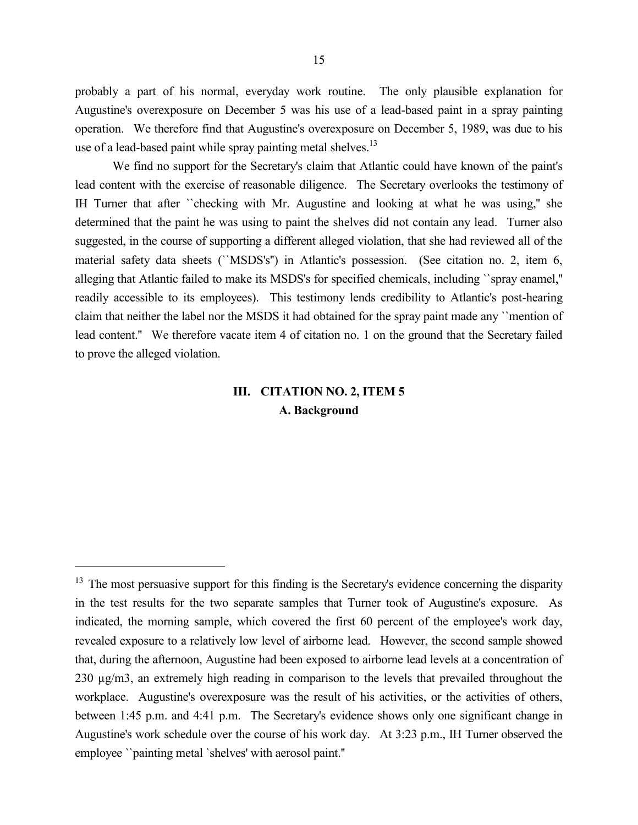probably a part of his normal, everyday work routine. The only plausible explanation for Augustine's overexposure on December 5 was his use of a lead-based paint in a spray painting operation. We therefore find that Augustine's overexposure on December 5, 1989, was due to his use of a lead-based paint while spray painting metal shelves. $^{13}$ 

We find no support for the Secretary's claim that Atlantic could have known of the paint's lead content with the exercise of reasonable diligence. The Secretary overlooks the testimony of IH Turner that after ``checking with Mr. Augustine and looking at what he was using,'' she determined that the paint he was using to paint the shelves did not contain any lead. Turner also suggested, in the course of supporting a different alleged violation, that she had reviewed all of the material safety data sheets (``MSDS's'') in Atlantic's possession. (See citation no. 2, item 6, alleging that Atlantic failed to make its MSDS's for specified chemicals, including ``spray enamel,'' readily accessible to its employees). This testimony lends credibility to Atlantic's post-hearing claim that neither the label nor the MSDS it had obtained for the spray paint made any ``mention of lead content.'' We therefore vacate item 4 of citation no. 1 on the ground that the Secretary failed to prove the alleged violation.

# **III. CITATION NO. 2, ITEM 5 A. Background**

<sup>&</sup>lt;sup>13</sup> The most persuasive support for this finding is the Secretary's evidence concerning the disparity in the test results for the two separate samples that Turner took of Augustine's exposure. As indicated, the morning sample, which covered the first 60 percent of the employee's work day, revealed exposure to a relatively low level of airborne lead. However, the second sample showed that, during the afternoon, Augustine had been exposed to airborne lead levels at a concentration of 230 µg/m3, an extremely high reading in comparison to the levels that prevailed throughout the workplace. Augustine's overexposure was the result of his activities, or the activities of others, between 1:45 p.m. and 4:41 p.m. The Secretary's evidence shows only one significant change in Augustine's work schedule over the course of his work day. At 3:23 p.m., IH Turner observed the employee ``painting metal `shelves' with aerosol paint.''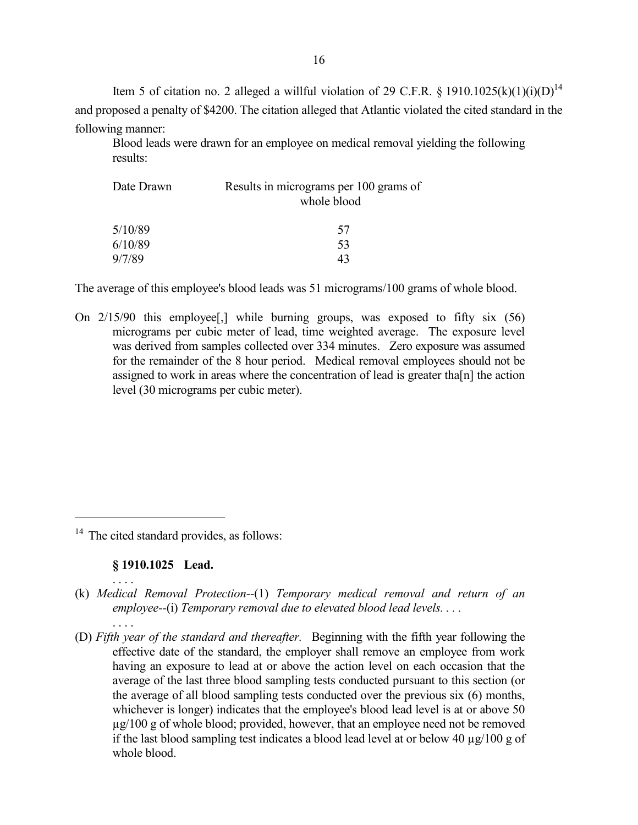Item 5 of citation no. 2 alleged a willful violation of 29 C.F.R. § 1910.1025(k)(1)(i)(D)<sup>14</sup> and proposed a penalty of \$4200. The citation alleged that Atlantic violated the cited standard in the following manner:

Blood leads were drawn for an employee on medical removal yielding the following results:

| Date Drawn | Results in micrograms per 100 grams of<br>whole blood |  |
|------------|-------------------------------------------------------|--|
| 5/10/89    | 57                                                    |  |
| 6/10/89    | 53                                                    |  |
| 9/7/89     | 43                                                    |  |

The average of this employee's blood leads was 51 micrograms/100 grams of whole blood.

On 2/15/90 this employee[,] while burning groups, was exposed to fifty six (56) micrograms per cubic meter of lead, time weighted average. The exposure level was derived from samples collected over 334 minutes. Zero exposure was assumed for the remainder of the 8 hour period. Medical removal employees should not be assigned to work in areas where the concentration of lead is greater tha[n] the action level (30 micrograms per cubic meter).

<sup>14</sup> The cited standard provides, as follows:

# **§ 1910.1025 Lead.**

. . . .

. . . .

- (k) *Medical Removal Protection--*(1) *Temporary medical removal and return of an employee--*(i) *Temporary removal due to elevated blood lead levels. . . .*
- (D) *Fifth year of the standard and thereafter.* Beginning with the fifth year following the effective date of the standard, the employer shall remove an employee from work having an exposure to lead at or above the action level on each occasion that the average of the last three blood sampling tests conducted pursuant to this section (or the average of all blood sampling tests conducted over the previous six (6) months, whichever is longer) indicates that the employee's blood lead level is at or above 50 µg/100 g of whole blood; provided, however, that an employee need not be removed if the last blood sampling test indicates a blood lead level at or below 40 µg/100 g of whole blood.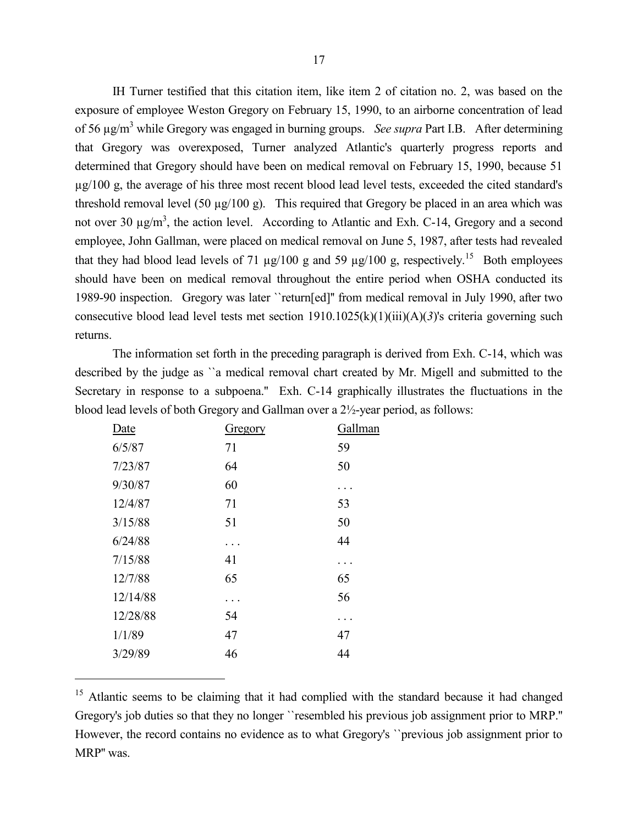IH Turner testified that this citation item, like item 2 of citation no. 2, was based on the exposure of employee Weston Gregory on February 15, 1990, to an airborne concentration of lead of 56 µg/m<sup>3</sup> while Gregory was engaged in burning groups. *See supra* Part I.B. After determining that Gregory was overexposed, Turner analyzed Atlantic's quarterly progress reports and determined that Gregory should have been on medical removal on February 15, 1990, because 51 µg/100 g, the average of his three most recent blood lead level tests, exceeded the cited standard's threshold removal level (50  $\mu$ g/100 g). This required that Gregory be placed in an area which was not over 30  $\mu$ g/m<sup>3</sup>, the action level. According to Atlantic and Exh. C-14, Gregory and a second employee, John Gallman, were placed on medical removal on June 5, 1987, after tests had revealed that they had blood lead levels of 71  $\mu$ g/100 g and 59  $\mu$ g/100 g, respectively.<sup>15</sup> Both employees should have been on medical removal throughout the entire period when OSHA conducted its 1989-90 inspection. Gregory was later ``return[ed]'' from medical removal in July 1990, after two consecutive blood lead level tests met section 1910.1025(k)(1)(iii)(A)(*3*)'s criteria governing such returns.

The information set forth in the preceding paragraph is derived from Exh. C-14, which was described by the judge as ``a medical removal chart created by Mr. Migell and submitted to the Secretary in response to a subpoena." Exh. C-14 graphically illustrates the fluctuations in the blood lead levels of both Gregory and Gallman over a 2½-year period, as follows:

| Date     | <b>Gregory</b> | Gallman |
|----------|----------------|---------|
| 6/5/87   | 71             | 59      |
| 7/23/87  | 64             | 50      |
| 9/30/87  | 60             |         |
| 12/4/87  | 71             | 53      |
| 3/15/88  | 51             | 50      |
| 6/24/88  |                | 44      |
| 7/15/88  | 41             |         |
| 12/7/88  | 65             | 65      |
| 12/14/88 |                | 56      |
| 12/28/88 | 54             |         |
| 1/1/89   | 47             | 47      |
| 3/29/89  | 46             | 44      |
|          |                |         |

<sup>&</sup>lt;sup>15</sup> Atlantic seems to be claiming that it had complied with the standard because it had changed Gregory's job duties so that they no longer ``resembled his previous job assignment prior to MRP.'' However, the record contains no evidence as to what Gregory's ``previous job assignment prior to MRP'' was.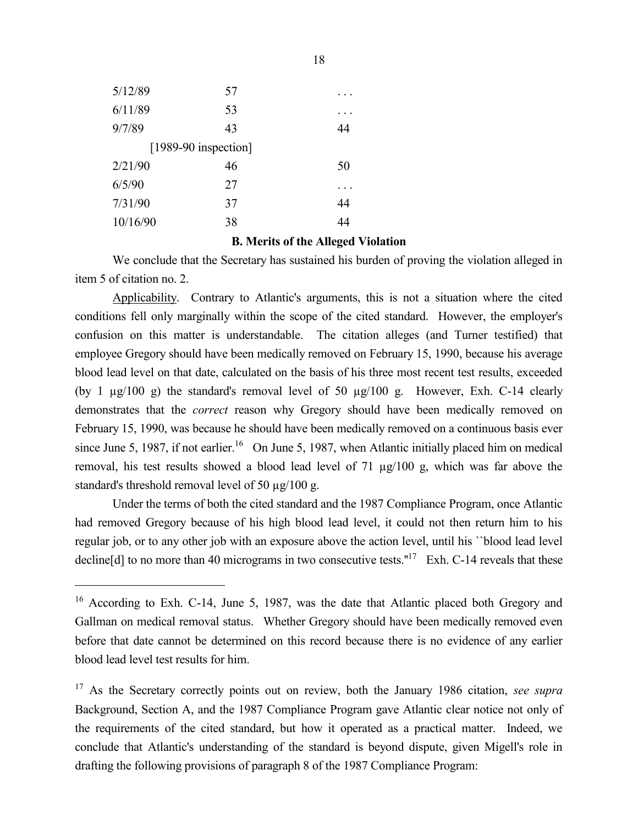| 5/12/89  | 57                   |    |
|----------|----------------------|----|
| 6/11/89  | 53                   |    |
| 9/7/89   | 43                   | 44 |
|          | [1989-90 inspection] |    |
| 2/21/90  | 46                   | 50 |
| 6/5/90   | 27                   |    |
| 7/31/90  | 37                   | 44 |
| 10/16/90 | 38                   | 44 |
|          |                      |    |

 $\overline{a}$ 

#### **B. Merits of the Alleged Violation**

We conclude that the Secretary has sustained his burden of proving the violation alleged in item 5 of citation no. 2.

Applicability. Contrary to Atlantic's arguments, this is not a situation where the cited conditions fell only marginally within the scope of the cited standard. However, the employer's confusion on this matter is understandable. The citation alleges (and Turner testified) that employee Gregory should have been medically removed on February 15, 1990, because his average blood lead level on that date, calculated on the basis of his three most recent test results, exceeded (by 1 µg/100 g) the standard's removal level of 50 µg/100 g. However, Exh. C-14 clearly demonstrates that the *correct* reason why Gregory should have been medically removed on February 15, 1990, was because he should have been medically removed on a continuous basis ever since June 5, 1987, if not earlier.<sup>16</sup> On June 5, 1987, when Atlantic initially placed him on medical removal, his test results showed a blood lead level of 71 µg/100 g, which was far above the standard's threshold removal level of 50 µg/100 g.

Under the terms of both the cited standard and the 1987 Compliance Program, once Atlantic had removed Gregory because of his high blood lead level, it could not then return him to his regular job, or to any other job with an exposure above the action level, until his ``blood lead level decline[d] to no more than 40 micrograms in two consecutive tests."<sup>17</sup> Exh. C-14 reveals that these

<sup>&</sup>lt;sup>16</sup> According to Exh. C-14, June 5, 1987, was the date that Atlantic placed both Gregory and Gallman on medical removal status. Whether Gregory should have been medically removed even before that date cannot be determined on this record because there is no evidence of any earlier blood lead level test results for him.

<sup>17</sup> As the Secretary correctly points out on review, both the January 1986 citation, *see supra* Background, Section A, and the 1987 Compliance Program gave Atlantic clear notice not only of the requirements of the cited standard, but how it operated as a practical matter. Indeed, we conclude that Atlantic's understanding of the standard is beyond dispute, given Migell's role in drafting the following provisions of paragraph 8 of the 1987 Compliance Program: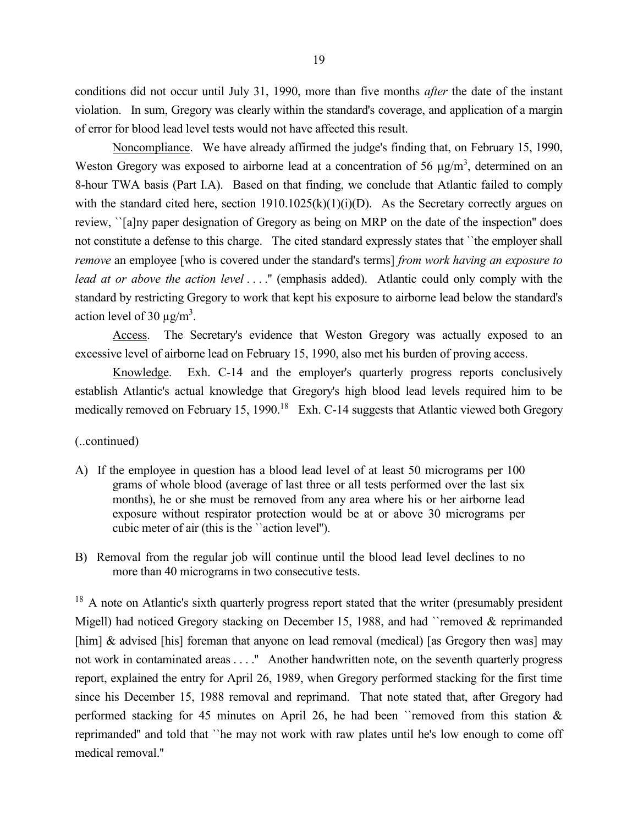conditions did not occur until July 31, 1990, more than five months *after* the date of the instant violation. In sum, Gregory was clearly within the standard's coverage, and application of a margin of error for blood lead level tests would not have affected this result.

Noncompliance. We have already affirmed the judge's finding that, on February 15, 1990, Weston Gregory was exposed to airborne lead at a concentration of 56  $\mu$ g/m<sup>3</sup>, determined on an 8-hour TWA basis (Part I.A). Based on that finding, we conclude that Atlantic failed to comply with the standard cited here, section  $1910.1025(k)(1)(i)(D)$ . As the Secretary correctly argues on review, ``[a]ny paper designation of Gregory as being on MRP on the date of the inspection'' does not constitute a defense to this charge. The cited standard expressly states that ``the employer shall *remove* an employee [who is covered under the standard's terms] *from work having an exposure to lead at or above the action level* . . . .'' (emphasis added). Atlantic could only comply with the standard by restricting Gregory to work that kept his exposure to airborne lead below the standard's action level of 30  $\mu$ g/m<sup>3</sup>.

Access. The Secretary's evidence that Weston Gregory was actually exposed to an excessive level of airborne lead on February 15, 1990, also met his burden of proving access.

Knowledge. Exh. C-14 and the employer's quarterly progress reports conclusively establish Atlantic's actual knowledge that Gregory's high blood lead levels required him to be medically removed on February 15, 1990.<sup>18</sup> Exh. C-14 suggests that Atlantic viewed both Gregory

(..continued)

- A) If the employee in question has a blood lead level of at least 50 micrograms per 100 grams of whole blood (average of last three or all tests performed over the last six months), he or she must be removed from any area where his or her airborne lead exposure without respirator protection would be at or above 30 micrograms per cubic meter of air (this is the ``action level'').
- B) Removal from the regular job will continue until the blood lead level declines to no more than 40 micrograms in two consecutive tests.

<sup>18</sup> A note on Atlantic's sixth quarterly progress report stated that the writer (presumably president Migell) had noticed Gregory stacking on December 15, 1988, and had ``removed & reprimanded [him]  $\&$  advised [his] foreman that anyone on lead removal (medical) [as Gregory then was] may not work in contaminated areas . . . . " Another handwritten note, on the seventh quarterly progress report, explained the entry for April 26, 1989, when Gregory performed stacking for the first time since his December 15, 1988 removal and reprimand. That note stated that, after Gregory had performed stacking for 45 minutes on April 26, he had been ``removed from this station & reprimanded'' and told that ``he may not work with raw plates until he's low enough to come off medical removal.''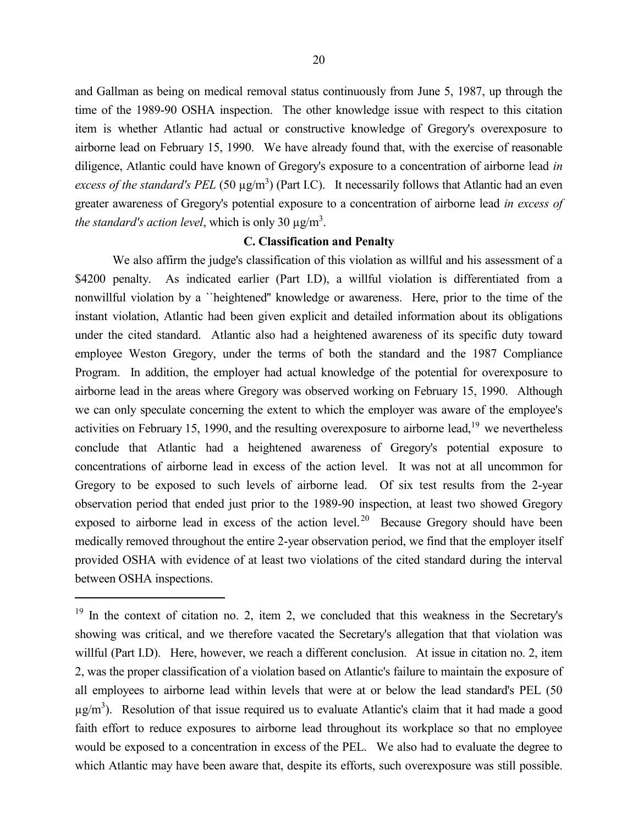and Gallman as being on medical removal status continuously from June 5, 1987, up through the time of the 1989-90 OSHA inspection. The other knowledge issue with respect to this citation item is whether Atlantic had actual or constructive knowledge of Gregory's overexposure to airborne lead on February 15, 1990. We have already found that, with the exercise of reasonable diligence, Atlantic could have known of Gregory's exposure to a concentration of airborne lead *in* 

*excess of the standard's PEL* (50  $\mu$ g/m<sup>3</sup>) (Part I.C). It necessarily follows that Atlantic had an even greater awareness of Gregory's potential exposure to a concentration of airborne lead *in excess of the standard's action level*, which is only 30  $\mu$ g/m<sup>3</sup>.

# **C. Classification and Penalty**

We also affirm the judge's classification of this violation as willful and his assessment of a \$4200 penalty. As indicated earlier (Part I.D), a willful violation is differentiated from a nonwillful violation by a ``heightened'' knowledge or awareness. Here, prior to the time of the instant violation, Atlantic had been given explicit and detailed information about its obligations under the cited standard. Atlantic also had a heightened awareness of its specific duty toward employee Weston Gregory, under the terms of both the standard and the 1987 Compliance Program. In addition, the employer had actual knowledge of the potential for overexposure to airborne lead in the areas where Gregory was observed working on February 15, 1990. Although we can only speculate concerning the extent to which the employer was aware of the employee's activities on February 15, 1990, and the resulting overexposure to airborne lead,<sup>19</sup> we nevertheless conclude that Atlantic had a heightened awareness of Gregory's potential exposure to concentrations of airborne lead in excess of the action level. It was not at all uncommon for Gregory to be exposed to such levels of airborne lead. Of six test results from the 2-year observation period that ended just prior to the 1989-90 inspection, at least two showed Gregory exposed to airborne lead in excess of the action level.<sup>20</sup> Because Gregory should have been medically removed throughout the entire 2-year observation period, we find that the employer itself provided OSHA with evidence of at least two violations of the cited standard during the interval between OSHA inspections.

 $19$  In the context of citation no. 2, item 2, we concluded that this weakness in the Secretary's showing was critical, and we therefore vacated the Secretary's allegation that that violation was willful (Part I.D). Here, however, we reach a different conclusion. At issue in citation no. 2, item 2, was the proper classification of a violation based on Atlantic's failure to maintain the exposure of all employees to airborne lead within levels that were at or below the lead standard's PEL (50  $\mu$ g/m<sup>3</sup>). Resolution of that issue required us to evaluate Atlantic's claim that it had made a good faith effort to reduce exposures to airborne lead throughout its workplace so that no employee would be exposed to a concentration in excess of the PEL. We also had to evaluate the degree to which Atlantic may have been aware that, despite its efforts, such overexposure was still possible.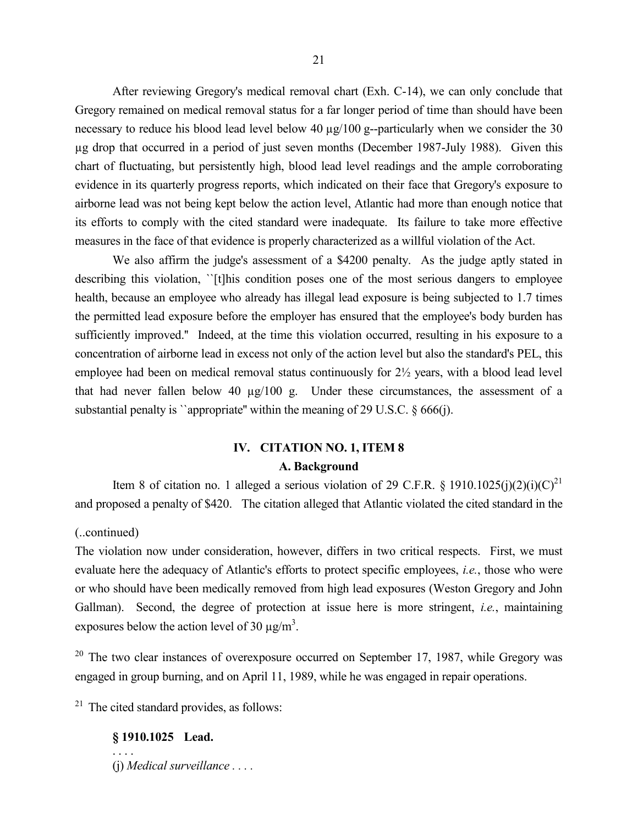After reviewing Gregory's medical removal chart (Exh. C-14), we can only conclude that Gregory remained on medical removal status for a far longer period of time than should have been necessary to reduce his blood lead level below 40  $\mu$ g/100 g--particularly when we consider the 30 µg drop that occurred in a period of just seven months (December 1987-July 1988). Given this chart of fluctuating, but persistently high, blood lead level readings and the ample corroborating evidence in its quarterly progress reports, which indicated on their face that Gregory's exposure to airborne lead was not being kept below the action level, Atlantic had more than enough notice that its efforts to comply with the cited standard were inadequate. Its failure to take more effective measures in the face of that evidence is properly characterized as a willful violation of the Act.

We also affirm the judge's assessment of a \$4200 penalty. As the judge aptly stated in describing this violation, ''[t]his condition poses one of the most serious dangers to employee health, because an employee who already has illegal lead exposure is being subjected to 1.7 times the permitted lead exposure before the employer has ensured that the employee's body burden has sufficiently improved.'' Indeed, at the time this violation occurred, resulting in his exposure to a concentration of airborne lead in excess not only of the action level but also the standard's PEL, this employee had been on medical removal status continuously for 2½ years, with a blood lead level that had never fallen below 40 µg/100 g. Under these circumstances, the assessment of a substantial penalty is "appropriate" within the meaning of 29 U.S.C.  $\S$  666(j).

# **IV. CITATION NO. 1, ITEM 8 A. Background**

Item 8 of citation no. 1 alleged a serious violation of 29 C.F.R. § 1910.1025(j)(2)(i)(C)<sup>21</sup> and proposed a penalty of \$420. The citation alleged that Atlantic violated the cited standard in the

#### (..continued)

The violation now under consideration, however, differs in two critical respects. First, we must evaluate here the adequacy of Atlantic's efforts to protect specific employees, *i.e.*, those who were or who should have been medically removed from high lead exposures (Weston Gregory and John Gallman). Second, the degree of protection at issue here is more stringent, *i.e.*, maintaining exposures below the action level of 30  $\mu$ g/m<sup>3</sup>.

<sup>20</sup> The two clear instances of overexposure occurred on September 17, 1987, while Gregory was engaged in group burning, and on April 11, 1989, while he was engaged in repair operations.

 $21$  The cited standard provides, as follows:

# **§ 1910.1025 Lead.**

. . . .

(j) *Medical surveillance . . . .*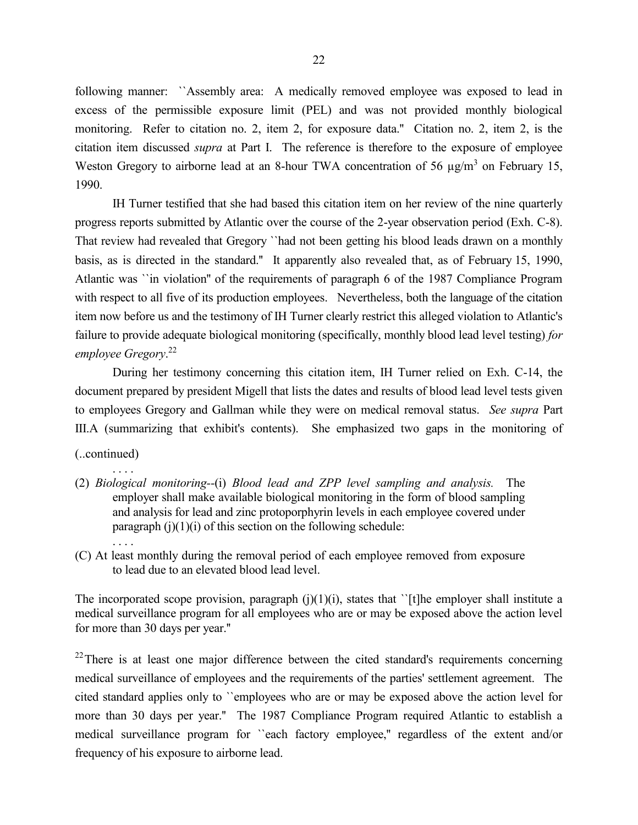following manner: ``Assembly area: A medically removed employee was exposed to lead in excess of the permissible exposure limit (PEL) and was not provided monthly biological monitoring. Refer to citation no. 2, item 2, for exposure data.'' Citation no. 2, item 2, is the citation item discussed *supra* at Part I. The reference is therefore to the exposure of employee Weston Gregory to airborne lead at an 8-hour TWA concentration of 56  $\mu$ g/m<sup>3</sup> on February 15, 1990.

IH Turner testified that she had based this citation item on her review of the nine quarterly progress reports submitted by Atlantic over the course of the 2-year observation period (Exh. C-8). That review had revealed that Gregory ``had not been getting his blood leads drawn on a monthly basis, as is directed in the standard.'' It apparently also revealed that, as of February 15, 1990, Atlantic was ``in violation'' of the requirements of paragraph 6 of the 1987 Compliance Program with respect to all five of its production employees. Nevertheless, both the language of the citation item now before us and the testimony of IH Turner clearly restrict this alleged violation to Atlantic's failure to provide adequate biological monitoring (specifically, monthly blood lead level testing) *for employee Gregory*. 22

During her testimony concerning this citation item, IH Turner relied on Exh. C-14, the document prepared by president Migell that lists the dates and results of blood lead level tests given to employees Gregory and Gallman while they were on medical removal status. *See supra* Part III.A (summarizing that exhibit's contents). She emphasized two gaps in the monitoring of

(..continued)

. . . .

- . . . . (2) *Biological monitoring--*(i) *Blood lead and ZPP level sampling and analysis.* The employer shall make available biological monitoring in the form of blood sampling and analysis for lead and zinc protoporphyrin levels in each employee covered under paragraph  $(j)(1)(i)$  of this section on the following schedule:
- (C) At least monthly during the removal period of each employee removed from exposure to lead due to an elevated blood lead level.

The incorporated scope provision, paragraph  $(j)(1)(i)$ , states that '[t]he employer shall institute a medical surveillance program for all employees who are or may be exposed above the action level for more than 30 days per year.''

 $22$ There is at least one major difference between the cited standard's requirements concerning medical surveillance of employees and the requirements of the parties' settlement agreement. The cited standard applies only to ``employees who are or may be exposed above the action level for more than 30 days per year.'' The 1987 Compliance Program required Atlantic to establish a medical surveillance program for ``each factory employee,'' regardless of the extent and/or frequency of his exposure to airborne lead.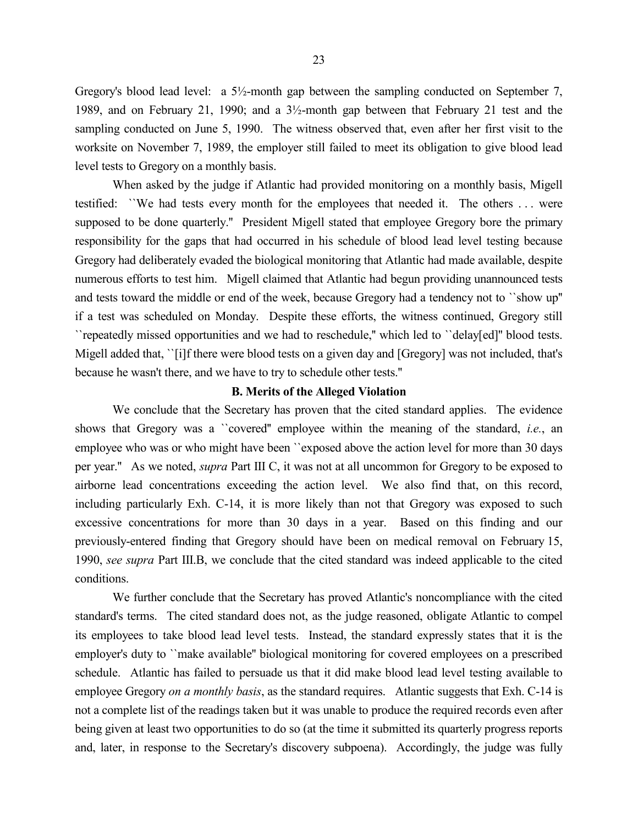Gregory's blood lead level: a 5½-month gap between the sampling conducted on September 7, 1989, and on February 21, 1990; and a 3½-month gap between that February 21 test and the sampling conducted on June 5, 1990. The witness observed that, even after her first visit to the worksite on November 7, 1989, the employer still failed to meet its obligation to give blood lead level tests to Gregory on a monthly basis.

When asked by the judge if Atlantic had provided monitoring on a monthly basis, Migell testified: ``We had tests every month for the employees that needed it. The others . . . were supposed to be done quarterly." President Migell stated that employee Gregory bore the primary responsibility for the gaps that had occurred in his schedule of blood lead level testing because Gregory had deliberately evaded the biological monitoring that Atlantic had made available, despite numerous efforts to test him. Migell claimed that Atlantic had begun providing unannounced tests and tests toward the middle or end of the week, because Gregory had a tendency not to ``show up'' if a test was scheduled on Monday. Despite these efforts, the witness continued, Gregory still ``repeatedly missed opportunities and we had to reschedule,'' which led to ``delay[ed]'' blood tests. Migell added that, ``[i]f there were blood tests on a given day and [Gregory] was not included, that's because he wasn't there, and we have to try to schedule other tests.''

#### **B. Merits of the Alleged Violation**

We conclude that the Secretary has proven that the cited standard applies. The evidence shows that Gregory was a ``covered'' employee within the meaning of the standard, *i.e.*, an employee who was or who might have been ``exposed above the action level for more than 30 days per year.'' As we noted, *supra* Part III C, it was not at all uncommon for Gregory to be exposed to airborne lead concentrations exceeding the action level. We also find that, on this record, including particularly Exh. C-14, it is more likely than not that Gregory was exposed to such excessive concentrations for more than 30 days in a year. Based on this finding and our previously-entered finding that Gregory should have been on medical removal on February 15, 1990, *see supra* Part III.B, we conclude that the cited standard was indeed applicable to the cited conditions.

We further conclude that the Secretary has proved Atlantic's noncompliance with the cited standard's terms. The cited standard does not, as the judge reasoned, obligate Atlantic to compel its employees to take blood lead level tests. Instead, the standard expressly states that it is the employer's duty to ``make available'' biological monitoring for covered employees on a prescribed schedule. Atlantic has failed to persuade us that it did make blood lead level testing available to employee Gregory *on a monthly basis*, as the standard requires. Atlantic suggests that Exh. C-14 is not a complete list of the readings taken but it was unable to produce the required records even after being given at least two opportunities to do so (at the time it submitted its quarterly progress reports and, later, in response to the Secretary's discovery subpoena). Accordingly, the judge was fully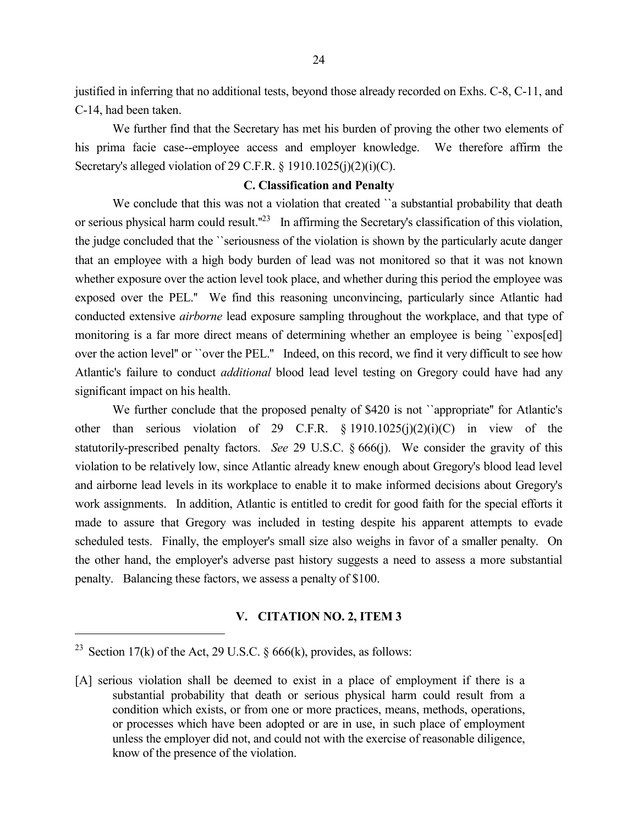justified in inferring that no additional tests, beyond those already recorded on Exhs. C-8, C-11, and C-14, had been taken.

We further find that the Secretary has met his burden of proving the other two elements of his prima facie case--employee access and employer knowledge. We therefore affirm the Secretary's alleged violation of 29 C.F.R. § 1910.1025(j)(2)(j)(C).

### **C. Classification and Penalty**

We conclude that this was not a violation that created "a substantial probability that death or serious physical harm could result."<sup>23</sup> In affirming the Secretary's classification of this violation, the judge concluded that the ``seriousness of the violation is shown by the particularly acute danger that an employee with a high body burden of lead was not monitored so that it was not known whether exposure over the action level took place, and whether during this period the employee was exposed over the PEL.'' We find this reasoning unconvincing, particularly since Atlantic had conducted extensive *airborne* lead exposure sampling throughout the workplace, and that type of monitoring is a far more direct means of determining whether an employee is being *`*expos[ed] over the action level'' or ``over the PEL.'' Indeed, on this record, we find it very difficult to see how Atlantic's failure to conduct *additional* blood lead level testing on Gregory could have had any significant impact on his health.

We further conclude that the proposed penalty of \$420 is not "appropriate" for Atlantic's other than serious violation of 29 C.F.R. § 1910.1025(j)(2)(i)(C) in view of the statutorily-prescribed penalty factors. *See* 29 U.S.C. § 666(j). We consider the gravity of this violation to be relatively low, since Atlantic already knew enough about Gregory's blood lead level and airborne lead levels in its workplace to enable it to make informed decisions about Gregory's work assignments. In addition, Atlantic is entitled to credit for good faith for the special efforts it made to assure that Gregory was included in testing despite his apparent attempts to evade scheduled tests. Finally, the employer's small size also weighs in favor of a smaller penalty. On the other hand, the employer's adverse past history suggests a need to assess a more substantial penalty. Balancing these factors, we assess a penalty of \$100.

#### **V. CITATION NO. 2, ITEM 3**

<sup>&</sup>lt;sup>23</sup> Section 17(k) of the Act, 29 U.S.C.  $\S$  666(k), provides, as follows:

<sup>[</sup>A] serious violation shall be deemed to exist in a place of employment if there is a substantial probability that death or serious physical harm could result from a condition which exists, or from one or more practices, means, methods, operations, or processes which have been adopted or are in use, in such place of employment unless the employer did not, and could not with the exercise of reasonable diligence, know of the presence of the violation.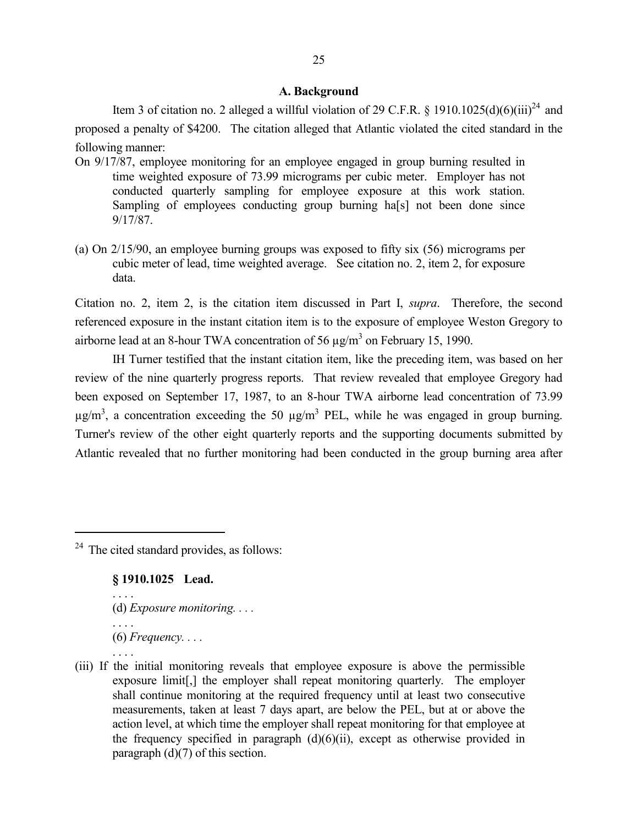#### **A. Background**

Item 3 of citation no. 2 alleged a willful violation of 29 C.F.R. § 1910.1025(d)(6)(iii)<sup>24</sup> and proposed a penalty of \$4200. The citation alleged that Atlantic violated the cited standard in the following manner:

- On 9/17/87, employee monitoring for an employee engaged in group burning resulted in time weighted exposure of 73.99 micrograms per cubic meter. Employer has not conducted quarterly sampling for employee exposure at this work station. Sampling of employees conducting group burning ha[s] not been done since 9/17/87.
- (a) On 2/15/90, an employee burning groups was exposed to fifty six (56) micrograms per cubic meter of lead, time weighted average. See citation no. 2, item 2, for exposure data.

Citation no. 2, item 2, is the citation item discussed in Part I, *supra*. Therefore, the second referenced exposure in the instant citation item is to the exposure of employee Weston Gregory to airborne lead at an 8-hour TWA concentration of 56  $\mu$ g/m<sup>3</sup> on February 15, 1990.

IH Turner testified that the instant citation item, like the preceding item, was based on her review of the nine quarterly progress reports. That review revealed that employee Gregory had been exposed on September 17, 1987, to an 8-hour TWA airborne lead concentration of 73.99  $\mu$ g/m<sup>3</sup>, a concentration exceeding the 50  $\mu$ g/m<sup>3</sup> PEL, while he was engaged in group burning. Turner's review of the other eight quarterly reports and the supporting documents submitted by Atlantic revealed that no further monitoring had been conducted in the group burning area after

 $24$  The cited standard provides, as follows:

### **§ 1910.1025 Lead.**

- (d) *Exposure monitoring. . . .*
- . . . .

. . . .

- (6) *Frequency. . . .* . . . .
- (iii) If the initial monitoring reveals that employee exposure is above the permissible exposure limit[,] the employer shall repeat monitoring quarterly. The employer shall continue monitoring at the required frequency until at least two consecutive measurements, taken at least 7 days apart, are below the PEL, but at or above the action level, at which time the employer shall repeat monitoring for that employee at the frequency specified in paragraph  $(d)(6)(ii)$ , except as otherwise provided in paragraph (d)(7) of this section.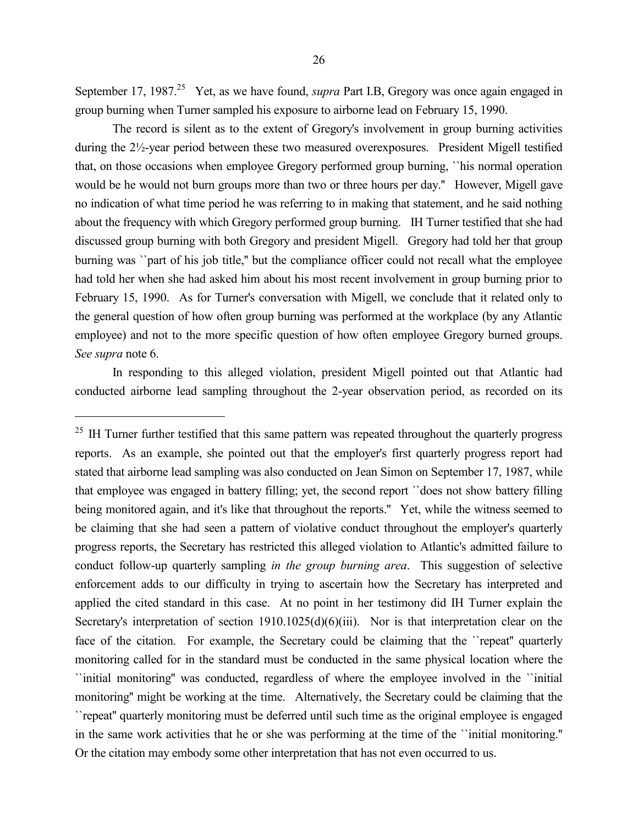September 17, 1987.<sup>25</sup> Yet, as we have found, *supra* Part I.B, Gregory was once again engaged in group burning when Turner sampled his exposure to airborne lead on February 15, 1990.

The record is silent as to the extent of Gregory's involvement in group burning activities during the 2½-year period between these two measured overexposures. President Migell testified that, on those occasions when employee Gregory performed group burning, ``his normal operation would be he would not burn groups more than two or three hours per day.'' However, Migell gave no indication of what time period he was referring to in making that statement, and he said nothing about the frequency with which Gregory performed group burning. IH Turner testified that she had discussed group burning with both Gregory and president Migell. Gregory had told her that group burning was ``part of his job title,'' but the compliance officer could not recall what the employee had told her when she had asked him about his most recent involvement in group burning prior to February 15, 1990. As for Turner's conversation with Migell, we conclude that it related only to the general question of how often group burning was performed at the workplace (by any Atlantic employee) and not to the more specific question of how often employee Gregory burned groups. *See supra* note 6.

In responding to this alleged violation, president Migell pointed out that Atlantic had conducted airborne lead sampling throughout the 2-year observation period, as recorded on its

<sup>&</sup>lt;sup>25</sup> IH Turner further testified that this same pattern was repeated throughout the quarterly progress reports. As an example, she pointed out that the employer's first quarterly progress report had stated that airborne lead sampling was also conducted on Jean Simon on September 17, 1987, while that employee was engaged in battery filling; yet, the second report ``does not show battery filling being monitored again, and it's like that throughout the reports." Yet, while the witness seemed to be claiming that she had seen a pattern of violative conduct throughout the employer's quarterly progress reports, the Secretary has restricted this alleged violation to Atlantic's admitted failure to conduct follow-up quarterly sampling *in the group burning area*. This suggestion of selective enforcement adds to our difficulty in trying to ascertain how the Secretary has interpreted and applied the cited standard in this case. At no point in her testimony did IH Turner explain the Secretary's interpretation of section 1910.1025(d)(6)(iii). Nor is that interpretation clear on the face of the citation. For example, the Secretary could be claiming that the "repeat" quarterly monitoring called for in the standard must be conducted in the same physical location where the ``initial monitoring'' was conducted, regardless of where the employee involved in the ``initial monitoring'' might be working at the time. Alternatively, the Secretary could be claiming that the ``repeat'' quarterly monitoring must be deferred until such time as the original employee is engaged in the same work activities that he or she was performing at the time of the ``initial monitoring.'' Or the citation may embody some other interpretation that has not even occurred to us.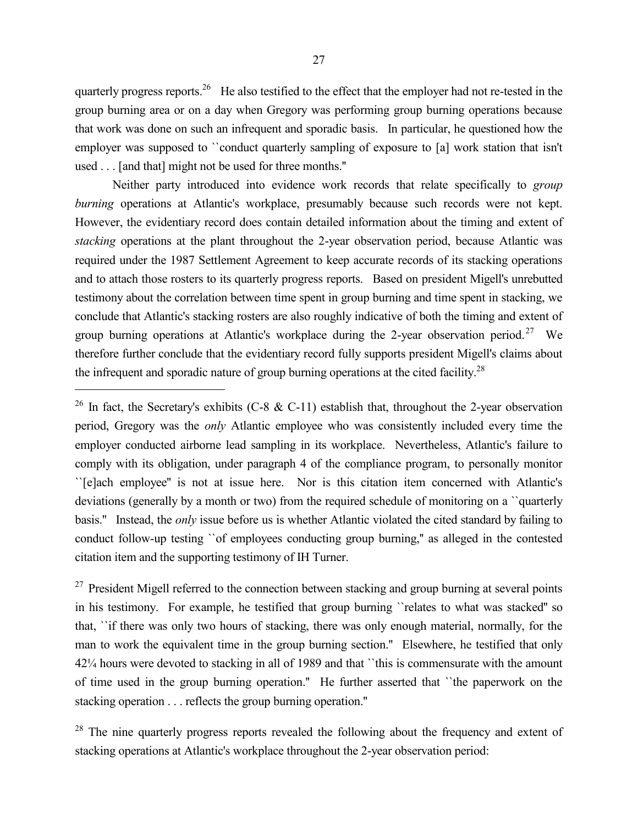quarterly progress reports.<sup>26</sup> He also testified to the effect that the employer had not re-tested in the group burning area or on a day when Gregory was performing group burning operations because that work was done on such an infrequent and sporadic basis. In particular, he questioned how the employer was supposed to ``conduct quarterly sampling of exposure to [a] work station that isn't used . . . [and that] might not be used for three months.''

Neither party introduced into evidence work records that relate specifically to *group burning* operations at Atlantic's workplace, presumably because such records were not kept. However, the evidentiary record does contain detailed information about the timing and extent of *stacking* operations at the plant throughout the 2-year observation period, because Atlantic was required under the 1987 Settlement Agreement to keep accurate records of its stacking operations and to attach those rosters to its quarterly progress reports. Based on president Migell's unrebutted testimony about the correlation between time spent in group burning and time spent in stacking, we conclude that Atlantic's stacking rosters are also roughly indicative of both the timing and extent of group burning operations at Atlantic's workplace during the 2-year observation period.<sup>27</sup> We therefore further conclude that the evidentiary record fully supports president Migell's claims about the infrequent and sporadic nature of group burning operations at the cited facility.<sup>28</sup>

 $\overline{a}$ 

<sup>27</sup> President Migell referred to the connection between stacking and group burning at several points in his testimony. For example, he testified that group burning ``relates to what was stacked'' so that, ``if there was only two hours of stacking, there was only enough material, normally, for the man to work the equivalent time in the group burning section.'' Elsewhere, he testified that only 42¼ hours were devoted to stacking in all of 1989 and that ``this is commensurate with the amount of time used in the group burning operation.'' He further asserted that ``the paperwork on the stacking operation . . . reflects the group burning operation.''

<sup>28</sup> The nine quarterly progress reports revealed the following about the frequency and extent of stacking operations at Atlantic's workplace throughout the 2-year observation period:

<sup>&</sup>lt;sup>26</sup> In fact, the Secretary's exhibits (C-8 & C-11) establish that, throughout the 2-year observation period, Gregory was the *only* Atlantic employee who was consistently included every time the employer conducted airborne lead sampling in its workplace. Nevertheless, Atlantic's failure to comply with its obligation, under paragraph 4 of the compliance program, to personally monitor ``[e]ach employee'' is not at issue here. Nor is this citation item concerned with Atlantic's deviations (generally by a month or two) from the required schedule of monitoring on a ``quarterly basis.'' Instead, the *only* issue before us is whether Atlantic violated the cited standard by failing to conduct follow-up testing ``of employees conducting group burning,'' as alleged in the contested citation item and the supporting testimony of IH Turner.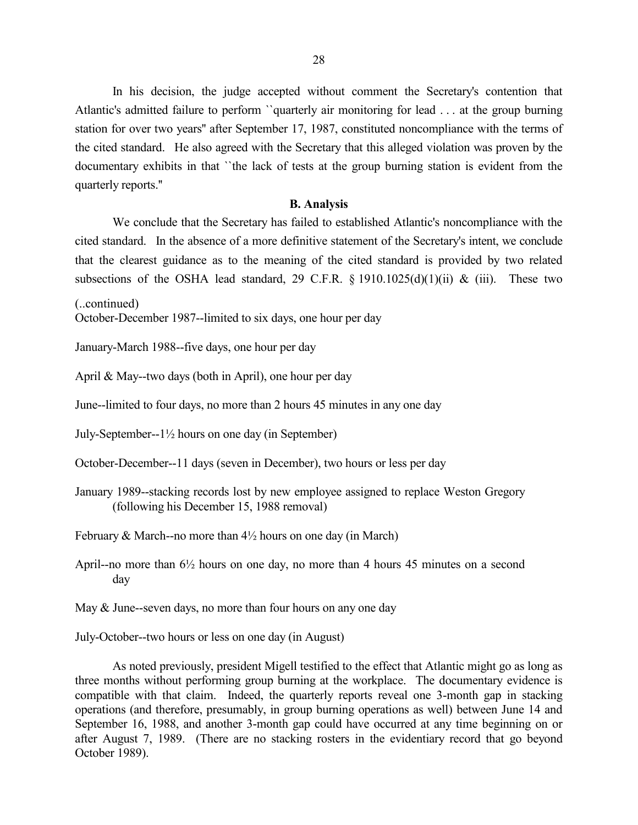In his decision, the judge accepted without comment the Secretary's contention that Atlantic's admitted failure to perform ``quarterly air monitoring for lead . . . at the group burning station for over two years'' after September 17, 1987, constituted noncompliance with the terms of the cited standard. He also agreed with the Secretary that this alleged violation was proven by the documentary exhibits in that ``the lack of tests at the group burning station is evident from the quarterly reports.''

#### **B. Analysis**

We conclude that the Secretary has failed to established Atlantic's noncompliance with the cited standard. In the absence of a more definitive statement of the Secretary's intent, we conclude that the clearest guidance as to the meaning of the cited standard is provided by two related subsections of the OSHA lead standard, 29 C.F.R.  $\S$  1910.1025(d)(1)(ii) & (iii). These two

(..continued)

October-December 1987--limited to six days, one hour per day

January-March 1988--five days, one hour per day

April & May--two days (both in April), one hour per day

June--limited to four days, no more than 2 hours 45 minutes in any one day

July-September--1½ hours on one day (in September)

October-December--11 days (seven in December), two hours or less per day

January 1989--stacking records lost by new employee assigned to replace Weston Gregory (following his December 15, 1988 removal)

February & March--no more than  $4\frac{1}{2}$  hours on one day (in March)

April--no more than 6½ hours on one day, no more than 4 hours 45 minutes on a second day

May & June--seven days, no more than four hours on any one day

July-October--two hours or less on one day (in August)

As noted previously, president Migell testified to the effect that Atlantic might go as long as three months without performing group burning at the workplace. The documentary evidence is compatible with that claim. Indeed, the quarterly reports reveal one 3-month gap in stacking operations (and therefore, presumably, in group burning operations as well) between June 14 and September 16, 1988, and another 3-month gap could have occurred at any time beginning on or after August 7, 1989. (There are no stacking rosters in the evidentiary record that go beyond October 1989).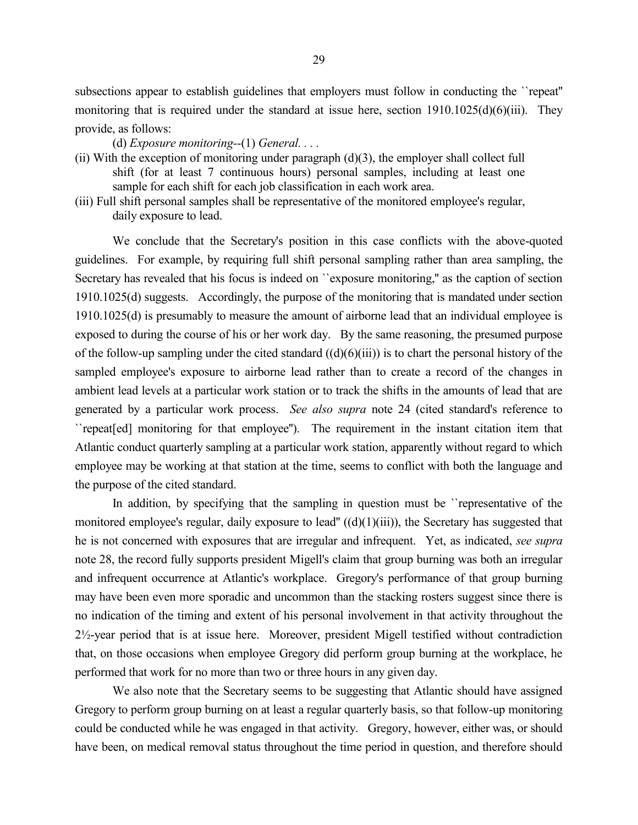subsections appear to establish guidelines that employers must follow in conducting the ``repeat'' monitoring that is required under the standard at issue here, section  $1910.1025(d)(6)(iii)$ . They provide, as follows:

(d) *Exposure monitoring--*(1) *General. . . .*

- (ii) With the exception of monitoring under paragraph  $(d)(3)$ , the employer shall collect full shift (for at least 7 continuous hours) personal samples, including at least one sample for each shift for each job classification in each work area.
- (iii) Full shift personal samples shall be representative of the monitored employee's regular, daily exposure to lead.

We conclude that the Secretary's position in this case conflicts with the above-quoted guidelines. For example, by requiring full shift personal sampling rather than area sampling, the Secretary has revealed that his focus is indeed on ``exposure monitoring,'' as the caption of section 1910.1025(d) suggests. Accordingly, the purpose of the monitoring that is mandated under section 1910.1025(d) is presumably to measure the amount of airborne lead that an individual employee is exposed to during the course of his or her work day. By the same reasoning, the presumed purpose of the follow-up sampling under the cited standard  $((d)(6)(iii))$  is to chart the personal history of the sampled employee's exposure to airborne lead rather than to create a record of the changes in ambient lead levels at a particular work station or to track the shifts in the amounts of lead that are generated by a particular work process. *See also supra* note 24 (cited standard's reference to ``repeat[ed] monitoring for that employee''). The requirement in the instant citation item that Atlantic conduct quarterly sampling at a particular work station, apparently without regard to which employee may be working at that station at the time, seems to conflict with both the language and the purpose of the cited standard.

In addition, by specifying that the sampling in question must be "representative of the monitored employee's regular, daily exposure to lead'' ((d)(1)(iii)), the Secretary has suggested that he is not concerned with exposures that are irregular and infrequent. Yet, as indicated, *see supra* note 28, the record fully supports president Migell's claim that group burning was both an irregular and infrequent occurrence at Atlantic's workplace. Gregory's performance of that group burning may have been even more sporadic and uncommon than the stacking rosters suggest since there is no indication of the timing and extent of his personal involvement in that activity throughout the 2½-year period that is at issue here. Moreover, president Migell testified without contradiction that, on those occasions when employee Gregory did perform group burning at the workplace, he performed that work for no more than two or three hours in any given day.

We also note that the Secretary seems to be suggesting that Atlantic should have assigned Gregory to perform group burning on at least a regular quarterly basis, so that follow-up monitoring could be conducted while he was engaged in that activity. Gregory, however, either was, or should have been, on medical removal status throughout the time period in question, and therefore should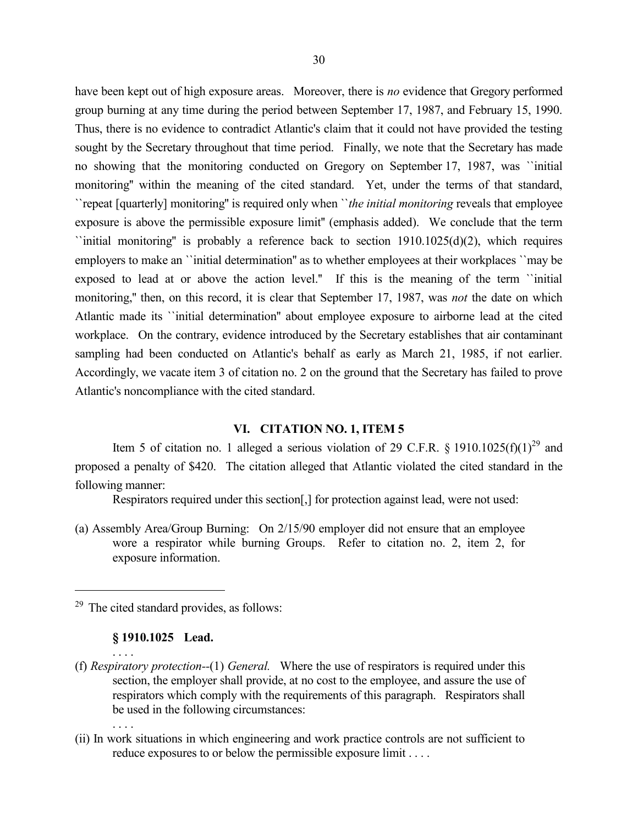have been kept out of high exposure areas. Moreover, there is *no* evidence that Gregory performed group burning at any time during the period between September 17, 1987, and February 15, 1990. Thus, there is no evidence to contradict Atlantic's claim that it could not have provided the testing sought by the Secretary throughout that time period. Finally, we note that the Secretary has made no showing that the monitoring conducted on Gregory on September 17, 1987, was ``initial monitoring'' within the meaning of the cited standard. Yet, under the terms of that standard, ``repeat [quarterly] monitoring'' is required only when ``*the initial monitoring* reveals that employee exposure is above the permissible exposure limit'' (emphasis added). We conclude that the term  $\gamma$ initial monitoring" is probably a reference back to section 1910.1025(d)(2), which requires employers to make an ``initial determination'' as to whether employees at their workplaces ``may be exposed to lead at or above the action level.'' If this is the meaning of the term ``initial monitoring,'' then, on this record, it is clear that September 17, 1987, was *not* the date on which Atlantic made its ``initial determination'' about employee exposure to airborne lead at the cited workplace. On the contrary, evidence introduced by the Secretary establishes that air contaminant sampling had been conducted on Atlantic's behalf as early as March 21, 1985, if not earlier. Accordingly, we vacate item 3 of citation no. 2 on the ground that the Secretary has failed to prove Atlantic's noncompliance with the cited standard.

### **VI. CITATION NO. 1, ITEM 5**

Item 5 of citation no. 1 alleged a serious violation of 29 C.F.R. § 1910.1025(f)(1)<sup>29</sup> and proposed a penalty of \$420. The citation alleged that Atlantic violated the cited standard in the following manner:

Respirators required under this section[,] for protection against lead, were not used:

(a) Assembly Area/Group Burning: On 2/15/90 employer did not ensure that an employee wore a respirator while burning Groups. Refer to citation no. 2, item 2, for exposure information.

# **§ 1910.1025 Lead.**

- (f) *Respiratory protection--*(1) *General.* Where the use of respirators is required under this section, the employer shall provide, at no cost to the employee, and assure the use of respirators which comply with the requirements of this paragraph. Respirators shall be used in the following circumstances:
	- . . . .

. . . .

 $\overline{a}$ 

(ii) In work situations in which engineering and work practice controls are not sufficient to reduce exposures to or below the permissible exposure limit . . . .

 $29$  The cited standard provides, as follows: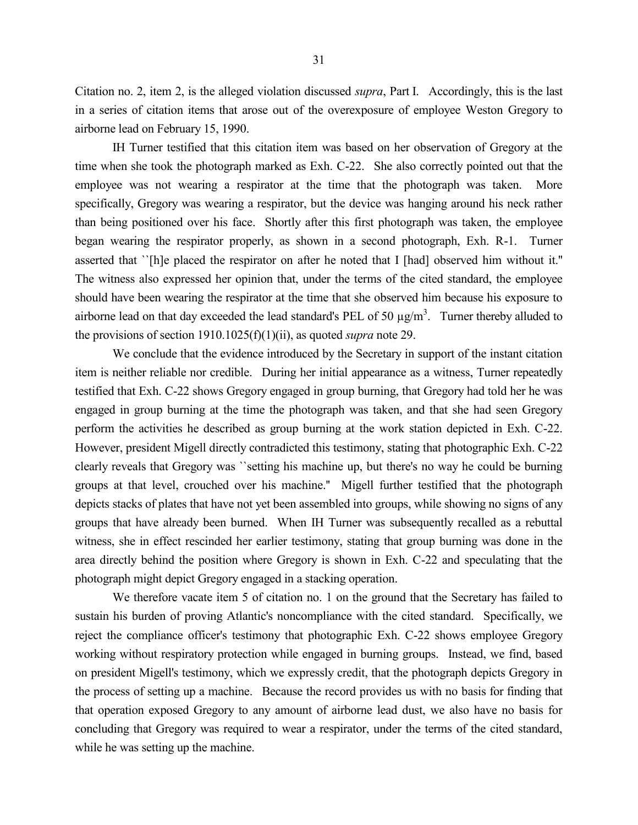Citation no. 2, item 2, is the alleged violation discussed *supra*, Part I. Accordingly, this is the last in a series of citation items that arose out of the overexposure of employee Weston Gregory to airborne lead on February 15, 1990.

IH Turner testified that this citation item was based on her observation of Gregory at the time when she took the photograph marked as Exh. C-22. She also correctly pointed out that the employee was not wearing a respirator at the time that the photograph was taken. More specifically, Gregory was wearing a respirator, but the device was hanging around his neck rather than being positioned over his face. Shortly after this first photograph was taken, the employee began wearing the respirator properly, as shown in a second photograph, Exh. R-1. Turner asserted that ``[h]e placed the respirator on after he noted that I [had] observed him without it.'' The witness also expressed her opinion that, under the terms of the cited standard, the employee should have been wearing the respirator at the time that she observed him because his exposure to airborne lead on that day exceeded the lead standard's PEL of 50  $\mu$ g/m<sup>3</sup>. Turner thereby alluded to the provisions of section 1910.1025(f)(1)(ii), as quoted *supra* note 29.

We conclude that the evidence introduced by the Secretary in support of the instant citation item is neither reliable nor credible. During her initial appearance as a witness, Turner repeatedly testified that Exh. C-22 shows Gregory engaged in group burning, that Gregory had told her he was engaged in group burning at the time the photograph was taken, and that she had seen Gregory perform the activities he described as group burning at the work station depicted in Exh. C-22. However, president Migell directly contradicted this testimony, stating that photographic Exh. C-22 clearly reveals that Gregory was ``setting his machine up, but there's no way he could be burning groups at that level, crouched over his machine.'' Migell further testified that the photograph depicts stacks of plates that have not yet been assembled into groups, while showing no signs of any groups that have already been burned. When IH Turner was subsequently recalled as a rebuttal witness, she in effect rescinded her earlier testimony, stating that group burning was done in the area directly behind the position where Gregory is shown in Exh. C-22 and speculating that the photograph might depict Gregory engaged in a stacking operation.

We therefore vacate item 5 of citation no. 1 on the ground that the Secretary has failed to sustain his burden of proving Atlantic's noncompliance with the cited standard. Specifically, we reject the compliance officer's testimony that photographic Exh. C-22 shows employee Gregory working without respiratory protection while engaged in burning groups. Instead, we find, based on president Migell's testimony, which we expressly credit, that the photograph depicts Gregory in the process of setting up a machine. Because the record provides us with no basis for finding that that operation exposed Gregory to any amount of airborne lead dust, we also have no basis for concluding that Gregory was required to wear a respirator, under the terms of the cited standard, while he was setting up the machine.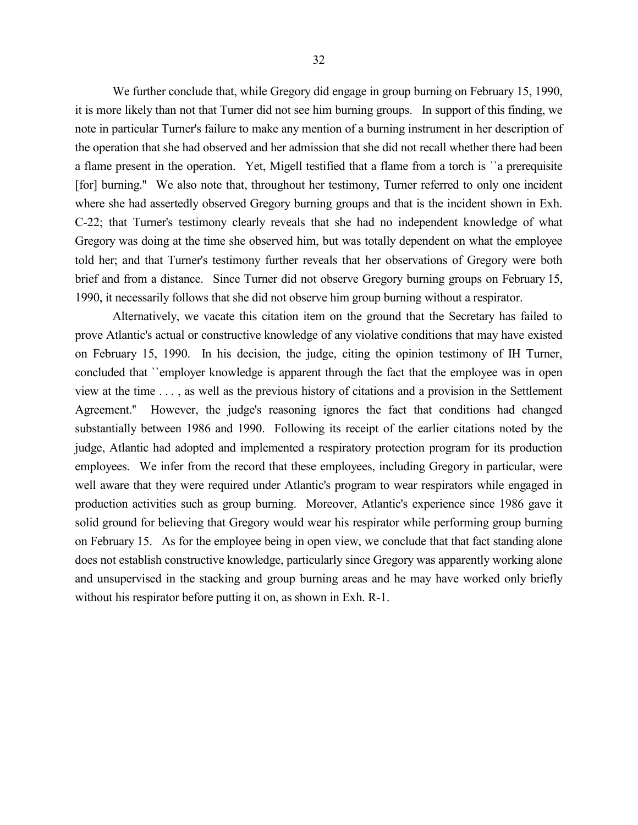We further conclude that, while Gregory did engage in group burning on February 15, 1990, it is more likely than not that Turner did not see him burning groups. In support of this finding, we note in particular Turner's failure to make any mention of a burning instrument in her description of the operation that she had observed and her admission that she did not recall whether there had been a flame present in the operation. Yet, Migell testified that a flame from a torch is ``a prerequisite [for] burning.'' We also note that, throughout her testimony, Turner referred to only one incident where she had assertedly observed Gregory burning groups and that is the incident shown in Exh. C-22; that Turner's testimony clearly reveals that she had no independent knowledge of what Gregory was doing at the time she observed him, but was totally dependent on what the employee told her; and that Turner's testimony further reveals that her observations of Gregory were both brief and from a distance. Since Turner did not observe Gregory burning groups on February 15, 1990, it necessarily follows that she did not observe him group burning without a respirator.

Alternatively, we vacate this citation item on the ground that the Secretary has failed to prove Atlantic's actual or constructive knowledge of any violative conditions that may have existed on February 15, 1990. In his decision, the judge, citing the opinion testimony of IH Turner, concluded that ``employer knowledge is apparent through the fact that the employee was in open view at the time . . . , as well as the previous history of citations and a provision in the Settlement Agreement.'' However, the judge's reasoning ignores the fact that conditions had changed substantially between 1986 and 1990. Following its receipt of the earlier citations noted by the judge, Atlantic had adopted and implemented a respiratory protection program for its production employees. We infer from the record that these employees, including Gregory in particular, were well aware that they were required under Atlantic's program to wear respirators while engaged in production activities such as group burning. Moreover, Atlantic's experience since 1986 gave it solid ground for believing that Gregory would wear his respirator while performing group burning on February 15. As for the employee being in open view, we conclude that that fact standing alone does not establish constructive knowledge, particularly since Gregory was apparently working alone and unsupervised in the stacking and group burning areas and he may have worked only briefly without his respirator before putting it on, as shown in Exh. R-1.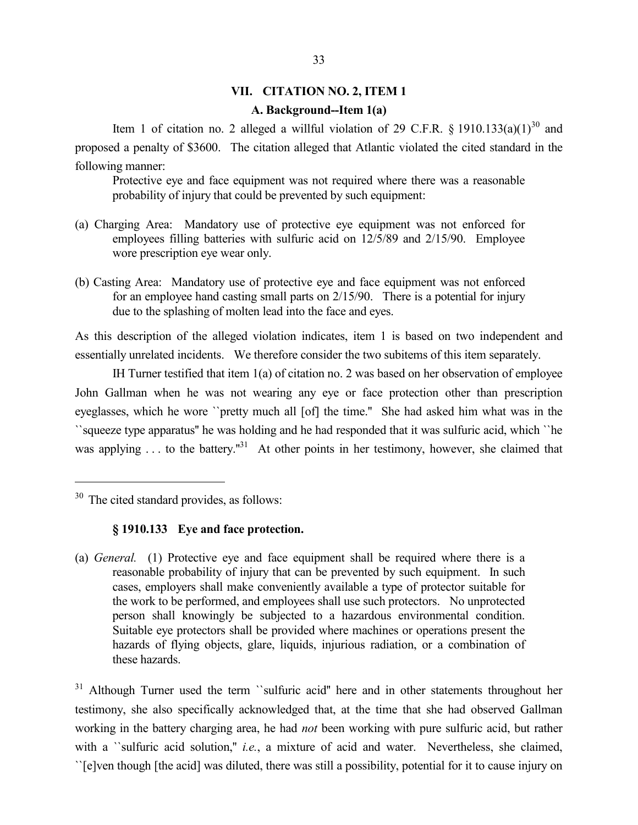### **VII. CITATION NO. 2, ITEM 1**

#### **A. Background--Item 1(a)**

Item 1 of citation no. 2 alleged a willful violation of 29 C.F.R. § 1910.133(a)(1)<sup>30</sup> and proposed a penalty of \$3600. The citation alleged that Atlantic violated the cited standard in the following manner:

Protective eye and face equipment was not required where there was a reasonable probability of injury that could be prevented by such equipment:

- (a) Charging Area: Mandatory use of protective eye equipment was not enforced for employees filling batteries with sulfuric acid on 12/5/89 and 2/15/90. Employee wore prescription eye wear only.
- (b) Casting Area: Mandatory use of protective eye and face equipment was not enforced for an employee hand casting small parts on 2/15/90. There is a potential for injury due to the splashing of molten lead into the face and eyes.

As this description of the alleged violation indicates, item 1 is based on two independent and essentially unrelated incidents. We therefore consider the two subitems of this item separately.

IH Turner testified that item 1(a) of citation no. 2 was based on her observation of employee John Gallman when he was not wearing any eye or face protection other than prescription eyeglasses, which he wore ``pretty much all [of] the time.'' She had asked him what was in the ``squeeze type apparatus'' he was holding and he had responded that it was sulfuric acid, which ``he was applying ... to the battery."<sup>31</sup> At other points in her testimony, however, she claimed that

 $\overline{a}$ 

# **§ 1910.133 Eye and face protection.**

(a) *General.* (1) Protective eye and face equipment shall be required where there is a reasonable probability of injury that can be prevented by such equipment. In such cases, employers shall make conveniently available a type of protector suitable for the work to be performed, and employees shall use such protectors. No unprotected person shall knowingly be subjected to a hazardous environmental condition. Suitable eye protectors shall be provided where machines or operations present the hazards of flying objects, glare, liquids, injurious radiation, or a combination of these hazards.

<sup>31</sup> Although Turner used the term ``sulfuric acid" here and in other statements throughout her testimony, she also specifically acknowledged that, at the time that she had observed Gallman working in the battery charging area, he had *not* been working with pure sulfuric acid, but rather with a *`*sulfuric acid solution," *i.e.*, a mixture of acid and water. Nevertheless, she claimed, ``[e]ven though [the acid] was diluted, there was still a possibility, potential for it to cause injury on

<sup>&</sup>lt;sup>30</sup> The cited standard provides, as follows: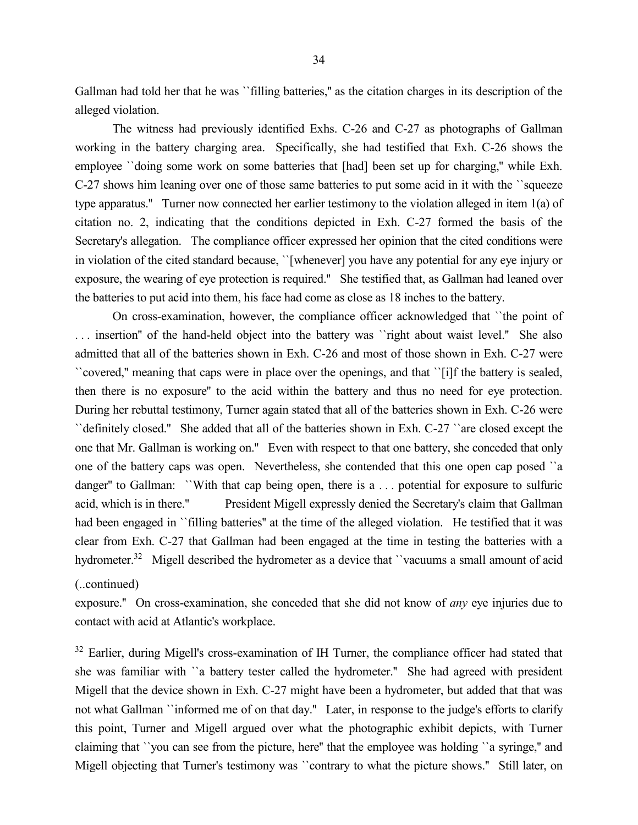Gallman had told her that he was ``filling batteries,'' as the citation charges in its description of the alleged violation.

The witness had previously identified Exhs. C-26 and C-27 as photographs of Gallman working in the battery charging area. Specifically, she had testified that Exh. C-26 shows the employee *`*'doing some work on some batteries that [had] been set up for charging," while Exh. C-27 shows him leaning over one of those same batteries to put some acid in it with the ``squeeze type apparatus.'' Turner now connected her earlier testimony to the violation alleged in item 1(a) of citation no. 2, indicating that the conditions depicted in Exh. C-27 formed the basis of the Secretary's allegation. The compliance officer expressed her opinion that the cited conditions were in violation of the cited standard because, ``[whenever] you have any potential for any eye injury or exposure, the wearing of eye protection is required.'' She testified that, as Gallman had leaned over the batteries to put acid into them, his face had come as close as 18 inches to the battery.

On cross-examination, however, the compliance officer acknowledged that ``the point of . . . insertion'' of the hand-held object into the battery was ``right about waist level.'' She also admitted that all of the batteries shown in Exh. C-26 and most of those shown in Exh. C-27 were ``covered,'' meaning that caps were in place over the openings, and that ``[i]f the battery is sealed, then there is no exposure'' to the acid within the battery and thus no need for eye protection. During her rebuttal testimony, Turner again stated that all of the batteries shown in Exh. C-26 were ``definitely closed.'' She added that all of the batteries shown in Exh. C-27 ``are closed except the one that Mr. Gallman is working on.'' Even with respect to that one battery, she conceded that only one of the battery caps was open. Nevertheless, she contended that this one open cap posed ``a danger'' to Gallman: ``With that cap being open, there is a . . . potential for exposure to sulfuric acid, which is in there.'' President Migell expressly denied the Secretary's claim that Gallman had been engaged in ``filling batteries" at the time of the alleged violation. He testified that it was clear from Exh. C-27 that Gallman had been engaged at the time in testing the batteries with a hydrometer.<sup>32</sup> Migell described the hydrometer as a device that "vacuums a small amount of acid

(..continued)

exposure.'' On cross-examination, she conceded that she did not know of *any* eye injuries due to contact with acid at Atlantic's workplace.

<sup>32</sup> Earlier, during Migell's cross-examination of IH Turner, the compliance officer had stated that she was familiar with ``a battery tester called the hydrometer.'' She had agreed with president Migell that the device shown in Exh. C-27 might have been a hydrometer, but added that that was not what Gallman ``informed me of on that day." Later, in response to the judge's efforts to clarify this point, Turner and Migell argued over what the photographic exhibit depicts, with Turner claiming that ``you can see from the picture, here'' that the employee was holding ``a syringe,'' and Migell objecting that Turner's testimony was "contrary to what the picture shows." Still later, on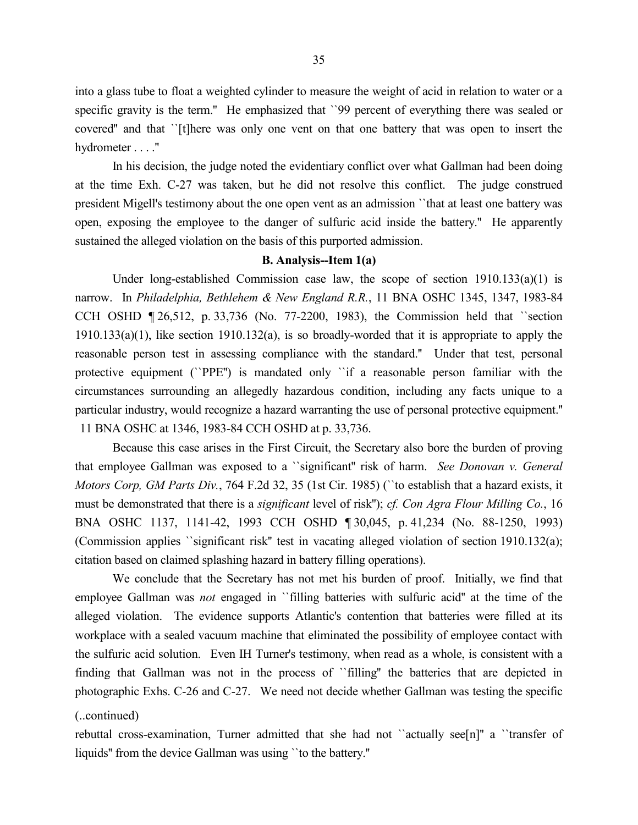into a glass tube to float a weighted cylinder to measure the weight of acid in relation to water or a specific gravity is the term." He emphasized that `'99 percent of everything there was sealed or covered'' and that ``[t]here was only one vent on that one battery that was open to insert the hydrometer . . . .''

In his decision, the judge noted the evidentiary conflict over what Gallman had been doing at the time Exh. C-27 was taken, but he did not resolve this conflict. The judge construed president Migell's testimony about the one open vent as an admission ``that at least one battery was open, exposing the employee to the danger of sulfuric acid inside the battery.'' He apparently sustained the alleged violation on the basis of this purported admission.

#### **B. Analysis--Item 1(a)**

Under long-established Commission case law, the scope of section  $1910.133(a)(1)$  is narrow. In *Philadelphia, Bethlehem & New England R.R.*, 11 BNA OSHC 1345, 1347, 1983-84 CCH OSHD ¶ 26,512, p. 33,736 (No. 77-2200, 1983), the Commission held that ``section 1910.133(a)(1), like section 1910.132(a), is so broadly-worded that it is appropriate to apply the reasonable person test in assessing compliance with the standard.'' Under that test, personal protective equipment (``PPE'') is mandated only ``if a reasonable person familiar with the circumstances surrounding an allegedly hazardous condition, including any facts unique to a particular industry, would recognize a hazard warranting the use of personal protective equipment.'' 11 BNA OSHC at 1346, 1983-84 CCH OSHD at p. 33,736.

Because this case arises in the First Circuit, the Secretary also bore the burden of proving that employee Gallman was exposed to a ``significant'' risk of harm. *See Donovan v. General Motors Corp, GM Parts Div.*, 764 F.2d 32, 35 (1st Cir. 1985) (``to establish that a hazard exists, it must be demonstrated that there is a *significant* level of risk''); *cf. Con Agra Flour Milling Co.*, 16 BNA OSHC 1137, 1141-42, 1993 CCH OSHD ¶ 30,045, p. 41,234 (No. 88-1250, 1993) (Commission applies ``significant risk'' test in vacating alleged violation of section 1910.132(a); citation based on claimed splashing hazard in battery filling operations).

We conclude that the Secretary has not met his burden of proof. Initially, we find that employee Gallman was *not* engaged in ``filling batteries with sulfuric acid'' at the time of the alleged violation. The evidence supports Atlantic's contention that batteries were filled at its workplace with a sealed vacuum machine that eliminated the possibility of employee contact with the sulfuric acid solution. Even IH Turner's testimony, when read as a whole, is consistent with a finding that Gallman was not in the process of ``filling'' the batteries that are depicted in photographic Exhs. C-26 and C-27. We need not decide whether Gallman was testing the specific

# (..continued)

rebuttal cross-examination, Turner admitted that she had not ``actually see[n]'' a ``transfer of liquids'' from the device Gallman was using ``to the battery.''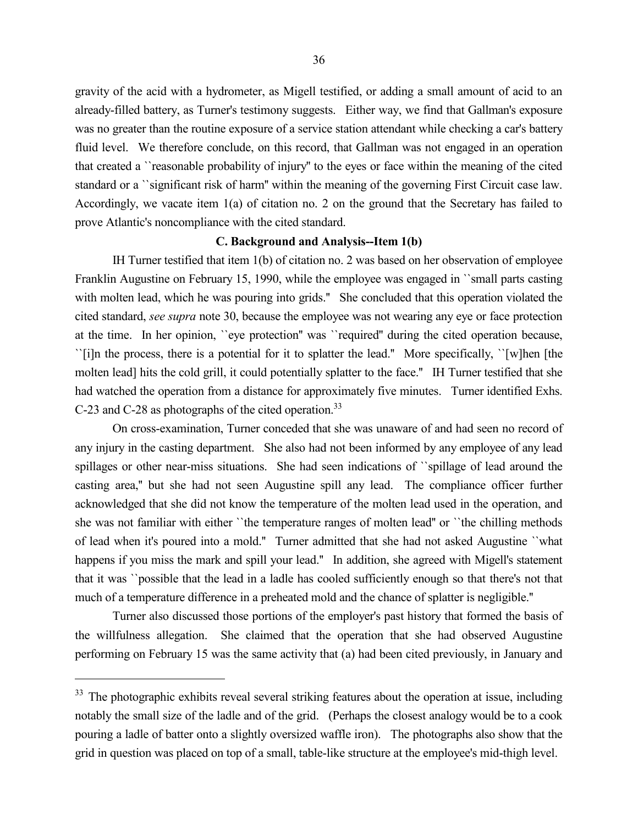gravity of the acid with a hydrometer, as Migell testified, or adding a small amount of acid to an already-filled battery, as Turner's testimony suggests. Either way, we find that Gallman's exposure was no greater than the routine exposure of a service station attendant while checking a car's battery fluid level. We therefore conclude, on this record, that Gallman was not engaged in an operation that created a ``reasonable probability of injury'' to the eyes or face within the meaning of the cited standard or a ``significant risk of harm'' within the meaning of the governing First Circuit case law. Accordingly, we vacate item 1(a) of citation no. 2 on the ground that the Secretary has failed to prove Atlantic's noncompliance with the cited standard.

#### **C. Background and Analysis--Item 1(b)**

IH Turner testified that item 1(b) of citation no. 2 was based on her observation of employee Franklin Augustine on February 15, 1990, while the employee was engaged in ``small parts casting with molten lead, which he was pouring into grids." She concluded that this operation violated the cited standard, *see supra* note 30, because the employee was not wearing any eye or face protection at the time. In her opinion, ``eye protection'' was ``required'' during the cited operation because, ``[i]n the process, there is a potential for it to splatter the lead.'' More specifically, ``[w]hen [the molten lead] hits the cold grill, it could potentially splatter to the face.'' IH Turner testified that she had watched the operation from a distance for approximately five minutes. Turner identified Exhs. C-23 and C-28 as photographs of the cited operation.<sup>33</sup>

On cross-examination, Turner conceded that she was unaware of and had seen no record of any injury in the casting department. She also had not been informed by any employee of any lead spillages or other near-miss situations. She had seen indications of ``spillage of lead around the casting area,'' but she had not seen Augustine spill any lead. The compliance officer further acknowledged that she did not know the temperature of the molten lead used in the operation, and she was not familiar with either ``the temperature ranges of molten lead'' or ``the chilling methods of lead when it's poured into a mold.'' Turner admitted that she had not asked Augustine ``what happens if you miss the mark and spill your lead." In addition, she agreed with Migell's statement that it was ``possible that the lead in a ladle has cooled sufficiently enough so that there's not that much of a temperature difference in a preheated mold and the chance of splatter is negligible.''

Turner also discussed those portions of the employer's past history that formed the basis of the willfulness allegation. She claimed that the operation that she had observed Augustine performing on February 15 was the same activity that (a) had been cited previously, in January and

<sup>&</sup>lt;sup>33</sup> The photographic exhibits reveal several striking features about the operation at issue, including notably the small size of the ladle and of the grid. (Perhaps the closest analogy would be to a cook pouring a ladle of batter onto a slightly oversized waffle iron). The photographs also show that the grid in question was placed on top of a small, table-like structure at the employee's mid-thigh level.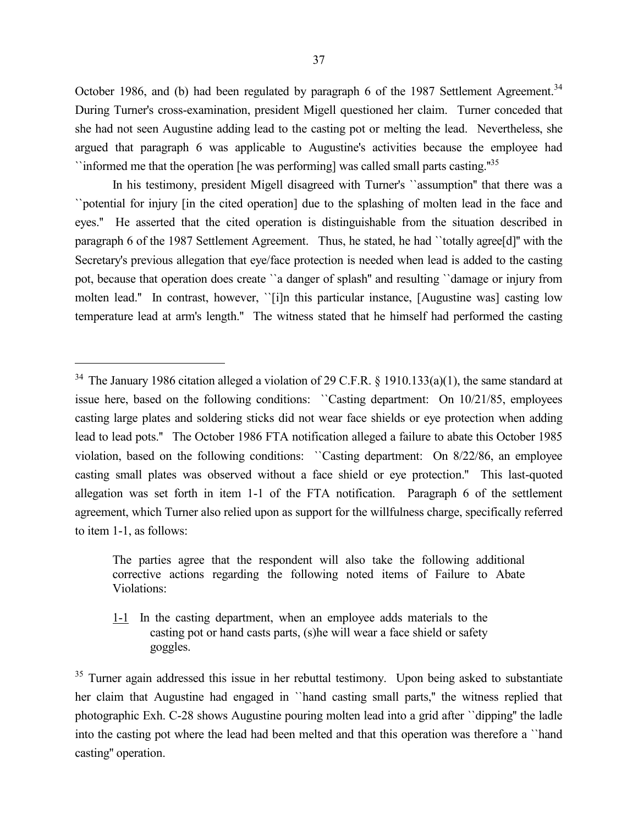October 1986, and (b) had been regulated by paragraph 6 of the 1987 Settlement Agreement.<sup>34</sup> During Turner's cross-examination, president Migell questioned her claim. Turner conceded that she had not seen Augustine adding lead to the casting pot or melting the lead. Nevertheless, she argued that paragraph 6 was applicable to Augustine's activities because the employee had  $\lceil$  informed me that the operation [he was performing] was called small parts casting. $\lceil$ <sup>35</sup>

In his testimony, president Migell disagreed with Turner's ``assumption'' that there was a ``potential for injury [in the cited operation] due to the splashing of molten lead in the face and eyes.'' He asserted that the cited operation is distinguishable from the situation described in paragraph 6 of the 1987 Settlement Agreement. Thus, he stated, he had ``totally agree[d]'' with the Secretary's previous allegation that eye/face protection is needed when lead is added to the casting pot, because that operation does create ``a danger of splash'' and resulting ``damage or injury from molten lead.'' In contrast, however, ``[i]n this particular instance, [Augustine was] casting low temperature lead at arm's length.'' The witness stated that he himself had performed the casting

 $\overline{a}$ 

The parties agree that the respondent will also take the following additional corrective actions regarding the following noted items of Failure to Abate Violations:

1-1 In the casting department, when an employee adds materials to the casting pot or hand casts parts, (s)he will wear a face shield or safety goggles.

<sup>35</sup> Turner again addressed this issue in her rebuttal testimony. Upon being asked to substantiate her claim that Augustine had engaged in "hand casting small parts," the witness replied that photographic Exh. C-28 shows Augustine pouring molten lead into a grid after ``dipping'' the ladle into the casting pot where the lead had been melted and that this operation was therefore a ``hand casting'' operation.

<sup>&</sup>lt;sup>34</sup> The January 1986 citation alleged a violation of 29 C.F.R. § 1910.133(a)(1), the same standard at issue here, based on the following conditions: ``Casting department: On 10/21/85, employees casting large plates and soldering sticks did not wear face shields or eye protection when adding lead to lead pots.'' The October 1986 FTA notification alleged a failure to abate this October 1985 violation, based on the following conditions: ``Casting department: On 8/22/86, an employee casting small plates was observed without a face shield or eye protection.'' This last-quoted allegation was set forth in item 1-1 of the FTA notification. Paragraph 6 of the settlement agreement, which Turner also relied upon as support for the willfulness charge, specifically referred to item 1-1, as follows: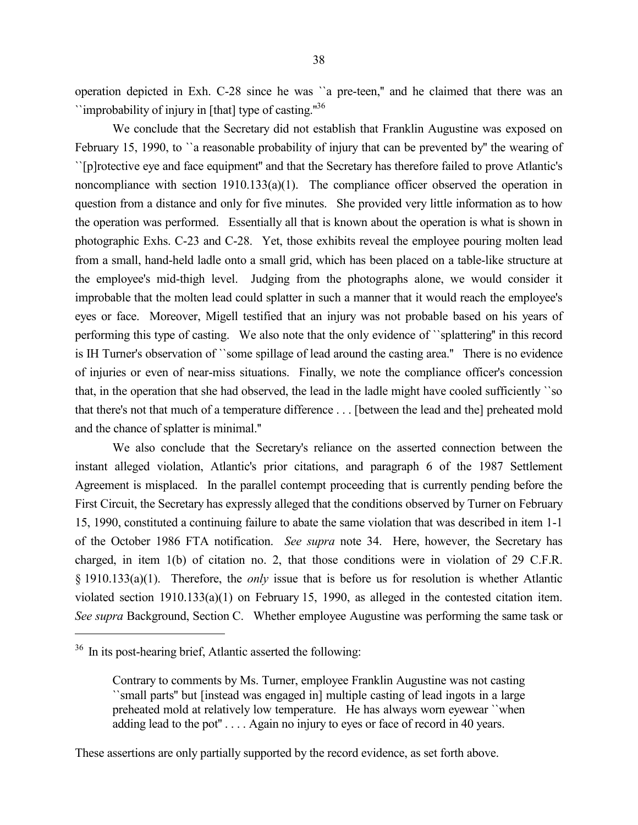operation depicted in Exh. C-28 since he was ``a pre-teen,'' and he claimed that there was an ``improbability of injury in [that] type of casting.''<sup>36</sup>

We conclude that the Secretary did not establish that Franklin Augustine was exposed on February 15, 1990, to "a reasonable probability of injury that can be prevented by" the wearing of ``[p]rotective eye and face equipment'' and that the Secretary has therefore failed to prove Atlantic's noncompliance with section  $1910.133(a)(1)$ . The compliance officer observed the operation in question from a distance and only for five minutes. She provided very little information as to how the operation was performed. Essentially all that is known about the operation is what is shown in photographic Exhs. C-23 and C-28. Yet, those exhibits reveal the employee pouring molten lead from a small, hand-held ladle onto a small grid, which has been placed on a table-like structure at the employee's mid-thigh level. Judging from the photographs alone, we would consider it improbable that the molten lead could splatter in such a manner that it would reach the employee's eyes or face. Moreover, Migell testified that an injury was not probable based on his years of performing this type of casting. We also note that the only evidence of ``splattering'' in this record is IH Turner's observation of ``some spillage of lead around the casting area.'' There is no evidence of injuries or even of near-miss situations. Finally, we note the compliance officer's concession that, in the operation that she had observed, the lead in the ladle might have cooled sufficiently ``so that there's not that much of a temperature difference . . . [between the lead and the] preheated mold and the chance of splatter is minimal.''

We also conclude that the Secretary's reliance on the asserted connection between the instant alleged violation, Atlantic's prior citations, and paragraph 6 of the 1987 Settlement Agreement is misplaced. In the parallel contempt proceeding that is currently pending before the First Circuit, the Secretary has expressly alleged that the conditions observed by Turner on February 15, 1990, constituted a continuing failure to abate the same violation that was described in item 1-1 of the October 1986 FTA notification. *See supra* note 34. Here, however, the Secretary has charged, in item 1(b) of citation no. 2, that those conditions were in violation of 29 C.F.R. § 1910.133(a)(1). Therefore, the *only* issue that is before us for resolution is whether Atlantic violated section 1910.133(a)(1) on February 15, 1990, as alleged in the contested citation item. *See supra* Background, Section C. Whether employee Augustine was performing the same task or

 $\overline{a}$ 

<sup>36</sup> In its post-hearing brief, Atlantic asserted the following:

Contrary to comments by Ms. Turner, employee Franklin Augustine was not casting ``small parts'' but [instead was engaged in] multiple casting of lead ingots in a large preheated mold at relatively low temperature. He has always worn eyewear ``when adding lead to the pot" . . . . Again no injury to eyes or face of record in 40 years.

These assertions are only partially supported by the record evidence, as set forth above.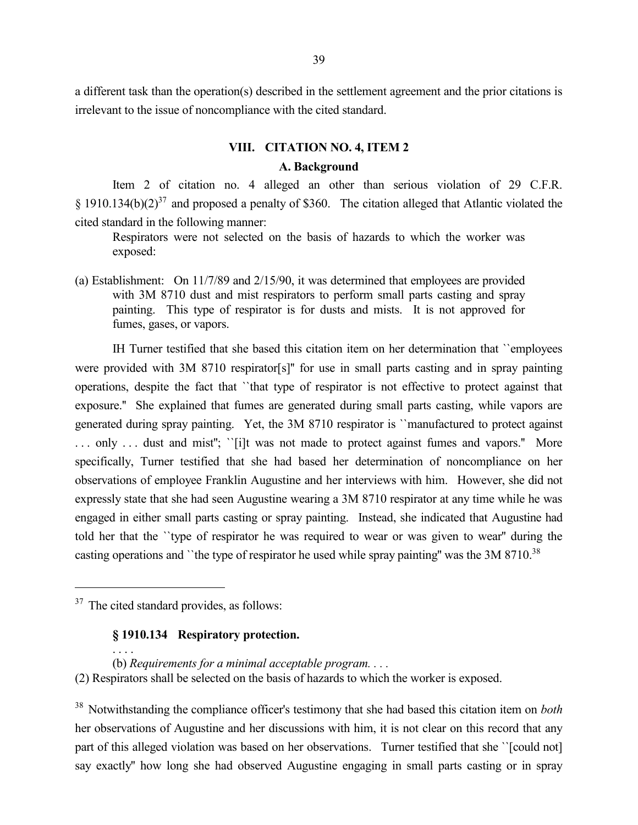a different task than the operation(s) described in the settlement agreement and the prior citations is irrelevant to the issue of noncompliance with the cited standard.

## **VIII. CITATION NO. 4, ITEM 2**

#### **A. Background**

Item 2 of citation no. 4 alleged an other than serious violation of 29 C.F.R. § 1910.134(b)(2)<sup>37</sup> and proposed a penalty of \$360. The citation alleged that Atlantic violated the cited standard in the following manner:

Respirators were not selected on the basis of hazards to which the worker was exposed:

(a) Establishment: On 11/7/89 and 2/15/90, it was determined that employees are provided with 3M 8710 dust and mist respirators to perform small parts casting and spray painting. This type of respirator is for dusts and mists. It is not approved for fumes, gases, or vapors.

IH Turner testified that she based this citation item on her determination that ``employees were provided with 3M 8710 respirator[s]'' for use in small parts casting and in spray painting operations, despite the fact that ``that type of respirator is not effective to protect against that exposure.'' She explained that fumes are generated during small parts casting, while vapors are generated during spray painting. Yet, the 3M 8710 respirator is ``manufactured to protect against ... only ... dust and mist"; ``[i]t was not made to protect against fumes and vapors." More specifically, Turner testified that she had based her determination of noncompliance on her observations of employee Franklin Augustine and her interviews with him. However, she did not expressly state that she had seen Augustine wearing a 3M 8710 respirator at any time while he was engaged in either small parts casting or spray painting. Instead, she indicated that Augustine had told her that the ``type of respirator he was required to wear or was given to wear'' during the casting operations and ``the type of respirator he used while spray painting" was the 3M 8710.<sup>38</sup>

 $\overline{a}$ 

# **§ 1910.134 Respiratory protection.**

. . . . (b) *Requirements for a minimal acceptable program. . . .* (2) Respirators shall be selected on the basis of hazards to which the worker is exposed.

<sup>38</sup> Notwithstanding the compliance officer's testimony that she had based this citation item on *both* her observations of Augustine and her discussions with him, it is not clear on this record that any part of this alleged violation was based on her observations. Turner testified that she ''[could not] say exactly'' how long she had observed Augustine engaging in small parts casting or in spray

<sup>&</sup>lt;sup>37</sup> The cited standard provides, as follows: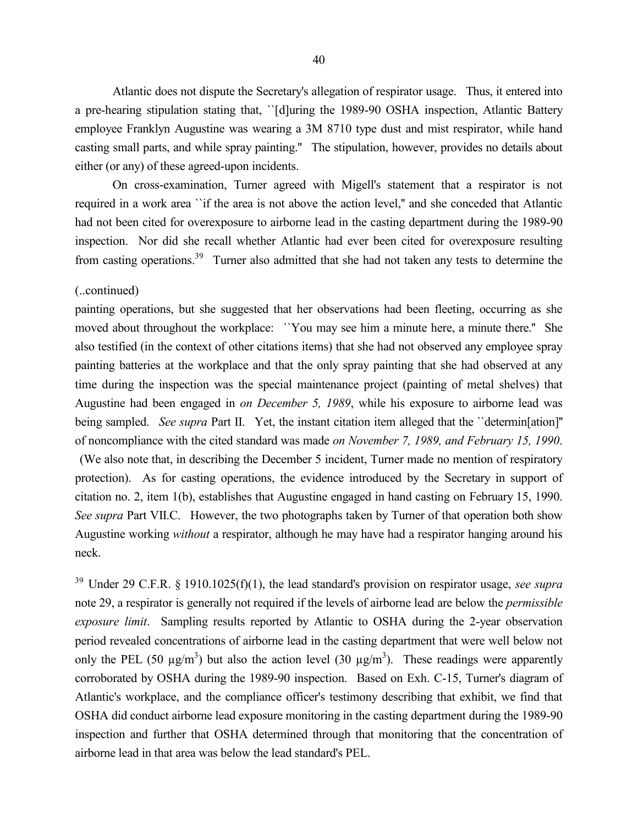Atlantic does not dispute the Secretary's allegation of respirator usage. Thus, it entered into a pre-hearing stipulation stating that, ``[d]uring the 1989-90 OSHA inspection, Atlantic Battery employee Franklyn Augustine was wearing a 3M 8710 type dust and mist respirator, while hand casting small parts, and while spray painting.'' The stipulation, however, provides no details about either (or any) of these agreed-upon incidents.

On cross-examination, Turner agreed with Migell's statement that a respirator is not required in a work area ``if the area is not above the action level,'' and she conceded that Atlantic had not been cited for overexposure to airborne lead in the casting department during the 1989-90 inspection. Nor did she recall whether Atlantic had ever been cited for overexposure resulting from casting operations.<sup>39</sup> Turner also admitted that she had not taken any tests to determine the

#### (..continued)

painting operations, but she suggested that her observations had been fleeting, occurring as she moved about throughout the workplace: ``You may see him a minute here, a minute there.'' She also testified (in the context of other citations items) that she had not observed any employee spray painting batteries at the workplace and that the only spray painting that she had observed at any time during the inspection was the special maintenance project (painting of metal shelves) that Augustine had been engaged in *on December 5, 1989*, while his exposure to airborne lead was being sampled. *See supra* Part II. Yet, the instant citation item alleged that the "determin[ation]" of noncompliance with the cited standard was made *on November 7, 1989, and February 15, 1990*. (We also note that, in describing the December 5 incident, Turner made no mention of respiratory protection). As for casting operations, the evidence introduced by the Secretary in support of citation no. 2, item 1(b), establishes that Augustine engaged in hand casting on February 15, 1990. *See supra* Part VII.C. However, the two photographs taken by Turner of that operation both show Augustine working *without* a respirator, although he may have had a respirator hanging around his neck.

<sup>39</sup> Under 29 C.F.R. § 1910.1025(f)(1), the lead standard's provision on respirator usage, *see supra* note 29, a respirator is generally not required if the levels of airborne lead are below the *permissible exposure limit*. Sampling results reported by Atlantic to OSHA during the 2-year observation period revealed concentrations of airborne lead in the casting department that were well below not only the PEL (50  $\mu$ g/m<sup>3</sup>) but also the action level (30  $\mu$ g/m<sup>3</sup>). These readings were apparently corroborated by OSHA during the 1989-90 inspection. Based on Exh. C-15, Turner's diagram of Atlantic's workplace, and the compliance officer's testimony describing that exhibit, we find that OSHA did conduct airborne lead exposure monitoring in the casting department during the 1989-90 inspection and further that OSHA determined through that monitoring that the concentration of airborne lead in that area was below the lead standard's PEL.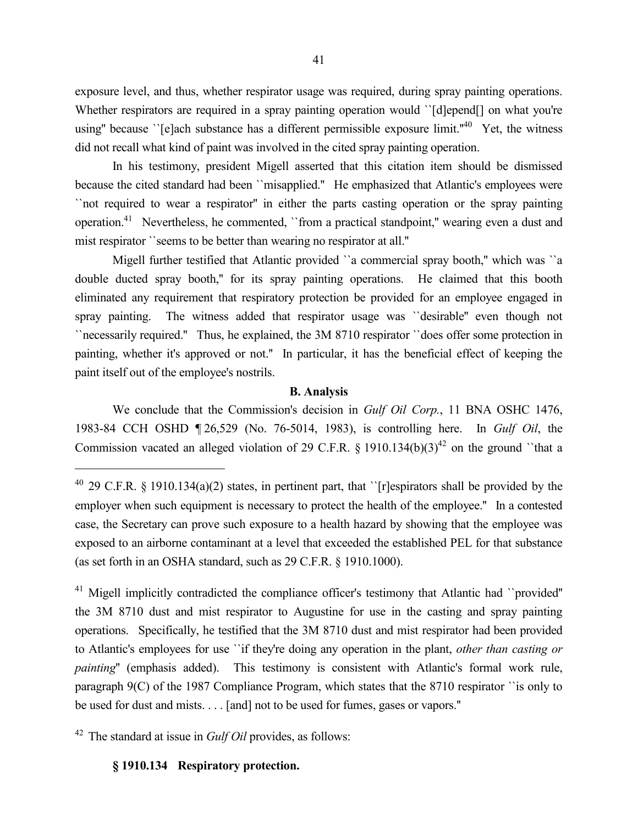exposure level, and thus, whether respirator usage was required, during spray painting operations. Whether respirators are required in a spray painting operation would '[d]epend] on what you're using" because  $\lq$ [e]ach substance has a different permissible exposure limit."<sup>40</sup> Yet, the witness did not recall what kind of paint was involved in the cited spray painting operation.

In his testimony, president Migell asserted that this citation item should be dismissed because the cited standard had been ``misapplied.'' He emphasized that Atlantic's employees were ``not required to wear a respirator'' in either the parts casting operation or the spray painting operation.<sup>41</sup> Nevertheless, he commented, "from a practical standpoint," wearing even a dust and mist respirator ``seems to be better than wearing no respirator at all.''

Migell further testified that Atlantic provided "a commercial spray booth," which was "a double ducted spray booth,'' for its spray painting operations. He claimed that this booth eliminated any requirement that respiratory protection be provided for an employee engaged in spray painting. The witness added that respirator usage was ``desirable'' even though not ``necessarily required.'' Thus, he explained, the 3M 8710 respirator ``does offer some protection in painting, whether it's approved or not.'' In particular, it has the beneficial effect of keeping the paint itself out of the employee's nostrils.

## **B. Analysis**

We conclude that the Commission's decision in *Gulf Oil Corp.*, 11 BNA OSHC 1476, 1983-84 CCH OSHD ¶ 26,529 (No. 76-5014, 1983), is controlling here. In *Gulf Oil*, the Commission vacated an alleged violation of 29 C.F.R.  $\S$  1910.134(b)(3)<sup>42</sup> on the ground ``that a

<sup>42</sup> The standard at issue in *Gulf Oil* provides, as follows:

**§ 1910.134 Respiratory protection.**

 $\overline{a}$ 

<sup>&</sup>lt;sup>40</sup> 29 C.F.R. § 1910.134(a)(2) states, in pertinent part, that ``[r]espirators shall be provided by the employer when such equipment is necessary to protect the health of the employee.'' In a contested case, the Secretary can prove such exposure to a health hazard by showing that the employee was exposed to an airborne contaminant at a level that exceeded the established PEL for that substance (as set forth in an OSHA standard, such as 29 C.F.R. § 1910.1000).

<sup>&</sup>lt;sup>41</sup> Migell implicitly contradicted the compliance officer's testimony that Atlantic had ``provided" the 3M 8710 dust and mist respirator to Augustine for use in the casting and spray painting operations. Specifically, he testified that the 3M 8710 dust and mist respirator had been provided to Atlantic's employees for use ``if they're doing any operation in the plant, *other than casting or painting*'' (emphasis added). This testimony is consistent with Atlantic's formal work rule, paragraph 9(C) of the 1987 Compliance Program, which states that the 8710 respirator ``is only to be used for dust and mists. . . . [and] not to be used for fumes, gases or vapors.''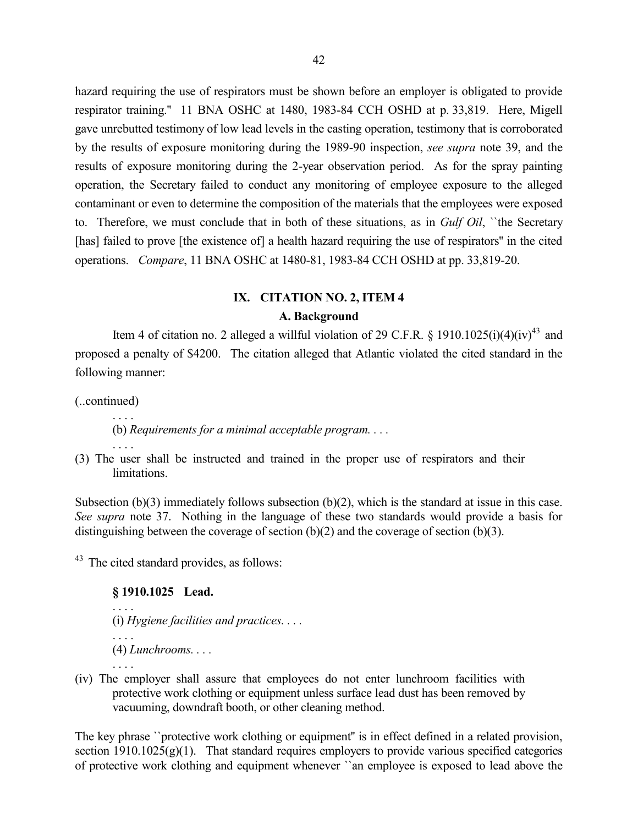hazard requiring the use of respirators must be shown before an employer is obligated to provide respirator training.'' 11 BNA OSHC at 1480, 1983-84 CCH OSHD at p. 33,819. Here, Migell gave unrebutted testimony of low lead levels in the casting operation, testimony that is corroborated by the results of exposure monitoring during the 1989-90 inspection, *see supra* note 39, and the results of exposure monitoring during the 2-year observation period. As for the spray painting operation, the Secretary failed to conduct any monitoring of employee exposure to the alleged contaminant or even to determine the composition of the materials that the employees were exposed to. Therefore, we must conclude that in both of these situations, as in *Gulf Oil*, ``the Secretary [has] failed to prove [the existence of] a health hazard requiring the use of respirators" in the cited operations. *Compare*, 11 BNA OSHC at 1480-81, 1983-84 CCH OSHD at pp. 33,819-20.

# **IX. CITATION NO. 2, ITEM 4 A. Background**

Item 4 of citation no. 2 alleged a willful violation of 29 C.F.R. § 1910.1025(i)(4)(iv)<sup>43</sup> and proposed a penalty of \$4200. The citation alleged that Atlantic violated the cited standard in the following manner:

(..continued)

. . . .

(b) *Requirements for a minimal acceptable program. . . .*

. . . . (3) The user shall be instructed and trained in the proper use of respirators and their **limitations** 

Subsection (b)(3) immediately follows subsection (b)(2), which is the standard at issue in this case. *See supra* note 37. Nothing in the language of these two standards would provide a basis for distinguishing between the coverage of section (b)(2) and the coverage of section (b)(3).

<sup>43</sup> The cited standard provides, as follows:

## **§ 1910.1025 Lead.**

```
. . . .
(i) Hygiene facilities and practices. . . .
(4) Lunchrooms. . . .
. . . .
```
(iv) The employer shall assure that employees do not enter lunchroom facilities with protective work clothing or equipment unless surface lead dust has been removed by vacuuming, downdraft booth, or other cleaning method.

The key phrase ``protective work clothing or equipment'' is in effect defined in a related provision, section  $1910.1025(g)(1)$ . That standard requires employers to provide various specified categories of protective work clothing and equipment whenever ``an employee is exposed to lead above the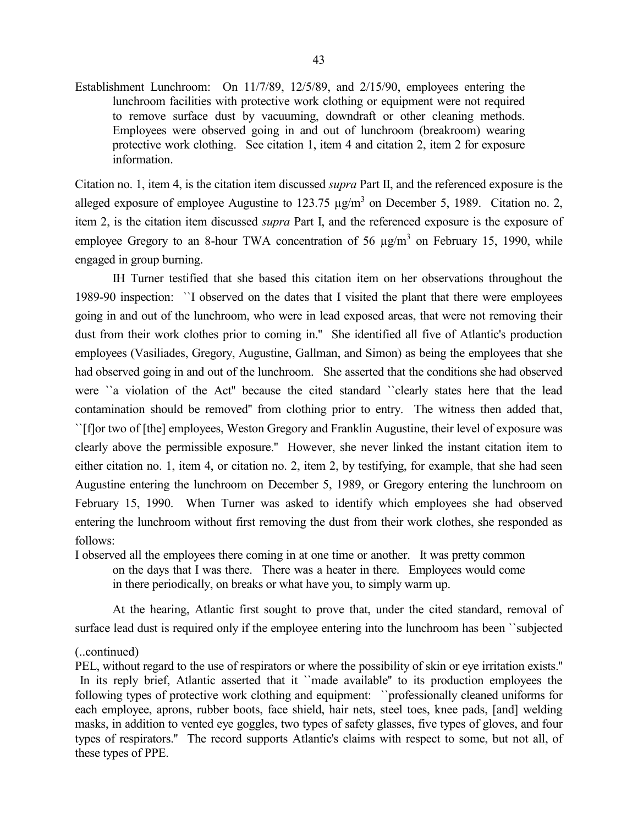Establishment Lunchroom: On 11/7/89, 12/5/89, and 2/15/90, employees entering the lunchroom facilities with protective work clothing or equipment were not required to remove surface dust by vacuuming, downdraft or other cleaning methods. Employees were observed going in and out of lunchroom (breakroom) wearing protective work clothing. See citation 1, item 4 and citation 2, item 2 for exposure information.

Citation no. 1, item 4, is the citation item discussed *supra* Part II, and the referenced exposure is the alleged exposure of employee Augustine to  $123.75 \text{ µg/m}^3$  on December 5, 1989. Citation no. 2, item 2, is the citation item discussed *supra* Part I, and the referenced exposure is the exposure of employee Gregory to an 8-hour TWA concentration of 56  $\mu$ g/m<sup>3</sup> on February 15, 1990, while engaged in group burning.

IH Turner testified that she based this citation item on her observations throughout the 1989-90 inspection: ``I observed on the dates that I visited the plant that there were employees going in and out of the lunchroom, who were in lead exposed areas, that were not removing their dust from their work clothes prior to coming in.'' She identified all five of Atlantic's production employees (Vasiliades, Gregory, Augustine, Gallman, and Simon) as being the employees that she had observed going in and out of the lunchroom. She asserted that the conditions she had observed were ``a violation of the Act'' because the cited standard ``clearly states here that the lead contamination should be removed'' from clothing prior to entry. The witness then added that, ``[f]or two of [the] employees, Weston Gregory and Franklin Augustine, their level of exposure was clearly above the permissible exposure.'' However, she never linked the instant citation item to either citation no. 1, item 4, or citation no. 2, item 2, by testifying, for example, that she had seen Augustine entering the lunchroom on December 5, 1989, or Gregory entering the lunchroom on February 15, 1990. When Turner was asked to identify which employees she had observed entering the lunchroom without first removing the dust from their work clothes, she responded as follows:

I observed all the employees there coming in at one time or another. It was pretty common on the days that I was there. There was a heater in there. Employees would come in there periodically, on breaks or what have you, to simply warm up.

At the hearing, Atlantic first sought to prove that, under the cited standard, removal of surface lead dust is required only if the employee entering into the lunchroom has been "subjected

## (..continued)

PEL, without regard to the use of respirators or where the possibility of skin or eye irritation exists.'' In its reply brief, Atlantic asserted that it ``made available" to its production employees the following types of protective work clothing and equipment: ``professionally cleaned uniforms for each employee, aprons, rubber boots, face shield, hair nets, steel toes, knee pads, [and] welding masks, in addition to vented eye goggles, two types of safety glasses, five types of gloves, and four types of respirators.'' The record supports Atlantic's claims with respect to some, but not all, of these types of PPE.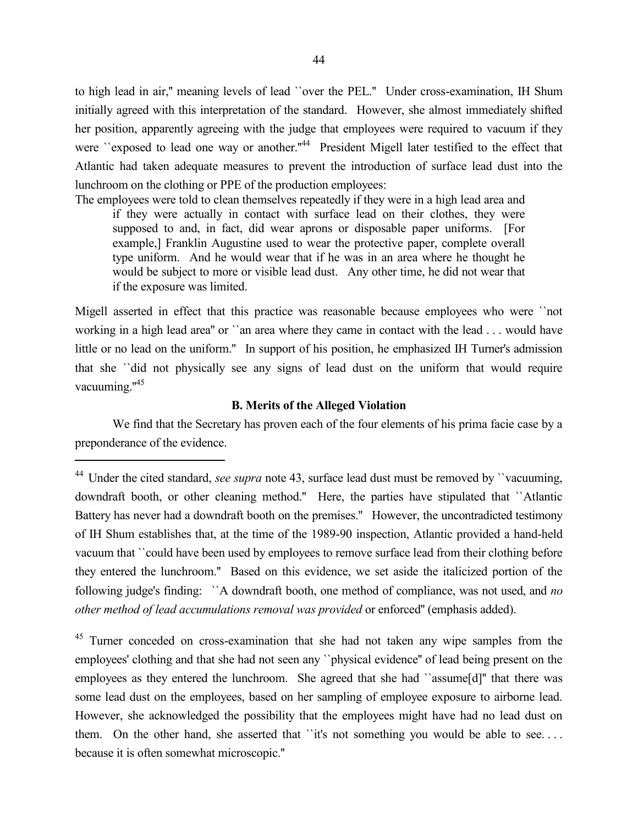to high lead in air,'' meaning levels of lead ``over the PEL.'' Under cross-examination, IH Shum initially agreed with this interpretation of the standard. However, she almost immediately shifted her position, apparently agreeing with the judge that employees were required to vacuum if they were "exposed to lead one way or another."<sup>44</sup> President Migell later testified to the effect that Atlantic had taken adequate measures to prevent the introduction of surface lead dust into the lunchroom on the clothing or PPE of the production employees:

The employees were told to clean themselves repeatedly if they were in a high lead area and if they were actually in contact with surface lead on their clothes, they were supposed to and, in fact, did wear aprons or disposable paper uniforms. [For example,] Franklin Augustine used to wear the protective paper, complete overall type uniform. And he would wear that if he was in an area where he thought he would be subject to more or visible lead dust. Any other time, he did not wear that if the exposure was limited.

Migell asserted in effect that this practice was reasonable because employees who were ``not working in a high lead area'' or ``an area where they came in contact with the lead . . . would have little or no lead on the uniform." In support of his position, he emphasized IH Turner's admission that she ``did not physically see any signs of lead dust on the uniform that would require vacuuming."<sup>45</sup>

# **B. Merits of the Alleged Violation**

We find that the Secretary has proven each of the four elements of his prima facie case by a preponderance of the evidence.

 $\overline{a}$ 

<sup>45</sup> Turner conceded on cross-examination that she had not taken any wipe samples from the employees' clothing and that she had not seen any ``physical evidence'' of lead being present on the employees as they entered the lunchroom. She agreed that she had ``assume[d]'' that there was some lead dust on the employees, based on her sampling of employee exposure to airborne lead. However, she acknowledged the possibility that the employees might have had no lead dust on them. On the other hand, she asserted that "it's not something you would be able to see.... because it is often somewhat microscopic.''

<sup>&</sup>lt;sup>44</sup> Under the cited standard, *see supra* note 43, surface lead dust must be removed by "vacuuming, downdraft booth, or other cleaning method.'' Here, the parties have stipulated that ``Atlantic Battery has never had a downdraft booth on the premises.'' However, the uncontradicted testimony of IH Shum establishes that, at the time of the 1989-90 inspection, Atlantic provided a hand-held vacuum that ``could have been used by employees to remove surface lead from their clothing before they entered the lunchroom.'' Based on this evidence, we set aside the italicized portion of the following judge's finding: ``A downdraft booth, one method of compliance, was not used, and *no other method of lead accumulations removal was provided* or enforced'' (emphasis added).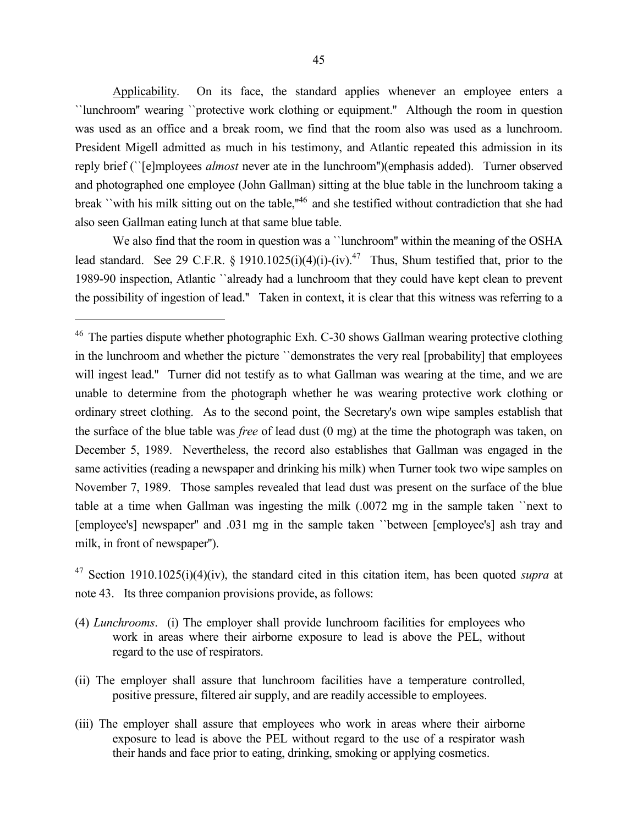Applicability. On its face, the standard applies whenever an employee enters a ``lunchroom'' wearing ``protective work clothing or equipment.'' Although the room in question was used as an office and a break room, we find that the room also was used as a lunchroom. President Migell admitted as much in his testimony, and Atlantic repeated this admission in its reply brief (``[e]mployees *almost* never ate in the lunchroom'')(emphasis added). Turner observed and photographed one employee (John Gallman) sitting at the blue table in the lunchroom taking a break ''with his milk sitting out on the table,"<sup>46</sup> and she testified without contradiction that she had also seen Gallman eating lunch at that same blue table.

We also find that the room in question was a "lunchroom" within the meaning of the OSHA lead standard. See 29 C.F.R. § 1910.1025(i)(4)(i)-(iv).<sup>47</sup> Thus, Shum testified that, prior to the 1989-90 inspection, Atlantic ``already had a lunchroom that they could have kept clean to prevent the possibility of ingestion of lead.'' Taken in context, it is clear that this witness was referring to a

 $\overline{a}$ 

<sup>47</sup> Section 1910.1025(i)(4)(iv), the standard cited in this citation item, has been quoted *supra* at note 43. Its three companion provisions provide, as follows:

- (4) *Lunchrooms*. (i) The employer shall provide lunchroom facilities for employees who work in areas where their airborne exposure to lead is above the PEL, without regard to the use of respirators.
- (ii) The employer shall assure that lunchroom facilities have a temperature controlled, positive pressure, filtered air supply, and are readily accessible to employees.
- (iii) The employer shall assure that employees who work in areas where their airborne exposure to lead is above the PEL without regard to the use of a respirator wash their hands and face prior to eating, drinking, smoking or applying cosmetics.

<sup>&</sup>lt;sup>46</sup> The parties dispute whether photographic Exh. C-30 shows Gallman wearing protective clothing in the lunchroom and whether the picture ``demonstrates the very real [probability] that employees will ingest lead." Turner did not testify as to what Gallman was wearing at the time, and we are unable to determine from the photograph whether he was wearing protective work clothing or ordinary street clothing. As to the second point, the Secretary's own wipe samples establish that the surface of the blue table was *free* of lead dust (0 mg) at the time the photograph was taken, on December 5, 1989. Nevertheless, the record also establishes that Gallman was engaged in the same activities (reading a newspaper and drinking his milk) when Turner took two wipe samples on November 7, 1989. Those samples revealed that lead dust was present on the surface of the blue table at a time when Gallman was ingesting the milk (.0072 mg in the sample taken ``next to [employee's] newspaper'' and .031 mg in the sample taken ``between [employee's] ash tray and milk, in front of newspaper'').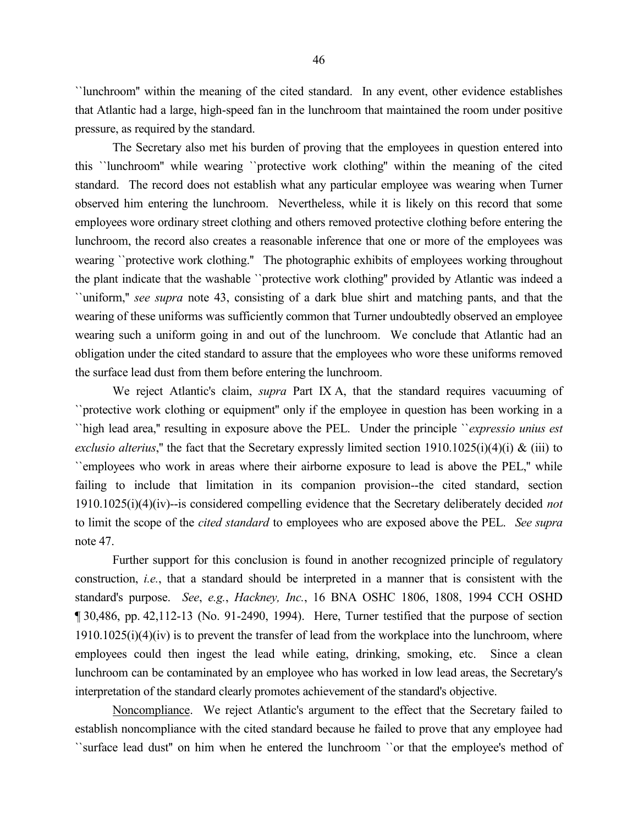``lunchroom'' within the meaning of the cited standard. In any event, other evidence establishes that Atlantic had a large, high-speed fan in the lunchroom that maintained the room under positive pressure, as required by the standard.

The Secretary also met his burden of proving that the employees in question entered into this ``lunchroom'' while wearing ``protective work clothing'' within the meaning of the cited standard. The record does not establish what any particular employee was wearing when Turner observed him entering the lunchroom. Nevertheless, while it is likely on this record that some employees wore ordinary street clothing and others removed protective clothing before entering the lunchroom, the record also creates a reasonable inference that one or more of the employees was wearing ``protective work clothing.'' The photographic exhibits of employees working throughout the plant indicate that the washable ``protective work clothing'' provided by Atlantic was indeed a ``uniform,'' *see supra* note 43, consisting of a dark blue shirt and matching pants, and that the wearing of these uniforms was sufficiently common that Turner undoubtedly observed an employee wearing such a uniform going in and out of the lunchroom. We conclude that Atlantic had an obligation under the cited standard to assure that the employees who wore these uniforms removed the surface lead dust from them before entering the lunchroom.

We reject Atlantic's claim, *supra* Part IX A, that the standard requires vacuuming of ``protective work clothing or equipment'' only if the employee in question has been working in a ``high lead area,'' resulting in exposure above the PEL. Under the principle ``*expressio unius est exclusio alterius*," the fact that the Secretary expressly limited section 1910.1025(i)(4)(i) & (iii) to ``employees who work in areas where their airborne exposure to lead is above the PEL,'' while failing to include that limitation in its companion provision--the cited standard, section 1910.1025(i)(4)(iv)--is considered compelling evidence that the Secretary deliberately decided *not* to limit the scope of the *cited standard* to employees who are exposed above the PEL. *See supra* note 47.

Further support for this conclusion is found in another recognized principle of regulatory construction, *i.e.*, that a standard should be interpreted in a manner that is consistent with the standard's purpose. *See*, *e.g.*, *Hackney, Inc.*, 16 BNA OSHC 1806, 1808, 1994 CCH OSHD ¶ 30,486, pp. 42,112-13 (No. 91-2490, 1994). Here, Turner testified that the purpose of section  $1910.1025(i)(4)(iv)$  is to prevent the transfer of lead from the workplace into the lunchroom, where employees could then ingest the lead while eating, drinking, smoking, etc. Since a clean lunchroom can be contaminated by an employee who has worked in low lead areas, the Secretary's interpretation of the standard clearly promotes achievement of the standard's objective.

Noncompliance. We reject Atlantic's argument to the effect that the Secretary failed to establish noncompliance with the cited standard because he failed to prove that any employee had ``surface lead dust'' on him when he entered the lunchroom ``or that the employee's method of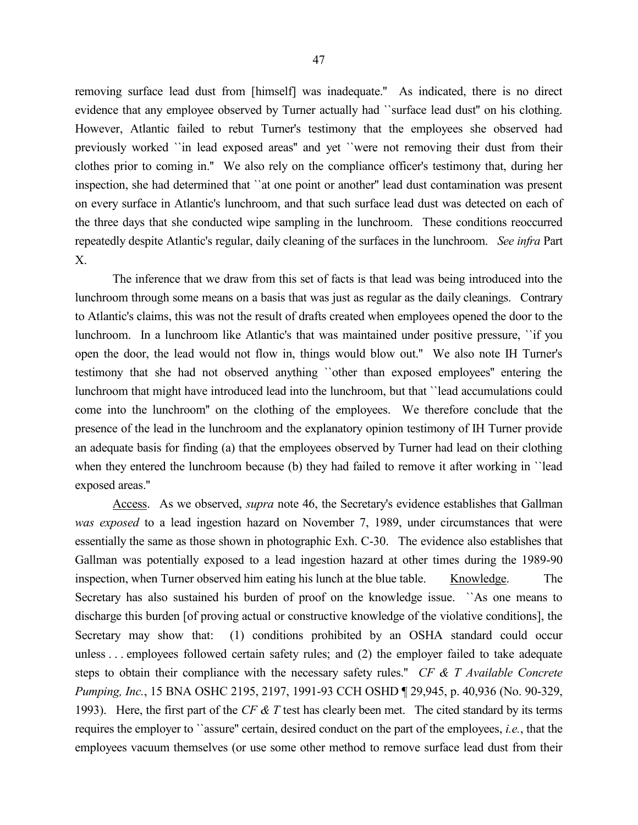removing surface lead dust from [himself] was inadequate.'' As indicated, there is no direct evidence that any employee observed by Turner actually had ``surface lead dust'' on his clothing. However, Atlantic failed to rebut Turner's testimony that the employees she observed had previously worked ``in lead exposed areas'' and yet ``were not removing their dust from their clothes prior to coming in.'' We also rely on the compliance officer's testimony that, during her inspection, she had determined that ``at one point or another'' lead dust contamination was present on every surface in Atlantic's lunchroom, and that such surface lead dust was detected on each of the three days that she conducted wipe sampling in the lunchroom. These conditions reoccurred repeatedly despite Atlantic's regular, daily cleaning of the surfaces in the lunchroom. *See infra* Part X.

The inference that we draw from this set of facts is that lead was being introduced into the lunchroom through some means on a basis that was just as regular as the daily cleanings. Contrary to Atlantic's claims, this was not the result of drafts created when employees opened the door to the lunchroom. In a lunchroom like Atlantic's that was maintained under positive pressure, ``if you open the door, the lead would not flow in, things would blow out.'' We also note IH Turner's testimony that she had not observed anything ``other than exposed employees'' entering the lunchroom that might have introduced lead into the lunchroom, but that ``lead accumulations could come into the lunchroom'' on the clothing of the employees. We therefore conclude that the presence of the lead in the lunchroom and the explanatory opinion testimony of IH Turner provide an adequate basis for finding (a) that the employees observed by Turner had lead on their clothing when they entered the lunchroom because (b) they had failed to remove it after working in "lead exposed areas.''

Access. As we observed, *supra* note 46, the Secretary's evidence establishes that Gallman *was exposed* to a lead ingestion hazard on November 7, 1989, under circumstances that were essentially the same as those shown in photographic Exh. C-30. The evidence also establishes that Gallman was potentially exposed to a lead ingestion hazard at other times during the 1989-90 inspection, when Turner observed him eating his lunch at the blue table. Knowledge. The Secretary has also sustained his burden of proof on the knowledge issue. ``As one means to discharge this burden [of proving actual or constructive knowledge of the violative conditions], the Secretary may show that: (1) conditions prohibited by an OSHA standard could occur unless . . . employees followed certain safety rules; and (2) the employer failed to take adequate steps to obtain their compliance with the necessary safety rules.'' *CF & T Available Concrete Pumping, Inc.*, 15 BNA OSHC 2195, 2197, 1991-93 CCH OSHD ¶ 29,945, p. 40,936 (No. 90-329, 1993). Here, the first part of the *CF & T* test has clearly been met. The cited standard by its terms requires the employer to ``assure'' certain, desired conduct on the part of the employees, *i.e.*, that the employees vacuum themselves (or use some other method to remove surface lead dust from their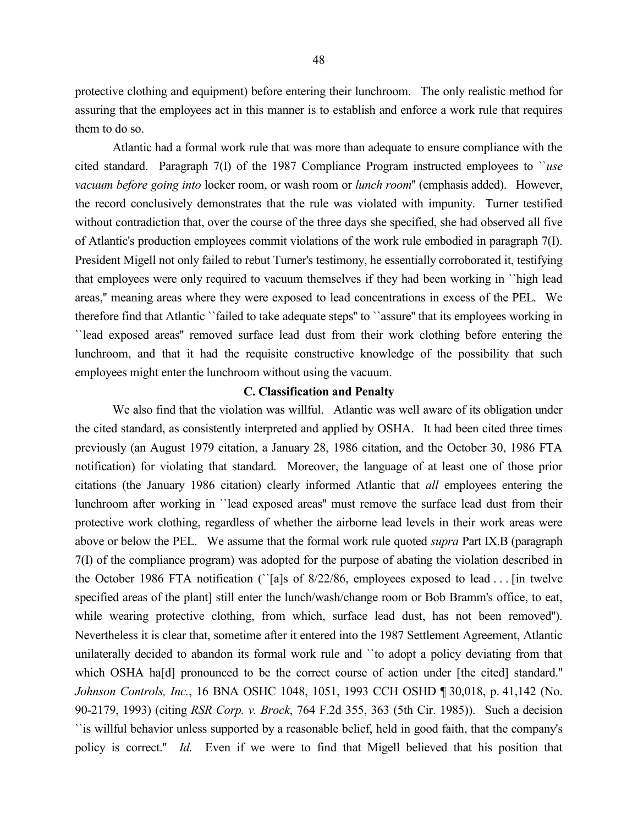protective clothing and equipment) before entering their lunchroom. The only realistic method for assuring that the employees act in this manner is to establish and enforce a work rule that requires them to do so.

Atlantic had a formal work rule that was more than adequate to ensure compliance with the cited standard. Paragraph 7(I) of the 1987 Compliance Program instructed employees to ``*use vacuum before going into* locker room, or wash room or *lunch room*'' (emphasis added). However, the record conclusively demonstrates that the rule was violated with impunity. Turner testified without contradiction that, over the course of the three days she specified, she had observed all five of Atlantic's production employees commit violations of the work rule embodied in paragraph 7(I). President Migell not only failed to rebut Turner's testimony, he essentially corroborated it, testifying that employees were only required to vacuum themselves if they had been working in ``high lead areas,'' meaning areas where they were exposed to lead concentrations in excess of the PEL. We therefore find that Atlantic ``failed to take adequate steps'' to ``assure'' that its employees working in ``lead exposed areas'' removed surface lead dust from their work clothing before entering the lunchroom, and that it had the requisite constructive knowledge of the possibility that such employees might enter the lunchroom without using the vacuum.

#### **C. Classification and Penalty**

We also find that the violation was willful. Atlantic was well aware of its obligation under the cited standard, as consistently interpreted and applied by OSHA. It had been cited three times previously (an August 1979 citation, a January 28, 1986 citation, and the October 30, 1986 FTA notification) for violating that standard. Moreover, the language of at least one of those prior citations (the January 1986 citation) clearly informed Atlantic that *all* employees entering the lunchroom after working in ``lead exposed areas'' must remove the surface lead dust from their protective work clothing, regardless of whether the airborne lead levels in their work areas were above or below the PEL. We assume that the formal work rule quoted *supra* Part IX.B (paragraph 7(I) of the compliance program) was adopted for the purpose of abating the violation described in the October 1986 FTA notification (``[a]s of 8/22/86, employees exposed to lead . . . [in twelve specified areas of the plant] still enter the lunch/wash/change room or Bob Bramm's office, to eat, while wearing protective clothing, from which, surface lead dust, has not been removed"). Nevertheless it is clear that, sometime after it entered into the 1987 Settlement Agreement, Atlantic unilaterally decided to abandon its formal work rule and ``to adopt a policy deviating from that which OSHA ha<sup>[d]</sup> pronounced to be the correct course of action under [the cited] standard." *Johnson Controls, Inc.*, 16 BNA OSHC 1048, 1051, 1993 CCH OSHD ¶ 30,018, p. 41,142 (No. 90-2179, 1993) (citing *RSR Corp. v. Brock*, 764 F.2d 355, 363 (5th Cir. 1985)). Such a decision ``is willful behavior unless supported by a reasonable belief, held in good faith, that the company's policy is correct.'' *Id.* Even if we were to find that Migell believed that his position that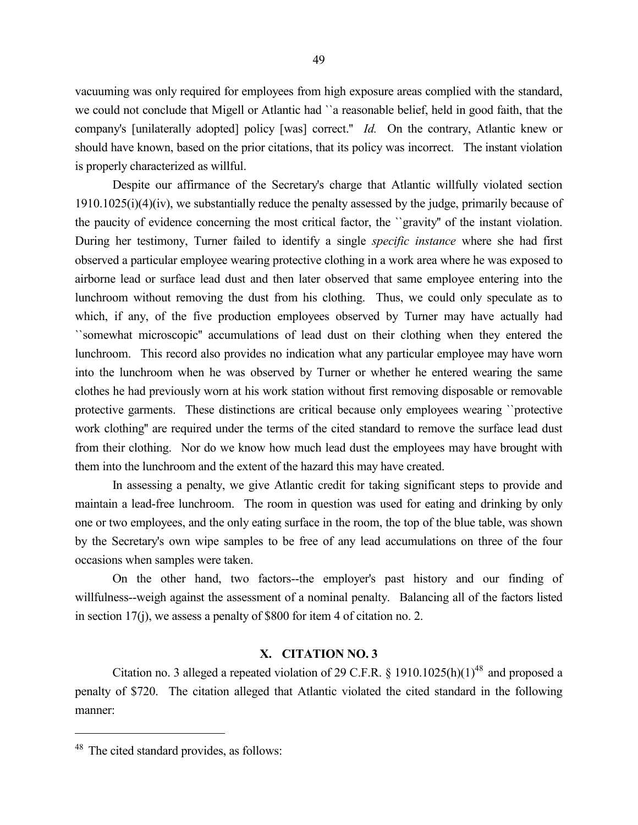vacuuming was only required for employees from high exposure areas complied with the standard, we could not conclude that Migell or Atlantic had ``a reasonable belief, held in good faith, that the company's [unilaterally adopted] policy [was] correct.'' *Id.* On the contrary, Atlantic knew or should have known, based on the prior citations, that its policy was incorrect. The instant violation is properly characterized as willful.

Despite our affirmance of the Secretary's charge that Atlantic willfully violated section 1910.1025(i)(4)(iv), we substantially reduce the penalty assessed by the judge, primarily because of the paucity of evidence concerning the most critical factor, the ``gravity'' of the instant violation. During her testimony, Turner failed to identify a single *specific instance* where she had first observed a particular employee wearing protective clothing in a work area where he was exposed to airborne lead or surface lead dust and then later observed that same employee entering into the lunchroom without removing the dust from his clothing. Thus, we could only speculate as to which, if any, of the five production employees observed by Turner may have actually had ``somewhat microscopic'' accumulations of lead dust on their clothing when they entered the lunchroom. This record also provides no indication what any particular employee may have worn into the lunchroom when he was observed by Turner or whether he entered wearing the same clothes he had previously worn at his work station without first removing disposable or removable protective garments. These distinctions are critical because only employees wearing ``protective work clothing'' are required under the terms of the cited standard to remove the surface lead dust from their clothing. Nor do we know how much lead dust the employees may have brought with them into the lunchroom and the extent of the hazard this may have created.

In assessing a penalty, we give Atlantic credit for taking significant steps to provide and maintain a lead-free lunchroom. The room in question was used for eating and drinking by only one or two employees, and the only eating surface in the room, the top of the blue table, was shown by the Secretary's own wipe samples to be free of any lead accumulations on three of the four occasions when samples were taken.

On the other hand, two factors--the employer's past history and our finding of willfulness--weigh against the assessment of a nominal penalty. Balancing all of the factors listed in section 17(j), we assess a penalty of \$800 for item 4 of citation no. 2.

# **X. CITATION NO. 3**

Citation no. 3 alleged a repeated violation of 29 C.F.R.  $\S$  1910.1025(h)(1)<sup>48</sup> and proposed a penalty of \$720. The citation alleged that Atlantic violated the cited standard in the following manner:

 $\overline{a}$ 

<sup>48</sup> The cited standard provides, as follows: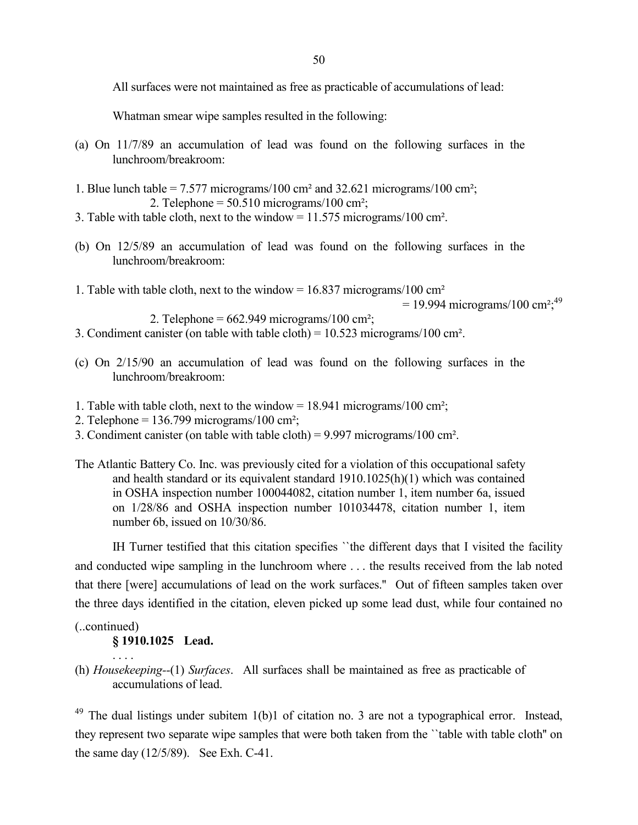All surfaces were not maintained as free as practicable of accumulations of lead:

Whatman smear wipe samples resulted in the following:

- (a) On 11/7/89 an accumulation of lead was found on the following surfaces in the lunchroom/breakroom:
- 1. Blue lunch table =  $7.577$  micrograms/100 cm<sup>2</sup> and 32.621 micrograms/100 cm<sup>2</sup>; 2. Telephone  $= 50.510$  micrograms/100 cm<sup>2</sup>;
- 3. Table with table cloth, next to the window = 11.575 micrograms/100 cm².
- (b) On 12/5/89 an accumulation of lead was found on the following surfaces in the lunchroom/breakroom:
- 1. Table with table cloth, next to the window =  $16.837$  micrograms/100 cm<sup>2</sup>

```
= 19.994 micrograms/100 cm<sup>2</sup>;<sup>49</sup>
```

```
2. Telephone = 662.949 micrograms/100 cm<sup>2</sup>;
```
- 3. Condiment canister (on table with table cloth) = 10.523 micrograms/100 cm².
- (c) On 2/15/90 an accumulation of lead was found on the following surfaces in the lunchroom/breakroom:
- 1. Table with table cloth, next to the window =  $18.941$  micrograms/100 cm<sup>2</sup>;
- 2. Telephone =  $136.799$  micrograms/100 cm<sup>2</sup>;
- 3. Condiment canister (on table with table cloth) = 9.997 micrograms/100 cm².
- The Atlantic Battery Co. Inc. was previously cited for a violation of this occupational safety and health standard or its equivalent standard 1910.1025(h)(1) which was contained in OSHA inspection number 100044082, citation number 1, item number 6a, issued on 1/28/86 and OSHA inspection number 101034478, citation number 1, item number 6b, issued on 10/30/86.

IH Turner testified that this citation specifies ``the different days that I visited the facility and conducted wipe sampling in the lunchroom where . . . the results received from the lab noted that there [were] accumulations of lead on the work surfaces.'' Out of fifteen samples taken over the three days identified in the citation, eleven picked up some lead dust, while four contained no

(..continued)

. . . .

# **§ 1910.1025 Lead.**

(h) *Housekeeping--*(1) *Surfaces*. All surfaces shall be maintained as free as practicable of accumulations of lead.

<sup>49</sup> The dual listings under subitem 1(b)1 of citation no. 3 are not a typographical error. Instead, they represent two separate wipe samples that were both taken from the ``table with table cloth'' on the same day (12/5/89). See Exh. C-41.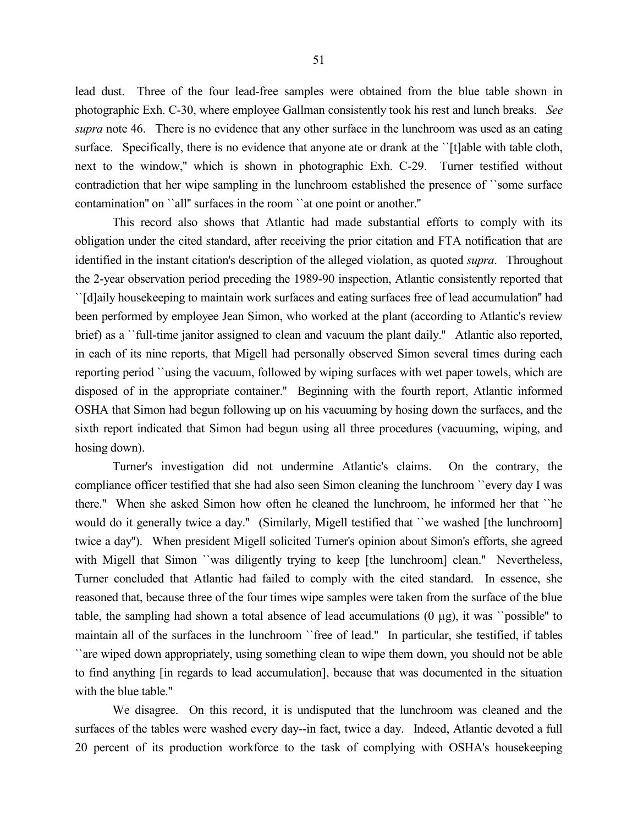lead dust. Three of the four lead-free samples were obtained from the blue table shown in photographic Exh. C-30, where employee Gallman consistently took his rest and lunch breaks. *See supra* note 46. There is no evidence that any other surface in the lunchroom was used as an eating surface. Specifically, there is no evidence that anyone ate or drank at the ''[t]able with table cloth, next to the window,'' which is shown in photographic Exh. C-29. Turner testified without contradiction that her wipe sampling in the lunchroom established the presence of ``some surface contamination'' on ``all'' surfaces in the room ``at one point or another.''

This record also shows that Atlantic had made substantial efforts to comply with its obligation under the cited standard, after receiving the prior citation and FTA notification that are identified in the instant citation's description of the alleged violation, as quoted *supra*. Throughout the 2-year observation period preceding the 1989-90 inspection, Atlantic consistently reported that ``[d]aily housekeeping to maintain work surfaces and eating surfaces free of lead accumulation'' had been performed by employee Jean Simon, who worked at the plant (according to Atlantic's review brief) as a ``full-time janitor assigned to clean and vacuum the plant daily.'' Atlantic also reported, in each of its nine reports, that Migell had personally observed Simon several times during each reporting period ``using the vacuum, followed by wiping surfaces with wet paper towels, which are disposed of in the appropriate container.'' Beginning with the fourth report, Atlantic informed OSHA that Simon had begun following up on his vacuuming by hosing down the surfaces, and the sixth report indicated that Simon had begun using all three procedures (vacuuming, wiping, and hosing down).

Turner's investigation did not undermine Atlantic's claims. On the contrary, the compliance officer testified that she had also seen Simon cleaning the lunchroom ``every day I was there.'' When she asked Simon how often he cleaned the lunchroom, he informed her that ``he would do it generally twice a day.'' (Similarly, Migell testified that ``we washed [the lunchroom] twice a day''). When president Migell solicited Turner's opinion about Simon's efforts, she agreed with Migell that Simon ``was diligently trying to keep [the lunchroom] clean.'' Nevertheless, Turner concluded that Atlantic had failed to comply with the cited standard. In essence, she reasoned that, because three of the four times wipe samples were taken from the surface of the blue table, the sampling had shown a total absence of lead accumulations (0 µg), it was ``possible'' to maintain all of the surfaces in the lunchroom ``free of lead.'' In particular, she testified, if tables ``are wiped down appropriately, using something clean to wipe them down, you should not be able to find anything [in regards to lead accumulation], because that was documented in the situation with the blue table.''

We disagree. On this record, it is undisputed that the lunchroom was cleaned and the surfaces of the tables were washed every day--in fact, twice a day. Indeed, Atlantic devoted a full 20 percent of its production workforce to the task of complying with OSHA's housekeeping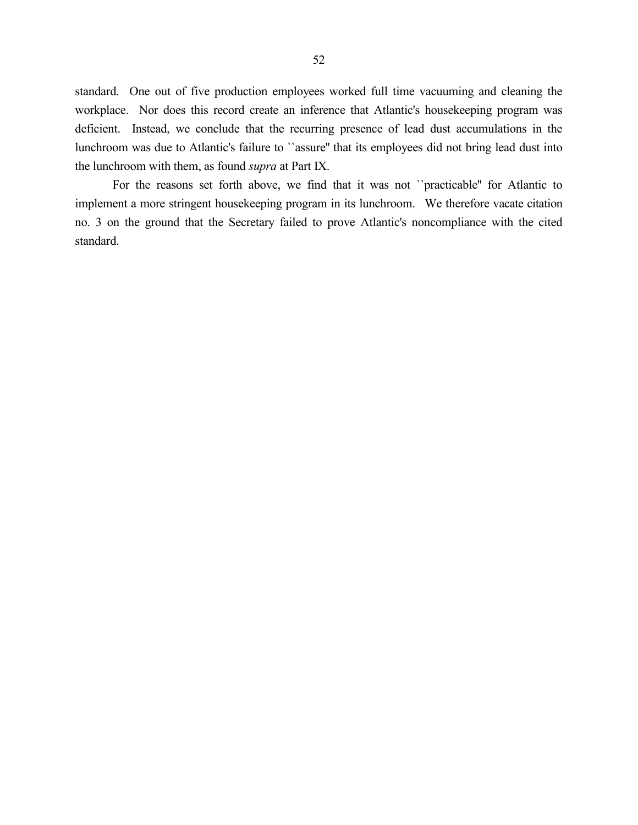standard. One out of five production employees worked full time vacuuming and cleaning the workplace. Nor does this record create an inference that Atlantic's housekeeping program was deficient. Instead, we conclude that the recurring presence of lead dust accumulations in the lunchroom was due to Atlantic's failure to ``assure'' that its employees did not bring lead dust into the lunchroom with them, as found *supra* at Part IX.

For the reasons set forth above, we find that it was not ``practicable'' for Atlantic to implement a more stringent housekeeping program in its lunchroom. We therefore vacate citation no. 3 on the ground that the Secretary failed to prove Atlantic's noncompliance with the cited standard.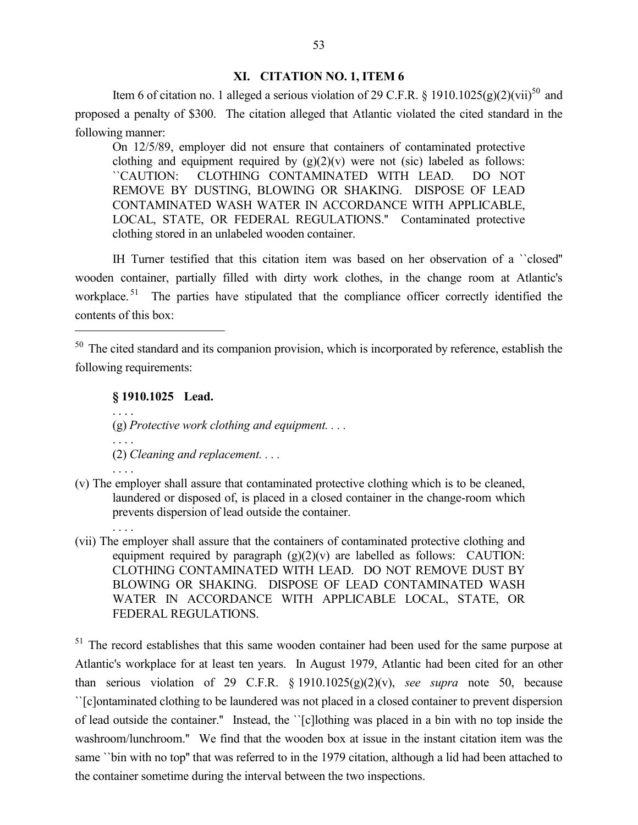# **XI. CITATION NO. 1, ITEM 6**

Item 6 of citation no. 1 alleged a serious violation of 29 C.F.R. § 1910.1025(g)(2)(vii)<sup>50</sup> and proposed a penalty of \$300. The citation alleged that Atlantic violated the cited standard in the following manner:

On 12/5/89, employer did not ensure that containers of contaminated protective clothing and equipment required by  $(g)(2)(v)$  were not (sic) labeled as follows: ``CAUTION: CLOTHING CONTAMINATED WITH LEAD. DO NOT REMOVE BY DUSTING, BLOWING OR SHAKING. DISPOSE OF LEAD CONTAMINATED WASH WATER IN ACCORDANCE WITH APPLICABLE, LOCAL, STATE, OR FEDERAL REGULATIONS.'' Contaminated protective clothing stored in an unlabeled wooden container.

IH Turner testified that this citation item was based on her observation of a ``closed'' wooden container, partially filled with dirty work clothes, in the change room at Atlantic's workplace.<sup>51</sup> The parties have stipulated that the compliance officer correctly identified the contents of this box:

**§ 1910.1025 Lead.**

. . . .

. . . .

. . . .

. . . .

 $\overline{a}$ 

(g) *Protective work clothing and equipment. . . .*

- (2) *Cleaning and replacement. . . .*
- (v) The employer shall assure that contaminated protective clothing which is to be cleaned, laundered or disposed of, is placed in a closed container in the change-room which prevents dispersion of lead outside the container.
- (vii) The employer shall assure that the containers of contaminated protective clothing and equipment required by paragraph  $(g)(2)(v)$  are labelled as follows: CAUTION: CLOTHING CONTAMINATED WITH LEAD. DO NOT REMOVE DUST BY BLOWING OR SHAKING. DISPOSE OF LEAD CONTAMINATED WASH WATER IN ACCORDANCE WITH APPLICABLE LOCAL, STATE, OR FEDERAL REGULATIONS.

<sup>51</sup> The record establishes that this same wooden container had been used for the same purpose at Atlantic's workplace for at least ten years. In August 1979, Atlantic had been cited for an other than serious violation of 29 C.F.R. § 1910.1025(g)(2)(v), *see supra* note 50, because ``[c]ontaminated clothing to be laundered was not placed in a closed container to prevent dispersion of lead outside the container.'' Instead, the ``[c]lothing was placed in a bin with no top inside the washroom/lunchroom.'' We find that the wooden box at issue in the instant citation item was the same "bin with no top" that was referred to in the 1979 citation, although a lid had been attached to the container sometime during the interval between the two inspections.

<sup>&</sup>lt;sup>50</sup> The cited standard and its companion provision, which is incorporated by reference, establish the following requirements: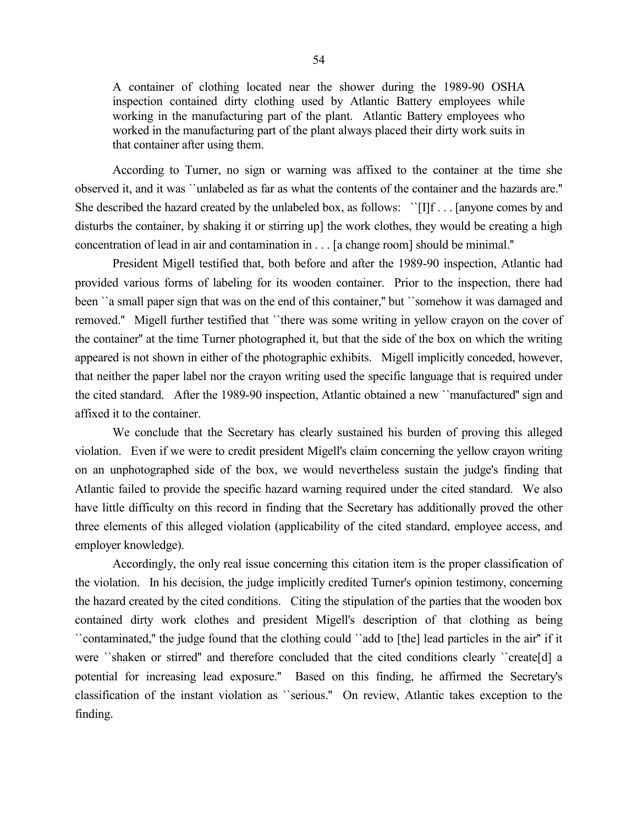A container of clothing located near the shower during the 1989-90 OSHA inspection contained dirty clothing used by Atlantic Battery employees while working in the manufacturing part of the plant. Atlantic Battery employees who worked in the manufacturing part of the plant always placed their dirty work suits in that container after using them.

According to Turner, no sign or warning was affixed to the container at the time she observed it, and it was ``unlabeled as far as what the contents of the container and the hazards are.'' She described the hazard created by the unlabeled box, as follows: ``[I]f . . . [anyone comes by and disturbs the container, by shaking it or stirring up] the work clothes, they would be creating a high concentration of lead in air and contamination in . . . [a change room] should be minimal.''

President Migell testified that, both before and after the 1989-90 inspection, Atlantic had provided various forms of labeling for its wooden container. Prior to the inspection, there had been "a small paper sign that was on the end of this container," but "somehow it was damaged and removed.'' Migell further testified that ``there was some writing in yellow crayon on the cover of the container'' at the time Turner photographed it, but that the side of the box on which the writing appeared is not shown in either of the photographic exhibits. Migell implicitly conceded, however, that neither the paper label nor the crayon writing used the specific language that is required under the cited standard. After the 1989-90 inspection, Atlantic obtained a new ``manufactured'' sign and affixed it to the container.

We conclude that the Secretary has clearly sustained his burden of proving this alleged violation. Even if we were to credit president Migell's claim concerning the yellow crayon writing on an unphotographed side of the box, we would nevertheless sustain the judge's finding that Atlantic failed to provide the specific hazard warning required under the cited standard. We also have little difficulty on this record in finding that the Secretary has additionally proved the other three elements of this alleged violation (applicability of the cited standard, employee access, and employer knowledge).

Accordingly, the only real issue concerning this citation item is the proper classification of the violation. In his decision, the judge implicitly credited Turner's opinion testimony, concerning the hazard created by the cited conditions. Citing the stipulation of the parties that the wooden box contained dirty work clothes and president Migell's description of that clothing as being ``contaminated,'' the judge found that the clothing could ``add to [the] lead particles in the air'' if it were ``shaken or stirred'' and therefore concluded that the cited conditions clearly ``create[d] a potential for increasing lead exposure.'' Based on this finding, he affirmed the Secretary's classification of the instant violation as ``serious.'' On review, Atlantic takes exception to the finding.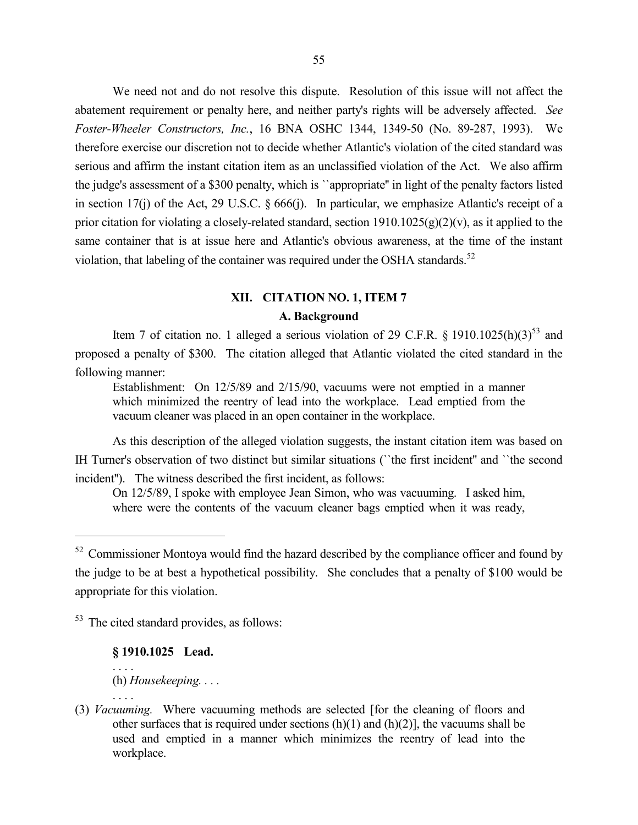We need not and do not resolve this dispute. Resolution of this issue will not affect the abatement requirement or penalty here, and neither party's rights will be adversely affected. *See Foster-Wheeler Constructors, Inc.*, 16 BNA OSHC 1344, 1349-50 (No. 89-287, 1993). We therefore exercise our discretion not to decide whether Atlantic's violation of the cited standard was serious and affirm the instant citation item as an unclassified violation of the Act. We also affirm the judge's assessment of a \$300 penalty, which is ``appropriate'' in light of the penalty factors listed in section 17(j) of the Act, 29 U.S.C. § 666(j). In particular, we emphasize Atlantic's receipt of a prior citation for violating a closely-related standard, section  $1910.1025(g)(2)(v)$ , as it applied to the same container that is at issue here and Atlantic's obvious awareness, at the time of the instant violation, that labeling of the container was required under the OSHA standards.<sup>52</sup>

# **XII. CITATION NO. 1, ITEM 7 A. Background**

Item 7 of citation no. 1 alleged a serious violation of 29 C.F.R.  $\S$  1910.1025(h)(3)<sup>53</sup> and proposed a penalty of \$300. The citation alleged that Atlantic violated the cited standard in the following manner:

Establishment: On 12/5/89 and 2/15/90, vacuums were not emptied in a manner which minimized the reentry of lead into the workplace. Lead emptied from the vacuum cleaner was placed in an open container in the workplace.

As this description of the alleged violation suggests, the instant citation item was based on IH Turner's observation of two distinct but similar situations (``the first incident'' and ``the second incident''). The witness described the first incident, as follows:

On 12/5/89, I spoke with employee Jean Simon, who was vacuuming. I asked him, where were the contents of the vacuum cleaner bags emptied when it was ready,

<sup>53</sup> The cited standard provides, as follows:

**§ 1910.1025 Lead.**

. . . . (h) *Housekeeping. . . .*

 $\overline{a}$ 

(3) *Vacuuming.* Where vacuuming methods are selected [for the cleaning of floors and other surfaces that is required under sections  $(h)(1)$  and  $(h)(2)$ ], the vacuums shall be used and emptied in a manner which minimizes the reentry of lead into the workplace.

<sup>&</sup>lt;sup>52</sup> Commissioner Montoya would find the hazard described by the compliance officer and found by the judge to be at best a hypothetical possibility. She concludes that a penalty of \$100 would be appropriate for this violation.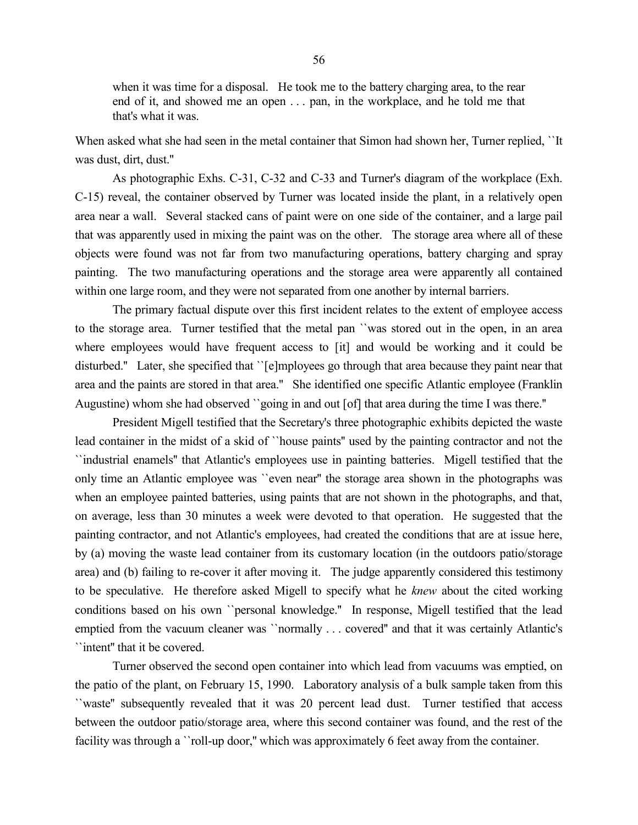when it was time for a disposal. He took me to the battery charging area, to the rear end of it, and showed me an open . . . pan, in the workplace, and he told me that that's what it was.

When asked what she had seen in the metal container that Simon had shown her, Turner replied, ``It was dust, dirt, dust.''

As photographic Exhs. C-31, C-32 and C-33 and Turner's diagram of the workplace (Exh. C-15) reveal, the container observed by Turner was located inside the plant, in a relatively open area near a wall. Several stacked cans of paint were on one side of the container, and a large pail that was apparently used in mixing the paint was on the other. The storage area where all of these objects were found was not far from two manufacturing operations, battery charging and spray painting. The two manufacturing operations and the storage area were apparently all contained within one large room, and they were not separated from one another by internal barriers.

The primary factual dispute over this first incident relates to the extent of employee access to the storage area. Turner testified that the metal pan ``was stored out in the open, in an area where employees would have frequent access to [it] and would be working and it could be disturbed.'' Later, she specified that ``[e]mployees go through that area because they paint near that area and the paints are stored in that area.'' She identified one specific Atlantic employee (Franklin Augustine) whom she had observed ``going in and out [of] that area during the time I was there.''

President Migell testified that the Secretary's three photographic exhibits depicted the waste lead container in the midst of a skid of ``house paints'' used by the painting contractor and not the ``industrial enamels'' that Atlantic's employees use in painting batteries. Migell testified that the only time an Atlantic employee was ``even near'' the storage area shown in the photographs was when an employee painted batteries, using paints that are not shown in the photographs, and that, on average, less than 30 minutes a week were devoted to that operation. He suggested that the painting contractor, and not Atlantic's employees, had created the conditions that are at issue here, by (a) moving the waste lead container from its customary location (in the outdoors patio/storage area) and (b) failing to re-cover it after moving it. The judge apparently considered this testimony to be speculative. He therefore asked Migell to specify what he *knew* about the cited working conditions based on his own ``personal knowledge.'' In response, Migell testified that the lead emptied from the vacuum cleaner was ``normally . . . covered'' and that it was certainly Atlantic's ``intent'' that it be covered.

Turner observed the second open container into which lead from vacuums was emptied, on the patio of the plant, on February 15, 1990. Laboratory analysis of a bulk sample taken from this ``waste'' subsequently revealed that it was 20 percent lead dust. Turner testified that access between the outdoor patio/storage area, where this second container was found, and the rest of the facility was through a ''roll-up door," which was approximately 6 feet away from the container.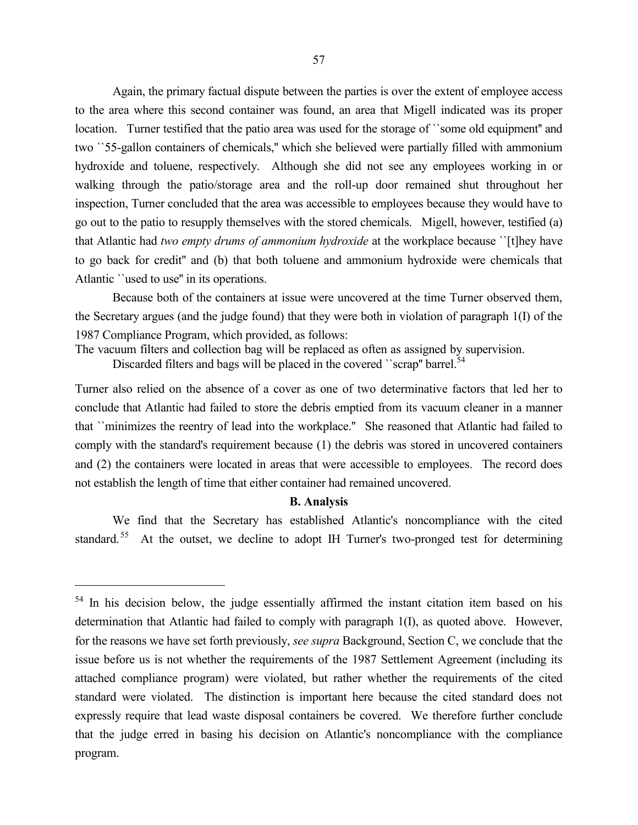Again, the primary factual dispute between the parties is over the extent of employee access to the area where this second container was found, an area that Migell indicated was its proper location. Turner testified that the patio area was used for the storage of ``some old equipment'' and two ``55-gallon containers of chemicals,'' which she believed were partially filled with ammonium hydroxide and toluene, respectively. Although she did not see any employees working in or walking through the patio/storage area and the roll-up door remained shut throughout her inspection, Turner concluded that the area was accessible to employees because they would have to go out to the patio to resupply themselves with the stored chemicals. Migell, however, testified (a) that Atlantic had *two empty drums of ammonium hydroxide* at the workplace because ``[t]hey have to go back for credit'' and (b) that both toluene and ammonium hydroxide were chemicals that Atlantic ``used to use'' in its operations.

Because both of the containers at issue were uncovered at the time Turner observed them, the Secretary argues (and the judge found) that they were both in violation of paragraph 1(I) of the 1987 Compliance Program, which provided, as follows:

The vacuum filters and collection bag will be replaced as often as assigned by supervision.

Discarded filters and bags will be placed in the covered "scrap" barrel.<sup>54</sup>

Turner also relied on the absence of a cover as one of two determinative factors that led her to conclude that Atlantic had failed to store the debris emptied from its vacuum cleaner in a manner that ``minimizes the reentry of lead into the workplace.'' She reasoned that Atlantic had failed to comply with the standard's requirement because (1) the debris was stored in uncovered containers and (2) the containers were located in areas that were accessible to employees. The record does not establish the length of time that either container had remained uncovered.

## **B. Analysis**

We find that the Secretary has established Atlantic's noncompliance with the cited standard.<sup>55</sup> At the outset, we decline to adopt IH Turner's two-pronged test for determining

 $\overline{a}$ 

<sup>&</sup>lt;sup>54</sup> In his decision below, the judge essentially affirmed the instant citation item based on his determination that Atlantic had failed to comply with paragraph 1(I), as quoted above. However, for the reasons we have set forth previously, *see supra* Background, Section C, we conclude that the issue before us is not whether the requirements of the 1987 Settlement Agreement (including its attached compliance program) were violated, but rather whether the requirements of the cited standard were violated. The distinction is important here because the cited standard does not expressly require that lead waste disposal containers be covered. We therefore further conclude that the judge erred in basing his decision on Atlantic's noncompliance with the compliance program.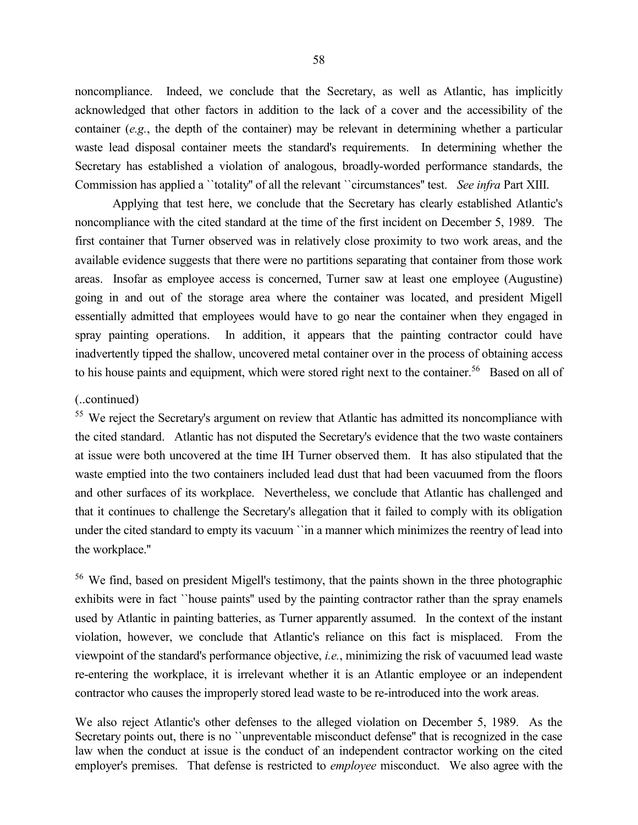noncompliance. Indeed, we conclude that the Secretary, as well as Atlantic, has implicitly acknowledged that other factors in addition to the lack of a cover and the accessibility of the container (*e.g.*, the depth of the container) may be relevant in determining whether a particular waste lead disposal container meets the standard's requirements. In determining whether the Secretary has established a violation of analogous, broadly-worded performance standards, the Commission has applied a ``totality'' of all the relevant ``circumstances'' test. *See infra* Part XIII.

Applying that test here, we conclude that the Secretary has clearly established Atlantic's noncompliance with the cited standard at the time of the first incident on December 5, 1989. The first container that Turner observed was in relatively close proximity to two work areas, and the available evidence suggests that there were no partitions separating that container from those work areas. Insofar as employee access is concerned, Turner saw at least one employee (Augustine) going in and out of the storage area where the container was located, and president Migell essentially admitted that employees would have to go near the container when they engaged in spray painting operations. In addition, it appears that the painting contractor could have inadvertently tipped the shallow, uncovered metal container over in the process of obtaining access to his house paints and equipment, which were stored right next to the container.<sup>56</sup> Based on all of

#### (..continued)

<sup>55</sup> We reject the Secretary's argument on review that Atlantic has admitted its noncompliance with the cited standard. Atlantic has not disputed the Secretary's evidence that the two waste containers at issue were both uncovered at the time IH Turner observed them. It has also stipulated that the waste emptied into the two containers included lead dust that had been vacuumed from the floors and other surfaces of its workplace. Nevertheless, we conclude that Atlantic has challenged and that it continues to challenge the Secretary's allegation that it failed to comply with its obligation under the cited standard to empty its vacuum ``in a manner which minimizes the reentry of lead into the workplace.''

<sup>56</sup> We find, based on president Migell's testimony, that the paints shown in the three photographic exhibits were in fact ``house paints'' used by the painting contractor rather than the spray enamels used by Atlantic in painting batteries, as Turner apparently assumed. In the context of the instant violation, however, we conclude that Atlantic's reliance on this fact is misplaced. From the viewpoint of the standard's performance objective, *i.e.*, minimizing the risk of vacuumed lead waste re-entering the workplace, it is irrelevant whether it is an Atlantic employee or an independent contractor who causes the improperly stored lead waste to be re-introduced into the work areas.

We also reject Atlantic's other defenses to the alleged violation on December 5, 1989. As the Secretary points out, there is no ``unpreventable misconduct defense" that is recognized in the case law when the conduct at issue is the conduct of an independent contractor working on the cited employer's premises. That defense is restricted to *employee* misconduct. We also agree with the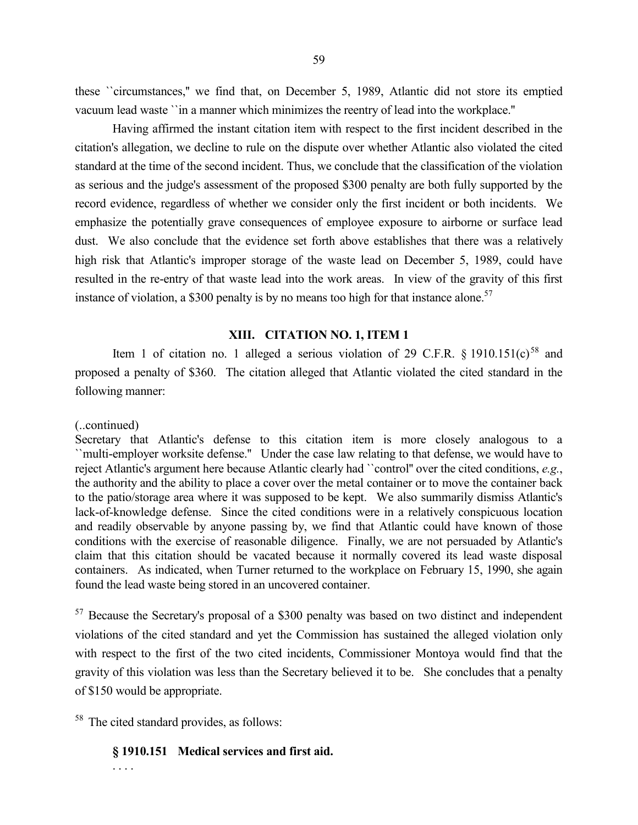these ``circumstances,'' we find that, on December 5, 1989, Atlantic did not store its emptied vacuum lead waste ``in a manner which minimizes the reentry of lead into the workplace.''

Having affirmed the instant citation item with respect to the first incident described in the citation's allegation, we decline to rule on the dispute over whether Atlantic also violated the cited standard at the time of the second incident. Thus, we conclude that the classification of the violation as serious and the judge's assessment of the proposed \$300 penalty are both fully supported by the record evidence, regardless of whether we consider only the first incident or both incidents. We emphasize the potentially grave consequences of employee exposure to airborne or surface lead dust. We also conclude that the evidence set forth above establishes that there was a relatively high risk that Atlantic's improper storage of the waste lead on December 5, 1989, could have resulted in the re-entry of that waste lead into the work areas. In view of the gravity of this first instance of violation, a \$300 penalty is by no means too high for that instance alone.<sup>57</sup>

#### **XIII. CITATION NO. 1, ITEM 1**

Item 1 of citation no. 1 alleged a serious violation of 29 C.F.R.  $\frac{1}{2}$  1910.151(c)<sup>58</sup> and proposed a penalty of \$360. The citation alleged that Atlantic violated the cited standard in the following manner:

#### (..continued)

Secretary that Atlantic's defense to this citation item is more closely analogous to a ``multi-employer worksite defense.'' Under the case law relating to that defense, we would have to reject Atlantic's argument here because Atlantic clearly had ``control'' over the cited conditions, *e.g.*, the authority and the ability to place a cover over the metal container or to move the container back to the patio/storage area where it was supposed to be kept. We also summarily dismiss Atlantic's lack-of-knowledge defense. Since the cited conditions were in a relatively conspicuous location and readily observable by anyone passing by, we find that Atlantic could have known of those conditions with the exercise of reasonable diligence. Finally, we are not persuaded by Atlantic's claim that this citation should be vacated because it normally covered its lead waste disposal containers. As indicated, when Turner returned to the workplace on February 15, 1990, she again found the lead waste being stored in an uncovered container.

 $57$  Because the Secretary's proposal of a \$300 penalty was based on two distinct and independent violations of the cited standard and yet the Commission has sustained the alleged violation only with respect to the first of the two cited incidents, Commissioner Montoya would find that the gravity of this violation was less than the Secretary believed it to be. She concludes that a penalty of \$150 would be appropriate.

<sup>58</sup> The cited standard provides, as follows:

# **§ 1910.151 Medical services and first aid.**

. . . .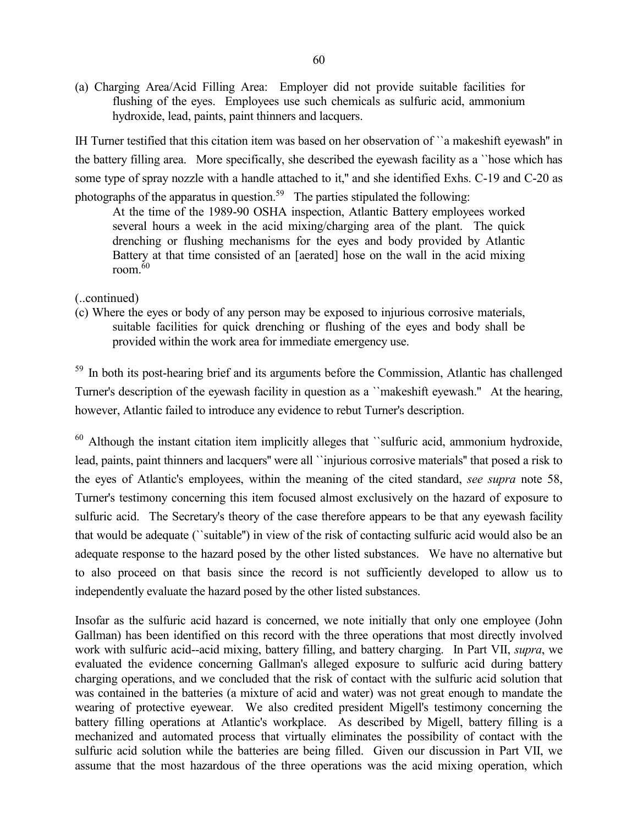(a) Charging Area/Acid Filling Area: Employer did not provide suitable facilities for flushing of the eyes. Employees use such chemicals as sulfuric acid, ammonium hydroxide, lead, paints, paint thinners and lacquers.

IH Turner testified that this citation item was based on her observation of ``a makeshift eyewash'' in the battery filling area. More specifically, she described the eyewash facility as a ``hose which has some type of spray nozzle with a handle attached to it," and she identified Exhs. C-19 and C-20 as photographs of the apparatus in question.<sup>59</sup> The parties stipulated the following:

At the time of the 1989-90 OSHA inspection, Atlantic Battery employees worked several hours a week in the acid mixing/charging area of the plant. The quick drenching or flushing mechanisms for the eyes and body provided by Atlantic Battery at that time consisted of an [aerated] hose on the wall in the acid mixing room. $60$ 

(..continued)

(c) Where the eyes or body of any person may be exposed to injurious corrosive materials, suitable facilities for quick drenching or flushing of the eyes and body shall be provided within the work area for immediate emergency use.

<sup>59</sup> In both its post-hearing brief and its arguments before the Commission, Atlantic has challenged Turner's description of the eyewash facility in question as a ``makeshift eyewash.'' At the hearing, however, Atlantic failed to introduce any evidence to rebut Turner's description.

 $60$  Although the instant citation item implicitly alleges that "sulfuric acid, ammonium hydroxide, lead, paints, paint thinners and lacquers'' were all ``injurious corrosive materials'' that posed a risk to the eyes of Atlantic's employees, within the meaning of the cited standard, *see supra* note 58, Turner's testimony concerning this item focused almost exclusively on the hazard of exposure to sulfuric acid. The Secretary's theory of the case therefore appears to be that any eyewash facility that would be adequate (``suitable'') in view of the risk of contacting sulfuric acid would also be an adequate response to the hazard posed by the other listed substances. We have no alternative but to also proceed on that basis since the record is not sufficiently developed to allow us to independently evaluate the hazard posed by the other listed substances.

Insofar as the sulfuric acid hazard is concerned, we note initially that only one employee (John Gallman) has been identified on this record with the three operations that most directly involved work with sulfuric acid--acid mixing, battery filling, and battery charging. In Part VII, *supra*, we evaluated the evidence concerning Gallman's alleged exposure to sulfuric acid during battery charging operations, and we concluded that the risk of contact with the sulfuric acid solution that was contained in the batteries (a mixture of acid and water) was not great enough to mandate the wearing of protective eyewear. We also credited president Migell's testimony concerning the battery filling operations at Atlantic's workplace. As described by Migell, battery filling is a mechanized and automated process that virtually eliminates the possibility of contact with the sulfuric acid solution while the batteries are being filled. Given our discussion in Part VII, we assume that the most hazardous of the three operations was the acid mixing operation, which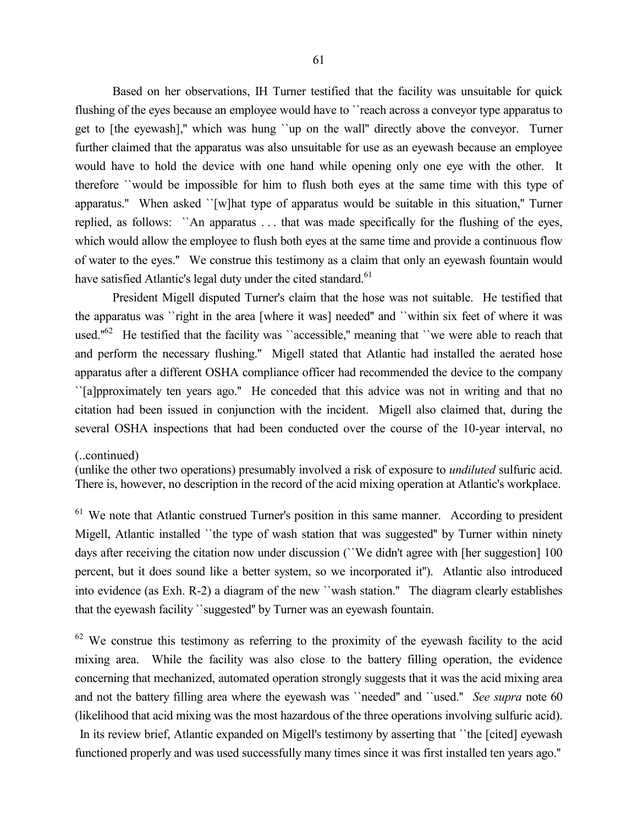Based on her observations, IH Turner testified that the facility was unsuitable for quick flushing of the eyes because an employee would have to ``reach across a conveyor type apparatus to get to [the eyewash],'' which was hung ``up on the wall'' directly above the conveyor. Turner further claimed that the apparatus was also unsuitable for use as an eyewash because an employee would have to hold the device with one hand while opening only one eye with the other. It therefore ``would be impossible for him to flush both eyes at the same time with this type of apparatus." When asked ``[w]hat type of apparatus would be suitable in this situation," Turner replied, as follows: ``An apparatus . . . that was made specifically for the flushing of the eyes, which would allow the employee to flush both eyes at the same time and provide a continuous flow of water to the eyes.'' We construe this testimony as a claim that only an eyewash fountain would have satisfied Atlantic's legal duty under the cited standard.<sup>61</sup>

President Migell disputed Turner's claim that the hose was not suitable. He testified that the apparatus was ``right in the area [where it was] needed'' and ``within six feet of where it was used." $62$  He testified that the facility was "accessible," meaning that "we were able to reach that and perform the necessary flushing.'' Migell stated that Atlantic had installed the aerated hose apparatus after a different OSHA compliance officer had recommended the device to the company ``[a]pproximately ten years ago.'' He conceded that this advice was not in writing and that no citation had been issued in conjunction with the incident. Migell also claimed that, during the several OSHA inspections that had been conducted over the course of the 10-year interval, no

#### (..continued)

(unlike the other two operations) presumably involved a risk of exposure to *undiluted* sulfuric acid. There is, however, no description in the record of the acid mixing operation at Atlantic's workplace.

 $61$  We note that Atlantic construed Turner's position in this same manner. According to president Migell, Atlantic installed ``the type of wash station that was suggested'' by Turner within ninety days after receiving the citation now under discussion ("We didn't agree with [her suggestion] 100 percent, but it does sound like a better system, so we incorporated it''). Atlantic also introduced into evidence (as Exh. R-2) a diagram of the new ``wash station.'' The diagram clearly establishes that the eyewash facility ``suggested'' by Turner was an eyewash fountain.

 $62$  We construe this testimony as referring to the proximity of the eyewash facility to the acid mixing area. While the facility was also close to the battery filling operation, the evidence concerning that mechanized, automated operation strongly suggests that it was the acid mixing area and not the battery filling area where the eyewash was ``needed'' and ``used.'' *See supra* note 60 (likelihood that acid mixing was the most hazardous of the three operations involving sulfuric acid).

In its review brief, Atlantic expanded on Migell's testimony by asserting that ``the [cited] eyewash functioned properly and was used successfully many times since it was first installed ten years ago.''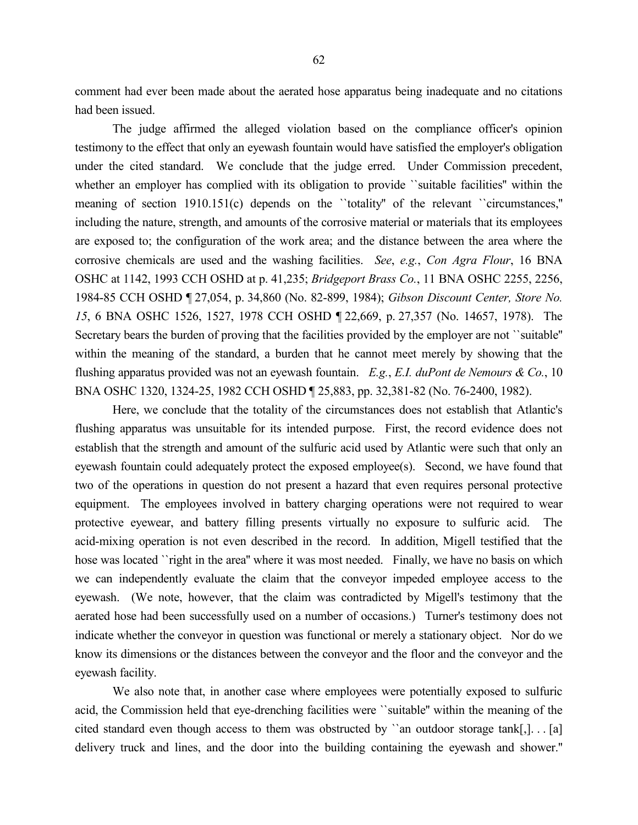comment had ever been made about the aerated hose apparatus being inadequate and no citations had been issued.

The judge affirmed the alleged violation based on the compliance officer's opinion testimony to the effect that only an eyewash fountain would have satisfied the employer's obligation under the cited standard. We conclude that the judge erred. Under Commission precedent, whether an employer has complied with its obligation to provide "suitable facilities" within the meaning of section 1910.151(c) depends on the "totality" of the relevant "circumstances," including the nature, strength, and amounts of the corrosive material or materials that its employees are exposed to; the configuration of the work area; and the distance between the area where the corrosive chemicals are used and the washing facilities. *See*, *e.g.*, *Con Agra Flour*, 16 BNA OSHC at 1142, 1993 CCH OSHD at p. 41,235; *Bridgeport Brass Co.*, 11 BNA OSHC 2255, 2256, 1984-85 CCH OSHD ¶ 27,054, p. 34,860 (No. 82-899, 1984); *Gibson Discount Center, Store No. 15*, 6 BNA OSHC 1526, 1527, 1978 CCH OSHD ¶ 22,669, p. 27,357 (No. 14657, 1978). The Secretary bears the burden of proving that the facilities provided by the employer are not ``suitable'' within the meaning of the standard, a burden that he cannot meet merely by showing that the flushing apparatus provided was not an eyewash fountain. *E.g.*, *E.I. duPont de Nemours & Co.*, 10 BNA OSHC 1320, 1324-25, 1982 CCH OSHD ¶ 25,883, pp. 32,381-82 (No. 76-2400, 1982).

Here, we conclude that the totality of the circumstances does not establish that Atlantic's flushing apparatus was unsuitable for its intended purpose. First, the record evidence does not establish that the strength and amount of the sulfuric acid used by Atlantic were such that only an eyewash fountain could adequately protect the exposed employee(s). Second, we have found that two of the operations in question do not present a hazard that even requires personal protective equipment. The employees involved in battery charging operations were not required to wear protective eyewear, and battery filling presents virtually no exposure to sulfuric acid. The acid-mixing operation is not even described in the record. In addition, Migell testified that the hose was located ``right in the area" where it was most needed. Finally, we have no basis on which we can independently evaluate the claim that the conveyor impeded employee access to the eyewash. (We note, however, that the claim was contradicted by Migell's testimony that the aerated hose had been successfully used on a number of occasions.) Turner's testimony does not indicate whether the conveyor in question was functional or merely a stationary object. Nor do we know its dimensions or the distances between the conveyor and the floor and the conveyor and the eyewash facility.

We also note that, in another case where employees were potentially exposed to sulfuric acid, the Commission held that eye-drenching facilities were ``suitable'' within the meaning of the cited standard even though access to them was obstructed by "an outdoor storage  $tank[$ ,  $]$ . . [a] delivery truck and lines, and the door into the building containing the eyewash and shower.''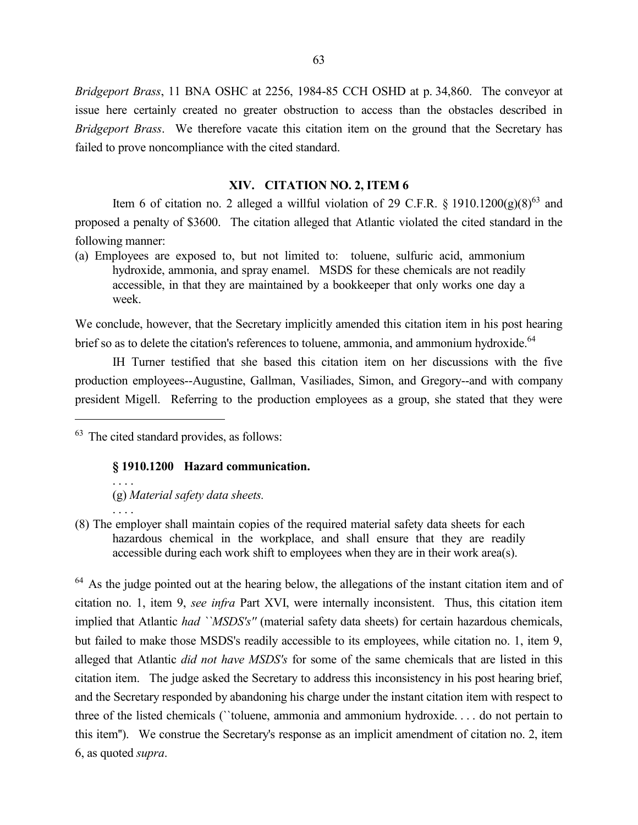*Bridgeport Brass*, 11 BNA OSHC at 2256, 1984-85 CCH OSHD at p. 34,860. The conveyor at issue here certainly created no greater obstruction to access than the obstacles described in *Bridgeport Brass*. We therefore vacate this citation item on the ground that the Secretary has failed to prove noncompliance with the cited standard.

## **XIV. CITATION NO. 2, ITEM 6**

Item 6 of citation no. 2 alleged a willful violation of 29 C.F.R. § 1910.1200(g)(8)<sup>63</sup> and proposed a penalty of \$3600. The citation alleged that Atlantic violated the cited standard in the following manner:

(a) Employees are exposed to, but not limited to: toluene, sulfuric acid, ammonium hydroxide, ammonia, and spray enamel. MSDS for these chemicals are not readily accessible, in that they are maintained by a bookkeeper that only works one day a week.

We conclude, however, that the Secretary implicitly amended this citation item in his post hearing brief so as to delete the citation's references to toluene, ammonia, and ammonium hydroxide.<sup>64</sup>

IH Turner testified that she based this citation item on her discussions with the five production employees--Augustine, Gallman, Vasiliades, Simon, and Gregory--and with company president Migell. Referring to the production employees as a group, she stated that they were

 $63$  The cited standard provides, as follows:

 $\overline{a}$ 

. . . .

## **§ 1910.1200 Hazard communication.**

. . . . (g) *Material safety data sheets.*

(8) The employer shall maintain copies of the required material safety data sheets for each hazardous chemical in the workplace, and shall ensure that they are readily accessible during each work shift to employees when they are in their work area(s).

<sup>64</sup> As the judge pointed out at the hearing below, the allegations of the instant citation item and of citation no. 1, item 9, *see infra* Part XVI, were internally inconsistent. Thus, this citation item implied that Atlantic *had ``MSDS's''* (material safety data sheets) for certain hazardous chemicals, but failed to make those MSDS's readily accessible to its employees, while citation no. 1, item 9, alleged that Atlantic *did not have MSDS's* for some of the same chemicals that are listed in this citation item. The judge asked the Secretary to address this inconsistency in his post hearing brief, and the Secretary responded by abandoning his charge under the instant citation item with respect to three of the listed chemicals (``toluene, ammonia and ammonium hydroxide. . . . do not pertain to this item''). We construe the Secretary's response as an implicit amendment of citation no. 2, item 6, as quoted *supra*.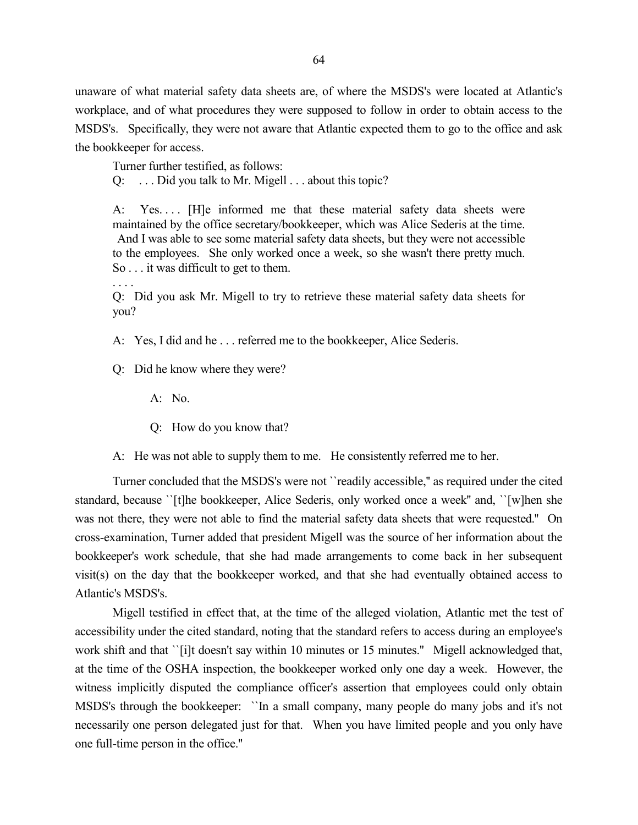unaware of what material safety data sheets are, of where the MSDS's were located at Atlantic's workplace, and of what procedures they were supposed to follow in order to obtain access to the MSDS's. Specifically, they were not aware that Atlantic expected them to go to the office and ask the bookkeeper for access.

Turner further testified, as follows:

Q: . . . Did you talk to Mr. Migell . . . about this topic?

A: Yes.... [H]e informed me that these material safety data sheets were maintained by the office secretary/bookkeeper, which was Alice Sederis at the time. And I was able to see some material safety data sheets, but they were not accessible to the employees. She only worked once a week, so she wasn't there pretty much. So . . . it was difficult to get to them.

. . . . Q: Did you ask Mr. Migell to try to retrieve these material safety data sheets for you?

A: Yes, I did and he . . . referred me to the bookkeeper, Alice Sederis.

Q: Did he know where they were?

- A: No.
- Q: How do you know that?

A: He was not able to supply them to me. He consistently referred me to her.

Turner concluded that the MSDS's were not ``readily accessible,'' as required under the cited standard, because ``[t]he bookkeeper, Alice Sederis, only worked once a week'' and, ``[w]hen she was not there, they were not able to find the material safety data sheets that were requested.'' On cross-examination, Turner added that president Migell was the source of her information about the bookkeeper's work schedule, that she had made arrangements to come back in her subsequent visit(s) on the day that the bookkeeper worked, and that she had eventually obtained access to Atlantic's MSDS's.

Migell testified in effect that, at the time of the alleged violation, Atlantic met the test of accessibility under the cited standard, noting that the standard refers to access during an employee's work shift and that ``[i]t doesn't say within 10 minutes or 15 minutes." Migell acknowledged that, at the time of the OSHA inspection, the bookkeeper worked only one day a week. However, the witness implicitly disputed the compliance officer's assertion that employees could only obtain MSDS's through the bookkeeper: ``In a small company, many people do many jobs and it's not necessarily one person delegated just for that. When you have limited people and you only have one full-time person in the office.''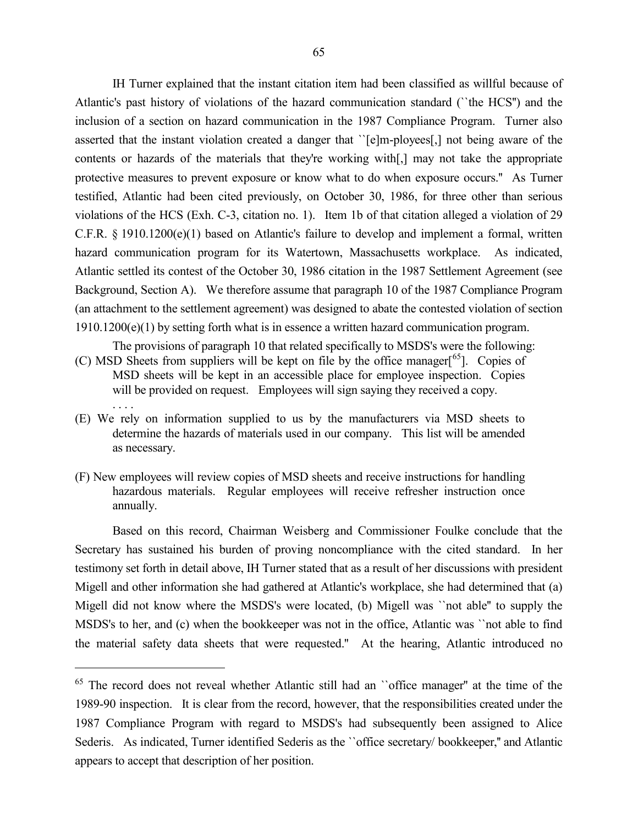IH Turner explained that the instant citation item had been classified as willful because of Atlantic's past history of violations of the hazard communication standard (``the HCS'') and the inclusion of a section on hazard communication in the 1987 Compliance Program. Turner also asserted that the instant violation created a danger that ``[e]m-ployees[,] not being aware of the contents or hazards of the materials that they're working with[,] may not take the appropriate protective measures to prevent exposure or know what to do when exposure occurs.'' As Turner testified, Atlantic had been cited previously, on October 30, 1986, for three other than serious violations of the HCS (Exh. C-3, citation no. 1). Item 1b of that citation alleged a violation of 29 C.F.R. § 1910.1200(e)(1) based on Atlantic's failure to develop and implement a formal, written hazard communication program for its Watertown, Massachusetts workplace. As indicated, Atlantic settled its contest of the October 30, 1986 citation in the 1987 Settlement Agreement (see Background, Section A). We therefore assume that paragraph 10 of the 1987 Compliance Program (an attachment to the settlement agreement) was designed to abate the contested violation of section 1910.1200(e)(1) by setting forth what is in essence a written hazard communication program.

The provisions of paragraph 10 that related specifically to MSDS's were the following:

- (C) MSD Sheets from suppliers will be kept on file by the office manager[<sup>65</sup>]. Copies of MSD sheets will be kept in an accessible place for employee inspection. Copies will be provided on request. Employees will sign saying they received a copy. . . . .
- (E) We rely on information supplied to us by the manufacturers via MSD sheets to determine the hazards of materials used in our company. This list will be amended as necessary.
- (F) New employees will review copies of MSD sheets and receive instructions for handling hazardous materials. Regular employees will receive refresher instruction once annually.

Based on this record, Chairman Weisberg and Commissioner Foulke conclude that the Secretary has sustained his burden of proving noncompliance with the cited standard. In her testimony set forth in detail above, IH Turner stated that as a result of her discussions with president Migell and other information she had gathered at Atlantic's workplace, she had determined that (a) Migell did not know where the MSDS's were located, (b) Migell was ``not able'' to supply the MSDS's to her, and (c) when the bookkeeper was not in the office, Atlantic was ``not able to find the material safety data sheets that were requested.'' At the hearing, Atlantic introduced no

 $\overline{a}$ 

<sup>&</sup>lt;sup>65</sup> The record does not reveal whether Atlantic still had an "office manager" at the time of the 1989-90 inspection. It is clear from the record, however, that the responsibilities created under the 1987 Compliance Program with regard to MSDS's had subsequently been assigned to Alice Sederis. As indicated, Turner identified Sederis as the "office secretary/bookkeeper," and Atlantic appears to accept that description of her position.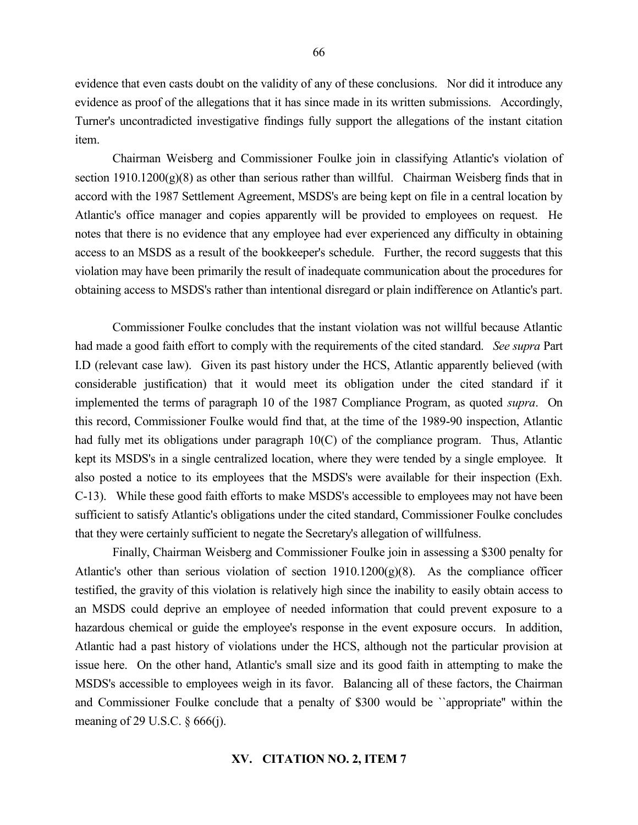evidence that even casts doubt on the validity of any of these conclusions. Nor did it introduce any evidence as proof of the allegations that it has since made in its written submissions. Accordingly, Turner's uncontradicted investigative findings fully support the allegations of the instant citation item.

Chairman Weisberg and Commissioner Foulke join in classifying Atlantic's violation of section  $1910.1200(g)(8)$  as other than serious rather than willful. Chairman Weisberg finds that in accord with the 1987 Settlement Agreement, MSDS's are being kept on file in a central location by Atlantic's office manager and copies apparently will be provided to employees on request. He notes that there is no evidence that any employee had ever experienced any difficulty in obtaining access to an MSDS as a result of the bookkeeper's schedule. Further, the record suggests that this violation may have been primarily the result of inadequate communication about the procedures for obtaining access to MSDS's rather than intentional disregard or plain indifference on Atlantic's part.

Commissioner Foulke concludes that the instant violation was not willful because Atlantic had made a good faith effort to comply with the requirements of the cited standard. *See supra* Part I.D (relevant case law). Given its past history under the HCS, Atlantic apparently believed (with considerable justification) that it would meet its obligation under the cited standard if it implemented the terms of paragraph 10 of the 1987 Compliance Program, as quoted *supra*. On this record, Commissioner Foulke would find that, at the time of the 1989-90 inspection, Atlantic had fully met its obligations under paragraph 10(C) of the compliance program. Thus, Atlantic kept its MSDS's in a single centralized location, where they were tended by a single employee. It also posted a notice to its employees that the MSDS's were available for their inspection (Exh. C-13). While these good faith efforts to make MSDS's accessible to employees may not have been sufficient to satisfy Atlantic's obligations under the cited standard, Commissioner Foulke concludes that they were certainly sufficient to negate the Secretary's allegation of willfulness.

Finally, Chairman Weisberg and Commissioner Foulke join in assessing a \$300 penalty for Atlantic's other than serious violation of section  $1910.1200(g)(8)$ . As the compliance officer testified, the gravity of this violation is relatively high since the inability to easily obtain access to an MSDS could deprive an employee of needed information that could prevent exposure to a hazardous chemical or guide the employee's response in the event exposure occurs. In addition, Atlantic had a past history of violations under the HCS, although not the particular provision at issue here. On the other hand, Atlantic's small size and its good faith in attempting to make the MSDS's accessible to employees weigh in its favor. Balancing all of these factors, the Chairman and Commissioner Foulke conclude that a penalty of \$300 would be ``appropriate'' within the meaning of 29 U.S.C. § 666(j).

#### **XV. CITATION NO. 2, ITEM 7**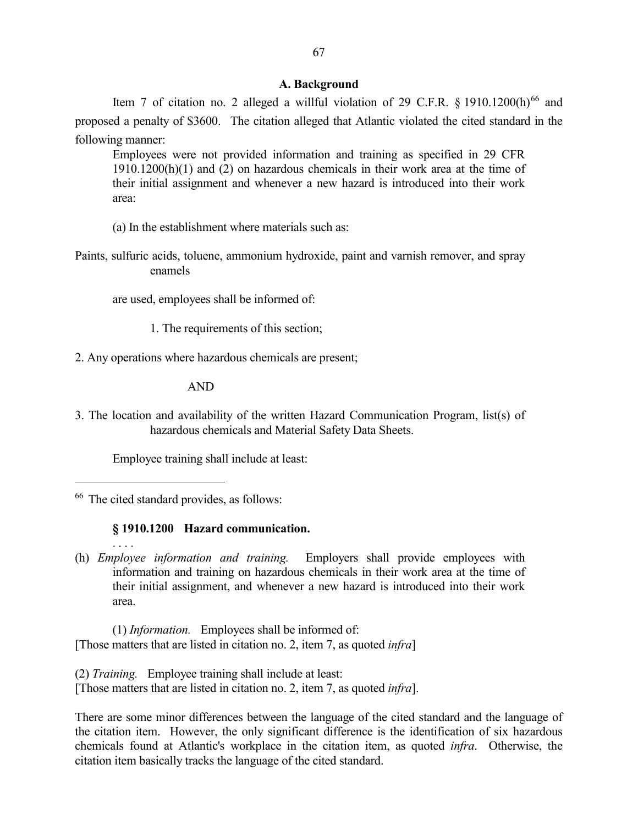# **A. Background**

Item 7 of citation no. 2 alleged a willful violation of 29 C.F.R.  $\frac{8}{1910.1200(h)^{66}}$  and proposed a penalty of \$3600. The citation alleged that Atlantic violated the cited standard in the following manner:

Employees were not provided information and training as specified in 29 CFR 1910.1200(h)(1) and (2) on hazardous chemicals in their work area at the time of their initial assignment and whenever a new hazard is introduced into their work area:

(a) In the establishment where materials such as:

Paints, sulfuric acids, toluene, ammonium hydroxide, paint and varnish remover, and spray enamels

are used, employees shall be informed of:

1. The requirements of this section;

2. Any operations where hazardous chemicals are present;

AND

3. The location and availability of the written Hazard Communication Program, list(s) of hazardous chemicals and Material Safety Data Sheets.

Employee training shall include at least:

<sup>66</sup> The cited standard provides, as follows:

 $\overline{a}$ 

. . . .

## **§ 1910.1200 Hazard communication.**

(h) *Employee information and training.* Employers shall provide employees with information and training on hazardous chemicals in their work area at the time of their initial assignment, and whenever a new hazard is introduced into their work area.

(1) *Information.* Employees shall be informed of: [Those matters that are listed in citation no. 2, item 7, as quoted *infra*]

(2) *Training.* Employee training shall include at least: [Those matters that are listed in citation no. 2, item 7, as quoted *infra*].

There are some minor differences between the language of the cited standard and the language of the citation item. However, the only significant difference is the identification of six hazardous chemicals found at Atlantic's workplace in the citation item, as quoted *infra*. Otherwise, the citation item basically tracks the language of the cited standard.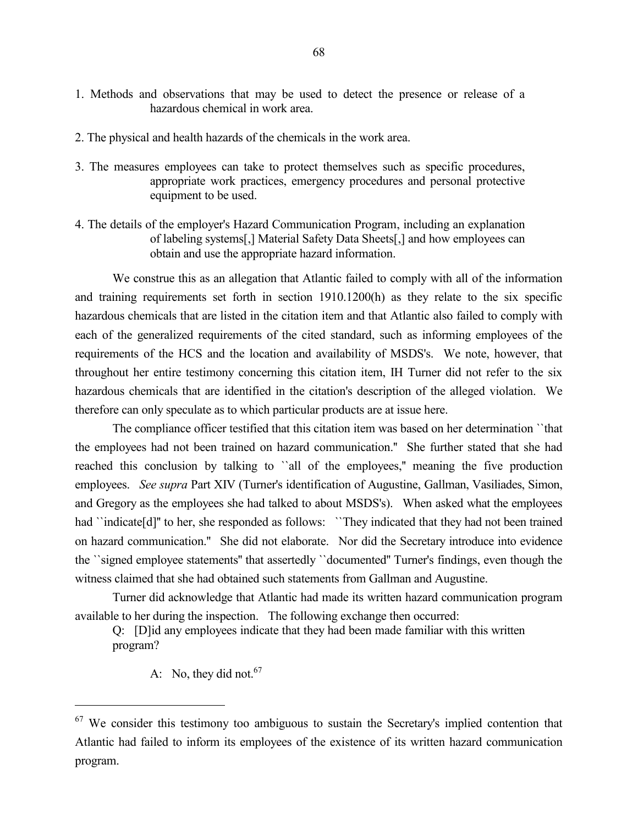- 1. Methods and observations that may be used to detect the presence or release of a hazardous chemical in work area.
- 2. The physical and health hazards of the chemicals in the work area.
- 3. The measures employees can take to protect themselves such as specific procedures, appropriate work practices, emergency procedures and personal protective equipment to be used.
- 4. The details of the employer's Hazard Communication Program, including an explanation of labeling systems[,] Material Safety Data Sheets[,] and how employees can obtain and use the appropriate hazard information.

We construe this as an allegation that Atlantic failed to comply with all of the information and training requirements set forth in section 1910.1200(h) as they relate to the six specific hazardous chemicals that are listed in the citation item and that Atlantic also failed to comply with each of the generalized requirements of the cited standard, such as informing employees of the requirements of the HCS and the location and availability of MSDS's. We note, however, that throughout her entire testimony concerning this citation item, IH Turner did not refer to the six hazardous chemicals that are identified in the citation's description of the alleged violation. We therefore can only speculate as to which particular products are at issue here.

The compliance officer testified that this citation item was based on her determination ``that the employees had not been trained on hazard communication.'' She further stated that she had reached this conclusion by talking to ``all of the employees,'' meaning the five production employees. *See supra* Part XIV (Turner's identification of Augustine, Gallman, Vasiliades, Simon, and Gregory as the employees she had talked to about MSDS's). When asked what the employees had "indicate[d]" to her, she responded as follows: "They indicated that they had not been trained on hazard communication.'' She did not elaborate. Nor did the Secretary introduce into evidence the ``signed employee statements'' that assertedly ``documented'' Turner's findings, even though the witness claimed that she had obtained such statements from Gallman and Augustine.

Turner did acknowledge that Atlantic had made its written hazard communication program available to her during the inspection. The following exchange then occurred:

Q: [D]id any employees indicate that they had been made familiar with this written program?

A: No, they did not.  $67$ 

 $\overline{a}$ 

 $67$  We consider this testimony too ambiguous to sustain the Secretary's implied contention that Atlantic had failed to inform its employees of the existence of its written hazard communication program.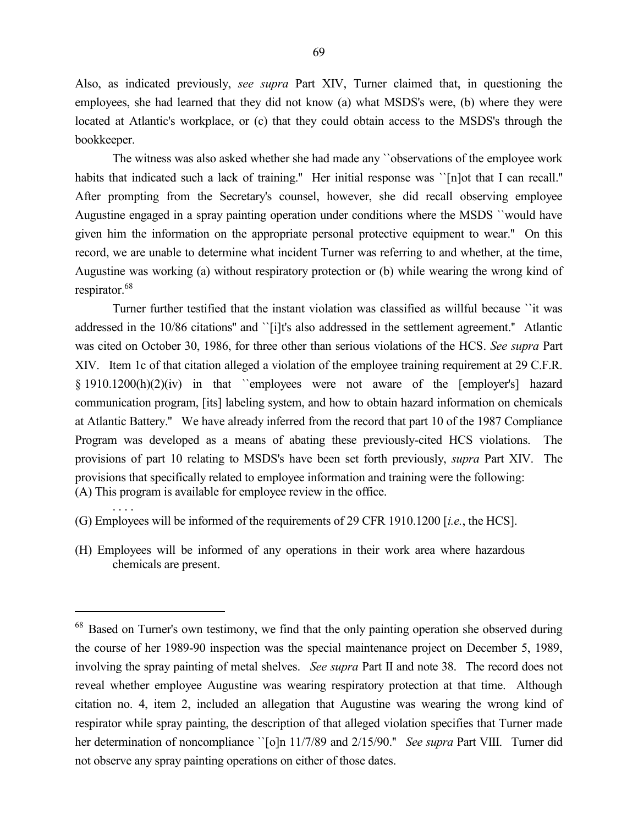Also, as indicated previously, *see supra* Part XIV, Turner claimed that, in questioning the employees, she had learned that they did not know (a) what MSDS's were, (b) where they were located at Atlantic's workplace, or (c) that they could obtain access to the MSDS's through the bookkeeper.

The witness was also asked whether she had made any ``observations of the employee work habits that indicated such a lack of training." Her initial response was '[n]ot that I can recall." After prompting from the Secretary's counsel, however, she did recall observing employee Augustine engaged in a spray painting operation under conditions where the MSDS ``would have given him the information on the appropriate personal protective equipment to wear.'' On this record, we are unable to determine what incident Turner was referring to and whether, at the time, Augustine was working (a) without respiratory protection or (b) while wearing the wrong kind of respirator.<sup>68</sup>

Turner further testified that the instant violation was classified as willful because ``it was addressed in the 10/86 citations" and ``[i]t's also addressed in the settlement agreement." Atlantic was cited on October 30, 1986, for three other than serious violations of the HCS. *See supra* Part XIV. Item 1c of that citation alleged a violation of the employee training requirement at 29 C.F.R. § 1910.1200(h)(2)(iv) in that ``employees were not aware of the [employer's] hazard communication program, [its] labeling system, and how to obtain hazard information on chemicals at Atlantic Battery.'' We have already inferred from the record that part 10 of the 1987 Compliance Program was developed as a means of abating these previously-cited HCS violations. The provisions of part 10 relating to MSDS's have been set forth previously, *supra* Part XIV. The provisions that specifically related to employee information and training were the following: (A) This program is available for employee review in the office.

(G) Employees will be informed of the requirements of 29 CFR 1910.1200 [*i.e.*, the HCS].

. . . .

 $\overline{a}$ 

(H) Employees will be informed of any operations in their work area where hazardous chemicals are present.

<sup>&</sup>lt;sup>68</sup> Based on Turner's own testimony, we find that the only painting operation she observed during the course of her 1989-90 inspection was the special maintenance project on December 5, 1989, involving the spray painting of metal shelves. *See supra* Part II and note 38. The record does not reveal whether employee Augustine was wearing respiratory protection at that time. Although citation no. 4, item 2, included an allegation that Augustine was wearing the wrong kind of respirator while spray painting, the description of that alleged violation specifies that Turner made her determination of noncompliance ``[o]n 11/7/89 and 2/15/90.'' *See supra* Part VIII. Turner did not observe any spray painting operations on either of those dates.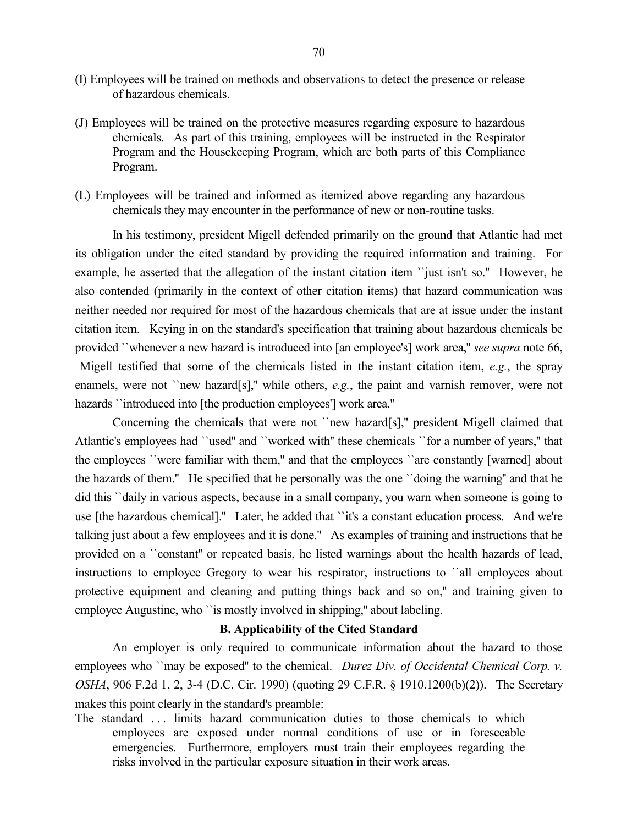- (I) Employees will be trained on methods and observations to detect the presence or release of hazardous chemicals.
- (J) Employees will be trained on the protective measures regarding exposure to hazardous chemicals. As part of this training, employees will be instructed in the Respirator Program and the Housekeeping Program, which are both parts of this Compliance Program.
- (L) Employees will be trained and informed as itemized above regarding any hazardous chemicals they may encounter in the performance of new or non-routine tasks.

In his testimony, president Migell defended primarily on the ground that Atlantic had met its obligation under the cited standard by providing the required information and training. For example, he asserted that the allegation of the instant citation item ``just isn't so.'' However, he also contended (primarily in the context of other citation items) that hazard communication was neither needed nor required for most of the hazardous chemicals that are at issue under the instant citation item. Keying in on the standard's specification that training about hazardous chemicals be provided ``whenever a new hazard is introduced into [an employee's] work area,'' *see supra* note 66, Migell testified that some of the chemicals listed in the instant citation item, *e.g.*, the spray enamels, were not "new hazard[s]," while others, *e.g.*, the paint and varnish remover, were not hazards "introduced into [the production employees'] work area."

Concerning the chemicals that were not ``new hazard[s],'' president Migell claimed that Atlantic's employees had ``used'' and ``worked with'' these chemicals ``for a number of years,'' that the employees ``were familiar with them,'' and that the employees ``are constantly [warned] about the hazards of them.'' He specified that he personally was the one ``doing the warning'' and that he did this ``daily in various aspects, because in a small company, you warn when someone is going to use [the hazardous chemical].'' Later, he added that ``it's a constant education process. And we're talking just about a few employees and it is done.'' As examples of training and instructions that he provided on a ``constant'' or repeated basis, he listed warnings about the health hazards of lead, instructions to employee Gregory to wear his respirator, instructions to ``all employees about protective equipment and cleaning and putting things back and so on,'' and training given to employee Augustine, who "is mostly involved in shipping," about labeling.

# **B. Applicability of the Cited Standard**

An employer is only required to communicate information about the hazard to those employees who ``may be exposed" to the chemical. *Durez Div. of Occidental Chemical Corp. v. OSHA*, 906 F.2d 1, 2, 3-4 (D.C. Cir. 1990) (quoting 29 C.F.R. § 1910.1200(b)(2)). The Secretary makes this point clearly in the standard's preamble:

The standard ... limits hazard communication duties to those chemicals to which employees are exposed under normal conditions of use or in foreseeable emergencies. Furthermore, employers must train their employees regarding the risks involved in the particular exposure situation in their work areas.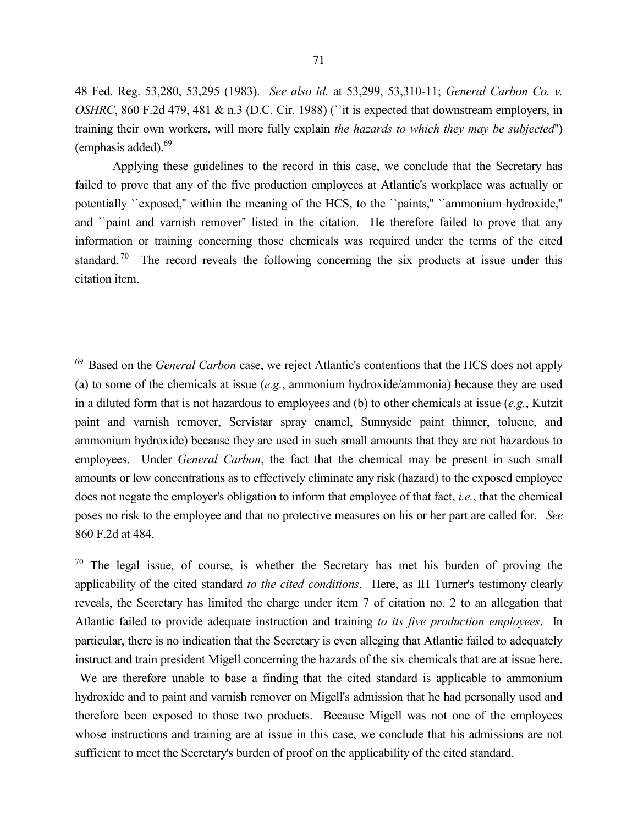48 Fed. Reg. 53,280, 53,295 (1983). *See also id.* at 53,299, 53,310-11; *General Carbon Co. v. OSHRC*, 860 F.2d 479, 481 & n.3 (D.C. Cir. 1988) ("it is expected that downstream employers, in training their own workers, will more fully explain *the hazards to which they may be subjected*'') (emphasis added).<sup>69</sup>

Applying these guidelines to the record in this case, we conclude that the Secretary has failed to prove that any of the five production employees at Atlantic's workplace was actually or potentially ``exposed,'' within the meaning of the HCS, to the ``paints,'' ``ammonium hydroxide,'' and ``paint and varnish remover'' listed in the citation. He therefore failed to prove that any information or training concerning those chemicals was required under the terms of the cited standard.<sup>70</sup> The record reveals the following concerning the six products at issue under this citation item.

 $\overline{a}$ 

We are therefore unable to base a finding that the cited standard is applicable to ammonium hydroxide and to paint and varnish remover on Migell's admission that he had personally used and therefore been exposed to those two products. Because Migell was not one of the employees whose instructions and training are at issue in this case, we conclude that his admissions are not sufficient to meet the Secretary's burden of proof on the applicability of the cited standard.

<sup>69</sup> Based on the *General Carbon* case, we reject Atlantic's contentions that the HCS does not apply (a) to some of the chemicals at issue (*e.g.*, ammonium hydroxide/ammonia) because they are used in a diluted form that is not hazardous to employees and (b) to other chemicals at issue (*e.g.*, Kutzit paint and varnish remover, Servistar spray enamel, Sunnyside paint thinner, toluene, and ammonium hydroxide) because they are used in such small amounts that they are not hazardous to employees. Under *General Carbon*, the fact that the chemical may be present in such small amounts or low concentrations as to effectively eliminate any risk (hazard) to the exposed employee does not negate the employer's obligation to inform that employee of that fact, *i.e.*, that the chemical poses no risk to the employee and that no protective measures on his or her part are called for. *See* 860 F.2d at 484.

 $70$  The legal issue, of course, is whether the Secretary has met his burden of proving the applicability of the cited standard *to the cited conditions*. Here, as IH Turner's testimony clearly reveals, the Secretary has limited the charge under item 7 of citation no. 2 to an allegation that Atlantic failed to provide adequate instruction and training *to its five production employees*. In particular, there is no indication that the Secretary is even alleging that Atlantic failed to adequately instruct and train president Migell concerning the hazards of the six chemicals that are at issue here.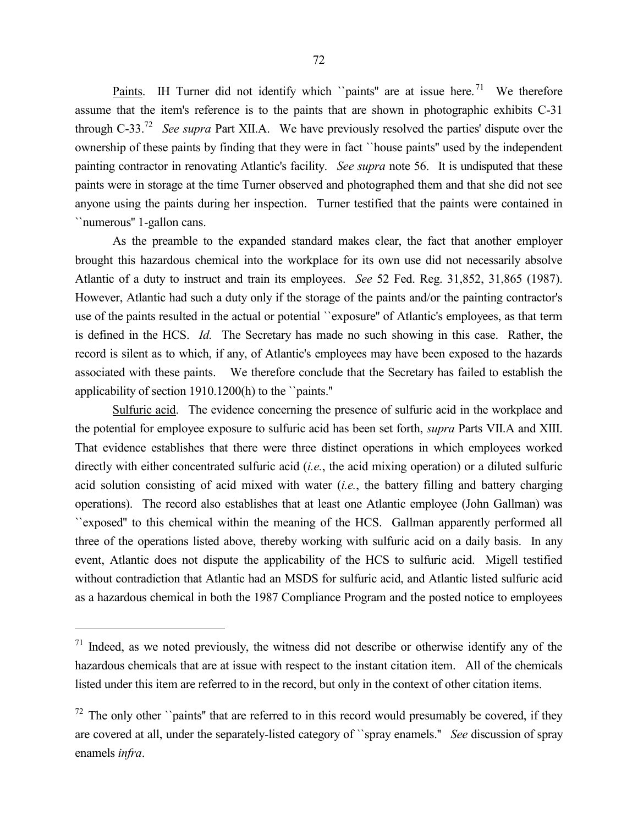<u>Paints</u>. IH Turner did not identify which "paints" are at issue here.<sup>71</sup> We therefore assume that the item's reference is to the paints that are shown in photographic exhibits C-31 through C-33. 72 *See supra* Part XII.A. We have previously resolved the parties' dispute over the ownership of these paints by finding that they were in fact ``house paints'' used by the independent painting contractor in renovating Atlantic's facility. *See supra* note 56. It is undisputed that these paints were in storage at the time Turner observed and photographed them and that she did not see anyone using the paints during her inspection. Turner testified that the paints were contained in ``numerous'' 1-gallon cans.

As the preamble to the expanded standard makes clear, the fact that another employer brought this hazardous chemical into the workplace for its own use did not necessarily absolve Atlantic of a duty to instruct and train its employees. *See* 52 Fed. Reg. 31,852, 31,865 (1987). However, Atlantic had such a duty only if the storage of the paints and/or the painting contractor's use of the paints resulted in the actual or potential ``exposure'' of Atlantic's employees, as that term is defined in the HCS. *Id.* The Secretary has made no such showing in this case. Rather, the record is silent as to which, if any, of Atlantic's employees may have been exposed to the hazards associated with these paints. We therefore conclude that the Secretary has failed to establish the applicability of section 1910.1200(h) to the ``paints.''

Sulfuric acid. The evidence concerning the presence of sulfuric acid in the workplace and the potential for employee exposure to sulfuric acid has been set forth, *supra* Parts VII.A and XIII. That evidence establishes that there were three distinct operations in which employees worked directly with either concentrated sulfuric acid (*i.e.*, the acid mixing operation) or a diluted sulfuric acid solution consisting of acid mixed with water (*i.e.*, the battery filling and battery charging operations). The record also establishes that at least one Atlantic employee (John Gallman) was ``exposed'' to this chemical within the meaning of the HCS. Gallman apparently performed all three of the operations listed above, thereby working with sulfuric acid on a daily basis. In any event, Atlantic does not dispute the applicability of the HCS to sulfuric acid. Migell testified without contradiction that Atlantic had an MSDS for sulfuric acid, and Atlantic listed sulfuric acid as a hazardous chemical in both the 1987 Compliance Program and the posted notice to employees

 $\overline{a}$ 

 $71$  Indeed, as we noted previously, the witness did not describe or otherwise identify any of the hazardous chemicals that are at issue with respect to the instant citation item. All of the chemicals listed under this item are referred to in the record, but only in the context of other citation items.

 $72$  The only other ``paints" that are referred to in this record would presumably be covered, if they are covered at all, under the separately-listed category of ``spray enamels.'' *See* discussion of spray enamels *infra*.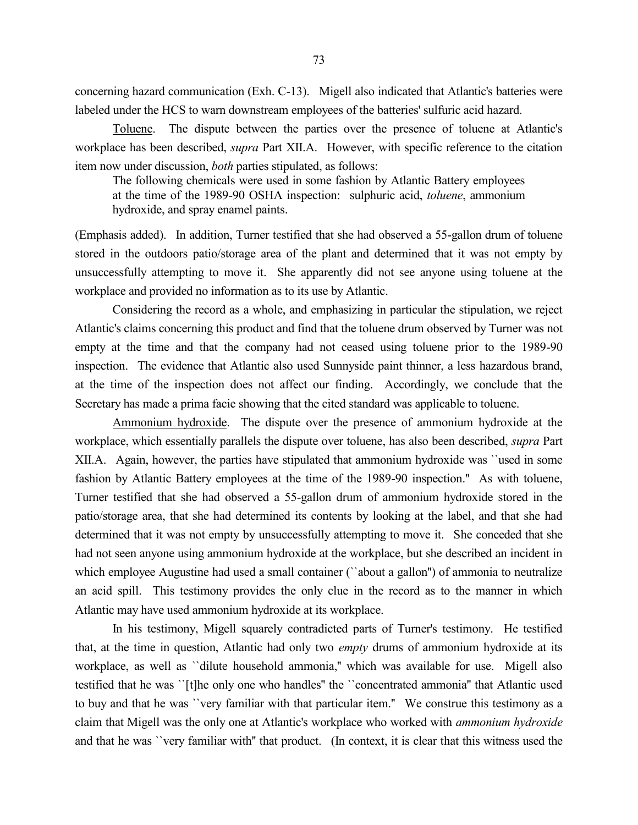concerning hazard communication (Exh. C-13). Migell also indicated that Atlantic's batteries were labeled under the HCS to warn downstream employees of the batteries' sulfuric acid hazard.

Toluene. The dispute between the parties over the presence of toluene at Atlantic's workplace has been described, *supra* Part XII.A. However, with specific reference to the citation item now under discussion, *both* parties stipulated, as follows:

The following chemicals were used in some fashion by Atlantic Battery employees at the time of the 1989-90 OSHA inspection: sulphuric acid, *toluene*, ammonium hydroxide, and spray enamel paints.

(Emphasis added). In addition, Turner testified that she had observed a 55-gallon drum of toluene stored in the outdoors patio/storage area of the plant and determined that it was not empty by unsuccessfully attempting to move it. She apparently did not see anyone using toluene at the workplace and provided no information as to its use by Atlantic.

Considering the record as a whole, and emphasizing in particular the stipulation, we reject Atlantic's claims concerning this product and find that the toluene drum observed by Turner was not empty at the time and that the company had not ceased using toluene prior to the 1989-90 inspection. The evidence that Atlantic also used Sunnyside paint thinner, a less hazardous brand, at the time of the inspection does not affect our finding. Accordingly, we conclude that the Secretary has made a prima facie showing that the cited standard was applicable to toluene.

Ammonium hydroxide. The dispute over the presence of ammonium hydroxide at the workplace, which essentially parallels the dispute over toluene, has also been described, *supra* Part XII.A. Again, however, the parties have stipulated that ammonium hydroxide was ``used in some fashion by Atlantic Battery employees at the time of the 1989-90 inspection.'' As with toluene, Turner testified that she had observed a 55-gallon drum of ammonium hydroxide stored in the patio/storage area, that she had determined its contents by looking at the label, and that she had determined that it was not empty by unsuccessfully attempting to move it. She conceded that she had not seen anyone using ammonium hydroxide at the workplace, but she described an incident in which employee Augustine had used a small container ("about a gallon") of ammonia to neutralize an acid spill. This testimony provides the only clue in the record as to the manner in which Atlantic may have used ammonium hydroxide at its workplace.

In his testimony, Migell squarely contradicted parts of Turner's testimony. He testified that, at the time in question, Atlantic had only two *empty* drums of ammonium hydroxide at its workplace, as well as ``dilute household ammonia,'' which was available for use. Migell also testified that he was ``[t]he only one who handles'' the ``concentrated ammonia'' that Atlantic used to buy and that he was ``very familiar with that particular item.'' We construe this testimony as a claim that Migell was the only one at Atlantic's workplace who worked with *ammonium hydroxide* and that he was ``very familiar with'' that product. (In context, it is clear that this witness used the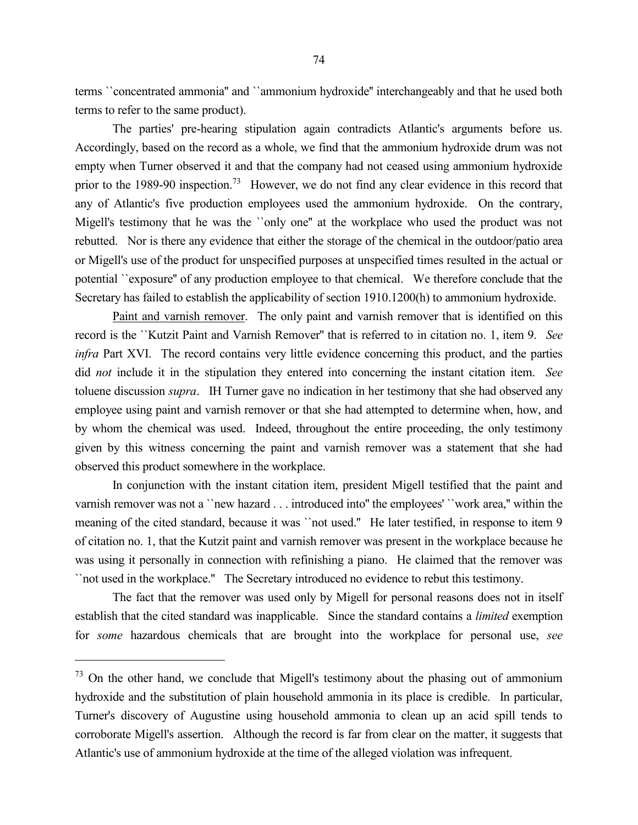terms ``concentrated ammonia'' and ``ammonium hydroxide'' interchangeably and that he used both terms to refer to the same product).

The parties' pre-hearing stipulation again contradicts Atlantic's arguments before us. Accordingly, based on the record as a whole, we find that the ammonium hydroxide drum was not empty when Turner observed it and that the company had not ceased using ammonium hydroxide prior to the 1989-90 inspection.<sup>73</sup> However, we do not find any clear evidence in this record that any of Atlantic's five production employees used the ammonium hydroxide. On the contrary, Migell's testimony that he was the ``only one'' at the workplace who used the product was not rebutted. Nor is there any evidence that either the storage of the chemical in the outdoor/patio area or Migell's use of the product for unspecified purposes at unspecified times resulted in the actual or potential ``exposure'' of any production employee to that chemical. We therefore conclude that the Secretary has failed to establish the applicability of section 1910.1200(h) to ammonium hydroxide.

Paint and varnish remover. The only paint and varnish remover that is identified on this record is the ``Kutzit Paint and Varnish Remover'' that is referred to in citation no. 1, item 9. *See infra* Part XVI. The record contains very little evidence concerning this product, and the parties did *not* include it in the stipulation they entered into concerning the instant citation item. *See* toluene discussion *supra*. IH Turner gave no indication in her testimony that she had observed any employee using paint and varnish remover or that she had attempted to determine when, how, and by whom the chemical was used. Indeed, throughout the entire proceeding, the only testimony given by this witness concerning the paint and varnish remover was a statement that she had observed this product somewhere in the workplace.

In conjunction with the instant citation item, president Migell testified that the paint and varnish remover was not a ``new hazard . . . introduced into'' the employees' ``work area,'' within the meaning of the cited standard, because it was ``not used.'' He later testified, in response to item 9 of citation no. 1, that the Kutzit paint and varnish remover was present in the workplace because he was using it personally in connection with refinishing a piano. He claimed that the remover was ``not used in the workplace.'' The Secretary introduced no evidence to rebut this testimony.

The fact that the remover was used only by Migell for personal reasons does not in itself establish that the cited standard was inapplicable. Since the standard contains a *limited* exemption for *some* hazardous chemicals that are brought into the workplace for personal use, *see*

<sup>&</sup>lt;sup>73</sup> On the other hand, we conclude that Migell's testimony about the phasing out of ammonium hydroxide and the substitution of plain household ammonia in its place is credible. In particular, Turner's discovery of Augustine using household ammonia to clean up an acid spill tends to corroborate Migell's assertion. Although the record is far from clear on the matter, it suggests that Atlantic's use of ammonium hydroxide at the time of the alleged violation was infrequent.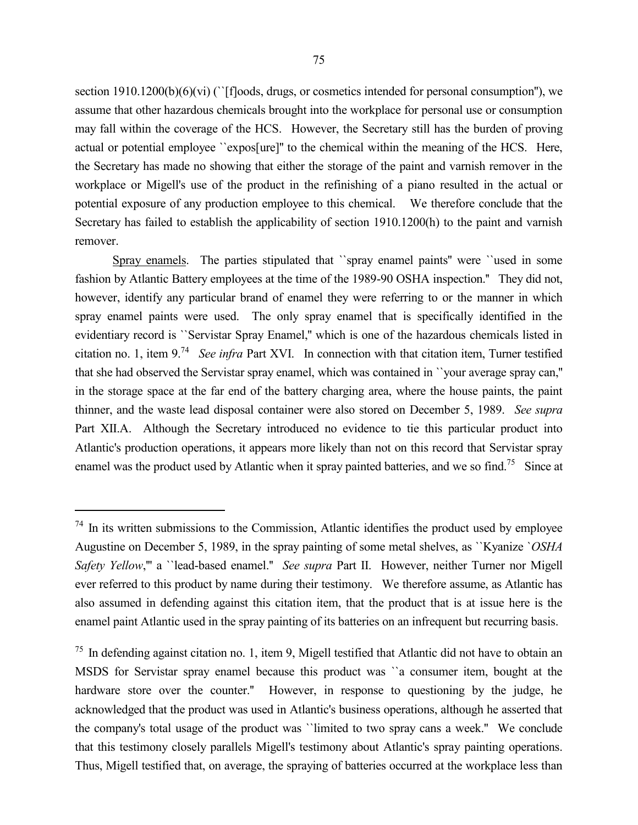section 1910.1200(b)(6)(vi) (``[f]oods, drugs, or cosmetics intended for personal consumption"), we assume that other hazardous chemicals brought into the workplace for personal use or consumption may fall within the coverage of the HCS. However, the Secretary still has the burden of proving actual or potential employee ``expos[ure]'' to the chemical within the meaning of the HCS. Here, the Secretary has made no showing that either the storage of the paint and varnish remover in the workplace or Migell's use of the product in the refinishing of a piano resulted in the actual or potential exposure of any production employee to this chemical. We therefore conclude that the Secretary has failed to establish the applicability of section 1910.1200(h) to the paint and varnish remover.

Spray enamels. The parties stipulated that ``spray enamel paints'' were ``used in some fashion by Atlantic Battery employees at the time of the 1989-90 OSHA inspection.'' They did not, however, identify any particular brand of enamel they were referring to or the manner in which spray enamel paints were used. The only spray enamel that is specifically identified in the evidentiary record is ``Servistar Spray Enamel,'' which is one of the hazardous chemicals listed in citation no. 1, item 9.<sup>74</sup> *See infra* Part XVI. In connection with that citation item, Turner testified that she had observed the Servistar spray enamel, which was contained in ``your average spray can,'' in the storage space at the far end of the battery charging area, where the house paints, the paint thinner, and the waste lead disposal container were also stored on December 5, 1989. *See supra* Part XII.A. Although the Secretary introduced no evidence to tie this particular product into Atlantic's production operations, it appears more likely than not on this record that Servistar spray enamel was the product used by Atlantic when it spray painted batteries, and we so find.<sup>75</sup> Since at

<sup>&</sup>lt;sup>74</sup> In its written submissions to the Commission, Atlantic identifies the product used by employee Augustine on December 5, 1989, in the spray painting of some metal shelves, as ``Kyanize `*OSHA Safety Yellow*,''' a ``lead-based enamel.'' *See supra* Part II. However, neither Turner nor Migell ever referred to this product by name during their testimony. We therefore assume, as Atlantic has also assumed in defending against this citation item, that the product that is at issue here is the enamel paint Atlantic used in the spray painting of its batteries on an infrequent but recurring basis.

<sup>75</sup> In defending against citation no. 1, item 9, Migell testified that Atlantic did not have to obtain an MSDS for Servistar spray enamel because this product was ``a consumer item, bought at the hardware store over the counter." However, in response to questioning by the judge, he acknowledged that the product was used in Atlantic's business operations, although he asserted that the company's total usage of the product was ``limited to two spray cans a week.'' We conclude that this testimony closely parallels Migell's testimony about Atlantic's spray painting operations. Thus, Migell testified that, on average, the spraying of batteries occurred at the workplace less than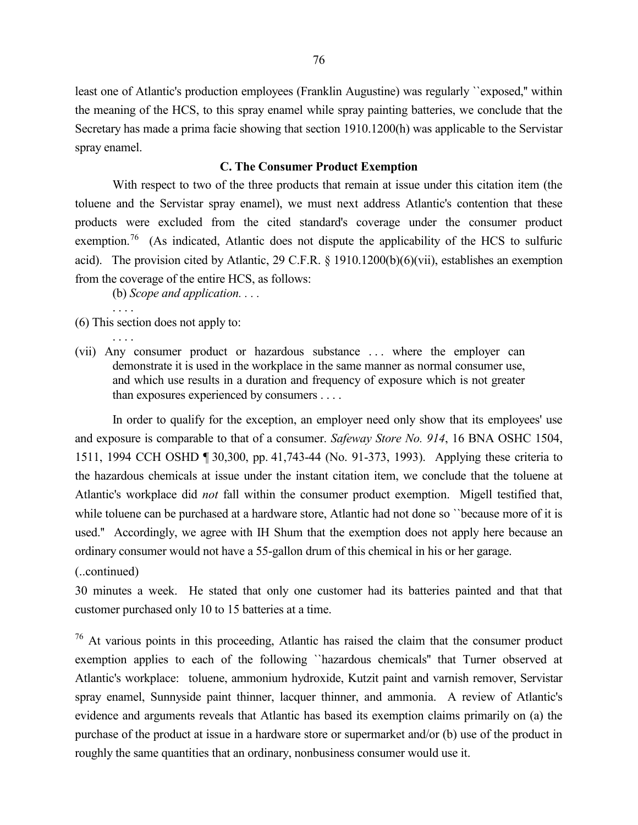least one of Atlantic's production employees (Franklin Augustine) was regularly ``exposed,'' within the meaning of the HCS, to this spray enamel while spray painting batteries, we conclude that the Secretary has made a prima facie showing that section 1910.1200(h) was applicable to the Servistar spray enamel.

# **C. The Consumer Product Exemption**

With respect to two of the three products that remain at issue under this citation item (the toluene and the Servistar spray enamel), we must next address Atlantic's contention that these products were excluded from the cited standard's coverage under the consumer product exemption.<sup>76</sup> (As indicated, Atlantic does not dispute the applicability of the HCS to sulfuric acid). The provision cited by Atlantic, 29 C.F.R. § 1910.1200(b)(6)(vii), establishes an exemption from the coverage of the entire HCS, as follows:

(b) *Scope and application. . . .*

(6) This section does not apply to:

. . . .

. . . .

(vii) Any consumer product or hazardous substance . . . where the employer can demonstrate it is used in the workplace in the same manner as normal consumer use, and which use results in a duration and frequency of exposure which is not greater than exposures experienced by consumers . . . .

In order to qualify for the exception, an employer need only show that its employees' use and exposure is comparable to that of a consumer. *Safeway Store No. 914*, 16 BNA OSHC 1504, 1511, 1994 CCH OSHD ¶ 30,300, pp. 41,743-44 (No. 91-373, 1993). Applying these criteria to the hazardous chemicals at issue under the instant citation item, we conclude that the toluene at Atlantic's workplace did *not* fall within the consumer product exemption. Migell testified that, while toluene can be purchased at a hardware store, Atlantic had not done so *`*`because more of it is used.'' Accordingly, we agree with IH Shum that the exemption does not apply here because an ordinary consumer would not have a 55-gallon drum of this chemical in his or her garage.

(..continued)

30 minutes a week. He stated that only one customer had its batteries painted and that that customer purchased only 10 to 15 batteries at a time.

 $76$  At various points in this proceeding, Atlantic has raised the claim that the consumer product exemption applies to each of the following ``hazardous chemicals'' that Turner observed at Atlantic's workplace: toluene, ammonium hydroxide, Kutzit paint and varnish remover, Servistar spray enamel, Sunnyside paint thinner, lacquer thinner, and ammonia. A review of Atlantic's evidence and arguments reveals that Atlantic has based its exemption claims primarily on (a) the purchase of the product at issue in a hardware store or supermarket and/or (b) use of the product in roughly the same quantities that an ordinary, nonbusiness consumer would use it.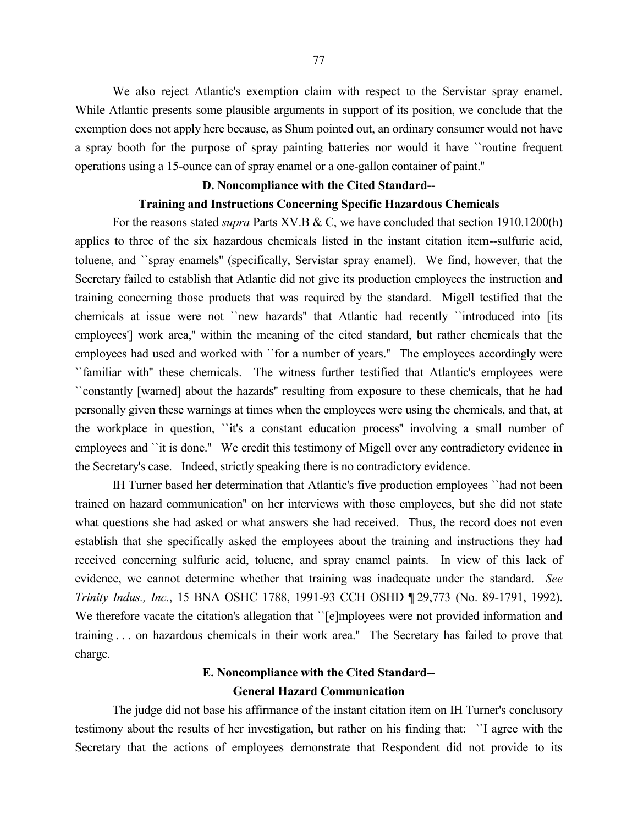We also reject Atlantic's exemption claim with respect to the Servistar spray enamel. While Atlantic presents some plausible arguments in support of its position, we conclude that the exemption does not apply here because, as Shum pointed out, an ordinary consumer would not have a spray booth for the purpose of spray painting batteries nor would it have ``routine frequent operations using a 15-ounce can of spray enamel or a one-gallon container of paint.''

### **D. Noncompliance with the Cited Standard--**

# **Training and Instructions Concerning Specific Hazardous Chemicals**

For the reasons stated *supra* Parts XV.B & C, we have concluded that section 1910.1200(h) applies to three of the six hazardous chemicals listed in the instant citation item--sulfuric acid, toluene, and ``spray enamels'' (specifically, Servistar spray enamel). We find, however, that the Secretary failed to establish that Atlantic did not give its production employees the instruction and training concerning those products that was required by the standard. Migell testified that the chemicals at issue were not ``new hazards'' that Atlantic had recently ``introduced into [its employees'] work area," within the meaning of the cited standard, but rather chemicals that the employees had used and worked with ``for a number of years.'' The employees accordingly were ``familiar with'' these chemicals. The witness further testified that Atlantic's employees were ``constantly [warned] about the hazards'' resulting from exposure to these chemicals, that he had personally given these warnings at times when the employees were using the chemicals, and that, at the workplace in question, ``it's a constant education process'' involving a small number of employees and "it is done." We credit this testimony of Migell over any contradictory evidence in the Secretary's case. Indeed, strictly speaking there is no contradictory evidence.

IH Turner based her determination that Atlantic's five production employees ``had not been trained on hazard communication'' on her interviews with those employees, but she did not state what questions she had asked or what answers she had received. Thus, the record does not even establish that she specifically asked the employees about the training and instructions they had received concerning sulfuric acid, toluene, and spray enamel paints. In view of this lack of evidence, we cannot determine whether that training was inadequate under the standard. *See Trinity Indus., Inc.*, 15 BNA OSHC 1788, 1991-93 CCH OSHD ¶ 29,773 (No. 89-1791, 1992). We therefore vacate the citation's allegation that "[e]mployees were not provided information and training . . . on hazardous chemicals in their work area.'' The Secretary has failed to prove that charge.

# **E. Noncompliance with the Cited Standard-- General Hazard Communication**

The judge did not base his affirmance of the instant citation item on IH Turner's conclusory testimony about the results of her investigation, but rather on his finding that: ``I agree with the Secretary that the actions of employees demonstrate that Respondent did not provide to its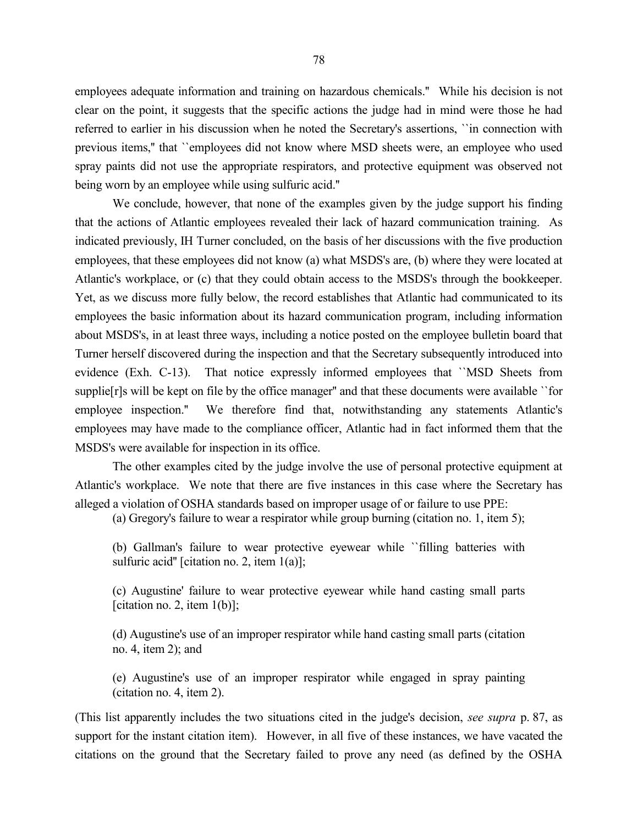employees adequate information and training on hazardous chemicals.'' While his decision is not clear on the point, it suggests that the specific actions the judge had in mind were those he had referred to earlier in his discussion when he noted the Secretary's assertions, ``in connection with previous items,'' that ``employees did not know where MSD sheets were, an employee who used spray paints did not use the appropriate respirators, and protective equipment was observed not being worn by an employee while using sulfuric acid.''

We conclude, however, that none of the examples given by the judge support his finding that the actions of Atlantic employees revealed their lack of hazard communication training. As indicated previously, IH Turner concluded, on the basis of her discussions with the five production employees, that these employees did not know (a) what MSDS's are, (b) where they were located at Atlantic's workplace, or (c) that they could obtain access to the MSDS's through the bookkeeper. Yet, as we discuss more fully below, the record establishes that Atlantic had communicated to its employees the basic information about its hazard communication program, including information about MSDS's, in at least three ways, including a notice posted on the employee bulletin board that Turner herself discovered during the inspection and that the Secretary subsequently introduced into evidence (Exh. C-13). That notice expressly informed employees that ``MSD Sheets from supplie[r]s will be kept on file by the office manager'' and that these documents were available ``for employee inspection.'' We therefore find that, notwithstanding any statements Atlantic's employees may have made to the compliance officer, Atlantic had in fact informed them that the MSDS's were available for inspection in its office.

The other examples cited by the judge involve the use of personal protective equipment at Atlantic's workplace. We note that there are five instances in this case where the Secretary has alleged a violation of OSHA standards based on improper usage of or failure to use PPE:

(a) Gregory's failure to wear a respirator while group burning (citation no. 1, item 5);

(b) Gallman's failure to wear protective eyewear while ``filling batteries with sulfuric acid" [citation no. 2, item 1(a)];

(c) Augustine' failure to wear protective eyewear while hand casting small parts [citation no. 2, item  $1(b)$ ];

(d) Augustine's use of an improper respirator while hand casting small parts (citation no. 4, item 2); and

(e) Augustine's use of an improper respirator while engaged in spray painting (citation no. 4, item 2).

(This list apparently includes the two situations cited in the judge's decision, *see supra* p. 87, as support for the instant citation item). However, in all five of these instances, we have vacated the citations on the ground that the Secretary failed to prove any need (as defined by the OSHA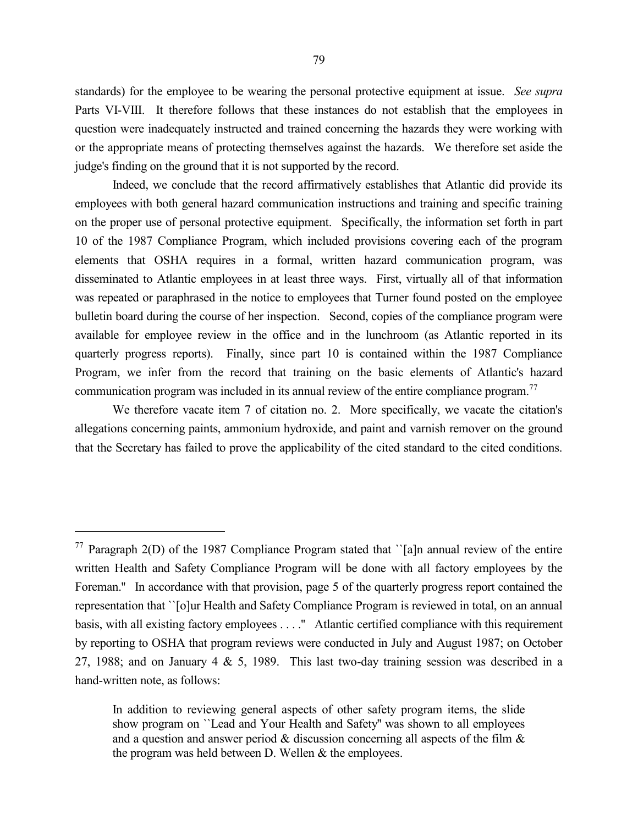standards) for the employee to be wearing the personal protective equipment at issue. *See supra* Parts VI-VIII. It therefore follows that these instances do not establish that the employees in question were inadequately instructed and trained concerning the hazards they were working with or the appropriate means of protecting themselves against the hazards. We therefore set aside the judge's finding on the ground that it is not supported by the record.

Indeed, we conclude that the record affirmatively establishes that Atlantic did provide its employees with both general hazard communication instructions and training and specific training on the proper use of personal protective equipment. Specifically, the information set forth in part 10 of the 1987 Compliance Program, which included provisions covering each of the program elements that OSHA requires in a formal, written hazard communication program, was disseminated to Atlantic employees in at least three ways. First, virtually all of that information was repeated or paraphrased in the notice to employees that Turner found posted on the employee bulletin board during the course of her inspection. Second, copies of the compliance program were available for employee review in the office and in the lunchroom (as Atlantic reported in its quarterly progress reports). Finally, since part 10 is contained within the 1987 Compliance Program, we infer from the record that training on the basic elements of Atlantic's hazard communication program was included in its annual review of the entire compliance program.<sup>77</sup>

We therefore vacate item 7 of citation no. 2. More specifically, we vacate the citation's allegations concerning paints, ammonium hydroxide, and paint and varnish remover on the ground that the Secretary has failed to prove the applicability of the cited standard to the cited conditions.

<sup>&</sup>lt;sup>77</sup> Paragraph 2(D) of the 1987 Compliance Program stated that '[a]n annual review of the entire written Health and Safety Compliance Program will be done with all factory employees by the Foreman." In accordance with that provision, page 5 of the quarterly progress report contained the representation that ``[o]ur Health and Safety Compliance Program is reviewed in total, on an annual basis, with all existing factory employees . . . .'' Atlantic certified compliance with this requirement by reporting to OSHA that program reviews were conducted in July and August 1987; on October 27, 1988; and on January 4 & 5, 1989. This last two-day training session was described in a hand-written note, as follows:

In addition to reviewing general aspects of other safety program items, the slide show program on ``Lead and Your Health and Safety'' was shown to all employees and a question and answer period  $&$  discussion concerning all aspects of the film  $&$ the program was held between D. Wellen & the employees.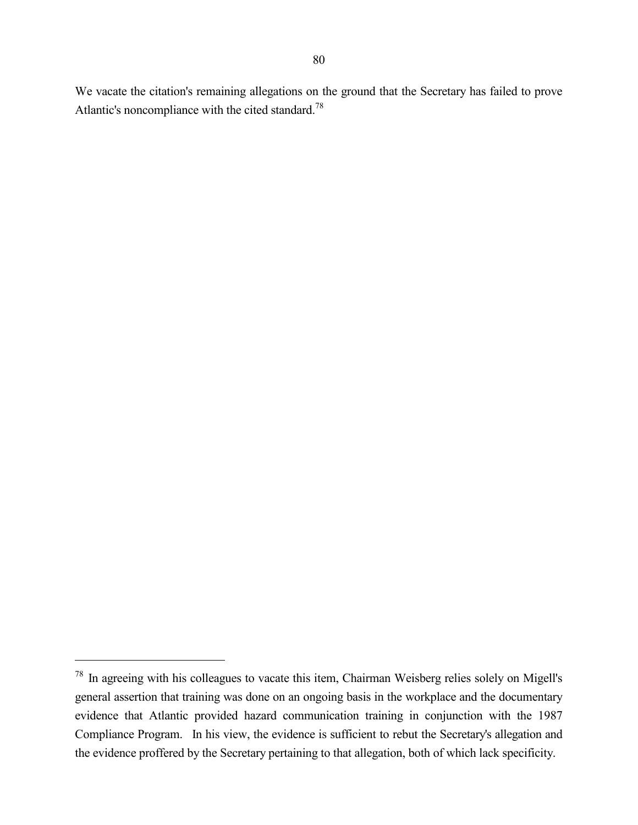We vacate the citation's remaining allegations on the ground that the Secretary has failed to prove Atlantic's noncompliance with the cited standard.<sup>78</sup>

<sup>78</sup> In agreeing with his colleagues to vacate this item, Chairman Weisberg relies solely on Migell's general assertion that training was done on an ongoing basis in the workplace and the documentary evidence that Atlantic provided hazard communication training in conjunction with the 1987 Compliance Program. In his view, the evidence is sufficient to rebut the Secretary's allegation and the evidence proffered by the Secretary pertaining to that allegation, both of which lack specificity.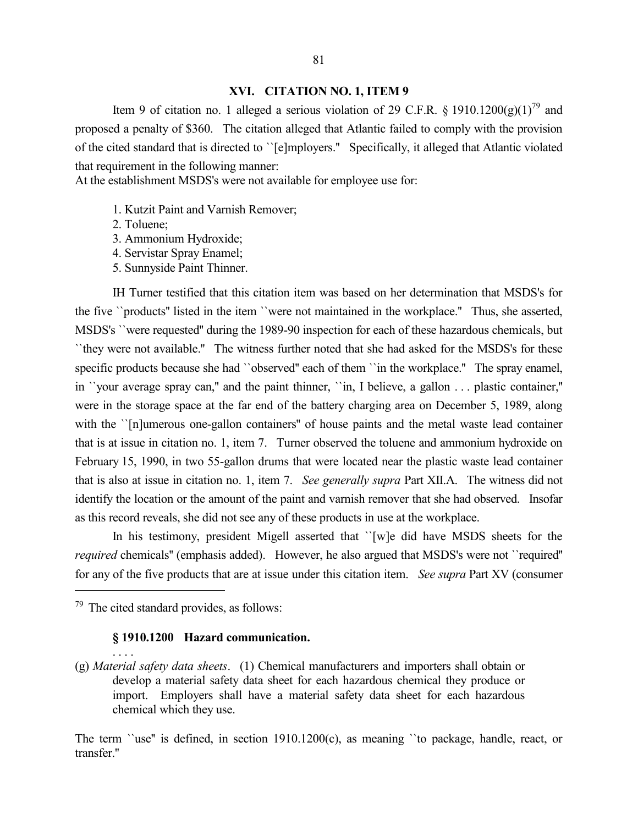#### **XVI. CITATION NO. 1, ITEM 9**

Item 9 of citation no. 1 alleged a serious violation of 29 C.F.R. § 1910.1200(g)(1)<sup>79</sup> and proposed a penalty of \$360. The citation alleged that Atlantic failed to comply with the provision of the cited standard that is directed to ``[e]mployers.'' Specifically, it alleged that Atlantic violated that requirement in the following manner:

At the establishment MSDS's were not available for employee use for:

- 1. Kutzit Paint and Varnish Remover;
- 2. Toluene;
- 3. Ammonium Hydroxide;
- 4. Servistar Spray Enamel;
- 5. Sunnyside Paint Thinner.

IH Turner testified that this citation item was based on her determination that MSDS's for the five ``products'' listed in the item ``were not maintained in the workplace.'' Thus, she asserted, MSDS's ``were requested'' during the 1989-90 inspection for each of these hazardous chemicals, but ``they were not available.'' The witness further noted that she had asked for the MSDS's for these specific products because she had "observed" each of them "in the workplace." The spray enamel, in ``your average spray can,'' and the paint thinner, ``in, I believe, a gallon . . . plastic container,'' were in the storage space at the far end of the battery charging area on December 5, 1989, along with the "[n]umerous one-gallon containers" of house paints and the metal waste lead container that is at issue in citation no. 1, item 7. Turner observed the toluene and ammonium hydroxide on February 15, 1990, in two 55-gallon drums that were located near the plastic waste lead container that is also at issue in citation no. 1, item 7. *See generally supra* Part XII.A. The witness did not identify the location or the amount of the paint and varnish remover that she had observed. Insofar as this record reveals, she did not see any of these products in use at the workplace.

In his testimony, president Migell asserted that ``[w]e did have MSDS sheets for the *required* chemicals" (emphasis added). However, he also argued that MSDS's were not ``required" for any of the five products that are at issue under this citation item. *See supra* Part XV (consumer

 $79$  The cited standard provides, as follows:

 $\overline{a}$ 

. . . .

# **§ 1910.1200 Hazard communication.**

(g) *Material safety data sheets*. (1) Chemical manufacturers and importers shall obtain or develop a material safety data sheet for each hazardous chemical they produce or import. Employers shall have a material safety data sheet for each hazardous chemical which they use.

The term ``use'' is defined, in section 1910.1200(c), as meaning ``to package, handle, react, or transfer."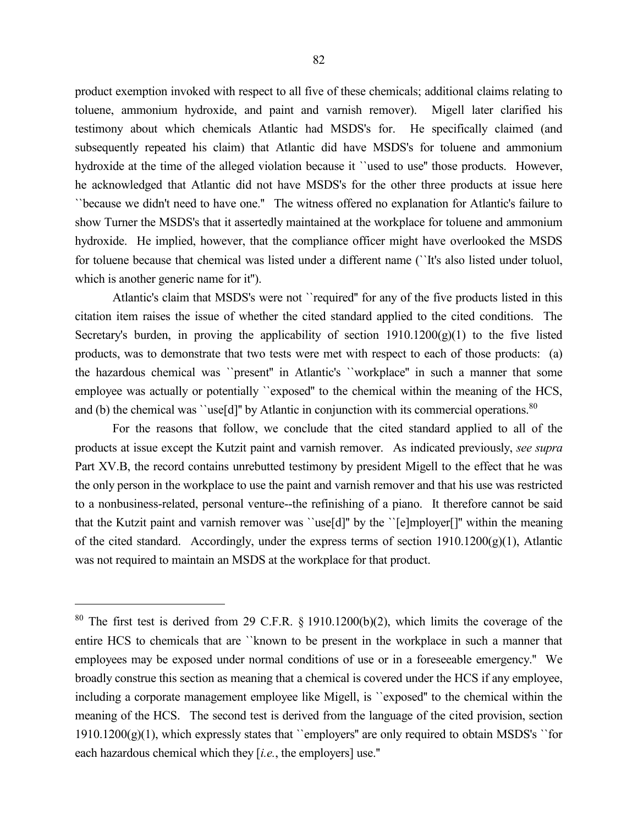product exemption invoked with respect to all five of these chemicals; additional claims relating to toluene, ammonium hydroxide, and paint and varnish remover). Migell later clarified his testimony about which chemicals Atlantic had MSDS's for. He specifically claimed (and subsequently repeated his claim) that Atlantic did have MSDS's for toluene and ammonium hydroxide at the time of the alleged violation because it ``used to use'' those products. However, he acknowledged that Atlantic did not have MSDS's for the other three products at issue here ``because we didn't need to have one.'' The witness offered no explanation for Atlantic's failure to show Turner the MSDS's that it assertedly maintained at the workplace for toluene and ammonium hydroxide. He implied, however, that the compliance officer might have overlooked the MSDS for toluene because that chemical was listed under a different name (``It's also listed under toluol, which is another generic name for it'').

Atlantic's claim that MSDS's were not ``required'' for any of the five products listed in this citation item raises the issue of whether the cited standard applied to the cited conditions. The Secretary's burden, in proving the applicability of section  $1910.1200(g)(1)$  to the five listed products, was to demonstrate that two tests were met with respect to each of those products: (a) the hazardous chemical was ``present'' in Atlantic's ``workplace'' in such a manner that some employee was actually or potentially "exposed" to the chemical within the meaning of the HCS, and (b) the chemical was ''use[d]" by Atlantic in conjunction with its commercial operations. $80$ 

For the reasons that follow, we conclude that the cited standard applied to all of the products at issue except the Kutzit paint and varnish remover. As indicated previously, *see supra* Part XV.B, the record contains unrebutted testimony by president Migell to the effect that he was the only person in the workplace to use the paint and varnish remover and that his use was restricted to a nonbusiness-related, personal venture--the refinishing of a piano. It therefore cannot be said that the Kutzit paint and varnish remover was ``use[d]'' by the ``[e]mployer[]'' within the meaning of the cited standard. Accordingly, under the express terms of section 1910.1200(g)(1), Atlantic was not required to maintain an MSDS at the workplace for that product.

<sup>80</sup> The first test is derived from 29 C.F.R. § 1910.1200(b)(2), which limits the coverage of the entire HCS to chemicals that are ``known to be present in the workplace in such a manner that employees may be exposed under normal conditions of use or in a foreseeable emergency.'' We broadly construe this section as meaning that a chemical is covered under the HCS if any employee, including a corporate management employee like Migell, is ``exposed'' to the chemical within the meaning of the HCS. The second test is derived from the language of the cited provision, section  $1910.1200(g)(1)$ , which expressly states that ``employers'' are only required to obtain MSDS's ``for each hazardous chemical which they [*i.e.*, the employers] use.''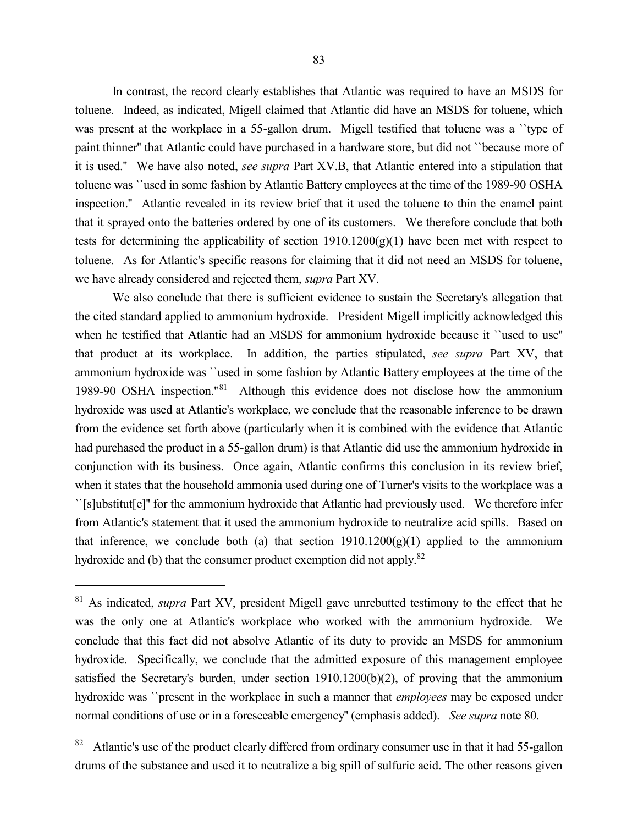In contrast, the record clearly establishes that Atlantic was required to have an MSDS for toluene. Indeed, as indicated, Migell claimed that Atlantic did have an MSDS for toluene, which was present at the workplace in a 55-gallon drum. Migell testified that toluene was a 'type of paint thinner'' that Atlantic could have purchased in a hardware store, but did not ``because more of it is used.'' We have also noted, *see supra* Part XV.B, that Atlantic entered into a stipulation that toluene was ``used in some fashion by Atlantic Battery employees at the time of the 1989-90 OSHA inspection.'' Atlantic revealed in its review brief that it used the toluene to thin the enamel paint that it sprayed onto the batteries ordered by one of its customers. We therefore conclude that both tests for determining the applicability of section 1910.1200(g)(1) have been met with respect to toluene. As for Atlantic's specific reasons for claiming that it did not need an MSDS for toluene, we have already considered and rejected them, *supra* Part XV.

We also conclude that there is sufficient evidence to sustain the Secretary's allegation that the cited standard applied to ammonium hydroxide. President Migell implicitly acknowledged this when he testified that Atlantic had an MSDS for ammonium hydroxide because it ``used to use'' that product at its workplace. In addition, the parties stipulated, *see supra* Part XV, that ammonium hydroxide was ``used in some fashion by Atlantic Battery employees at the time of the 1989-90 OSHA inspection."<sup>81</sup> Although this evidence does not disclose how the ammonium hydroxide was used at Atlantic's workplace, we conclude that the reasonable inference to be drawn from the evidence set forth above (particularly when it is combined with the evidence that Atlantic had purchased the product in a 55-gallon drum) is that Atlantic did use the ammonium hydroxide in conjunction with its business. Once again, Atlantic confirms this conclusion in its review brief, when it states that the household ammonia used during one of Turner's visits to the workplace was a ``[s]ubstitut[e]'' for the ammonium hydroxide that Atlantic had previously used. We therefore infer from Atlantic's statement that it used the ammonium hydroxide to neutralize acid spills. Based on that inference, we conclude both (a) that section  $1910.1200(g)(1)$  applied to the ammonium hydroxide and (b) that the consumer product exemption did not apply.<sup>82</sup>

<sup>81</sup> As indicated, *supra* Part XV, president Migell gave unrebutted testimony to the effect that he was the only one at Atlantic's workplace who worked with the ammonium hydroxide. We conclude that this fact did not absolve Atlantic of its duty to provide an MSDS for ammonium hydroxide. Specifically, we conclude that the admitted exposure of this management employee satisfied the Secretary's burden, under section 1910.1200(b)(2), of proving that the ammonium hydroxide was ``present in the workplace in such a manner that *employees* may be exposed under normal conditions of use or in a foreseeable emergency'' (emphasis added). *See supra* note 80.

<sup>82</sup> Atlantic's use of the product clearly differed from ordinary consumer use in that it had 55-gallon drums of the substance and used it to neutralize a big spill of sulfuric acid. The other reasons given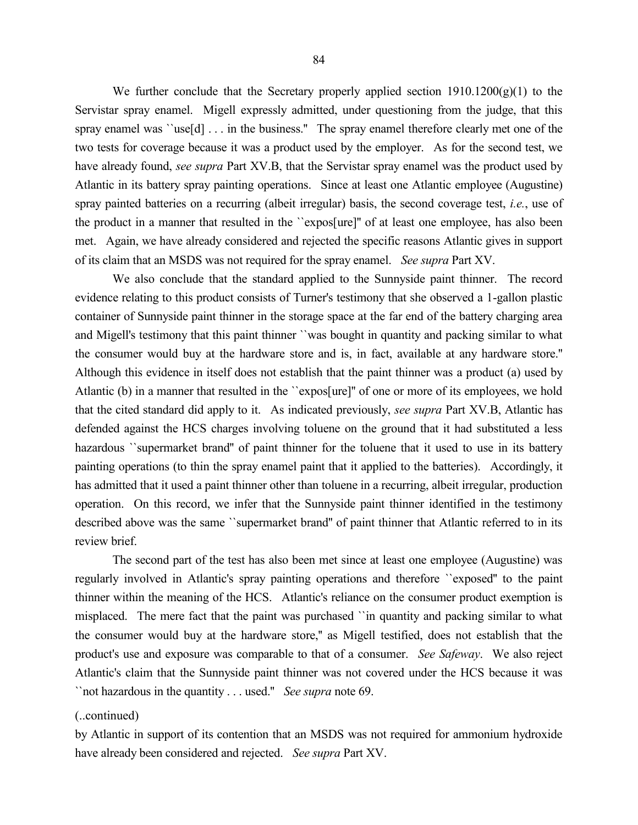84

We further conclude that the Secretary properly applied section  $1910.1200(g)(1)$  to the Servistar spray enamel. Migell expressly admitted, under questioning from the judge, that this spray enamel was ``use[d] . . . in the business." The spray enamel therefore clearly met one of the two tests for coverage because it was a product used by the employer. As for the second test, we have already found, *see supra* Part XV.B, that the Servistar spray enamel was the product used by Atlantic in its battery spray painting operations. Since at least one Atlantic employee (Augustine) spray painted batteries on a recurring (albeit irregular) basis, the second coverage test, *i.e.*, use of the product in a manner that resulted in the ``expos[ure]'' of at least one employee, has also been met. Again, we have already considered and rejected the specific reasons Atlantic gives in support of its claim that an MSDS was not required for the spray enamel. *See supra* Part XV.

We also conclude that the standard applied to the Sunnyside paint thinner. The record evidence relating to this product consists of Turner's testimony that she observed a 1-gallon plastic container of Sunnyside paint thinner in the storage space at the far end of the battery charging area and Migell's testimony that this paint thinner ``was bought in quantity and packing similar to what the consumer would buy at the hardware store and is, in fact, available at any hardware store.'' Although this evidence in itself does not establish that the paint thinner was a product (a) used by Atlantic (b) in a manner that resulted in the ``expos[ure]'' of one or more of its employees, we hold that the cited standard did apply to it. As indicated previously, *see supra* Part XV.B, Atlantic has defended against the HCS charges involving toluene on the ground that it had substituted a less hazardous "supermarket brand" of paint thinner for the toluene that it used to use in its battery painting operations (to thin the spray enamel paint that it applied to the batteries). Accordingly, it has admitted that it used a paint thinner other than toluene in a recurring, albeit irregular, production operation. On this record, we infer that the Sunnyside paint thinner identified in the testimony described above was the same ``supermarket brand'' of paint thinner that Atlantic referred to in its review brief.

The second part of the test has also been met since at least one employee (Augustine) was regularly involved in Atlantic's spray painting operations and therefore ``exposed'' to the paint thinner within the meaning of the HCS. Atlantic's reliance on the consumer product exemption is misplaced. The mere fact that the paint was purchased ``in quantity and packing similar to what the consumer would buy at the hardware store,'' as Migell testified, does not establish that the product's use and exposure was comparable to that of a consumer. *See Safeway*. We also reject Atlantic's claim that the Sunnyside paint thinner was not covered under the HCS because it was ``not hazardous in the quantity . . . used.'' *See supra* note 69.

### (..continued)

by Atlantic in support of its contention that an MSDS was not required for ammonium hydroxide have already been considered and rejected. *See supra* Part XV.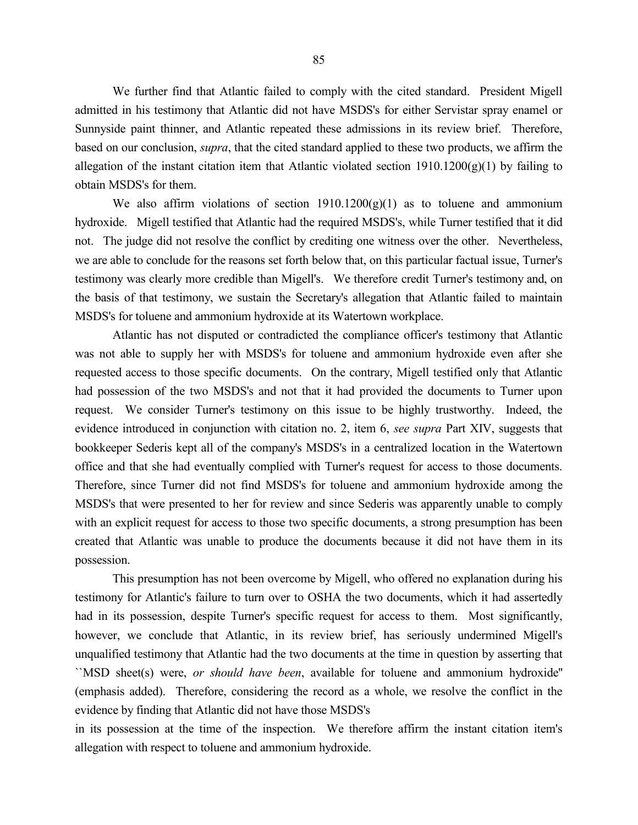We further find that Atlantic failed to comply with the cited standard. President Migell admitted in his testimony that Atlantic did not have MSDS's for either Servistar spray enamel or Sunnyside paint thinner, and Atlantic repeated these admissions in its review brief. Therefore, based on our conclusion, *supra*, that the cited standard applied to these two products, we affirm the allegation of the instant citation item that Atlantic violated section  $1910.1200(g)(1)$  by failing to obtain MSDS's for them.

We also affirm violations of section  $1910.1200(g)(1)$  as to toluene and ammonium hydroxide. Migell testified that Atlantic had the required MSDS's, while Turner testified that it did not. The judge did not resolve the conflict by crediting one witness over the other. Nevertheless, we are able to conclude for the reasons set forth below that, on this particular factual issue, Turner's testimony was clearly more credible than Migell's. We therefore credit Turner's testimony and, on the basis of that testimony, we sustain the Secretary's allegation that Atlantic failed to maintain MSDS's for toluene and ammonium hydroxide at its Watertown workplace.

Atlantic has not disputed or contradicted the compliance officer's testimony that Atlantic was not able to supply her with MSDS's for toluene and ammonium hydroxide even after she requested access to those specific documents. On the contrary, Migell testified only that Atlantic had possession of the two MSDS's and not that it had provided the documents to Turner upon request. We consider Turner's testimony on this issue to be highly trustworthy. Indeed, the evidence introduced in conjunction with citation no. 2, item 6, *see supra* Part XIV, suggests that bookkeeper Sederis kept all of the company's MSDS's in a centralized location in the Watertown office and that she had eventually complied with Turner's request for access to those documents. Therefore, since Turner did not find MSDS's for toluene and ammonium hydroxide among the MSDS's that were presented to her for review and since Sederis was apparently unable to comply with an explicit request for access to those two specific documents, a strong presumption has been created that Atlantic was unable to produce the documents because it did not have them in its possession.

This presumption has not been overcome by Migell, who offered no explanation during his testimony for Atlantic's failure to turn over to OSHA the two documents, which it had assertedly had in its possession, despite Turner's specific request for access to them. Most significantly, however, we conclude that Atlantic, in its review brief, has seriously undermined Migell's unqualified testimony that Atlantic had the two documents at the time in question by asserting that ``MSD sheet(s) were, *or should have been*, available for toluene and ammonium hydroxide'' (emphasis added). Therefore, considering the record as a whole, we resolve the conflict in the evidence by finding that Atlantic did not have those MSDS's

in its possession at the time of the inspection. We therefore affirm the instant citation item's allegation with respect to toluene and ammonium hydroxide.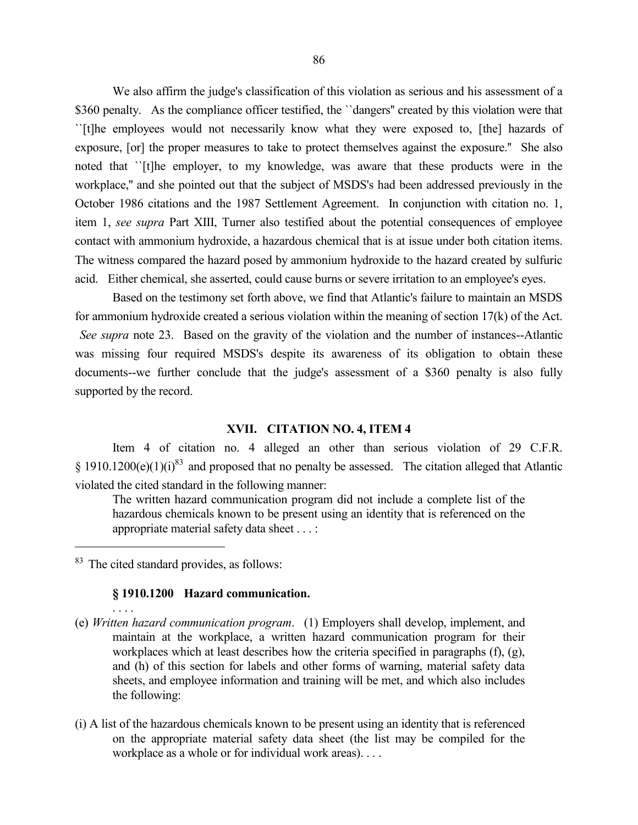We also affirm the judge's classification of this violation as serious and his assessment of a \$360 penalty. As the compliance officer testified, the "dangers" created by this violation were that ``[t]he employees would not necessarily know what they were exposed to, [the] hazards of exposure, [or] the proper measures to take to protect themselves against the exposure.'' She also noted that ``[t]he employer, to my knowledge, was aware that these products were in the workplace,'' and she pointed out that the subject of MSDS's had been addressed previously in the October 1986 citations and the 1987 Settlement Agreement. In conjunction with citation no. 1, item 1, *see supra* Part XIII, Turner also testified about the potential consequences of employee contact with ammonium hydroxide, a hazardous chemical that is at issue under both citation items. The witness compared the hazard posed by ammonium hydroxide to the hazard created by sulfuric acid. Either chemical, she asserted, could cause burns or severe irritation to an employee's eyes.

Based on the testimony set forth above, we find that Atlantic's failure to maintain an MSDS for ammonium hydroxide created a serious violation within the meaning of section 17(k) of the Act. *See supra* note 23. Based on the gravity of the violation and the number of instances--Atlantic was missing four required MSDS's despite its awareness of its obligation to obtain these documents--we further conclude that the judge's assessment of a \$360 penalty is also fully supported by the record.

## **XVII. CITATION NO. 4, ITEM 4**

Item 4 of citation no. 4 alleged an other than serious violation of 29 C.F.R.  $§$  1910.1200(e)(1)(i)<sup>83</sup> and proposed that no penalty be assessed. The citation alleged that Atlantic violated the cited standard in the following manner:

The written hazard communication program did not include a complete list of the hazardous chemicals known to be present using an identity that is referenced on the appropriate material safety data sheet . . . :

<sup>83</sup> The cited standard provides, as follows:

 $\overline{a}$ 

. . . .

### **§ 1910.1200 Hazard communication.**

- (e) *Written hazard communication program*. (1) Employers shall develop, implement, and maintain at the workplace, a written hazard communication program for their workplaces which at least describes how the criteria specified in paragraphs (f), (g), and (h) of this section for labels and other forms of warning, material safety data sheets, and employee information and training will be met, and which also includes the following:
- (i) A list of the hazardous chemicals known to be present using an identity that is referenced on the appropriate material safety data sheet (the list may be compiled for the workplace as a whole or for individual work areas). . . .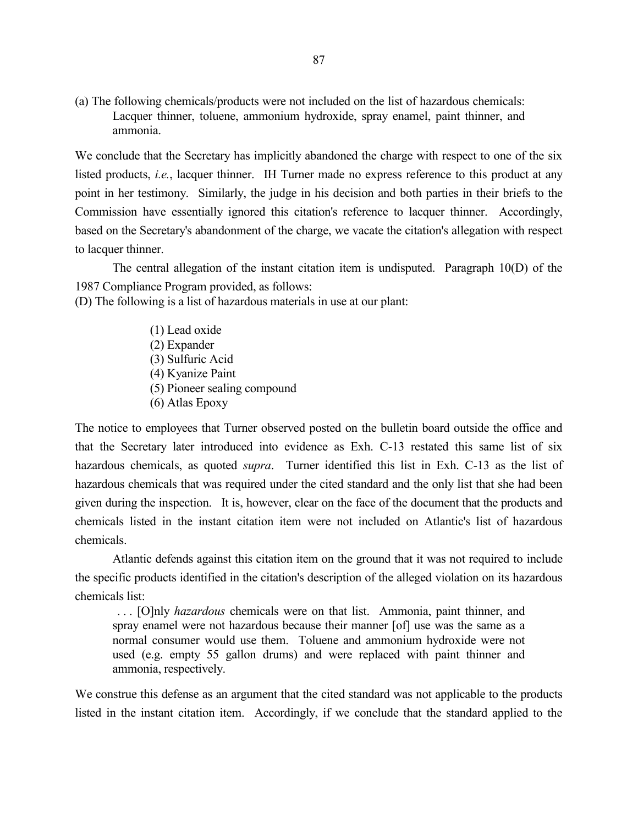(a) The following chemicals/products were not included on the list of hazardous chemicals: Lacquer thinner, toluene, ammonium hydroxide, spray enamel, paint thinner, and ammonia.

We conclude that the Secretary has implicitly abandoned the charge with respect to one of the six listed products, *i.e.*, lacquer thinner. IH Turner made no express reference to this product at any point in her testimony. Similarly, the judge in his decision and both parties in their briefs to the Commission have essentially ignored this citation's reference to lacquer thinner. Accordingly, based on the Secretary's abandonment of the charge, we vacate the citation's allegation with respect to lacquer thinner.

The central allegation of the instant citation item is undisputed. Paragraph 10(D) of the 1987 Compliance Program provided, as follows:

(D) The following is a list of hazardous materials in use at our plant:

(1) Lead oxide (2) Expander (3) Sulfuric Acid (4) Kyanize Paint (5) Pioneer sealing compound (6) Atlas Epoxy

The notice to employees that Turner observed posted on the bulletin board outside the office and that the Secretary later introduced into evidence as Exh. C-13 restated this same list of six hazardous chemicals, as quoted *supra*. Turner identified this list in Exh. C-13 as the list of hazardous chemicals that was required under the cited standard and the only list that she had been given during the inspection. It is, however, clear on the face of the document that the products and chemicals listed in the instant citation item were not included on Atlantic's list of hazardous chemicals.

Atlantic defends against this citation item on the ground that it was not required to include the specific products identified in the citation's description of the alleged violation on its hazardous chemicals list:

. . . [O]nly *hazardous* chemicals were on that list. Ammonia, paint thinner, and spray enamel were not hazardous because their manner [of] use was the same as a normal consumer would use them. Toluene and ammonium hydroxide were not used (e.g. empty 55 gallon drums) and were replaced with paint thinner and ammonia, respectively.

We construe this defense as an argument that the cited standard was not applicable to the products listed in the instant citation item. Accordingly, if we conclude that the standard applied to the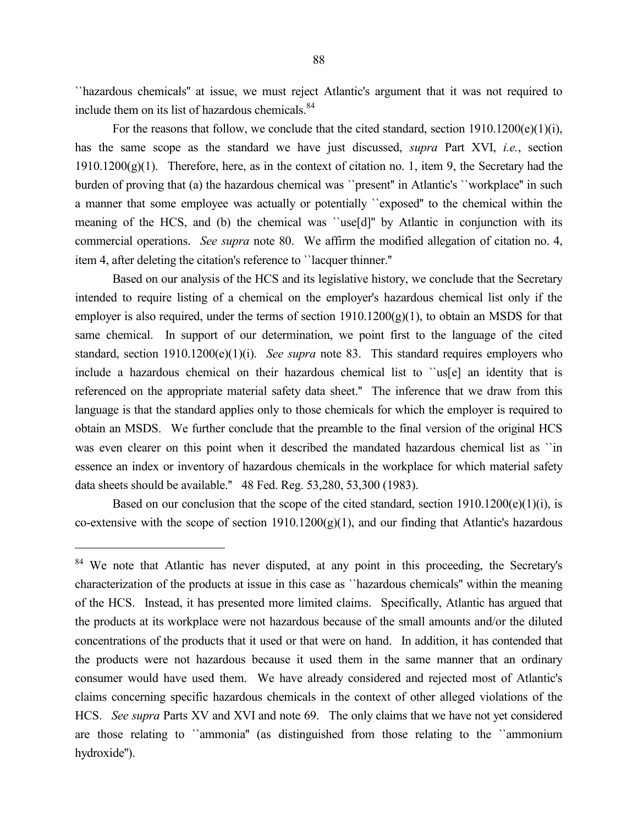``hazardous chemicals'' at issue, we must reject Atlantic's argument that it was not required to include them on its list of hazardous chemicals.<sup>84</sup>

For the reasons that follow, we conclude that the cited standard, section 1910.1200(e)(1)(i), has the same scope as the standard we have just discussed, *supra* Part XVI, *i.e.*, section  $1910.1200(g)(1)$ . Therefore, here, as in the context of citation no. 1, item 9, the Secretary had the burden of proving that (a) the hazardous chemical was ``present'' in Atlantic's ``workplace'' in such a manner that some employee was actually or potentially ``exposed'' to the chemical within the meaning of the HCS, and (b) the chemical was ``use[d]'' by Atlantic in conjunction with its commercial operations. *See supra* note 80. We affirm the modified allegation of citation no. 4, item 4, after deleting the citation's reference to ``lacquer thinner.''

Based on our analysis of the HCS and its legislative history, we conclude that the Secretary intended to require listing of a chemical on the employer's hazardous chemical list only if the employer is also required, under the terms of section  $1910.1200(g)(1)$ , to obtain an MSDS for that same chemical. In support of our determination, we point first to the language of the cited standard, section 1910.1200(e)(1)(i). *See supra* note 83. This standard requires employers who include a hazardous chemical on their hazardous chemical list to ``us[e] an identity that is referenced on the appropriate material safety data sheet.'' The inference that we draw from this language is that the standard applies only to those chemicals for which the employer is required to obtain an MSDS. We further conclude that the preamble to the final version of the original HCS was even clearer on this point when it described the mandated hazardous chemical list as ``in essence an index or inventory of hazardous chemicals in the workplace for which material safety data sheets should be available.'' 48 Fed. Reg. 53,280, 53,300 (1983).

Based on our conclusion that the scope of the cited standard, section  $1910.1200(e)(1)(i)$ , is co-extensive with the scope of section  $1910.1200(g)(1)$ , and our finding that Atlantic's hazardous

<sup>&</sup>lt;sup>84</sup> We note that Atlantic has never disputed, at any point in this proceeding, the Secretary's characterization of the products at issue in this case as ``hazardous chemicals'' within the meaning of the HCS. Instead, it has presented more limited claims. Specifically, Atlantic has argued that the products at its workplace were not hazardous because of the small amounts and/or the diluted concentrations of the products that it used or that were on hand. In addition, it has contended that the products were not hazardous because it used them in the same manner that an ordinary consumer would have used them. We have already considered and rejected most of Atlantic's claims concerning specific hazardous chemicals in the context of other alleged violations of the HCS. *See supra* Parts XV and XVI and note 69. The only claims that we have not yet considered are those relating to ``ammonia'' (as distinguished from those relating to the ``ammonium hydroxide'').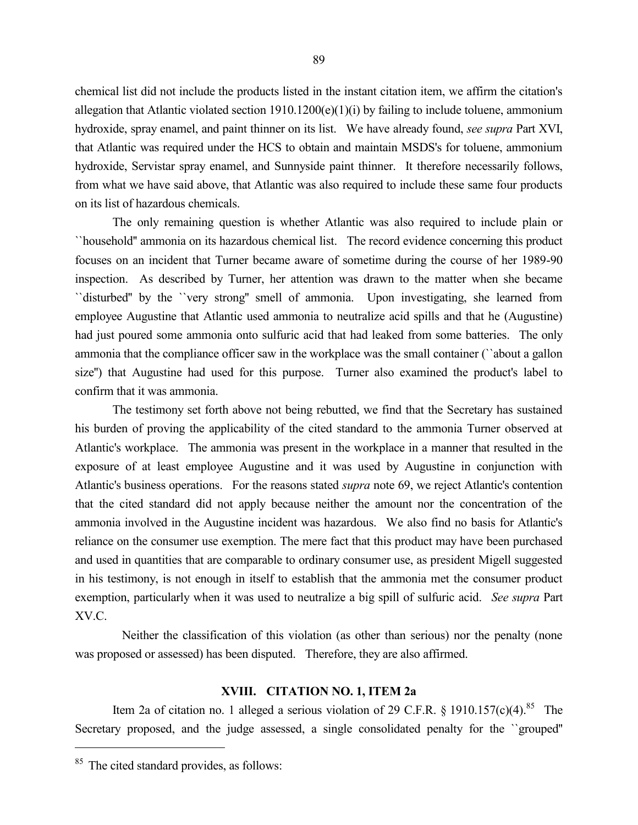chemical list did not include the products listed in the instant citation item, we affirm the citation's allegation that Atlantic violated section  $1910.1200(e)(1)(i)$  by failing to include toluene, ammonium hydroxide, spray enamel, and paint thinner on its list. We have already found, *see supra* Part XVI, that Atlantic was required under the HCS to obtain and maintain MSDS's for toluene, ammonium hydroxide, Servistar spray enamel, and Sunnyside paint thinner. It therefore necessarily follows, from what we have said above, that Atlantic was also required to include these same four products on its list of hazardous chemicals.

The only remaining question is whether Atlantic was also required to include plain or ``household'' ammonia on its hazardous chemical list. The record evidence concerning this product focuses on an incident that Turner became aware of sometime during the course of her 1989-90 inspection. As described by Turner, her attention was drawn to the matter when she became ``disturbed'' by the ``very strong'' smell of ammonia. Upon investigating, she learned from employee Augustine that Atlantic used ammonia to neutralize acid spills and that he (Augustine) had just poured some ammonia onto sulfuric acid that had leaked from some batteries. The only ammonia that the compliance officer saw in the workplace was the small container (``about a gallon size'') that Augustine had used for this purpose. Turner also examined the product's label to confirm that it was ammonia.

The testimony set forth above not being rebutted, we find that the Secretary has sustained his burden of proving the applicability of the cited standard to the ammonia Turner observed at Atlantic's workplace. The ammonia was present in the workplace in a manner that resulted in the exposure of at least employee Augustine and it was used by Augustine in conjunction with Atlantic's business operations. For the reasons stated *supra* note 69, we reject Atlantic's contention that the cited standard did not apply because neither the amount nor the concentration of the ammonia involved in the Augustine incident was hazardous. We also find no basis for Atlantic's reliance on the consumer use exemption. The mere fact that this product may have been purchased and used in quantities that are comparable to ordinary consumer use, as president Migell suggested in his testimony, is not enough in itself to establish that the ammonia met the consumer product exemption, particularly when it was used to neutralize a big spill of sulfuric acid. *See supra* Part XV.C.

 Neither the classification of this violation (as other than serious) nor the penalty (none was proposed or assessed) has been disputed. Therefore, they are also affirmed.

#### **XVIII. CITATION NO. 1, ITEM 2a**

Item 2a of citation no. 1 alleged a serious violation of 29 C.F.R.  $\S$  1910.157(c)(4).<sup>85</sup> The Secretary proposed, and the judge assessed, a single consolidated penalty for the ``grouped''

<sup>&</sup>lt;sup>85</sup> The cited standard provides, as follows: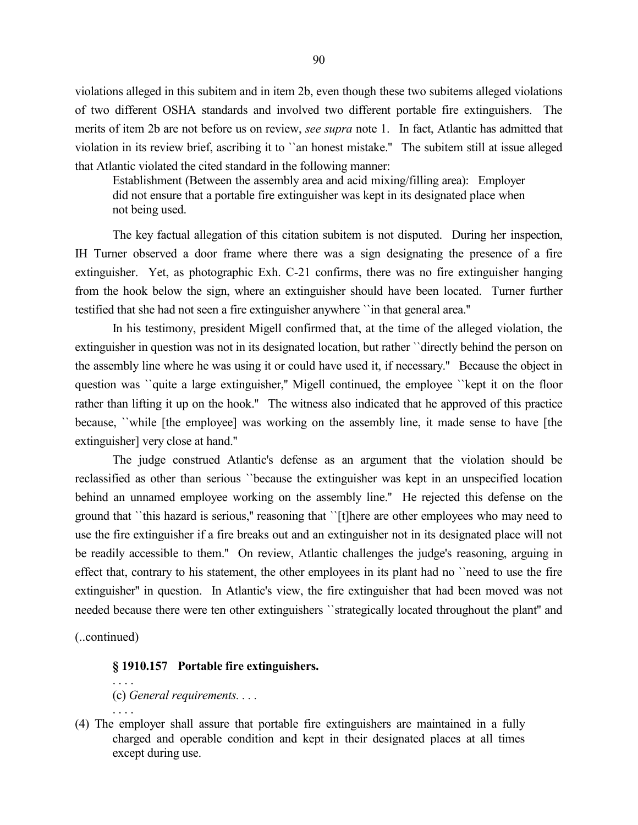violations alleged in this subitem and in item 2b, even though these two subitems alleged violations of two different OSHA standards and involved two different portable fire extinguishers. The merits of item 2b are not before us on review, *see supra* note 1. In fact, Atlantic has admitted that violation in its review brief, ascribing it to ``an honest mistake.'' The subitem still at issue alleged that Atlantic violated the cited standard in the following manner:

Establishment (Between the assembly area and acid mixing/filling area): Employer did not ensure that a portable fire extinguisher was kept in its designated place when not being used.

The key factual allegation of this citation subitem is not disputed. During her inspection, IH Turner observed a door frame where there was a sign designating the presence of a fire extinguisher. Yet, as photographic Exh. C-21 confirms, there was no fire extinguisher hanging from the hook below the sign, where an extinguisher should have been located. Turner further testified that she had not seen a fire extinguisher anywhere ``in that general area.''

In his testimony, president Migell confirmed that, at the time of the alleged violation, the extinguisher in question was not in its designated location, but rather ``directly behind the person on the assembly line where he was using it or could have used it, if necessary.'' Because the object in question was ``quite a large extinguisher,'' Migell continued, the employee ``kept it on the floor rather than lifting it up on the hook.'' The witness also indicated that he approved of this practice because, ``while [the employee] was working on the assembly line, it made sense to have [the extinguisher] very close at hand.''

The judge construed Atlantic's defense as an argument that the violation should be reclassified as other than serious ``because the extinguisher was kept in an unspecified location behind an unnamed employee working on the assembly line.'' He rejected this defense on the ground that ``this hazard is serious,'' reasoning that ``[t]here are other employees who may need to use the fire extinguisher if a fire breaks out and an extinguisher not in its designated place will not be readily accessible to them.'' On review, Atlantic challenges the judge's reasoning, arguing in effect that, contrary to his statement, the other employees in its plant had no ``need to use the fire extinguisher'' in question. In Atlantic's view, the fire extinguisher that had been moved was not needed because there were ten other extinguishers ``strategically located throughout the plant'' and

(..continued)

### **§ 1910.157 Portable fire extinguishers.**

(c) *General requirements. . . .*

. . . .

. . . .

(4) The employer shall assure that portable fire extinguishers are maintained in a fully charged and operable condition and kept in their designated places at all times except during use.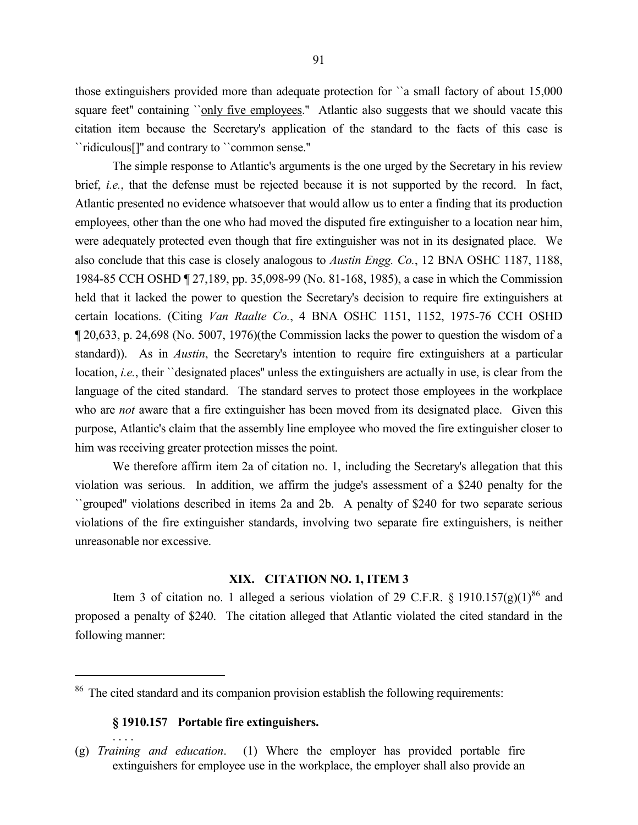those extinguishers provided more than adequate protection for ``a small factory of about 15,000 square feet" containing ``only five employees." Atlantic also suggests that we should vacate this citation item because the Secretary's application of the standard to the facts of this case is ``ridiculous[]'' and contrary to ``common sense.''

The simple response to Atlantic's arguments is the one urged by the Secretary in his review brief, *i.e.*, that the defense must be rejected because it is not supported by the record. In fact, Atlantic presented no evidence whatsoever that would allow us to enter a finding that its production employees, other than the one who had moved the disputed fire extinguisher to a location near him, were adequately protected even though that fire extinguisher was not in its designated place. We also conclude that this case is closely analogous to *Austin Engg. Co.*, 12 BNA OSHC 1187, 1188, 1984-85 CCH OSHD ¶ 27,189, pp. 35,098-99 (No. 81-168, 1985), a case in which the Commission held that it lacked the power to question the Secretary's decision to require fire extinguishers at certain locations. (Citing *Van Raalte Co.*, 4 BNA OSHC 1151, 1152, 1975-76 CCH OSHD ¶ 20,633, p. 24,698 (No. 5007, 1976)(the Commission lacks the power to question the wisdom of a standard)). As in *Austin*, the Secretary's intention to require fire extinguishers at a particular location, *i.e.*, their ``designated places'' unless the extinguishers are actually in use, is clear from the language of the cited standard. The standard serves to protect those employees in the workplace who are *not* aware that a fire extinguisher has been moved from its designated place. Given this purpose, Atlantic's claim that the assembly line employee who moved the fire extinguisher closer to him was receiving greater protection misses the point.

We therefore affirm item 2a of citation no. 1, including the Secretary's allegation that this violation was serious. In addition, we affirm the judge's assessment of a \$240 penalty for the ``grouped'' violations described in items 2a and 2b. A penalty of \$240 for two separate serious violations of the fire extinguisher standards, involving two separate fire extinguishers, is neither unreasonable nor excessive.

# **XIX. CITATION NO. 1, ITEM 3**

Item 3 of citation no. 1 alleged a serious violation of 29 C.F.R. § 1910.157(g)(1)<sup>86</sup> and proposed a penalty of \$240. The citation alleged that Atlantic violated the cited standard in the following manner:

# **§ 1910.157 Portable fire extinguishers.**

 $\overline{a}$ 

. . . .

<sup>&</sup>lt;sup>86</sup> The cited standard and its companion provision establish the following requirements:

<sup>(</sup>g) *Training and education*. (1) Where the employer has provided portable fire extinguishers for employee use in the workplace, the employer shall also provide an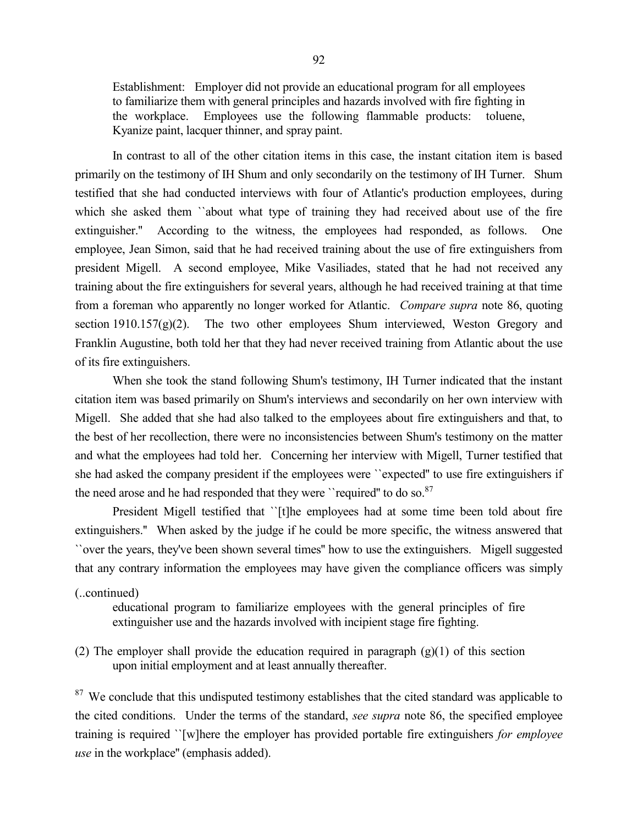Establishment: Employer did not provide an educational program for all employees to familiarize them with general principles and hazards involved with fire fighting in the workplace. Employees use the following flammable products: toluene, Kyanize paint, lacquer thinner, and spray paint.

In contrast to all of the other citation items in this case, the instant citation item is based primarily on the testimony of IH Shum and only secondarily on the testimony of IH Turner. Shum testified that she had conducted interviews with four of Atlantic's production employees, during which she asked them "about what type of training they had received about use of the fire extinguisher.'' According to the witness, the employees had responded, as follows. One employee, Jean Simon, said that he had received training about the use of fire extinguishers from president Migell. A second employee, Mike Vasiliades, stated that he had not received any training about the fire extinguishers for several years, although he had received training at that time from a foreman who apparently no longer worked for Atlantic. *Compare supra* note 86, quoting section 1910.157 $(g)(2)$ . The two other employees Shum interviewed, Weston Gregory and Franklin Augustine, both told her that they had never received training from Atlantic about the use of its fire extinguishers.

When she took the stand following Shum's testimony, IH Turner indicated that the instant citation item was based primarily on Shum's interviews and secondarily on her own interview with Migell. She added that she had also talked to the employees about fire extinguishers and that, to the best of her recollection, there were no inconsistencies between Shum's testimony on the matter and what the employees had told her. Concerning her interview with Migell, Turner testified that she had asked the company president if the employees were ``expected'' to use fire extinguishers if the need arose and he had responded that they were ''required" to do so. $87$ 

President Migell testified that ``[t]he employees had at some time been told about fire extinguishers.'' When asked by the judge if he could be more specific, the witness answered that ``over the years, they've been shown several times'' how to use the extinguishers. Migell suggested that any contrary information the employees may have given the compliance officers was simply

(..continued)

educational program to familiarize employees with the general principles of fire extinguisher use and the hazards involved with incipient stage fire fighting.

(2) The employer shall provide the education required in paragraph  $(g)(1)$  of this section upon initial employment and at least annually thereafter.

<sup>87</sup> We conclude that this undisputed testimony establishes that the cited standard was applicable to the cited conditions. Under the terms of the standard, *see supra* note 86, the specified employee training is required ``[w]here the employer has provided portable fire extinguishers *for employee use* in the workplace'' (emphasis added).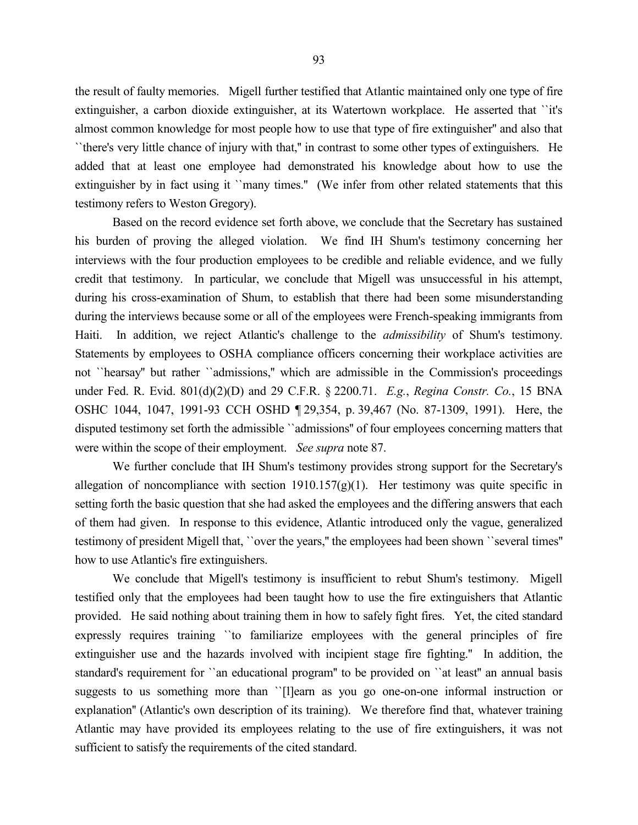the result of faulty memories. Migell further testified that Atlantic maintained only one type of fire extinguisher, a carbon dioxide extinguisher, at its Watertown workplace. He asserted that ``it's almost common knowledge for most people how to use that type of fire extinguisher'' and also that ``there's very little chance of injury with that,'' in contrast to some other types of extinguishers. He added that at least one employee had demonstrated his knowledge about how to use the extinguisher by in fact using it ``many times." (We infer from other related statements that this testimony refers to Weston Gregory).

Based on the record evidence set forth above, we conclude that the Secretary has sustained his burden of proving the alleged violation. We find IH Shum's testimony concerning her interviews with the four production employees to be credible and reliable evidence, and we fully credit that testimony. In particular, we conclude that Migell was unsuccessful in his attempt, during his cross-examination of Shum, to establish that there had been some misunderstanding during the interviews because some or all of the employees were French-speaking immigrants from Haiti. In addition, we reject Atlantic's challenge to the *admissibility* of Shum's testimony. Statements by employees to OSHA compliance officers concerning their workplace activities are not ``hearsay'' but rather ``admissions,'' which are admissible in the Commission's proceedings under Fed. R. Evid. 801(d)(2)(D) and 29 C.F.R. § 2200.71. *E.g.*, *Regina Constr. Co.*, 15 BNA OSHC 1044, 1047, 1991-93 CCH OSHD ¶ 29,354, p. 39,467 (No. 87-1309, 1991). Here, the disputed testimony set forth the admissible ``admissions'' of four employees concerning matters that were within the scope of their employment. *See supra* note 87.

We further conclude that IH Shum's testimony provides strong support for the Secretary's allegation of noncompliance with section  $1910.157(g)(1)$ . Her testimony was quite specific in setting forth the basic question that she had asked the employees and the differing answers that each of them had given. In response to this evidence, Atlantic introduced only the vague, generalized testimony of president Migell that, ``over the years,'' the employees had been shown ``several times'' how to use Atlantic's fire extinguishers.

We conclude that Migell's testimony is insufficient to rebut Shum's testimony. Migell testified only that the employees had been taught how to use the fire extinguishers that Atlantic provided. He said nothing about training them in how to safely fight fires. Yet, the cited standard expressly requires training ``to familiarize employees with the general principles of fire extinguisher use and the hazards involved with incipient stage fire fighting.'' In addition, the standard's requirement for ``an educational program'' to be provided on ``at least'' an annual basis suggests to us something more than ``[l]earn as you go one-on-one informal instruction or explanation'' (Atlantic's own description of its training). We therefore find that, whatever training Atlantic may have provided its employees relating to the use of fire extinguishers, it was not sufficient to satisfy the requirements of the cited standard.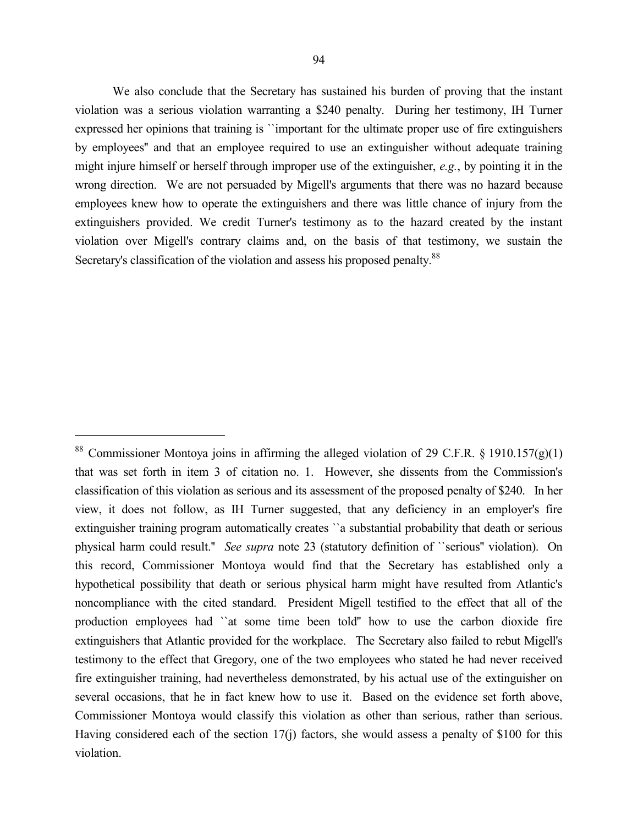We also conclude that the Secretary has sustained his burden of proving that the instant violation was a serious violation warranting a \$240 penalty. During her testimony, IH Turner expressed her opinions that training is ``important for the ultimate proper use of fire extinguishers by employees'' and that an employee required to use an extinguisher without adequate training might injure himself or herself through improper use of the extinguisher, *e.g.*, by pointing it in the wrong direction. We are not persuaded by Migell's arguments that there was no hazard because employees knew how to operate the extinguishers and there was little chance of injury from the extinguishers provided. We credit Turner's testimony as to the hazard created by the instant violation over Migell's contrary claims and, on the basis of that testimony, we sustain the Secretary's classification of the violation and assess his proposed penalty.<sup>88</sup>

<sup>&</sup>lt;sup>88</sup> Commissioner Montoya joins in affirming the alleged violation of 29 C.F.R. § 1910.157(g)(1) that was set forth in item 3 of citation no. 1. However, she dissents from the Commission's classification of this violation as serious and its assessment of the proposed penalty of \$240. In her view, it does not follow, as IH Turner suggested, that any deficiency in an employer's fire extinguisher training program automatically creates ``a substantial probability that death or serious physical harm could result.'' *See supra* note 23 (statutory definition of ``serious'' violation). On this record, Commissioner Montoya would find that the Secretary has established only a hypothetical possibility that death or serious physical harm might have resulted from Atlantic's noncompliance with the cited standard. President Migell testified to the effect that all of the production employees had ``at some time been told'' how to use the carbon dioxide fire extinguishers that Atlantic provided for the workplace. The Secretary also failed to rebut Migell's testimony to the effect that Gregory, one of the two employees who stated he had never received fire extinguisher training, had nevertheless demonstrated, by his actual use of the extinguisher on several occasions, that he in fact knew how to use it. Based on the evidence set forth above, Commissioner Montoya would classify this violation as other than serious, rather than serious. Having considered each of the section 17(j) factors, she would assess a penalty of \$100 for this violation.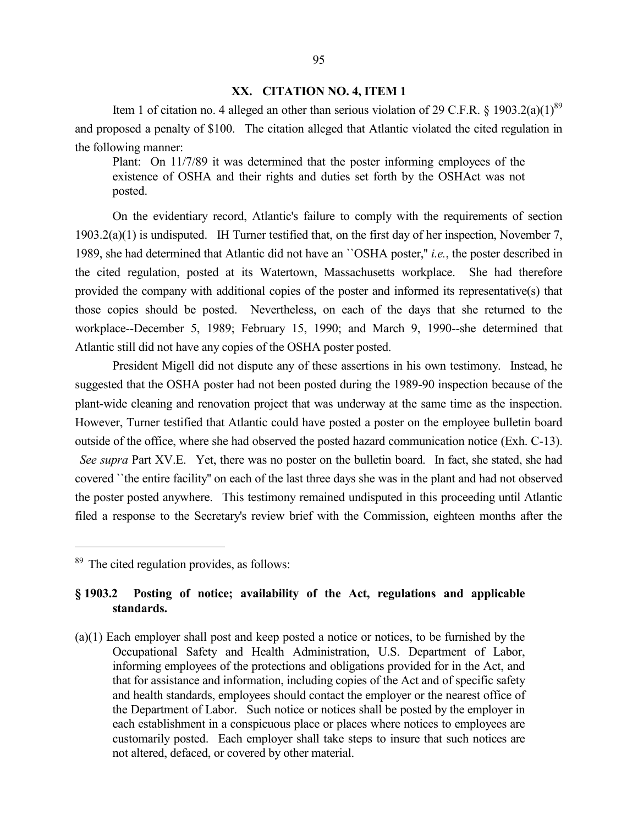#### **XX. CITATION NO. 4, ITEM 1**

Item 1 of citation no. 4 alleged an other than serious violation of 29 C.F.R. § 1903.2(a)(1)<sup>89</sup> and proposed a penalty of \$100. The citation alleged that Atlantic violated the cited regulation in the following manner:

Plant: On 11/7/89 it was determined that the poster informing employees of the existence of OSHA and their rights and duties set forth by the OSHAct was not posted.

On the evidentiary record, Atlantic's failure to comply with the requirements of section 1903.2(a)(1) is undisputed. IH Turner testified that, on the first day of her inspection, November 7, 1989, she had determined that Atlantic did not have an ``OSHA poster,'' *i.e.*, the poster described in the cited regulation, posted at its Watertown, Massachusetts workplace. She had therefore provided the company with additional copies of the poster and informed its representative(s) that those copies should be posted. Nevertheless, on each of the days that she returned to the workplace--December 5, 1989; February 15, 1990; and March 9, 1990--she determined that Atlantic still did not have any copies of the OSHA poster posted.

President Migell did not dispute any of these assertions in his own testimony. Instead, he suggested that the OSHA poster had not been posted during the 1989-90 inspection because of the plant-wide cleaning and renovation project that was underway at the same time as the inspection. However, Turner testified that Atlantic could have posted a poster on the employee bulletin board outside of the office, where she had observed the posted hazard communication notice (Exh. C-13). *See supra* Part XV.E. Yet, there was no poster on the bulletin board. In fact, she stated, she had covered ``the entire facility'' on each of the last three days she was in the plant and had not observed the poster posted anywhere. This testimony remained undisputed in this proceeding until Atlantic filed a response to the Secretary's review brief with the Commission, eighteen months after the

 $\overline{a}$ 

# **§ 1903.2 Posting of notice; availability of the Act, regulations and applicable standards.**

(a)(1) Each employer shall post and keep posted a notice or notices, to be furnished by the Occupational Safety and Health Administration, U.S. Department of Labor, informing employees of the protections and obligations provided for in the Act, and that for assistance and information, including copies of the Act and of specific safety and health standards, employees should contact the employer or the nearest office of the Department of Labor. Such notice or notices shall be posted by the employer in each establishment in a conspicuous place or places where notices to employees are customarily posted. Each employer shall take steps to insure that such notices are not altered, defaced, or covered by other material.

<sup>89</sup> The cited regulation provides, as follows: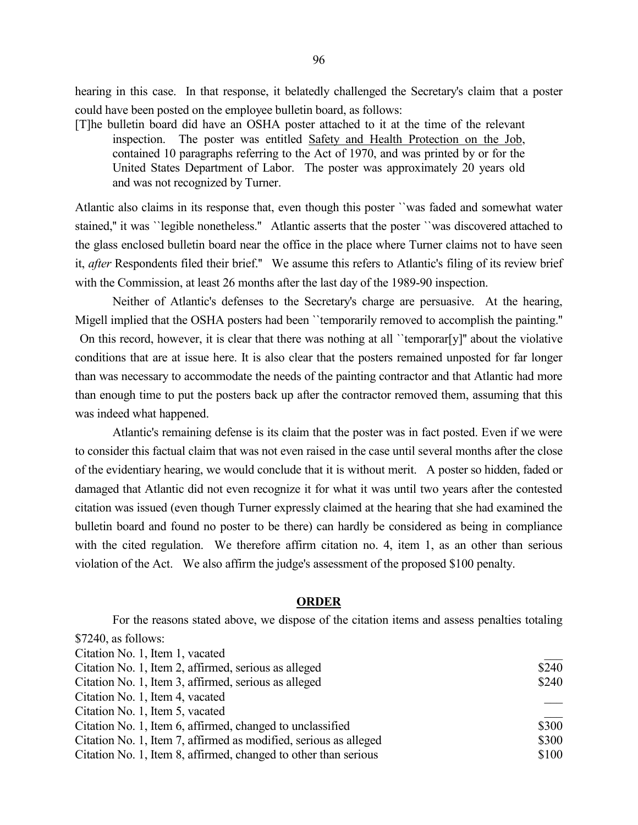hearing in this case. In that response, it belatedly challenged the Secretary's claim that a poster could have been posted on the employee bulletin board, as follows:

[T]he bulletin board did have an OSHA poster attached to it at the time of the relevant inspection. The poster was entitled Safety and Health Protection on the Job, contained 10 paragraphs referring to the Act of 1970, and was printed by or for the United States Department of Labor. The poster was approximately 20 years old and was not recognized by Turner.

Atlantic also claims in its response that, even though this poster ``was faded and somewhat water stained," it was ``legible nonetheless." Atlantic asserts that the poster ``was discovered attached to the glass enclosed bulletin board near the office in the place where Turner claims not to have seen it, *after* Respondents filed their brief.'' We assume this refers to Atlantic's filing of its review brief with the Commission, at least 26 months after the last day of the 1989-90 inspection.

Neither of Atlantic's defenses to the Secretary's charge are persuasive. At the hearing, Migell implied that the OSHA posters had been ``temporarily removed to accomplish the painting.''

On this record, however, it is clear that there was nothing at all ``temporar[y]'' about the violative conditions that are at issue here. It is also clear that the posters remained unposted for far longer than was necessary to accommodate the needs of the painting contractor and that Atlantic had more than enough time to put the posters back up after the contractor removed them, assuming that this was indeed what happened.

Atlantic's remaining defense is its claim that the poster was in fact posted. Even if we were to consider this factual claim that was not even raised in the case until several months after the close of the evidentiary hearing, we would conclude that it is without merit. A poster so hidden, faded or damaged that Atlantic did not even recognize it for what it was until two years after the contested citation was issued (even though Turner expressly claimed at the hearing that she had examined the bulletin board and found no poster to be there) can hardly be considered as being in compliance with the cited regulation. We therefore affirm citation no. 4, item 1, as an other than serious violation of the Act. We also affirm the judge's assessment of the proposed \$100 penalty.

### **ORDER**

For the reasons stated above, we dispose of the citation items and assess penalties totaling \$7240, as follows: Citation No. 1, Item 1, vacated \_\_\_ Citation No. 1, Item 2, affirmed, serious as alleged \$240 Citation No. 1, Item 3, affirmed, serious as alleged \$240 Citation No. 1, Item 4, vacated \_\_\_ Citation No. 1, Item 5, vacated \_\_\_ Citation No. 1, Item 6, affirmed, changed to unclassified \$300 Citation No. 1, Item 7, affirmed as modified, serious as alleged \$300 Citation No. 1, Item 8, affirmed, changed to other than serious \$100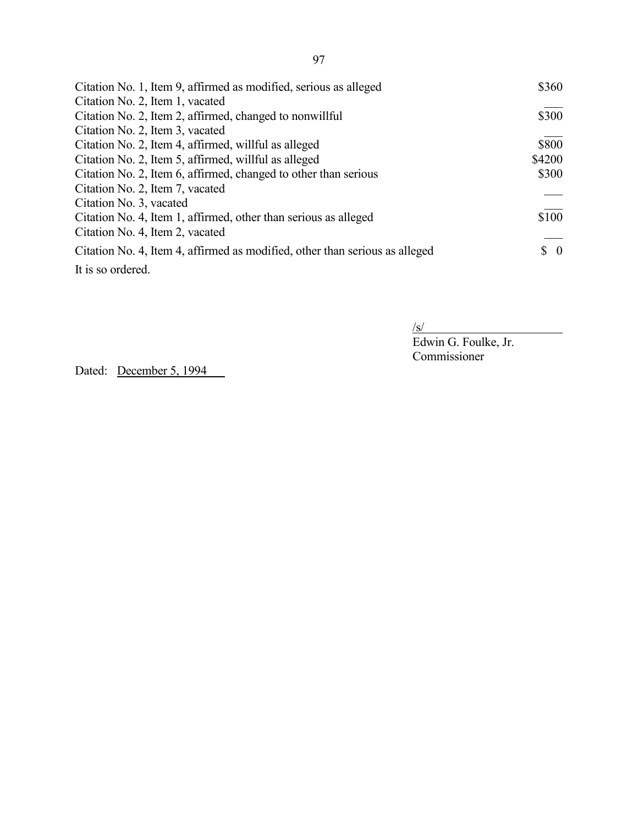| Citation No. 1, Item 9, affirmed as modified, serious as alleged            | \$360                           |
|-----------------------------------------------------------------------------|---------------------------------|
| Citation No. 2, Item 1, vacated                                             |                                 |
| Citation No. 2, Item 2, affirmed, changed to nonwillful                     | \$300                           |
| Citation No. 2, Item 3, vacated                                             |                                 |
| Citation No. 2, Item 4, affirmed, willful as alleged                        | \$800                           |
| Citation No. 2, Item 5, affirmed, willful as alleged                        | \$4200                          |
| Citation No. 2, Item 6, affirmed, changed to other than serious             | \$300                           |
| Citation No. 2, Item 7, vacated                                             |                                 |
| Citation No. 3, vacated                                                     |                                 |
| Citation No. 4, Item 1, affirmed, other than serious as alleged             | \$100                           |
| Citation No. 4, Item 2, vacated                                             |                                 |
| Citation No. 4, Item 4, affirmed as modified, other than serious as alleged | $\begin{matrix} 0 \end{matrix}$ |
| It is so ordered.                                                           |                                 |

 $\sqrt{s/}$ 

Edwin G. Foulke, Jr. Commissioner

Dated: December 5, 1994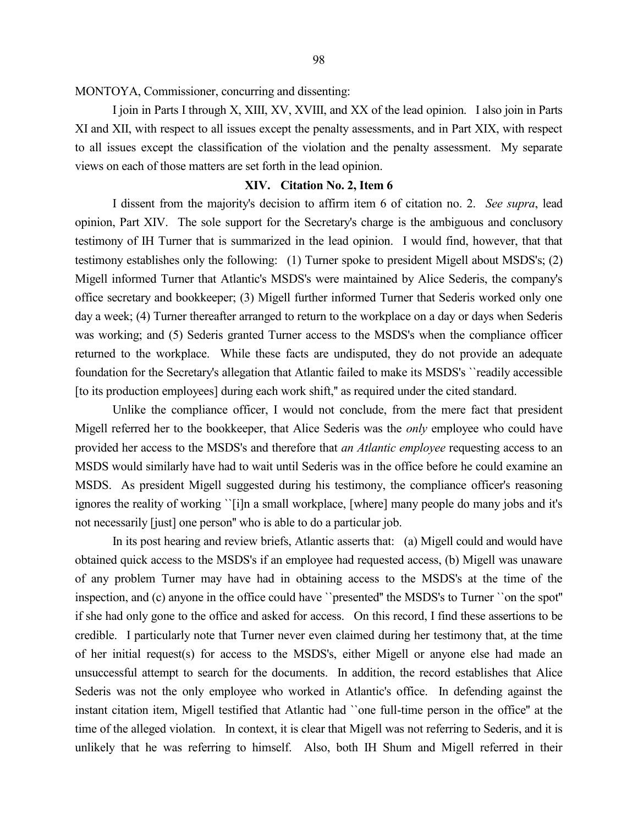MONTOYA, Commissioner, concurring and dissenting:

I join in Parts I through X, XIII, XV, XVIII, and XX of the lead opinion. I also join in Parts XI and XII, with respect to all issues except the penalty assessments, and in Part XIX, with respect to all issues except the classification of the violation and the penalty assessment. My separate views on each of those matters are set forth in the lead opinion.

#### **XIV. Citation No. 2, Item 6**

I dissent from the majority's decision to affirm item 6 of citation no. 2. *See supra*, lead opinion, Part XIV. The sole support for the Secretary's charge is the ambiguous and conclusory testimony of IH Turner that is summarized in the lead opinion. I would find, however, that that testimony establishes only the following: (1) Turner spoke to president Migell about MSDS's; (2) Migell informed Turner that Atlantic's MSDS's were maintained by Alice Sederis, the company's office secretary and bookkeeper; (3) Migell further informed Turner that Sederis worked only one day a week; (4) Turner thereafter arranged to return to the workplace on a day or days when Sederis was working; and (5) Sederis granted Turner access to the MSDS's when the compliance officer returned to the workplace. While these facts are undisputed, they do not provide an adequate foundation for the Secretary's allegation that Atlantic failed to make its MSDS's ``readily accessible [to its production employees] during each work shift," as required under the cited standard.

Unlike the compliance officer, I would not conclude, from the mere fact that president Migell referred her to the bookkeeper, that Alice Sederis was the *only* employee who could have provided her access to the MSDS's and therefore that *an Atlantic employee* requesting access to an MSDS would similarly have had to wait until Sederis was in the office before he could examine an MSDS. As president Migell suggested during his testimony, the compliance officer's reasoning ignores the reality of working ``[i]n a small workplace, [where] many people do many jobs and it's not necessarily [just] one person'' who is able to do a particular job.

In its post hearing and review briefs, Atlantic asserts that: (a) Migell could and would have obtained quick access to the MSDS's if an employee had requested access, (b) Migell was unaware of any problem Turner may have had in obtaining access to the MSDS's at the time of the inspection, and (c) anyone in the office could have ``presented'' the MSDS's to Turner ``on the spot'' if she had only gone to the office and asked for access. On this record, I find these assertions to be credible. I particularly note that Turner never even claimed during her testimony that, at the time of her initial request(s) for access to the MSDS's, either Migell or anyone else had made an unsuccessful attempt to search for the documents. In addition, the record establishes that Alice Sederis was not the only employee who worked in Atlantic's office. In defending against the instant citation item, Migell testified that Atlantic had ``one full-time person in the office'' at the time of the alleged violation. In context, it is clear that Migell was not referring to Sederis, and it is unlikely that he was referring to himself. Also, both IH Shum and Migell referred in their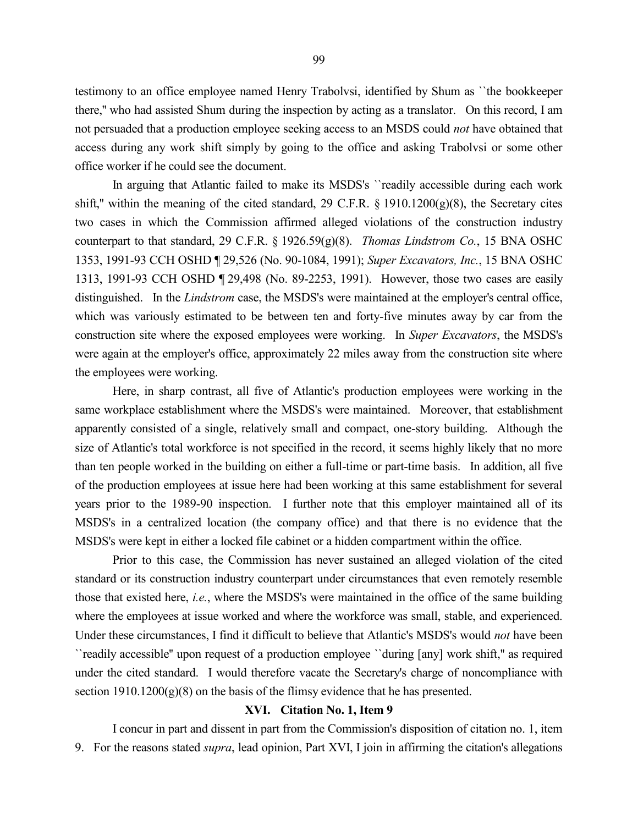testimony to an office employee named Henry Trabolvsi, identified by Shum as ``the bookkeeper there,'' who had assisted Shum during the inspection by acting as a translator. On this record, I am not persuaded that a production employee seeking access to an MSDS could *not* have obtained that access during any work shift simply by going to the office and asking Trabolvsi or some other office worker if he could see the document.

In arguing that Atlantic failed to make its MSDS's ``readily accessible during each work shift," within the meaning of the cited standard, 29 C.F.R.  $\S$  1910.1200(g)(8), the Secretary cites two cases in which the Commission affirmed alleged violations of the construction industry counterpart to that standard, 29 C.F.R. § 1926.59(g)(8). *Thomas Lindstrom Co.*, 15 BNA OSHC 1353, 1991-93 CCH OSHD ¶ 29,526 (No. 90-1084, 1991); *Super Excavators, Inc.*, 15 BNA OSHC 1313, 1991-93 CCH OSHD ¶ 29,498 (No. 89-2253, 1991). However, those two cases are easily distinguished. In the *Lindstrom* case, the MSDS's were maintained at the employer's central office, which was variously estimated to be between ten and forty-five minutes away by car from the construction site where the exposed employees were working. In *Super Excavators*, the MSDS's were again at the employer's office, approximately 22 miles away from the construction site where the employees were working.

Here, in sharp contrast, all five of Atlantic's production employees were working in the same workplace establishment where the MSDS's were maintained. Moreover, that establishment apparently consisted of a single, relatively small and compact, one-story building. Although the size of Atlantic's total workforce is not specified in the record, it seems highly likely that no more than ten people worked in the building on either a full-time or part-time basis. In addition, all five of the production employees at issue here had been working at this same establishment for several years prior to the 1989-90 inspection. I further note that this employer maintained all of its MSDS's in a centralized location (the company office) and that there is no evidence that the MSDS's were kept in either a locked file cabinet or a hidden compartment within the office.

Prior to this case, the Commission has never sustained an alleged violation of the cited standard or its construction industry counterpart under circumstances that even remotely resemble those that existed here, *i.e.*, where the MSDS's were maintained in the office of the same building where the employees at issue worked and where the workforce was small, stable, and experienced. Under these circumstances, I find it difficult to believe that Atlantic's MSDS's would *not* have been ``readily accessible'' upon request of a production employee ``during [any] work shift,'' as required under the cited standard. I would therefore vacate the Secretary's charge of noncompliance with section 1910.1200(g)(8) on the basis of the flimsy evidence that he has presented.

# **XVI. Citation No. 1, Item 9**

I concur in part and dissent in part from the Commission's disposition of citation no. 1, item 9. For the reasons stated *supra*, lead opinion, Part XVI, I join in affirming the citation's allegations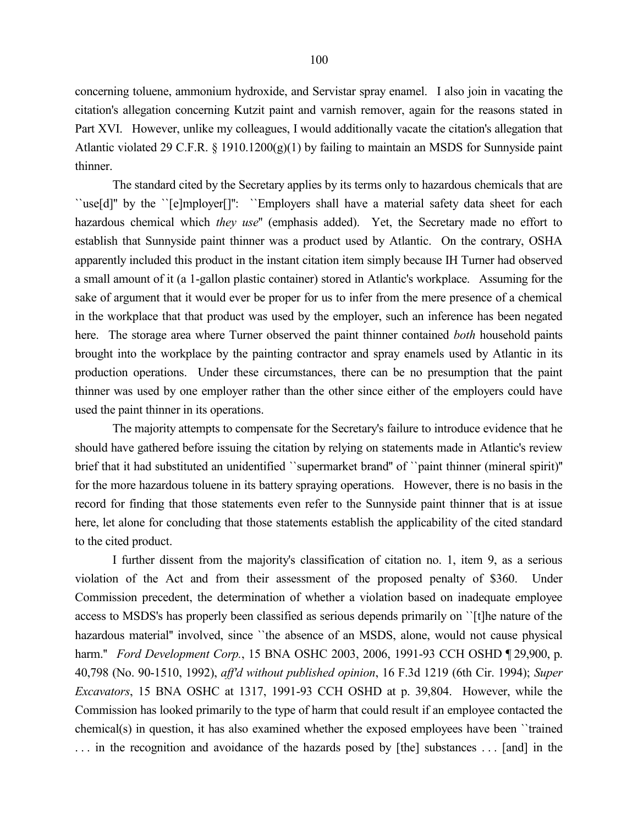concerning toluene, ammonium hydroxide, and Servistar spray enamel. I also join in vacating the citation's allegation concerning Kutzit paint and varnish remover, again for the reasons stated in Part XVI. However, unlike my colleagues, I would additionally vacate the citation's allegation that Atlantic violated 29 C.F.R. § 1910.1200(g)(1) by failing to maintain an MSDS for Sunnyside paint thinner.

The standard cited by the Secretary applies by its terms only to hazardous chemicals that are ``use[d]'' by the ``[e]mployer[]'': ``Employers shall have a material safety data sheet for each hazardous chemical which *they use*'' (emphasis added). Yet, the Secretary made no effort to establish that Sunnyside paint thinner was a product used by Atlantic. On the contrary, OSHA apparently included this product in the instant citation item simply because IH Turner had observed a small amount of it (a 1-gallon plastic container) stored in Atlantic's workplace. Assuming for the sake of argument that it would ever be proper for us to infer from the mere presence of a chemical in the workplace that that product was used by the employer, such an inference has been negated here. The storage area where Turner observed the paint thinner contained *both* household paints brought into the workplace by the painting contractor and spray enamels used by Atlantic in its production operations. Under these circumstances, there can be no presumption that the paint thinner was used by one employer rather than the other since either of the employers could have used the paint thinner in its operations.

The majority attempts to compensate for the Secretary's failure to introduce evidence that he should have gathered before issuing the citation by relying on statements made in Atlantic's review brief that it had substituted an unidentified `supermarket brand'' of ``paint thinner (mineral spirit)'' for the more hazardous toluene in its battery spraying operations. However, there is no basis in the record for finding that those statements even refer to the Sunnyside paint thinner that is at issue here, let alone for concluding that those statements establish the applicability of the cited standard to the cited product.

I further dissent from the majority's classification of citation no. 1, item 9, as a serious violation of the Act and from their assessment of the proposed penalty of \$360. Under Commission precedent, the determination of whether a violation based on inadequate employee access to MSDS's has properly been classified as serious depends primarily on ``[t]he nature of the hazardous material" involved, since "the absence of an MSDS, alone, would not cause physical harm.'' *Ford Development Corp.*, 15 BNA OSHC 2003, 2006, 1991-93 CCH OSHD ¶ 29,900, p. 40,798 (No. 90-1510, 1992), *aff'd without published opinion*, 16 F.3d 1219 (6th Cir. 1994); *Super Excavators*, 15 BNA OSHC at 1317, 1991-93 CCH OSHD at p. 39,804. However, while the Commission has looked primarily to the type of harm that could result if an employee contacted the chemical(s) in question, it has also examined whether the exposed employees have been  $\cdot$  trained . . . in the recognition and avoidance of the hazards posed by [the] substances . . . [and] in the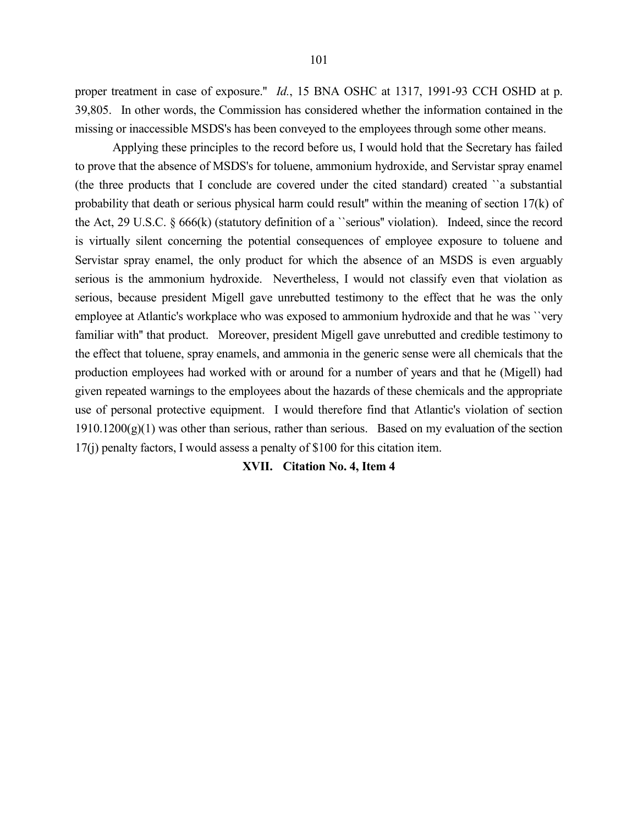proper treatment in case of exposure.'' *Id.*, 15 BNA OSHC at 1317, 1991-93 CCH OSHD at p. 39,805. In other words, the Commission has considered whether the information contained in the missing or inaccessible MSDS's has been conveyed to the employees through some other means.

Applying these principles to the record before us, I would hold that the Secretary has failed to prove that the absence of MSDS's for toluene, ammonium hydroxide, and Servistar spray enamel (the three products that I conclude are covered under the cited standard) created ``a substantial probability that death or serious physical harm could result'' within the meaning of section 17(k) of the Act, 29 U.S.C. § 666(k) (statutory definition of a ``serious'' violation). Indeed, since the record is virtually silent concerning the potential consequences of employee exposure to toluene and Servistar spray enamel, the only product for which the absence of an MSDS is even arguably serious is the ammonium hydroxide. Nevertheless, I would not classify even that violation as serious, because president Migell gave unrebutted testimony to the effect that he was the only employee at Atlantic's workplace who was exposed to ammonium hydroxide and that he was ``very familiar with'' that product. Moreover, president Migell gave unrebutted and credible testimony to the effect that toluene, spray enamels, and ammonia in the generic sense were all chemicals that the production employees had worked with or around for a number of years and that he (Migell) had given repeated warnings to the employees about the hazards of these chemicals and the appropriate use of personal protective equipment. I would therefore find that Atlantic's violation of section  $1910.1200(g)(1)$  was other than serious, rather than serious. Based on my evaluation of the section 17(j) penalty factors, I would assess a penalty of \$100 for this citation item.

#### **XVII. Citation No. 4, Item 4**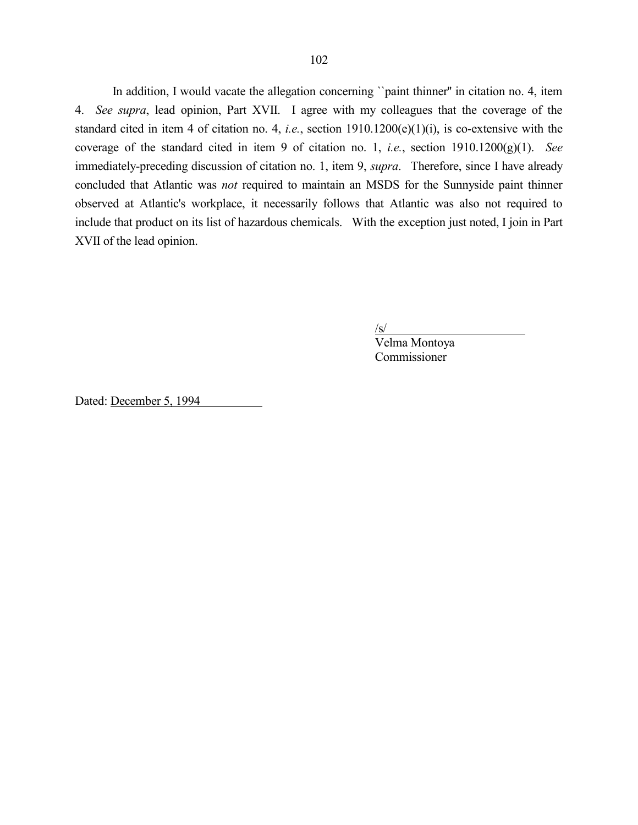In addition, I would vacate the allegation concerning "paint thinner" in citation no. 4, item 4. *See supra*, lead opinion, Part XVII. I agree with my colleagues that the coverage of the standard cited in item 4 of citation no. 4, *i.e.*, section 1910.1200(e)(1)(i), is co-extensive with the coverage of the standard cited in item 9 of citation no. 1, *i.e.*, section 1910.1200(g)(1). *See* immediately-preceding discussion of citation no. 1, item 9, *supra*. Therefore, since I have already concluded that Atlantic was *not* required to maintain an MSDS for the Sunnyside paint thinner observed at Atlantic's workplace, it necessarily follows that Atlantic was also not required to include that product on its list of hazardous chemicals. With the exception just noted, I join in Part XVII of the lead opinion.

 $\sqrt{s}$ 

Velma Montoya Commissioner

Dated: December 5, 1994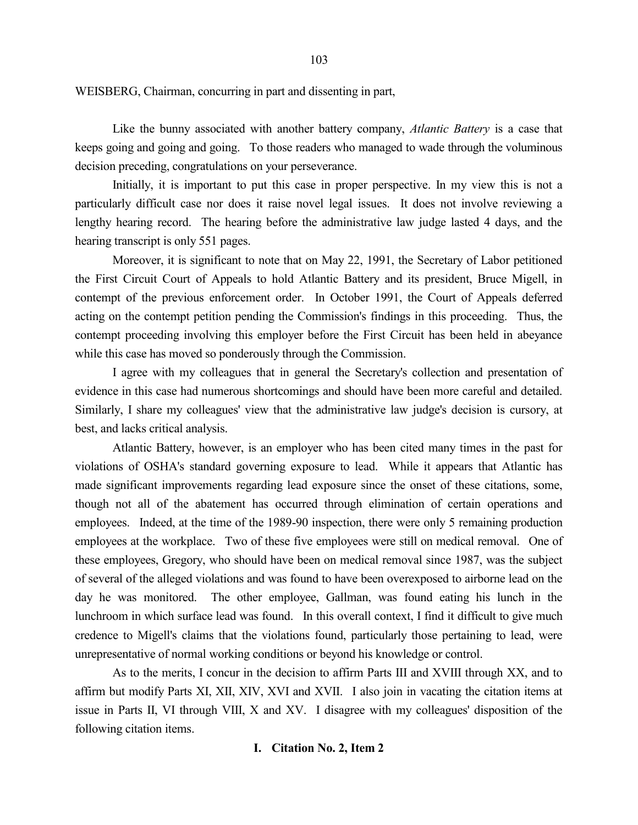WEISBERG, Chairman, concurring in part and dissenting in part,

Like the bunny associated with another battery company, *Atlantic Battery* is a case that keeps going and going and going. To those readers who managed to wade through the voluminous decision preceding, congratulations on your perseverance.

Initially, it is important to put this case in proper perspective. In my view this is not a particularly difficult case nor does it raise novel legal issues. It does not involve reviewing a lengthy hearing record. The hearing before the administrative law judge lasted 4 days, and the hearing transcript is only 551 pages.

Moreover, it is significant to note that on May 22, 1991, the Secretary of Labor petitioned the First Circuit Court of Appeals to hold Atlantic Battery and its president, Bruce Migell, in contempt of the previous enforcement order. In October 1991, the Court of Appeals deferred acting on the contempt petition pending the Commission's findings in this proceeding. Thus, the contempt proceeding involving this employer before the First Circuit has been held in abeyance while this case has moved so ponderously through the Commission.

I agree with my colleagues that in general the Secretary's collection and presentation of evidence in this case had numerous shortcomings and should have been more careful and detailed. Similarly, I share my colleagues' view that the administrative law judge's decision is cursory, at best, and lacks critical analysis.

Atlantic Battery, however, is an employer who has been cited many times in the past for violations of OSHA's standard governing exposure to lead. While it appears that Atlantic has made significant improvements regarding lead exposure since the onset of these citations, some, though not all of the abatement has occurred through elimination of certain operations and employees. Indeed, at the time of the 1989-90 inspection, there were only 5 remaining production employees at the workplace. Two of these five employees were still on medical removal. One of these employees, Gregory, who should have been on medical removal since 1987, was the subject of several of the alleged violations and was found to have been overexposed to airborne lead on the day he was monitored. The other employee, Gallman, was found eating his lunch in the lunchroom in which surface lead was found. In this overall context, I find it difficult to give much credence to Migell's claims that the violations found, particularly those pertaining to lead, were unrepresentative of normal working conditions or beyond his knowledge or control.

As to the merits, I concur in the decision to affirm Parts III and XVIII through XX, and to affirm but modify Parts XI, XII, XIV, XVI and XVII. I also join in vacating the citation items at issue in Parts II, VI through VIII, X and XV. I disagree with my colleagues' disposition of the following citation items.

### **I. Citation No. 2, Item 2**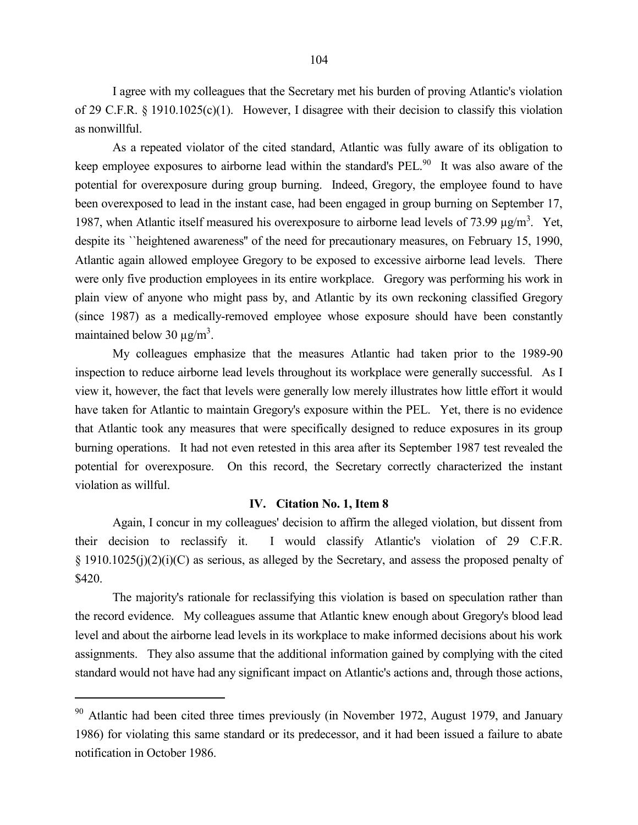I agree with my colleagues that the Secretary met his burden of proving Atlantic's violation of 29 C.F.R. § 1910.1025(c)(1). However, I disagree with their decision to classify this violation as nonwillful.

As a repeated violator of the cited standard, Atlantic was fully aware of its obligation to keep employee exposures to airborne lead within the standard's  $PEL<sup>90</sup>$  It was also aware of the potential for overexposure during group burning. Indeed, Gregory, the employee found to have been overexposed to lead in the instant case, had been engaged in group burning on September 17, 1987, when Atlantic itself measured his overexposure to airborne lead levels of 73.99  $\mu$ g/m<sup>3</sup>. Yet, despite its ``heightened awareness'' of the need for precautionary measures, on February 15, 1990, Atlantic again allowed employee Gregory to be exposed to excessive airborne lead levels. There were only five production employees in its entire workplace. Gregory was performing his work in plain view of anyone who might pass by, and Atlantic by its own reckoning classified Gregory (since 1987) as a medically-removed employee whose exposure should have been constantly maintained below 30  $\mu$ g/m<sup>3</sup>.

My colleagues emphasize that the measures Atlantic had taken prior to the 1989-90 inspection to reduce airborne lead levels throughout its workplace were generally successful. As I view it, however, the fact that levels were generally low merely illustrates how little effort it would have taken for Atlantic to maintain Gregory's exposure within the PEL. Yet, there is no evidence that Atlantic took any measures that were specifically designed to reduce exposures in its group burning operations. It had not even retested in this area after its September 1987 test revealed the potential for overexposure. On this record, the Secretary correctly characterized the instant violation as willful.

#### **IV. Citation No. 1, Item 8**

Again, I concur in my colleagues' decision to affirm the alleged violation, but dissent from their decision to reclassify it. I would classify Atlantic's violation of 29 C.F.R. § 1910.1025(j)(2)(i)(C) as serious, as alleged by the Secretary, and assess the proposed penalty of \$420.

The majority's rationale for reclassifying this violation is based on speculation rather than the record evidence. My colleagues assume that Atlantic knew enough about Gregory's blood lead level and about the airborne lead levels in its workplace to make informed decisions about his work assignments. They also assume that the additional information gained by complying with the cited standard would not have had any significant impact on Atlantic's actions and, through those actions,

<sup>&</sup>lt;sup>90</sup> Atlantic had been cited three times previously (in November 1972, August 1979, and January 1986) for violating this same standard or its predecessor, and it had been issued a failure to abate notification in October 1986.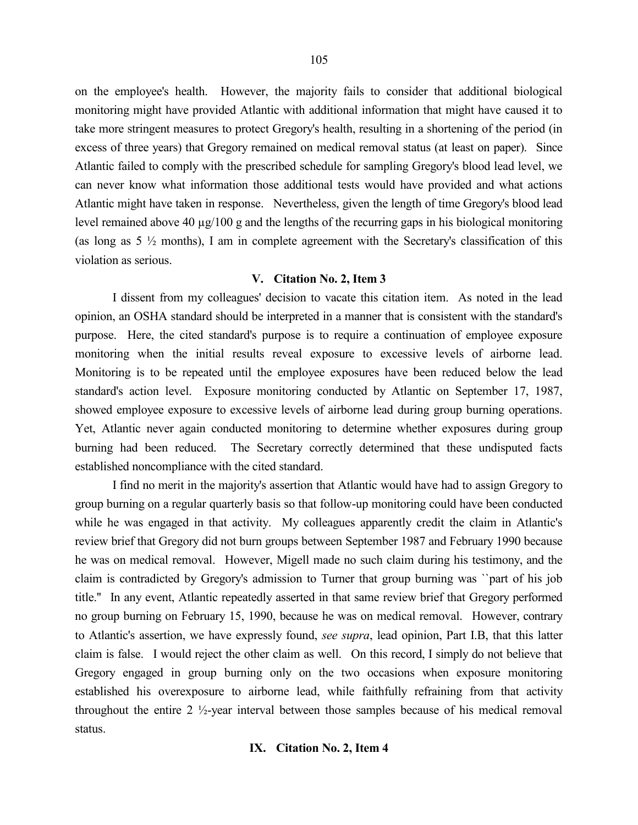on the employee's health. However, the majority fails to consider that additional biological monitoring might have provided Atlantic with additional information that might have caused it to take more stringent measures to protect Gregory's health, resulting in a shortening of the period (in excess of three years) that Gregory remained on medical removal status (at least on paper). Since Atlantic failed to comply with the prescribed schedule for sampling Gregory's blood lead level, we can never know what information those additional tests would have provided and what actions Atlantic might have taken in response. Nevertheless, given the length of time Gregory's blood lead level remained above 40 µg/100 g and the lengths of the recurring gaps in his biological monitoring (as long as  $5\frac{1}{2}$  months), I am in complete agreement with the Secretary's classification of this violation as serious.

### **V. Citation No. 2, Item 3**

I dissent from my colleagues' decision to vacate this citation item. As noted in the lead opinion, an OSHA standard should be interpreted in a manner that is consistent with the standard's purpose. Here, the cited standard's purpose is to require a continuation of employee exposure monitoring when the initial results reveal exposure to excessive levels of airborne lead. Monitoring is to be repeated until the employee exposures have been reduced below the lead standard's action level. Exposure monitoring conducted by Atlantic on September 17, 1987, showed employee exposure to excessive levels of airborne lead during group burning operations. Yet, Atlantic never again conducted monitoring to determine whether exposures during group burning had been reduced. The Secretary correctly determined that these undisputed facts established noncompliance with the cited standard.

I find no merit in the majority's assertion that Atlantic would have had to assign Gregory to group burning on a regular quarterly basis so that follow-up monitoring could have been conducted while he was engaged in that activity. My colleagues apparently credit the claim in Atlantic's review brief that Gregory did not burn groups between September 1987 and February 1990 because he was on medical removal. However, Migell made no such claim during his testimony, and the claim is contradicted by Gregory's admission to Turner that group burning was ``part of his job title.'' In any event, Atlantic repeatedly asserted in that same review brief that Gregory performed no group burning on February 15, 1990, because he was on medical removal. However, contrary to Atlantic's assertion, we have expressly found, *see supra*, lead opinion, Part I.B, that this latter claim is false. I would reject the other claim as well. On this record, I simply do not believe that Gregory engaged in group burning only on the two occasions when exposure monitoring established his overexposure to airborne lead, while faithfully refraining from that activity throughout the entire 2 ½-year interval between those samples because of his medical removal status.

#### **IX. Citation No. 2, Item 4**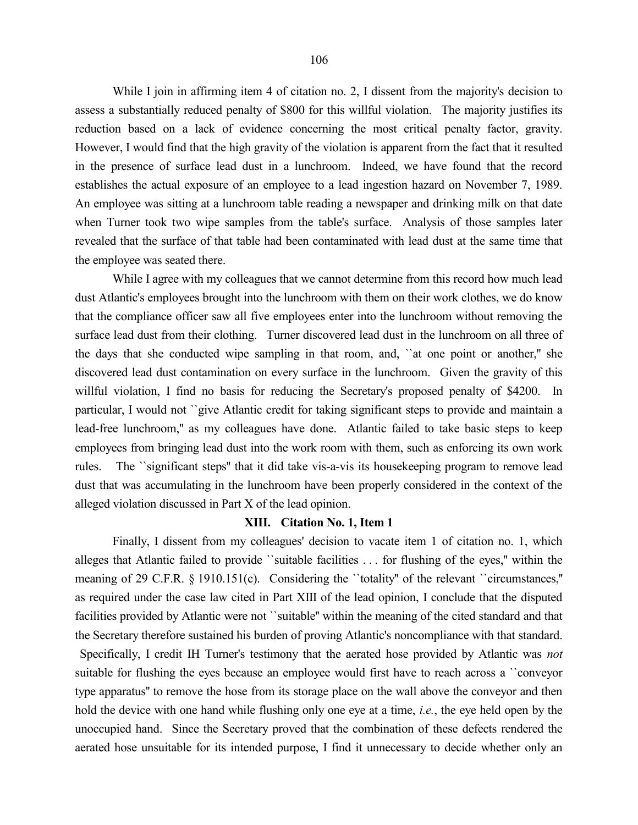While I join in affirming item 4 of citation no. 2, I dissent from the majority's decision to assess a substantially reduced penalty of \$800 for this willful violation. The majority justifies its reduction based on a lack of evidence concerning the most critical penalty factor, gravity. However, I would find that the high gravity of the violation is apparent from the fact that it resulted in the presence of surface lead dust in a lunchroom. Indeed, we have found that the record establishes the actual exposure of an employee to a lead ingestion hazard on November 7, 1989. An employee was sitting at a lunchroom table reading a newspaper and drinking milk on that date when Turner took two wipe samples from the table's surface. Analysis of those samples later revealed that the surface of that table had been contaminated with lead dust at the same time that the employee was seated there.

While I agree with my colleagues that we cannot determine from this record how much lead dust Atlantic's employees brought into the lunchroom with them on their work clothes, we do know that the compliance officer saw all five employees enter into the lunchroom without removing the surface lead dust from their clothing. Turner discovered lead dust in the lunchroom on all three of the days that she conducted wipe sampling in that room, and, ``at one point or another,'' she discovered lead dust contamination on every surface in the lunchroom. Given the gravity of this willful violation, I find no basis for reducing the Secretary's proposed penalty of \$4200. In particular, I would not ``give Atlantic credit for taking significant steps to provide and maintain a lead-free lunchroom,'' as my colleagues have done. Atlantic failed to take basic steps to keep employees from bringing lead dust into the work room with them, such as enforcing its own work rules. The ``significant steps'' that it did take vis-a-vis its housekeeping program to remove lead dust that was accumulating in the lunchroom have been properly considered in the context of the alleged violation discussed in Part X of the lead opinion.

#### **XIII. Citation No. 1, Item 1**

Finally, I dissent from my colleagues' decision to vacate item 1 of citation no. 1, which alleges that Atlantic failed to provide ``suitable facilities . . . for flushing of the eyes,'' within the meaning of 29 C.F.R. § 1910.151(c). Considering the "totality" of the relevant "circumstances," as required under the case law cited in Part XIII of the lead opinion, I conclude that the disputed facilities provided by Atlantic were not ``suitable'' within the meaning of the cited standard and that the Secretary therefore sustained his burden of proving Atlantic's noncompliance with that standard. Specifically, I credit IH Turner's testimony that the aerated hose provided by Atlantic was *not* suitable for flushing the eyes because an employee would first have to reach across a ``conveyor type apparatus'' to remove the hose from its storage place on the wall above the conveyor and then hold the device with one hand while flushing only one eye at a time, *i.e.*, the eye held open by the unoccupied hand. Since the Secretary proved that the combination of these defects rendered the aerated hose unsuitable for its intended purpose, I find it unnecessary to decide whether only an